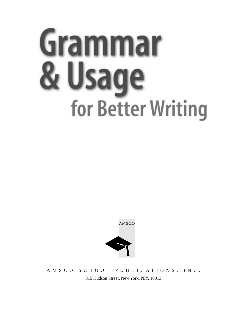## rammar u **& Us** pra e for Better Writing



AMSCO SCHOOL PUBLICATIONS, INC. 315 Hudson Street, New York, N.Y. 10013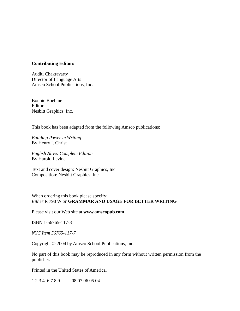#### **Contributing Editors**

Auditi Chakravarty Director of Language Arts Amsco School Publications, Inc.

Bonnie Boehme Editor Nesbitt Graphics, Inc.

This book has been adapted from the following Amsco publications:

*Building Power in Writing* By Henry I. Christ

*English Alive: Complete Edition* By Harold Levine

Text and cover design: Nesbitt Graphics, Inc. Composition: Nesbitt Graphics, Inc.

When ordering this book please specify: *Either* R 798 W *or* **GRAMMAR AND USAGE FOR BETTER WRITING**

Please visit our Web site at **www.amscopub.com**

ISBN 1-56765-117-8

*NYC Item 56765-117-7*

Copyright © 2004 by Amsco School Publications, Inc.

No part of this book may be reproduced in any form without written permission from the publisher.

Printed in the United States of America.

1 2 3 4 6 7 8 9 08 07 06 05 04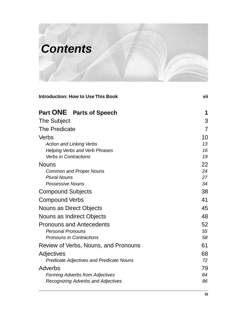## **Contents**

| <b>Introduction: How to Use This Book</b><br>vii |                |  |
|--------------------------------------------------|----------------|--|
| Part ONE Parts of Speech                         | 1              |  |
| <b>The Subject</b>                               | 3              |  |
| The Predicate                                    | $\overline{7}$ |  |
| Verbs                                            | 10             |  |
| <b>Action and Linking Verbs</b>                  | 13             |  |
| <b>Helping Verbs and Verb Phrases</b>            | 16             |  |
| <b>Verbs in Contractions</b>                     | 19             |  |
| <b>Nouns</b>                                     | 22             |  |
| <b>Common and Proper Nouns</b>                   | 24             |  |
| <b>Plural Nouns</b><br><b>Possessive Nouns</b>   | 27<br>34       |  |
|                                                  |                |  |
| <b>Compound Subjects</b>                         | 38             |  |
| <b>Compound Verbs</b>                            | 41             |  |
| Nouns as Direct Objects                          | 45             |  |
| Nouns as Indirect Objects                        | 48             |  |
| <b>Pronouns and Antecedents</b>                  | 52             |  |
| <b>Personal Pronouns</b>                         | 55             |  |
| <b>Pronouns in Contractions</b>                  | 58             |  |
| Review of Verbs, Nouns, and Pronouns             | 61             |  |
| Adjectives                                       | 68             |  |
| <b>Predicate Adjectives and Predicate Nouns</b>  | 72             |  |
| Adverbs                                          | 79             |  |
| <b>Forming Adverbs from Adjectives</b>           | 84             |  |
| Recognizing Adverbs and Adjectives               | 86             |  |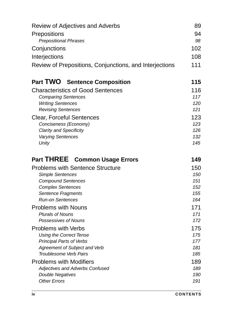| <b>Review of Adjectives and Adverbs</b>                                          | 89         |
|----------------------------------------------------------------------------------|------------|
| <b>Prepositions</b><br><b>Prepositional Phrases</b>                              | 94<br>98   |
| Conjunctions                                                                     | 102        |
| Interjections                                                                    | 108        |
| Review of Prepositions, Conjunctions, and Interjections                          | 111        |
| <b>Part TWO</b> Sentence Composition                                             | 115        |
| <b>Characteristics of Good Sentences</b>                                         | 116        |
| <b>Comparing Sentences</b>                                                       | 117        |
| <b>Writing Sentences</b>                                                         | 120        |
| <b>Revising Sentences</b>                                                        | 121        |
| <b>Clear, Forceful Sentences</b>                                                 | 123        |
| Conciseness (Economy)                                                            | 123        |
| <b>Clarity and Specificity</b>                                                   | 126        |
| <b>Varying Sentences</b>                                                         | 132<br>145 |
| Unity                                                                            |            |
|                                                                                  |            |
|                                                                                  | 149        |
| <b>Part THREE</b> Common Usage Errors<br><b>Problems with Sentence Structure</b> | 150        |
| <b>Simple Sentences</b>                                                          | 150        |
| <b>Compound Sentences</b>                                                        | 151        |
| <b>Complex Sentences</b>                                                         | 152        |
| <b>Sentence Fragments</b>                                                        | 155        |
| <b>Run-on Sentences</b>                                                          | 164        |
| <b>Problems with Nouns</b>                                                       | 171        |
| <b>Plurals of Nouns</b>                                                          | 171        |
| Possessives of Nouns                                                             | 172        |
| <b>Problems with Verbs</b>                                                       | 175        |
| Using the Correct Tense                                                          | 175        |
| <b>Principal Parts of Verbs</b>                                                  | 177        |
| <b>Agreement of Subject and Verb</b>                                             | 181        |
| Troublesome Verb Pairs                                                           | 185        |
| <b>Problems with Modifiers</b>                                                   | 189        |
| <b>Adjectives and Adverbs Confused</b>                                           | 189        |
| <b>Double Negatives</b><br><b>Other Errors</b>                                   | 190<br>191 |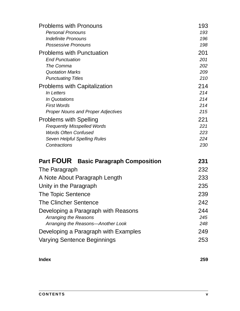| <b>Problems with Pronouns</b>             | 193 |
|-------------------------------------------|-----|
| <b>Personal Pronouns</b>                  | 193 |
| <b>Indefinite Pronouns</b>                | 196 |
| <b>Possessive Pronouns</b>                | 198 |
| <b>Problems with Punctuation</b>          | 201 |
| <b>End Punctuation</b>                    | 201 |
| The Comma                                 | 202 |
| <b>Quotation Marks</b>                    | 209 |
| <b>Punctuating Titles</b>                 | 210 |
| <b>Problems with Capitalization</b>       | 214 |
| <i>In Letters</i>                         | 214 |
| In Quotations                             | 214 |
| <b>First Words</b>                        | 214 |
| <b>Proper Nouns and Proper Adjectives</b> | 215 |
| <b>Problems with Spelling</b>             | 221 |
| <b>Frequently Misspelled Words</b>        | 221 |
| <b>Words Often Confused</b>               | 223 |
| Seven Helpful Spelling Rules              | 224 |
| Contractions                              | 230 |
| Part FOUR Basic Paragraph Composition     | 231 |
| Tha Paragraph                             | つつつ |

| The Paragraph                        | 232 |
|--------------------------------------|-----|
| A Note About Paragraph Length        | 233 |
| Unity in the Paragraph               | 235 |
| The Topic Sentence                   | 239 |
| <b>The Clincher Sentence</b>         | 242 |
| Developing a Paragraph with Reasons  | 244 |
| Arranging the Reasons                | 245 |
| Arranging the Reasons-Another Look   | 248 |
| Developing a Paragraph with Examples | 249 |
| <b>Varying Sentence Beginnings</b>   | 253 |
|                                      |     |

#### **Index 259**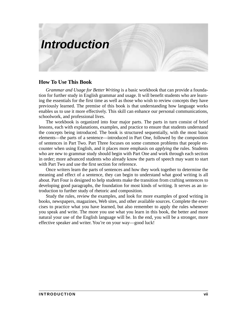

#### **How To Use This Book**

*Grammar and Usage for Better Writing* is a basic workbook that can provide a foundation for further study in English grammar and usage. It will benefit students who are learning the essentials for the first time as well as those who wish to review concepts they have previously learned. The premise of this book is that understanding how language works enables us to use it more effectively. This skill can enhance our personal communications, schoolwork, and professional lives.

The workbook is organized into four major parts. The parts in turn consist of brief lessons, each with explanations, examples, and practice to ensure that students understand the concepts being introduced. The book is structured sequentially, with the most basic elements—the parts of a sentence—introduced in Part One, followed by the composition of sentences in Part Two. Part Three focuses on some common problems that people encounter when using English, and it places more emphasis on *applying* the rules. Students who are new to grammar study should begin with Part One and work through each section in order; more advanced students who already know the parts of speech may want to start with Part Two and use the first section for reference.

Once writers learn the parts of sentences and how they work together to determine the meaning and effect of a sentence, they can begin to understand what good writing is all about. Part Four is designed to help students make the transition from crafting sentences to developing good paragraphs, the foundation for most kinds of writing. It serves as an introduction to further study of rhetoric and composition.

Study the rules, review the examples, and look for more examples of good writing in books, newspapers, magazines, Web sites, and other available sources. Complete the exercises to practice what you have learned, but also remember to apply the rules whenever you speak and write. The more you use what you learn in this book, the better and more natural your use of the English language will be. In the end, you will be a stronger, more effective speaker and writer. You're on your way—good luck!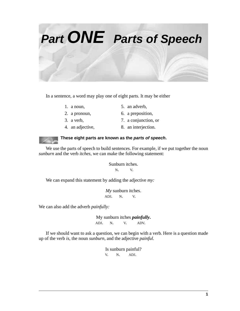# **Part ONE Parts of Speech**

In a sentence, a word may play one of eight parts. It may be either

1. a noun, 5. an adverb,

- 2. a pronoun, 6. a preposition,
	-
- 3. a verb, 7. a conjunction, or
- 4. an adjective, 8. an interjection.



#### **These eight parts are known as the parts of speech.**

We use the parts of speech to build sentences. For example, if we put together the noun *sunburn* and the verb *itches,* we can make the following statement:

> Sunburn itches. N. V.

We can expand this statement by adding the adjective *my:*

*My* sunburn itches. ADJ. N. V.

We can also add the adverb *painfully:*

My sunburn itches *painfully***.** ADJ. N. V. ADV.

If we should want to ask a question, we can begin with a verb. Here is a question made up of the verb *is,* the noun *sunburn,* and the adjective *painful*.

> Is sunburn painful? V. N. ADJ.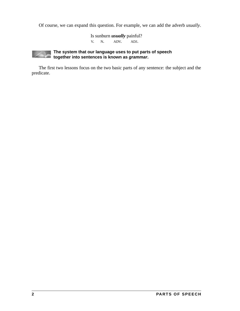Of course, we can expand this question. For example, we can add the adverb *usually*.

Is sunburn *usually* painful? V. N. ADV. ADJ.

#### **The system that our language uses to put parts of speech together into sentences is known as grammar.** ۰

The first two lessons focus on the two basic parts of any sentence: the subject and the predicate.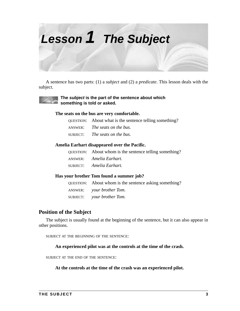## **Lesson 1 The Subject**

A sentence has two parts: (1) a *subject* and (2) a *predicate*. This lesson deals with the subject.

#### **The subject is the part of the sentence about which something is told or asked.**

#### **The seats on the bus are very comfortable.**

| QUESTION: About what is the sentence telling something? |
|---------------------------------------------------------|
| ANSWER: The seats on the bus.                           |
| SUBJECT: The seats on the bus.                          |

#### **Amelia Earhart disappeared over the Pacific.**

| QUESTION: About whom is the sentence telling something? |
|---------------------------------------------------------|
| ANSWER: Amelia Earhart.                                 |
| SUBJECT: Amelia Earhart.                                |

#### **Has your brother Tom found a summer job?**

QUESTION: About whom is the sentence asking something? ANSWER: *your brother Tom.* SUBJECT: *your brother Tom.*

#### **Position of the Subject**

The subject is usually found at the beginning of the sentence, but it can also appear in other positions.

SUBJECT AT THE BEGINNING OF THE SENTENCE:

#### **An experienced pilot was at the controls at the time of the crash.**

SUBJECT AT THE END OF THE SENTENCE:

**At the controls at the time of the crash was an experienced pilot.**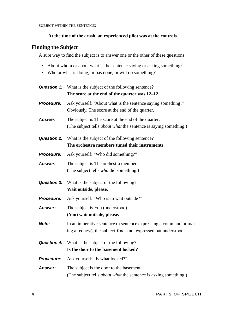SUBJECT WITHIN THE SENTENCE:

#### **At the time of the crash, an experienced pilot was at the controls.**

#### **Finding the Subject**

A sure way to find the subject is to answer one or the other of these questions:

- About whom or about what is the sentence saying or asking something?
- Who or what is doing, or has done, or will do something?

| <b>Question 1:</b> | What is the subject of the following sentence?<br>The score at the end of the quarter was 12–12.                                       |
|--------------------|----------------------------------------------------------------------------------------------------------------------------------------|
| Procedure:         | Ask yourself: "About what is the sentence saying something?"<br>Obviously, The score at the end of the quarter.                        |
| <b>Answer:</b>     | The subject is The score at the end of the quarter.<br>(The subject tells <i>about what</i> the sentence is saying something.)         |
| <b>Question 2:</b> | What is the subject of the following sentence?<br>The orchestra members tuned their instruments.                                       |
| Procedure:         | Ask yourself: "Who did something?"                                                                                                     |
| <b>Answer:</b>     | The subject is The orchestra members.                                                                                                  |
|                    | (The subject tells <i>who</i> did something.)                                                                                          |
| <b>Question 3:</b> | What is the subject of the following?<br>Wait outside, please.                                                                         |
| <b>Procedure:</b>  | Ask yourself: "Who is to wait outside?"                                                                                                |
| <b>Answer:</b>     | The subject is You (understood).<br>(You) wait outside, please.                                                                        |
| Note:              | In an imperative sentence (a sentence expressing a command or mak-<br>ing a request), the subject You is not expressed but understood. |
| <b>Question 4:</b> | What is the subject of the following?                                                                                                  |
|                    | Is the door to the basement locked?                                                                                                    |
| <b>Procedure:</b>  | Ask yourself: "Is what locked?"                                                                                                        |
| <b>Answer:</b>     | The subject is the door to the basement.<br>(The subject tells <i>about what</i> the sentence is asking something.)                    |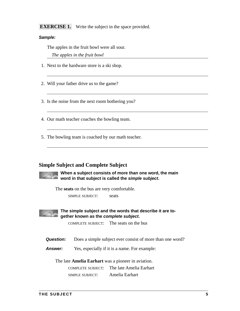#### **EXERCISE 1.** Write the subject in the space provided.

#### **Sample:**

The apples in the fruit bowl were all sour.

*The apples in the fruit bowl*

- 1. Next to the hardware store is a ski shop.
- 2. Will your father drive us to the game?
- 3. Is the noise from the next room bothering you?
- 4. Our math teacher coaches the bowling team.
- 5. The bowling team is coached by our math teacher.

#### **Simple Subject and Complete Subject**



**When a subject consists of more than one word, the main word in that subject is called the simple subject.**

The **seats** on the bus are very comfortable.

SIMPLE SUBJECT: seats



#### **The simple subject and the words that describe it are together known as the complete subject.**

COMPLETE SUBJECT: The seats on the bus

- **Question:** Does a simple subject ever consist of more than one word?
- **Answer:** Yes, especially if it is a name. For example:

The late **Amelia Earhart** was a pioneer in aviation.

COMPLETE SUBJECT: The late Amelia Earhart SIMPLE SUBJECT: Amelia Earhart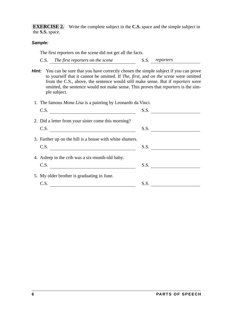**EXERCISE 2.** Write the complete subject in the **C.S.** space and the simple subject in the **S.S.** space.

#### **Sample:**

The first reporters on the scene did not get all the facts.

- C.S. The first reporters on the scene *S.S. reporters*
- Hint: You can be sure that you have correctly chosen the simple subject if you can prove to yourself that it cannot be omitted. If *The, first,* and *on the scene* were omitted from the C.S., above, the sentence would still make sense. But if *reporters* were omitted, the sentence would not make sense. This proves that *reporters* is the simple subject.

|  |  |  |  |  |  |  |  | 1. The famous Mona Lisa is a painting by Leonardo da Vinci. |  |  |  |
|--|--|--|--|--|--|--|--|-------------------------------------------------------------|--|--|--|
|--|--|--|--|--|--|--|--|-------------------------------------------------------------|--|--|--|

| C.S.<br><u> 1989 - Jan James Barnett, fransk politik (d. 1989)</u> | S.S. |
|--------------------------------------------------------------------|------|
| 2. Did a letter from your sister come this morning?                |      |
| C.S.                                                               | S.S. |
| 3. Farther up on the hill is a house with white shutters.          |      |
| C.S.                                                               | S.S. |
| 4. Asleep in the crib was a six-month-old baby.                    |      |
| C.S.<br><u> 1989 - Johann Barbara, martxa alemaniar a</u>          | S.S. |
| 5. My older brother is graduating in June.                         |      |
| C.S.                                                               | S.S. |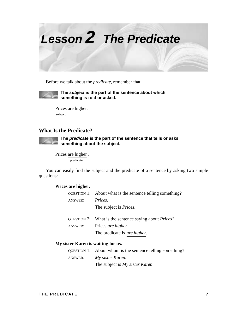## **Lesson 2 The Predicate**

Before we talk about the *predicate,* remember that



**The subject is the part of the sentence about which something is told or asked.**

Prices are higher. subject

#### **What Is the Predicate?**



**The predicate is the part of the sentence that tells or asks something about the subject.**

Prices are higher. predicate

You can easily find the subject and the predicate of a sentence by asking two simple questions:

#### **Prices are higher.**

|         | QUESTION 1: About what is the sentence telling something?     |
|---------|---------------------------------------------------------------|
| ANSWER: | Prices.                                                       |
|         | The subject is <i>Prices</i> .                                |
|         | QUESTION 2: What is the sentence saying about <i>Prices</i> ? |
| ANSWER: | Prices are higher.                                            |
|         | The predicate is <i>are higher</i> .                          |
|         |                                                               |

#### **My sister Karen is waiting for us.**

|         | QUESTION 1: About whom is the sentence telling something? |
|---------|-----------------------------------------------------------|
| ANSWER: | My sister Karen.                                          |
|         | The subject is My sister Karen.                           |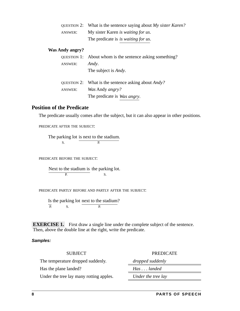|         | QUESTION 2: What is the sentence saying about $My$ sister Karen? |
|---------|------------------------------------------------------------------|
| ANSWER: | My sister Karen is waiting for us.                               |
|         | The predicate is <i>is waiting for us</i> .                      |

#### **Was Andy angry?**

|         | QUESTION 1: About whom is the sentence asking something?   |
|---------|------------------------------------------------------------|
| ANSWER: | Andy.                                                      |
|         | The subject is <i>Andy</i> .                               |
|         |                                                            |
|         | QUESTION 2: What is the sentence asking about <i>Andy?</i> |
| ANSWER: | Was Andy angry?                                            |
|         | The predicate is <i>Was angry</i> .                        |
|         |                                                            |

#### **Position of the Predicate**

The predicate usually comes after the subject, but it can also appear in other positions.

PREDICATE AFTER THE SUBJECT:

The parking lot is next to the stadium. S. P.

PREDICATE BEFORE THE SUBJECT:

Next to the stadium is the parking lot. P. S.

PREDICATE PARTLY BEFORE AND PARTLY AFTER THE SUBJECT:

Is the parking lot next to the stadium?  $\overline{P}$ . S.  $\overline{P}$ .

**EXERCISE 1.** First draw a single line under the complete subject of the sentence. Then, above the double line at the right, write the predicate.

#### **Samples:**

#### SUBJECT PREDICATE

| The temperature dropped suddenly.       | <i>dropped suddenly</i> |
|-----------------------------------------|-------------------------|
| Has the plane landed?                   | Has  landed             |
| Under the tree lay many rotting apples. | Under the tree lay      |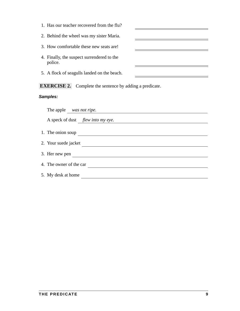- 1. Has our teacher recovered from the flu?
- 2. Behind the wheel was my sister Maria.
- 3. How comfortable these new seats are!
- 4. Finally, the suspect surrendered to the police.
- 5. A flock of seagulls landed on the beach.

**EXERCISE 2.** Complete the sentence by adding a predicate.

#### **Samples:**

The apple *was not ripe*.

A speck of dust *flew into my eye*.

1. The onion soup 2. Your suede jacket 3. Her new pen 4. The owner of the car 5. My desk at home

<u> 1989 - Johann Barn, mars ann an t-Amhain Aonaich an t-Aonaich an t-Aonaich ann an t-Aonaich ann an t-Aonaich</u>

<u> 1989 - Johann Barn, mars eta bat erroman erroman erroman erroman erroman erroman erroman erroman erroman err</u>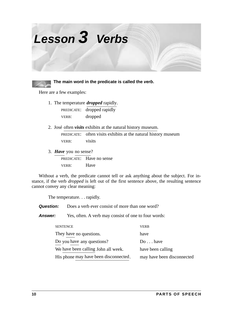## **Lesson 3 Verbs**



Here are a few examples:

- 1. The temperature *dropped* rapidly. PREDICATE: dropped rapidly VERB: dropped
- 2. José often *visits* exhibits at the natural history museum. PREDICATE: often visits exhibits at the natural history museum VERB: visits
- 3. Have you no sense? PREDICATE: Have no sense VERB: Have

Without a verb, the predicate cannot tell or ask anything about the subject. For instance, if the verb *dropped* is left out of the first sentence above, the resulting sentence cannot convey any clear meaning:

The temperature. . . rapidly.

**Question:** Does a verb ever consist of more than one word?

**Answer:** Yes, often. A verb may consist of one to four words:

| <b>SENTENCE</b>                       | <b>VERB</b>                |
|---------------------------------------|----------------------------|
| They have no questions.               | have                       |
| Do you have any questions?            | $Do \dots$ have            |
| We have been calling John all week.   | have been calling          |
| His phone may have been disconnected. | may have been disconnected |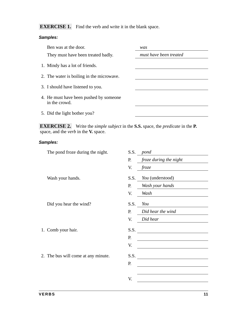**EXERCISE 1.** Find the verb and write it in the blank space.

#### **Samples:**

| Ben was at the door.                                    | was                    |
|---------------------------------------------------------|------------------------|
| They must have been treated badly.                      | must have been treated |
| 1. Mindy has a lot of friends.                          |                        |
| 2. The water is boiling in the microwave.               |                        |
| 3. I should have listened to you.                       |                        |
| 4. He must have been pushed by someone<br>in the crowd. |                        |
| 5. Did the light bother you?                            |                        |

**EXERCISE 2.** Write the *simple subject* in the **S.S.** space, the *predicate* in the **P.** space, and the *verb* in the **V.** space.

#### **Samples:**

| The pond froze during the night.    | S.S.<br>pond                                                                                    |
|-------------------------------------|-------------------------------------------------------------------------------------------------|
|                                     | froze during the night<br>P.                                                                    |
|                                     | V.<br>froze                                                                                     |
| Wash your hands.                    | You (understood)<br>S.S.                                                                        |
|                                     | Wash your hands<br>P.                                                                           |
|                                     | V.<br>Wash                                                                                      |
| Did you hear the wind?              | S.S.<br>You                                                                                     |
|                                     | Did hear the wind<br>P.                                                                         |
|                                     | Did hear<br>V.                                                                                  |
| 1. Comb your hair.                  | S.S.<br><u> 1980 - Johann Barn, mars an t-Amerikaansk kommunister (</u>                         |
|                                     | P.<br>the control of the control of the control of the control of the control of the control of |
|                                     | V.<br><u> 1980 - Johann Barbara, martin a</u>                                                   |
| 2. The bus will come at any minute. | S.S.                                                                                            |
|                                     | P.                                                                                              |
|                                     |                                                                                                 |
|                                     | V.                                                                                              |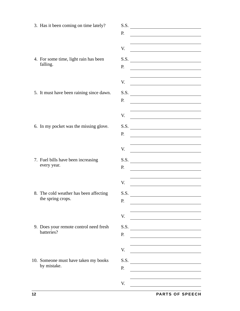- 
- falling. P.
- 
- 
- every year. P.
- the spring crops. P.
- batteries? P.
- by mistake. P.
- 3. Has it been coming on time lately? S.S. P. <u> 1989 - Johann Barbara, martin amerikan basal da</u> V. 4. For some time, light rain has been S.S. <u> 1989 - Johann Barn, fransk politik formuler (d. 1989)</u> V. 5. It must have been raining since dawn. S.S. P. V. <u> 1989 - Johann Stoff, fransk politik (d. 1989)</u> 6. In my pocket was the missing glove. S.S. P. <u> 1990 - Johann Stone, fransk politik (d. 19</u> V. <u> 1989 - Andrea Barbara, poeta esperanto-poeta esperanto-poeta esperanto-poeta esperanto-poeta esperanto-poeta</u> 7. Fuel bills have been increasing S.S. V. <u> Alexandria (Carlo Carlo Carlo Carlo Carlo Carlo Carlo Carlo Carlo Carlo Carlo Carlo Carlo Carlo Carlo Carlo Ca</u> 8. The cold weather has been affecting S.S. V. 9. Does your remote control need fresh S.S. V. 10. Someone must have taken my books S.S. V.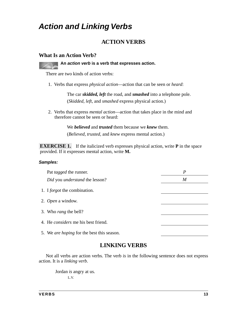### **Action and Linking Verbs**

#### **ACTION VERBS**

#### **What Is an Action Verb?**

**An action verb is a verb that expresses action.**

There are two kinds of action verbs:

1. Verbs that express *physical action*—action that can be seen or *heard*:

The car *skidded, left* the road, and *smashed* into a telephone pole. (*Skidded, left,* and *smashed* express physical action.)

2. Verbs that express *mental action*—action that takes place in the mind and therefore cannot be seen or heard:

> We *believed* and *trusted* them because we *knew* them. (*Believed, trusted,* and *knew* express mental action.)

**EXERCISE 1.** If the italicized verb expresses physical action, write **P** in the space provided. If it expresses mental action, write **M.**

#### **Samples:**

| Pat <i>tagged</i> the runner.                     | $\boldsymbol{P}$ |
|---------------------------------------------------|------------------|
| Did you <i>understand</i> the lesson?             | M                |
| 1. I <i>forgot</i> the combination.               |                  |
| 2. Open a window.                                 |                  |
| 3. Who <i>rang</i> the bell?                      |                  |
| 4. He <i>considers</i> me his best friend.        |                  |
| 5. We <i>are hoping</i> for the best this season. |                  |

#### **LINKING VERBS**

Not all verbs are action verbs. The verb *is* in the following sentence does not express action. It is a *linking verb*.

Jordan *is* angry at us. L.V.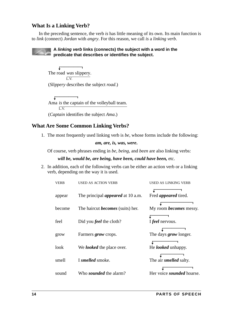#### **What Is a Linking Verb?**

In the preceding sentence, the verb *is* has little meaning of its own. Its main function is to *link* (connect) *Jordan* with *angry*. For this reason, we call *is* a *linking verb*.



#### **A linking verb links (connects) the subject with a word in the predicate that describes or identifies the subject.**

 $\sqrt{ }$ The road *was* slippery.L.V. (*Slippery* describes the subject *road*.)

 $\sqrt{2}$ Ama *is* the captain of the volleyball team. L.V. (*Captain* identifies the subject *Ama*.)

#### **What Are Some Common Linking Verbs?**

1. The most frequently used linking verb is *be*, whose forms include the following:

*am, are, is, was, were***.**

Of course, verb phrases ending in *be*, *being*, and *been* are also linking verbs:

#### *will be, would be, are being, have been, could have been,* etc.

2. In addition, each of the following verbs can be either an action verb or a linking verb, depending on the way it is used.

| <b>VERB</b> | <b>USED AS ACTION VERB</b>               | <b>USED AS LINKING VERB</b>      |
|-------------|------------------------------------------|----------------------------------|
| appear      | The principal <i>appeared</i> at 10 a.m. | Fred <i>appeared</i> tired.      |
| become      | The haircut <i>becomes</i> (suits) her.  | My room <i>becomes</i> messy.    |
| feel        | Did you <i>feel</i> the cloth?           | I feel nervous.                  |
| grow        | Farmers <i>grow</i> crops.               | The days <i>grow</i> longer.     |
| look        | We <i>looked</i> the place over.         | He <i>looked</i> unhappy.        |
| smell       | I <i>smelled</i> smoke.                  | The air <i>smelled</i> salty.    |
| sound       | Who <i>sounded</i> the alarm?            | Her voice <i>sounded</i> hoarse. |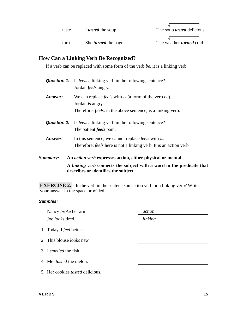| taste | I <i>tasted</i> the soup.   | The soup <i>tasted</i> delicious. |
|-------|-----------------------------|-----------------------------------|
| turn  | She <i>turned</i> the page. | The weather <i>turned</i> cold.   |

#### **How Can a Linking Verb Be Recognized?**

If a verb can be replaced with some form of the verb *be,* it is a linking verb.

| Is feels a linking verb in the following sentence?<br>Jordan <i>feels</i> angry.                                                                                                    |
|-------------------------------------------------------------------------------------------------------------------------------------------------------------------------------------|
| We can replace <i>feels</i> with is (a form of the verb be).<br>Jordan <i>is</i> angry.<br>Therefore, <i>feels</i> , in the above sentence, is a linking verb.                      |
| <b>Question 2:</b> Is feels a linking verb in the following sentence?<br>The patient <i>feels</i> pain.                                                                             |
| In this sentence, we cannot replace <i>feels</i> with <i>is</i> .<br>Therefore, <i>feels</i> here is not a linking verb. It is an action verb.                                      |
| An <i>action verb</i> expresses action, either physical or mental.<br>A linking verb connects the subject with a word in the predicate that<br>describes or identifies the subject. |
| <b>Question 1:</b>                                                                                                                                                                  |

**EXERCISE 2.** Is the verb in the sentence an action verb or a linking verb? Write your answer in the space provided.

#### **Samples:**

| Nancy <i>broke</i> her arm.             | action  |
|-----------------------------------------|---------|
| Joe <i>looks</i> tired.                 | linking |
| 1. Today, I <i>feel</i> better.         |         |
| 2. This blouse <i>looks</i> new.        |         |
| 3. I <i>smelled</i> the fish.           |         |
| 4. Mei <i>tasted</i> the melon.         |         |
| 5. Her cookies <i>tasted</i> delicious. |         |
|                                         |         |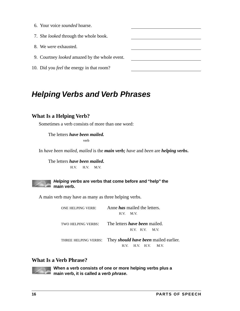| 6. Your voice <i>sounded</i> hoarse.                 |  |
|------------------------------------------------------|--|
| 7. She <i>looked</i> through the whole book.         |  |
| 8. We <i>were</i> exhausted.                         |  |
| 9. Courtney <i>looked</i> amazed by the whole event. |  |
| 10. Did you <i>feel</i> the energy in that room?     |  |

### **Helping Verbs and Verb Phrases**

#### **What Is a Helping Verb?**

Sometimes a verb consists of more than one word:

The letters *have been mailed.* verb

In *have been mailed, mailed* is the *main verb; have* and *been* are *helping verbs***.**

The letters *have been mailed***.** H.V. H.V. M.V.



#### **Helping verbs are verbs that come before and "help" the main verb.**

A main verb may have as many as three helping verbs.

| ONE HELPING VERB: | Anne <i>has</i> mailed the letters.<br>$H.V.$ M.V.                                |
|-------------------|-----------------------------------------------------------------------------------|
|                   | TWO HELPING VERBS: The letters have been mailed.<br>HV HV MV                      |
|                   | THREE HELPING VERBS: They should have been mailed earlier.<br>H.V. H.V. H.V. M.V. |

#### **What Is a Verb Phrase?**



**When a verb consists of one or more helping verbs plus a main verb, it is called a verb phrase.**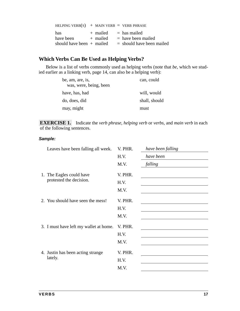HELPING VERB $(s)$  + MAIN VERB = VERB PHRASE has  $+$  mailed  $=$  has mailed have been  $+$  mailed  $=$  have been mailed<br>should have been  $+$  mailed  $=$  should have been mailed should have been  $+$  mailed

### **Which Verbs Can Be Used as Helping Verbs?**

Below is a list of verbs commonly used as helping verbs (note that *be,* which we studied earlier as a linking verb, page 14, can also be a helping verb):

| be, am, are, is,       | can, could    |
|------------------------|---------------|
| was, were, being, been |               |
| have, has, had         | will, would   |
| do, does, did          | shall, should |
| may, might             | must          |

**EXERCISE 1.** Indicate the *verb phrase, helping verb* or *verbs*, and *main verb* in each of the following sentences.

#### **Sample:**

| Leaves have been falling all week.     | V. PHR. | have been falling |
|----------------------------------------|---------|-------------------|
|                                        | H.V.    | have been         |
|                                        | M.V.    | falling           |
| 1. The Eagles could have               | V. PHR. |                   |
| protested the decision.                | H.V.    |                   |
|                                        | M.V.    |                   |
| 2. You should have seen the mess!      | V. PHR. |                   |
|                                        | H.V.    |                   |
|                                        | M.V.    |                   |
| 3. I must have left my wallet at home. | V. PHR. |                   |
|                                        | H.V.    |                   |
|                                        | M.V.    |                   |
| 4. Justin has been acting strange      | V. PHR. |                   |
| lately.                                | H.V.    |                   |
|                                        | M.V.    |                   |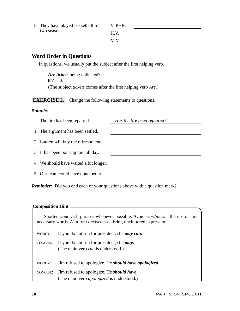| 5. They have played basketball for | V. PHR. |  |
|------------------------------------|---------|--|
| two seasons.                       | H.V.    |  |
|                                    | M.V.    |  |

#### **Word Order in Questions**

In questions, we usually put the subject after the first helping verb.

*Are tickets* being collected? H.V. S. (The subject *tickets* comes after the first helping verb *Are*.)

**EXERCISE 2.** Change the following statements to questions.

#### **Sample:**

The tire has been repaired.

*Has the tire been repaired?*

<u> 1980 - Johann Barbara, martxa alemaniar a</u>

1. The argument has been settled.

2. Lauren will buy the refreshments.

3. It has been pouring rain all day.

4. We should have waited a bit longer.

5. Our team could have done better.

*Reminder:* Did you end each of your questions above with a question mark?

#### **Composition Hint**

|                 | Shorten your verb phrases whenever possible. Avoid <i>wordiness</i> —the use of un-<br>necessary words. Aim for <i>conciseness</i> —brief, uncluttered expression. |
|-----------------|--------------------------------------------------------------------------------------------------------------------------------------------------------------------|
| WORDY:          | If you do not run for president, she <i>may run</i> .                                                                                                              |
| CONCISE:        | If you do not run for president, she <i>may</i> .<br>(The main verb <i>run</i> is understood.)                                                                     |
| WORDY:          | Jim refused to apologize. He <i>should have apologized</i> .                                                                                                       |
| <b>CONCISE:</b> | Jim refused to apologize. He <i>should have</i> .<br>(The main verb <i>apologized</i> is understood.)                                                              |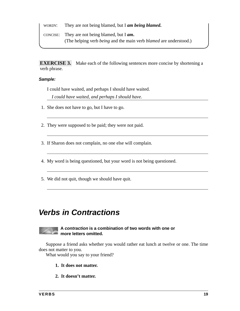WORDY: They are not being blamed, but I *am being blamed***.**

CONCISE: They are not being blamed, but I *am***.** (The helping verb *being* and the main verb *blamed* are understood.)

**EXERCISE 3.** Make each of the following sentences more concise by shortening a verb phrase.

#### **Sample:**

I could have waited, and perhaps I should have waited.

*I could have waited, and perhaps I should have.*

- 1. She does not have to go, but I have to go.
- 2. They were supposed to be paid; they were not paid.
- 3. If Sharon does not complain, no one else will complain.
- 4. My word is being questioned, but your word is not being questioned.
- 5. We did not quit, though we should have quit.

### **Verbs in Contractions**



#### **A contraction is a combination of two words with one or more letters omitted.**

Suppose a friend asks whether you would rather eat lunch at twelve or one. The time does not matter to you.

What would you say to your friend?

- **1. It does not matter.**
- **2. It doesn't matter.**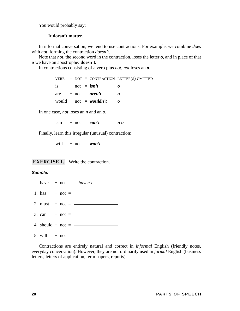You would probably say:

#### **It doesn't matter.**

In informal conversation, we tend to use contractions. For example, we combine *does* with *not,* forming the contraction *doesn't*.

Note that *not,* the second word in the contraction, loses the letter *o,* and in place of that *o* we have an apostrophe: **doesn't.**

In contractions consisting of a verb plus *not*, *not* loses an *o***.**

 $VERB + NOT = CONTRACTION LETTER(S) OMITTED$ is  $+ \text{not} = i \text{sn}'t$   $\qquad q$ are  $+$  not = *aren't*  $\boldsymbol{o}$ would + not =  $\textit{wouldn't}$   $o$ 

In one case, *not* loses an *n* and an *o:*

can + not =  $can^{\prime}$  *n o* 

Finally, learn this irregular (unusual) contraction:

will  $+$  not  $=$  *won't* 

#### **EXERCISE 1.** Write the contraction.

#### **Sample:**



Contractions are entirely natural and correct in *informal* English (friendly notes, everyday conversation). However, they are not ordinarily used in *formal* English (business letters, letters of application, term papers, reports).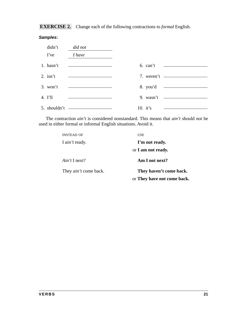#### **EXERCISE 2.** Change each of the following contractions to *formal* English.

#### **Samples:**

| didn't      | did not                                                                                                             |            |                                                     |
|-------------|---------------------------------------------------------------------------------------------------------------------|------------|-----------------------------------------------------|
| I've        | <i>I</i> have                                                                                                       |            |                                                     |
| 1. $hasn't$ | <u> 1980 - Andrea Stadt Britain, amerikansk politik (</u>                                                           | $6.$ can't | <u> 1989 - Andrea Station Barbara, amerikan per</u> |
| $2.$ isn't  | <u> 1989 - Johann Barn, amerikansk politiker (</u>                                                                  |            | 7. weren't $\overline{\phantom{a}}$                 |
| 3. won't    | <u> 1980 - Andrea Station, amerikansk politik (</u>                                                                 |            | 8. you'd —                                          |
| 4. I'll     | <u> 1980 - Johann Barn, mars eta bainar eta baina eta baina eta baina eta baina eta baina eta baina eta baina e</u> |            | 9. wasn't $\qquad$                                  |
|             | 5. shouldn't $\qquad$                                                                                               | 10. it's   |                                                     |

The contraction *ain't* is considered nonstandard. This means that *ain't* should not be used in either formal or informal English situations. Avoid it.

| <b>INSTEAD OF</b>            | USE                         |
|------------------------------|-----------------------------|
| I <i>ain't</i> ready.        | I'm not ready.              |
|                              | or I am not ready.          |
| $A$ <i>in't</i> I next?      | Am I not next?              |
| They <i>ain't</i> come back. | They haven't come back.     |
|                              | or They have not come back. |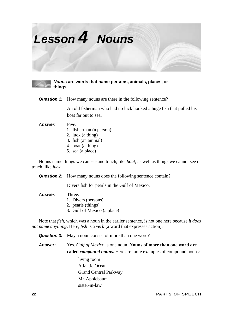## **Lesson 4 Nouns**



**Nouns are words that name persons, animals, places, or things.**

**Question 1:** How many nouns are there in the following sentence?

An old fisherman who had no luck hooked a huge fish that pulled his boat far out to sea.

#### **Answer:** Five.

- 1. fisherman (a person)
- 2. luck (a thing)
- 3. fish (an animal)
- 4. boat (a thing)
- 5. sea (a place)

Nouns name things we can see and touch, like *boat,* as well as things we cannot see or touch, like *luck*.

**Question 2:** How many nouns does the following sentence contain?

Divers fish for pearls in the Gulf of Mexico.

**Answer:** Three.

- 1. Divers (persons)
- 2. pearls (things)
- 3. Gulf of Mexico (a place)

Note that *fish,* which was a noun in the earlier sentence, is not one here because *it does not name anything*. Here, *fish* is a *verb* (a word that expresses action).

**Question 3:** May a noun consist of more than one word?

#### **Answer:** Yes. *Gulf of Mexico* is one noun. **Nouns of more than one word are called** *compound nouns***.** Here are more examples of compound nouns:

living room Atlantic Ocean Grand Central Parkway Mr. Applebaum sister-in-law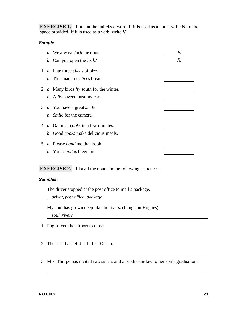**EXERCISE 1.** Look at the italicized word. If it is used as a noun, write **N.** in the space provided. If it is used as a verb, write **V.**

#### **Sample:**

|  | a. We always <i>lock</i> the door.                                                        | V. |
|--|-------------------------------------------------------------------------------------------|----|
|  | b. Can you open the <i>lock</i> ?                                                         | N. |
|  | 1. <i>a</i> . I ate three <i>slices</i> of pizza.<br>b. This machine <i>slices</i> bread. |    |
|  | 2. $a$ . Many birds $fly$ south for the winter.                                           |    |
|  | b. A fly buzzed past my ear.                                                              |    |
|  | 3. <i>a</i> . You have a great <i>smile</i> .<br>b. Smile for the camera.                 |    |
|  | 4. <i>a</i> . Oatmeal <i>cooks</i> in a few minutes.                                      |    |
|  | b. Good <i>cooks</i> make delicious meals.                                                |    |
|  | 5. <i>a</i> . Please <i>hand</i> me that book.<br>b. Your <i>hand</i> is bleeding.        |    |

#### **EXERCISE 2.** List all the nouns in the following sentences.

#### **Samples:**

The driver stopped at the post office to mail a package.

*driver, post office, package*

My soul has grown deep like the rivers. (Langston Hughes)

*soul, rivers*

- 1. Fog forced the airport to close.
- 2. The fleet has left the Indian Ocean.
- 3. Mrs. Thorpe has invited two sisters and a brother-in-law to her son's graduation.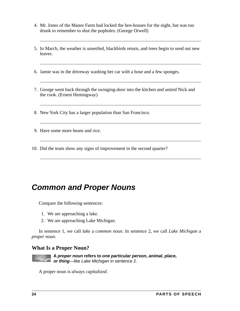- 4. Mr. Jones of the Manor Farm had locked the hen-houses for the night, but was too drunk to remember to shut the popholes. (George Orwell)
- 5. In March, the weather is unsettled, blackbirds return, and trees begin to send out new leaves.
- 6. Jamie was in the driveway washing her car with a hose and a few sponges.
- 7. George went back through the swinging-door into the kitchen and untied Nick and the cook. (Ernest Hemingway)
- 8. New York City has a larger population than San Francisco.
- 9. Have some more beans and rice.
- 10. Did the team show any signs of improvement in the second quarter?

### **Common and Proper Nouns**

Compare the following sentences:

- 1. We are approaching a lake.
- 2. We are approaching Lake Michigan.

In sentence 1, we call *lake* a *common noun*. In sentence 2, we call *Lake Michigan* a *proper noun*.

#### **What Is a Proper Noun?**



**A proper noun refers to one particular person, animal, place, or thing**—like Lake Michigan in sentence 2.

A proper noun is *always capitalized*.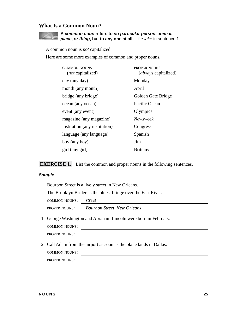#### **What Is a Common Noun?**

**A common noun refers to no particular person, animal, place, or thing, but to any one at all**—like lake in sentence 1.

A common noun is *not* capitalized.

Here are some more examples of common and proper nouns.

| <b>COMMON NOUNS</b><br>(not capitalized) | PROPER NOUNS<br>( <i>always</i> capitalized) |
|------------------------------------------|----------------------------------------------|
| day (any day)                            | Monday                                       |
| month (any month)                        | April                                        |
| bridge (any bridge)                      | Golden Gate Bridge                           |
| ocean (any ocean)                        | Pacific Ocean                                |
| event (any event)                        | Olympics                                     |
| magazine (any magazine)                  | <i>Newsweek</i>                              |
| institution (any institution)            | Congress                                     |
| language (any language)                  | Spanish                                      |
| boy (any boy)                            | Jim                                          |
| girl (any girl)                          | <b>Brittany</b>                              |
|                                          |                                              |

**EXERCISE 1.** List the common and proper nouns in the following sentences.

#### **Sample:**

Bourbon Street is a lively street in New Orleans.

The Brooklyn Bridge is the oldest bridge over the East River.

COMMON NOUNS: *street*

PROPER NOUNS: *Bourbon Street, New Orleans*

1. George Washington and Abraham Lincoln were born in February.

COMMON NOUNS:

PROPER NOUNS:

2. Call Adam from the airport as soon as the plane lands in Dallas.

COMMON NOUNS:

PROPER NOUNS: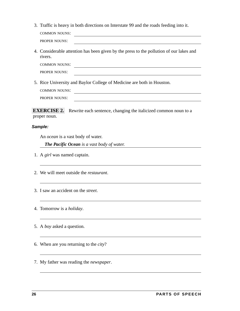3. Traffic is heavy in both directions on Interstate 99 and the roads feeding into it.

COMMON NOUNS:

PROPER NOUNS:

4. Considerable attention has been given by the press to the pollution of our lakes and rivers.

<u> 1989 - Johann Barbara, martxa alemaniar amerikan basar da da a shekara 1989 - André a shekara 1989 - André a</u>

<u> 1980 - Johann Barbara, martxa alemaniar arg</u>

COMMON NOUNS:

PROPER NOUNS:

5. Rice University and Baylor College of Medicine are both in Houston.

COMMON NOUNS:

PROPER NOUNS:

**EXERCISE 2.** Rewrite each sentence, changing the italicized common noun to a proper noun.

#### **Sample:**

An *ocean* is a vast body of water.

*The Pacific Ocean is a vast body of water.*

- 1. A *girl* was named captain.
- 2. We will meet outside the *restaurant*.
- 3. I saw an accident on the *street*.
- 4. Tomorrow is a *holiday*.
- 5. A *boy* asked a question.
- 6. When are you returning to the *city*?
- 7. My father was reading the *newspaper*.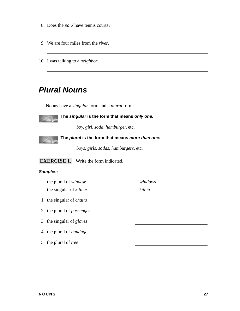- 8. Does the *park* have tennis courts?
- 9. We are four miles from the *river*.
- 10. I was talking to a *neighbor*.

### **Plural Nouns**

Nouns have a *singular* form and a *plural* form.



#### **The singular is the form that means only one:**

*boy, girl, soda, hamburger,* etc.



**The plural is the form that means more than one:**

*boys, girls, sodas, hamburgers,* etc.

**EXERCISE 1.** Write the form indicated.

#### **Samples:**

the plural of *window* the singular of *kittens* *windows*

*kitten*

1. the singular of *chairs*

2. the plural of *passenger*

- 3. the singular of *gloves*
- 4. the plural of *bandage*
- 5. the plural of *tree*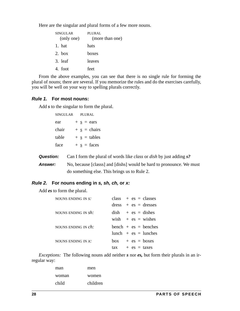Here are the singular and plural forms of a few more nouns.

| <b>SINGULAR</b><br>(only one) | PLURAL<br>(more than one) |
|-------------------------------|---------------------------|
| 1. hat                        | hats                      |
| $2.$ box                      | boxes                     |
| 3. leaf                       | leaves                    |
| 4. foot                       | feet                      |

From the above examples, you can see that there is no single rule for forming the plural of nouns; there are several. If you memorize the rules and do the exercises carefully, you will be well on your way to spelling plurals correctly.

#### **Rule 1. For most nouns:**

Add *s* to the singular to form the plural.

| <b>SINGULAR</b> |  | PLURAL               |
|-----------------|--|----------------------|
| ear             |  | $+ s = ears$         |
| chair           |  | $+ s =$ chairs       |
| table           |  | $+ s = tables$       |
| face            |  | $+ s = \text{faces}$ |

**Question:** Can I form the plural of words like *class* or *dish* by just adding *s?* **Answer:** No, because [classs] and [dishs] would be hard to pronounce. We must

do something else. This brings us to Rule 2.

#### **Rule 2. For nouns ending in s, sh, ch, or x:**

Add *es* to form the plural.

| NOUNS ENDING IN S.     |      |  | $class + es = classes$                    |
|------------------------|------|--|-------------------------------------------|
|                        |      |  | $dress + es = dresses$                    |
| NOUNS ENDING IN $sh$ : |      |  | $\text{dish} + \text{es} = \text{dishes}$ |
|                        |      |  | wish $+$ es = wishes                      |
|                        |      |  |                                           |
| NOUNS ENDING IN $ch$ : |      |  | $bench + es = benches$                    |
|                        |      |  | $lunch + es = lunches$                    |
| NOUNS ENDING IN $x$ .  | h(x) |  | $+$ es = boxes                            |
|                        | tax  |  | $+$ es = taxes                            |

*Exceptions:* The following nouns add neither *s* nor *es,* but form their plurals in an irregular way:

| man   | men      |
|-------|----------|
| woman | women    |
| child | children |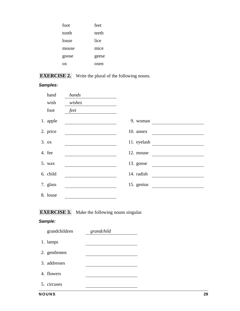| feet  |
|-------|
| teeth |
| lice  |
| mice  |
| geese |
| oxen  |
|       |

# **EXERCISE 2.** Write the plural of the following nouns.

| hand               | hands  |                                                             |             |                                         |                                                                                                                      |
|--------------------|--------|-------------------------------------------------------------|-------------|-----------------------------------------|----------------------------------------------------------------------------------------------------------------------|
| wish               | wishes |                                                             |             |                                         |                                                                                                                      |
| foot               | feet   |                                                             |             |                                         |                                                                                                                      |
| 1. apple           |        |                                                             | 9. woman    |                                         |                                                                                                                      |
| 2. price           |        |                                                             | 10. annex   |                                         |                                                                                                                      |
| 3. ox              |        |                                                             | 11. eyelash |                                         | <u> 1980 - Andrea Station Barbara, politik eta provincia eta provincia eta provincia eta provincia eta provincia</u> |
| 4. fee             |        |                                                             | 12. mouse   |                                         |                                                                                                                      |
| 5. wax             |        |                                                             | 13. goose   |                                         |                                                                                                                      |
| 6. child           |        |                                                             | 14. radish  |                                         | <u> 1980 - Johann Barbara, martin a</u>                                                                              |
| 7. glass           |        | the control of the control of the control of the control of | 15. genius  | <u> 1980 - Johann Barbara, martin a</u> |                                                                                                                      |
| 8. louse           |        |                                                             |             |                                         |                                                                                                                      |
|                    |        |                                                             |             |                                         |                                                                                                                      |
| <b>EXERCISE 3.</b> |        | Make the following nouns singular.                          |             |                                         |                                                                                                                      |
| Sample:            |        |                                                             |             |                                         |                                                                                                                      |
| grandchildren      |        | grandchild                                                  |             |                                         |                                                                                                                      |
| 1. lamps           |        |                                                             |             |                                         |                                                                                                                      |
| 2. gentlemen       |        |                                                             |             |                                         |                                                                                                                      |
| 3. addresses       |        |                                                             |             |                                         |                                                                                                                      |
| 4. flowers         |        |                                                             |             |                                         |                                                                                                                      |
| 5. circuses        |        |                                                             |             |                                         |                                                                                                                      |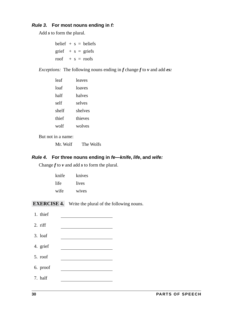# **Rule 3. For most nouns ending in f:**

Add *s* to form the plural.

belief  $+ s =$  beliefs grief  $+ s =$  griefs roof  $+ s = \text{roots}$ 

*Exceptions:* The following nouns ending in *f* change *f* to *v* and add *es:*

| leaf  | leaves  |
|-------|---------|
| loaf  | loaves  |
| half  | halves  |
| self  | selves  |
| shelf | shelves |
| thief | thieves |
| wolf  | wolves  |

But not in a name:

Mr. Wolf The Wolfs

# **Rule 4. For three nouns ending in fe—knife, life, and wife:**

Change  $f$  to  $v$  and add  $s$  to form the plural.

| knife | knives |
|-------|--------|
| life  | lives  |
| wife  | wives  |

**EXERCISE 4.** Write the plural of the following nouns.

| 1. thief  |          |  |
|-----------|----------|--|
| $2.$ riff |          |  |
| 3. loaf   |          |  |
| 4. grief  |          |  |
| 5. roof   |          |  |
|           | 6. proof |  |
| 7. half   |          |  |
|           |          |  |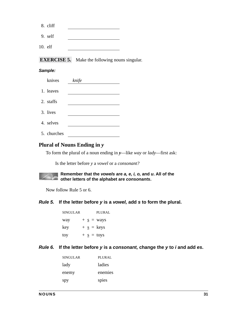| 8. cliff |  |
|----------|--|
| 9. self  |  |
| 10. elf  |  |

# **EXERCISE 5.** Make the following nouns singular.

#### **Sample:**

| knives      | knife |
|-------------|-------|
| 1. leaves   |       |
| 2. staffs   |       |
| 3. lives    |       |
| 4. selves   |       |
| 5. churches |       |

# **Plural of Nouns Ending in** *y*

To form the plural of a noun ending in *y*—like *way* or *lady*—first ask:

Is the letter before *y* a *vowel* or a *consonant?*

**Remember that the vowels are a, e, i, o, and u. All of the other letters of the alphabet are consonants.** æ

Now follow Rule 5 or 6.

#### **Rule 5. If the letter before y is a vowel, add s to form the plural.**

SINGULAR PLURAL way  $+ \underline{s} =$  ways key  $+ \underline{s} = k eys$ toy  $+ \underline{s} = \text{toys}$ 

### **Rule 6. If the letter before y is a consonant, change the y to i and add es.**

| <b>SINGULAR</b> | PLURAL  |
|-----------------|---------|
| lady            | ladies  |
| enemy           | enemies |
| spy             | spies   |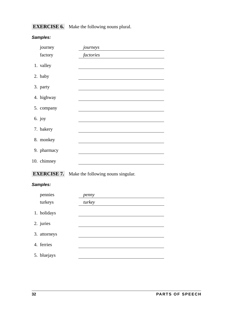# **EXERCISE 6.** Make the following nouns plural.

| journey            | journeys                           |
|--------------------|------------------------------------|
| factory            | factories                          |
| 1. valley          |                                    |
| 2. baby            |                                    |
| 3. party           |                                    |
| 4. highway         |                                    |
| 5. company         |                                    |
| $6.$ joy           |                                    |
| 7. bakery          |                                    |
| 8. monkey          |                                    |
| 9. pharmacy        |                                    |
|                    |                                    |
| 10. chimney        |                                    |
| <b>EXERCISE 7.</b> | Make the following nouns singular. |
| Samples:           |                                    |
| pennies            | penny                              |
| turkeys            | turkey                             |
| 1. holidays        |                                    |
| 2. juries          |                                    |
| 3. attorneys       |                                    |
| 4. ferries         |                                    |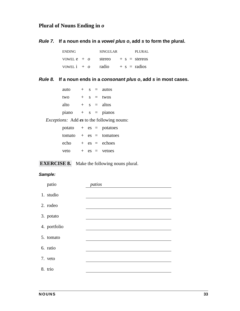# **Plural of Nouns Ending in** *o*

# **Rule 7. If a noun ends in a vowel plus o, add s to form the plural.**

| <b>ENDING</b>       | <b>SINGULAR</b> | PLURAL          |
|---------------------|-----------------|-----------------|
| VOWEL $e + o$       | stereo          | $+$ s = stereos |
| VOWEL $i + o$ radio | $+ s =$ radios  |                 |

# **Rule 8. If a noun ends in a consonant plus o, add s in most cases.**

| auto                 |  | $+$ s = autos                                            |
|----------------------|--|----------------------------------------------------------|
| $two + s = twos$     |  |                                                          |
| alto                 |  | $+$ s = altos                                            |
| $piano + s = pianos$ |  |                                                          |
|                      |  | <i>Exceptions:</i> Add <i>es</i> to the following nouns: |
|                      |  | $potato + es = potatoes$                                 |
|                      |  | $tomato + es = tomatoes$                                 |
| $echo + es = echoes$ |  |                                                          |
| veto                 |  | $+$ es $=$ vetoes                                        |

# **EXERCISE 8.** Make the following nouns plural.

| patio        | patios |
|--------------|--------|
| 1. studio    |        |
| 2. rodeo     |        |
| 3. potato    |        |
| 4. portfolio |        |
| 5. tomato    |        |
| 6. ratio     |        |
| 7. veto      |        |
| 8. trio      |        |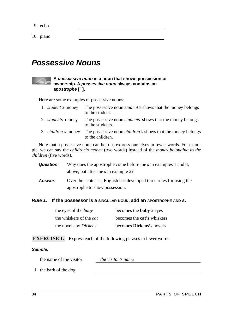9. echo

10. piano

# **Possessive Nouns**

#### **A possessive noun is a noun that shows possession or ownership. A possessive noun always contains an apostrophe [ ' ].**

Here are some examples of possessive nouns:

| 1. <i>student's</i> money  | The possessive noun <i>student's</i> shows that the money belongs<br>to the student.   |
|----------------------------|----------------------------------------------------------------------------------------|
| 2. <i>students</i> money   | The possessive noun <i>students'</i> shows that the money belongs<br>to the students.  |
| 3. <i>children's</i> money | The possessive noun <i>children's</i> shows that the money belongs<br>to the children. |

Note that a possessive noun can help us express ourselves in fewer words. For example, we can say the *children's money* (two words) instead of the *money belonging to the children* (five words).

| <b>Question:</b> | Why does the apostrophe come before the $s$ in examples 1 and 3,<br>above, but after the s in example 2? |  |
|------------------|----------------------------------------------------------------------------------------------------------|--|
| <b>Answer:</b>   | Over the centuries, English has developed three rules for using the<br>apostrophe to show possession.    |  |

#### **Rule 1. If the possessor is a SINGULAR NOUN, add an APOSTROPHE AND s.**

| the eyes of the <i>baby</i>    | becomes the <b>baby's</b> eyes    |
|--------------------------------|-----------------------------------|
| the whiskers of the <i>cat</i> | becomes the <b>cat's</b> whiskers |
| the novels by <i>Dickens</i>   | becomes Dickens's novels          |

**EXERCISE 1.** Express each of the following phrases in fewer words.

#### **Sample:**

the name of the visitor

*the visitor's name*

1. the bark of the dog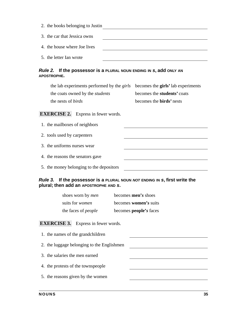| 2. the books belonging to Justin |  |
|----------------------------------|--|
| 3. the car that Jessica owns     |  |
| 4. the house where Joe lives     |  |
| 5. the letter Ian wrote          |  |

### **Rule 2. If the possessor is a PLURAL NOUN ENDING IN s, add ONLY AN APOSTROPHE.**

| the lab experiments performed by the <i>girls</i> becomes the <b>girls'</b> lab experiments |                                    |
|---------------------------------------------------------------------------------------------|------------------------------------|
| the coats owned by the <i>students</i>                                                      | becomes the <b>students'</b> coats |
| the nests of <i>birds</i>                                                                   | becomes the <b>birds</b> ' nests   |

# **EXERCISE 2.** Express in fewer words.

1. the mailboxes of neighbors 2. tools used by carpenters 3. the uniforms nurses wear 4. the reasons the senators gave 5. the money belonging to the depositors

### **Rule 3. If the possessor is a PLURAL NOUN NOT ENDING IN s, first write the plural; then add an APOSTROPHE AND s.**

| shoes worn by <i>men</i>   | becomes <b>men's</b> shoes    |
|----------------------------|-------------------------------|
| suits for women            | becomes women's suits         |
| the faces of <i>people</i> | becomes <b>people's</b> faces |

**EXERCISE 3.** Express in fewer words.

| 1. the names of the grandchildren          |  |
|--------------------------------------------|--|
| 2. the luggage belonging to the Englishmen |  |
| 3. the salaries the men earned             |  |
| 4. the protests of the townspeople         |  |
| 5. the reasons given by the women          |  |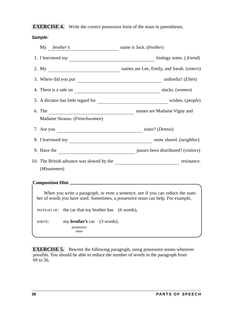# **EXERCISE 4.** Write the correct possessive form of the noun in parentheses.

## **Sample:**

| My<br>brother's                                   | name is Jack. ( <i>brother</i> )                                                                                                                                                                                                                                                                                                                                                                                     |
|---------------------------------------------------|----------------------------------------------------------------------------------------------------------------------------------------------------------------------------------------------------------------------------------------------------------------------------------------------------------------------------------------------------------------------------------------------------------------------|
| 1. I borrowed my                                  | biology notes. ( <i>friend</i> )                                                                                                                                                                                                                                                                                                                                                                                     |
|                                                   |                                                                                                                                                                                                                                                                                                                                                                                                                      |
| 3. Where did you put                              | umbrella? ( <i>Ellen</i> )                                                                                                                                                                                                                                                                                                                                                                                           |
| 4. There is a sale on $\overline{\qquad \qquad }$ | slacks. ( <i>women</i> )                                                                                                                                                                                                                                                                                                                                                                                             |
| 5. A dictator has little regard for               | $\frac{1}{\sqrt{1-\frac{1}{2}}\sqrt{1-\frac{1}{2}}\sqrt{1-\frac{1}{2}}\sqrt{1-\frac{1}{2}}\sqrt{1-\frac{1}{2}}\sqrt{1-\frac{1}{2}}\sqrt{1-\frac{1}{2}}\sqrt{1-\frac{1}{2}}\sqrt{1-\frac{1}{2}}\sqrt{1-\frac{1}{2}}\sqrt{1-\frac{1}{2}}\sqrt{1-\frac{1}{2}}\sqrt{1-\frac{1}{2}}\sqrt{1-\frac{1}{2}}\sqrt{1-\frac{1}{2}}\sqrt{1-\frac{1}{2}}\sqrt{1-\frac{1}{2}}\sqrt{1-\frac{1}{2}}\sqrt{1-\frac{1}{2}}\sqrt{1-\frac$ |
| 6. The                                            | names are Madame Vigny and                                                                                                                                                                                                                                                                                                                                                                                           |
| Madame Strauss. (Frenchwomen)                     |                                                                                                                                                                                                                                                                                                                                                                                                                      |
| 7. Are you                                        | sister? (Dennis)                                                                                                                                                                                                                                                                                                                                                                                                     |
| 8. I borrowed my                                  | snow shovel. <i>(neighbor)</i>                                                                                                                                                                                                                                                                                                                                                                                       |
| 9. Have the                                       | passes been distributed? (visitors)                                                                                                                                                                                                                                                                                                                                                                                  |
| 10. The British advance was slowed by the         | resistance.                                                                                                                                                                                                                                                                                                                                                                                                          |
| (Minutemen)                                       |                                                                                                                                                                                                                                                                                                                                                                                                                      |
|                                                   |                                                                                                                                                                                                                                                                                                                                                                                                                      |

#### **Composition Hint**

| When you write a paragraph, or even a sentence, see if you can reduce the num-<br>ber of words you have used. Sometimes, a possessive noun can help. For example, |                                                                     |  |
|-------------------------------------------------------------------------------------------------------------------------------------------------------------------|---------------------------------------------------------------------|--|
|                                                                                                                                                                   | INSTEAD OF: the car that my brother has (6 words),                  |  |
| WRITE:                                                                                                                                                            | my <i>brother's</i> car $(3 \text{ words})$ .<br>possessive<br>noun |  |

**EXERCISE 5.** Rewrite the following paragraph, using possessive nouns wherever possible. You should be able to reduce the number of words in the paragraph from  $\frac{1}{69}$  to 56.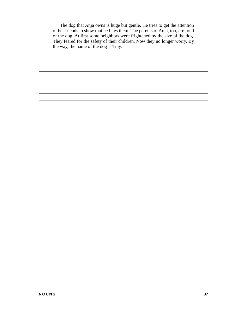The dog that Anja owns is huge but gentle. He tries to get the attention of her friends to show that he likes them. The parents of Anja, too, are fond of the dog. At first some neighbors were frightened by the size of the dog. They feared for the safety of their children. Now they no longer worry. By the way, the name of the dog is Tiny.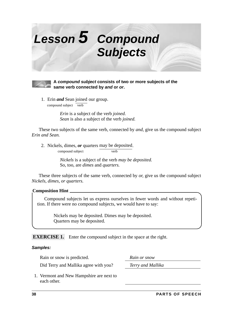# **Lesson 5 Compound Subjects**



**A compound subject consists of two or more subjects of the same verb connected by and or or.**

1. Erin *and* Sean joined our group. compound subject  $\overline{\text{verb}}$ 

> *Erin* is a subject of the verb *joined. Sean* is also a subject of the verb *joined.*

These two subjects of the same verb, connected by *and,* give us the compound subject *Erin and Sean.*

2. Nickels, dimes, *or* quarters may be deposited. compound subject verb

> *Nickels* is a subject of the verb *may be deposited.* So, too, are *dimes* and *quarters.*

These three subjects of the same verb, connected by *or,* give us the compound subject *Nickels*, *dimes*, *or quarters.*

#### **Composition Hint**

Compound subjects let us express ourselves in fewer words and without repetition. If there were no compound subjects, we would have to say:

> Nickels may be deposited. Dimes may be deposited. Quarters may be deposited.

**EXERCISE 1.** Enter the compound subject in the space at the right.

#### **Samples:**

Rain or snow is predicted.

*Rain or snow*

Did Terry and Mallika agree with you?

*Terry and Mallika*

1. Vermont and New Hampshire are next to each other.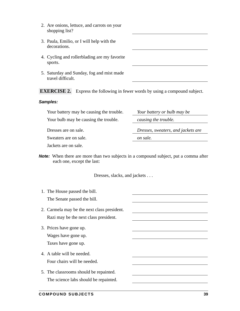| 2. Are onions, lettuce, and carrots on your<br>shopping list?  |  |
|----------------------------------------------------------------|--|
| 3. Paula, Emilio, or I will help with the<br>decorations.      |  |
| 4. Cycling and rollerblading are my favorite<br>sports.        |  |
| 5. Saturday and Sunday, fog and mist made<br>travel difficult. |  |

# **EXERCISE 2.** Express the following in fewer words by using a compound subject.

# **Samples:**

| Your battery may be causing the trouble. | Your battery or bulb may be        |  |
|------------------------------------------|------------------------------------|--|
| Your bulb may be causing the trouble.    | causing the trouble.               |  |
| Dresses are on sale.                     | Dresses, sweaters, and jackets are |  |
| Sweaters are on sale.                    | on sale.                           |  |

Jackets are on sale.

*on sale.*

**Note:** When there are more than two subjects in a compound subject, put a comma after each one, except the last:

Dresses, slacks, and jackets . . .

| 1. The House passed the bill.               |  |
|---------------------------------------------|--|
| The Senate passed the bill.                 |  |
| 2. Carmela may be the next class president. |  |
| Razi may be the next class president.       |  |
| 3. Prices have gone up.                     |  |
| Wages have gone up.                         |  |
| Taxes have gone up.                         |  |
| 4. A table will be needed.                  |  |
| Four chairs will be needed.                 |  |
| 5. The classrooms should be repainted.      |  |
| The science labs should be repainted.       |  |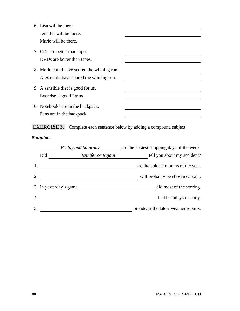| 6. Lisa will be there.                      |  |
|---------------------------------------------|--|
| Jennifer will be there.                     |  |
| Marie will be there.                        |  |
| 7. CDs are better than tapes.               |  |
| DVDs are better than tapes.                 |  |
| 8. Marlo could have scored the winning run. |  |
| Alex could have scored the winning run.     |  |
| 9. A sensible diet is good for us.          |  |
| Exercise is good for us.                    |  |
| 10. Notebooks are in the backpack.          |  |
| Pens are in the backpack.                   |  |

**EXERCISE 3.** Complete each sentence below by adding a compound subject.

| Friday and Saturday |                         |                    | are the busiest shopping days of the week. |  |  |
|---------------------|-------------------------|--------------------|--------------------------------------------|--|--|
|                     | Did                     | Jennifer or Rajani | tell you about my accident?                |  |  |
| 1.                  |                         |                    | are the coldest months of the year.        |  |  |
| $\overline{2}$ .    |                         |                    | will probably be chosen captain.           |  |  |
|                     | 3. In yesterday's game, |                    | did most of the scoring.                   |  |  |
| $\overline{4}$ .    |                         |                    | had birthdays recently.                    |  |  |
| 5.                  |                         |                    | broadcast the latest weather reports.      |  |  |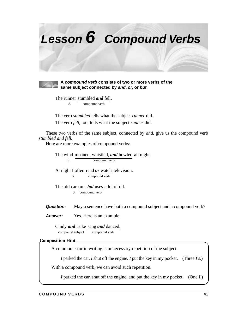# **Lesson 6 Compound Verbs**



#### **A compound verb consists of two or more verbs of the same subject connected by and, or, or but.**

The runner stumbled *and* fell. S. compound verb

The verb *stumbled* tells what the subject *runner* did. The verb *fell,* too, tells what the subject *runner* did.

These two verbs of the same subject, connected by *and*, give us the compound verb *stumbled and fell.*

Here are more examples of compound verbs:

The wind moaned, whistled, and howled all night. S. compound verb

At night I often read *or* watch television. S. compound verb

The old car runs *but* uses a lot of oil. S. compound verb

**Question:** May a sentence have both a compound subject and a compound verb?

**Answer:** Yes. Here is an example:

Cindy *and* Luke sang *and* danced.

compound subject compound verb

#### **Composition Hint**

A common error in writing is unnecessary repetition of the subject.

*I* parked the car. *I* shut off the engine. *I* put the key in my pocket. (Three  $\Gamma$ s.)

With a compound verb, we can avoid such repetition.

*I* parked the car, shut off the engine, and put the key in my pocket. (One *I*.)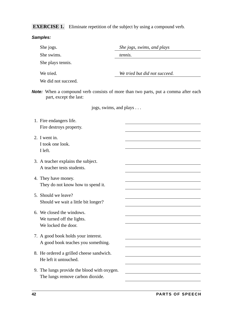# **EXERCISE 1.** Eliminate repetition of the subject by using a compound verb.

| She jogs.                                                       | She jogs, swims, and plays                                                                |
|-----------------------------------------------------------------|-------------------------------------------------------------------------------------------|
| She swims.                                                      | tennis.                                                                                   |
| She plays tennis.                                               |                                                                                           |
| We tried.                                                       | We tried but did not succeed.                                                             |
| We did not succeed.                                             |                                                                                           |
| part, except the last:                                          | <b>Note:</b> When a compound verb consists of more than two parts, put a comma after each |
| jogs, swims, and plays                                          |                                                                                           |
| 1. Fire endangers life.                                         |                                                                                           |
| Fire destroys property.                                         |                                                                                           |
| 2. I went in.                                                   |                                                                                           |
| I took one look.                                                |                                                                                           |
| I left.                                                         |                                                                                           |
| 3. A teacher explains the subject.<br>A teacher tests students. |                                                                                           |
|                                                                 |                                                                                           |
| 4. They have money.<br>They do not know how to spend it.        |                                                                                           |
|                                                                 |                                                                                           |
| 5. Should we leave?<br>Should we wait a little bit longer?      |                                                                                           |
|                                                                 |                                                                                           |
| 6. We closed the windows.<br>We turned off the lights.          |                                                                                           |
| We locked the door.                                             |                                                                                           |
|                                                                 |                                                                                           |
| A good book teaches you something.                              |                                                                                           |
| 8. He ordered a grilled cheese sandwich.                        |                                                                                           |
| He left it untouched.                                           |                                                                                           |
| 9. The lungs provide the blood with oxygen.                     |                                                                                           |
| The lungs remove carbon dioxide.                                |                                                                                           |
| 7. A good book holds your interest.                             |                                                                                           |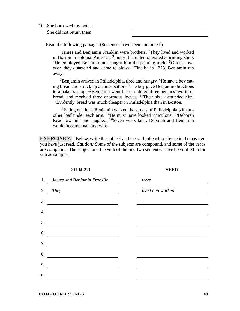10. She borrowed my notes.

She did not return them.

Read the following passage. (Sentences have been numbered.)

<sup>1</sup> James and Benjamin Franklin were brothers. <sup>2</sup>They lived and worked in Boston in colonial America. 3James, the older, operated a printing shop. <sup>4</sup>He employed Benjamin and taught him the printing trade. <sup>5</sup>Often, however, they quarreled and came to blows. 6Finally, in 1723, Benjamin ran away.

 $7B$ enjamin arrived in Philadelphia, tired and hungry.  $8$ He saw a boy eating bread and struck up a conversation. <sup>9</sup>The boy gave Benjamin directions to a baker's shop. <sup>10</sup>Benjamin went there, ordered three pennies' worth of bread, and received three enormous loaves. 11Their size astounded him. <sup>12</sup>Evidently, bread was much cheaper in Philadelphia than in Boston.

<sup>13</sup>Eating one loaf, Benjamin walked the streets of Philadelphia with another loaf under each arm. <sup>14</sup>He must have looked ridiculous. <sup>15</sup>Deborah Read saw him and laughed. 16Seven years later, Deborah and Benjamin would become man and wife.

**EXERCISE 2.** Below, write the subject and the verb of each sentence in the passage you have just read. *Caution:* Some of the subjects are compound, and some of the verbs are compound. The subject and the verb of the first two sentences have been filled in for you as samples.

|     | <b>SUBJECT</b>                                                                                                                                                                                                                               | <b>VERB</b>      |  |
|-----|----------------------------------------------------------------------------------------------------------------------------------------------------------------------------------------------------------------------------------------------|------------------|--|
| 1.  | James and Benjamin Franklin                                                                                                                                                                                                                  | were             |  |
| 2.  | They<br><u> 1989 - Johann Stein, mars and de Branch Stein, mars and de Branch Stein Branch Stein Branch Stein Branch Stein Branch Stein Branch Stein Branch Stein Branch Stein Branch Stein Branch Stein Branch Stein Branch Stein Branc</u> | lived and worked |  |
| 3.  | the control of the control of the control of the control of the control of                                                                                                                                                                   |                  |  |
| 4.  |                                                                                                                                                                                                                                              |                  |  |
| 5.  | <u> 1980 - Johann Barbara, martxa alemaniar a</u>                                                                                                                                                                                            |                  |  |
| 6.  | the control of the control of the control of the control of the control of                                                                                                                                                                   |                  |  |
| 7.  |                                                                                                                                                                                                                                              |                  |  |
| 8.  |                                                                                                                                                                                                                                              |                  |  |
| 9.  |                                                                                                                                                                                                                                              |                  |  |
| 10. |                                                                                                                                                                                                                                              |                  |  |
|     |                                                                                                                                                                                                                                              |                  |  |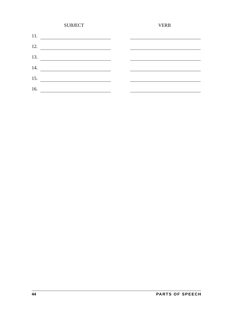| <b>SUBJECT</b> | <b>VERB</b> |
|----------------|-------------|
| 11.            |             |
| 12.            |             |
| 13.            |             |
| 14.            |             |
| 15.            |             |
| 16.            |             |
|                |             |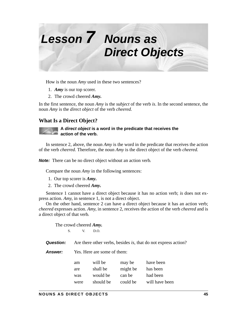# **Lesson 7 Nouns as Direct Objects**

How is the noun *Amy* used in these two sentences?

- 1. *Amy* is our top scorer.
- 2. The crowd cheered *Amy.*

In the first sentence, the noun *Amy* is the *subject* of the verb *is*. In the second sentence, the noun *Amy* is the *direct object* of the verb *cheered.*

# **What Is a Direct Object?**



#### **A direct object is a word in the predicate that receives the action of the verb.**

In sentence 2, above, the noun *Amy* is the word in the predicate that receives the action of the verb *cheered.* Therefore, the noun *Amy* is the direct object of the verb *cheered.*

**Note:** There can be no direct object without an action verb.

Compare the noun *Amy* in the following sentences:

- 1. Our top scorer is *Amy.*
- 2. The crowd cheered *Amy.*

Sentence 1 cannot have a direct object because it has no action verb; *is* does not express action. *Amy,* in sentence 1, is not a direct object.

On the other hand, sentence 2 can have a direct object because it has an action verb; *cheered* expresses action. *Amy,* in sentence 2, receives the action of the verb *cheered* and is a direct object of that verb.

The crowd cheered *Amy.*

S. V. D.O.

**Question:** Are there other verbs, besides *is,* that do not express action?

**Answer:** Yes. Here are some of them:

| am   | will be   | may be   | have been      |
|------|-----------|----------|----------------|
| are  | shall be  | might be | has been       |
| was  | would be  | can be   | had been       |
| were | should be | could be | will have been |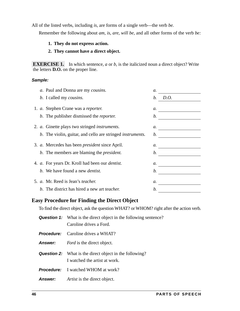All of the listed verbs, including *is,* are forms of a single verb—the verb *be.*

Remember the following about *am, is, are, will be,* and all other forms of the verb *be:*

- **1. They do not express action.**
- **2. They cannot have a direct object.**

**EXERCISE 1.** In which sentence, *a* or *b*, is the italicized noun a direct object? Write the letters **D.O.** on the proper line.

#### **Sample:**

|  | a.                                                                                                                                                                                                                                                                                                                                                                                                                                                                                                                                                                                                                                                                  |                                                     |
|--|---------------------------------------------------------------------------------------------------------------------------------------------------------------------------------------------------------------------------------------------------------------------------------------------------------------------------------------------------------------------------------------------------------------------------------------------------------------------------------------------------------------------------------------------------------------------------------------------------------------------------------------------------------------------|-----------------------------------------------------|
|  | b.                                                                                                                                                                                                                                                                                                                                                                                                                                                                                                                                                                                                                                                                  | D.O.                                                |
|  |                                                                                                                                                                                                                                                                                                                                                                                                                                                                                                                                                                                                                                                                     |                                                     |
|  | а.                                                                                                                                                                                                                                                                                                                                                                                                                                                                                                                                                                                                                                                                  |                                                     |
|  | b.                                                                                                                                                                                                                                                                                                                                                                                                                                                                                                                                                                                                                                                                  |                                                     |
|  |                                                                                                                                                                                                                                                                                                                                                                                                                                                                                                                                                                                                                                                                     |                                                     |
|  | a.                                                                                                                                                                                                                                                                                                                                                                                                                                                                                                                                                                                                                                                                  |                                                     |
|  | b.                                                                                                                                                                                                                                                                                                                                                                                                                                                                                                                                                                                                                                                                  |                                                     |
|  |                                                                                                                                                                                                                                                                                                                                                                                                                                                                                                                                                                                                                                                                     |                                                     |
|  | a.                                                                                                                                                                                                                                                                                                                                                                                                                                                                                                                                                                                                                                                                  |                                                     |
|  | b.                                                                                                                                                                                                                                                                                                                                                                                                                                                                                                                                                                                                                                                                  |                                                     |
|  |                                                                                                                                                                                                                                                                                                                                                                                                                                                                                                                                                                                                                                                                     |                                                     |
|  | a.                                                                                                                                                                                                                                                                                                                                                                                                                                                                                                                                                                                                                                                                  |                                                     |
|  | b.                                                                                                                                                                                                                                                                                                                                                                                                                                                                                                                                                                                                                                                                  |                                                     |
|  |                                                                                                                                                                                                                                                                                                                                                                                                                                                                                                                                                                                                                                                                     |                                                     |
|  | а.                                                                                                                                                                                                                                                                                                                                                                                                                                                                                                                                                                                                                                                                  | <u> 1989 - Andrea Station, amerikansk politik (</u> |
|  | b.                                                                                                                                                                                                                                                                                                                                                                                                                                                                                                                                                                                                                                                                  |                                                     |
|  | a. Paul and Donna are my cousins.<br>b. I called my <i>cousins</i> .<br>1. <i>a.</i> Stephen Crane was a <i>reporter</i> .<br>b. The publisher dismissed the <i>reporter</i> .<br>2. <i>a.</i> Ginette plays two stringed <i>instruments</i> .<br>b. The violin, guitar, and cello are stringed <i>instruments</i> .<br>3. <i>a.</i> Mercedes has been <i>president</i> since April.<br>b. The members are blaming the <i>president</i> .<br>4. <i>a</i> . For years Dr. Kroll had been our <i>dentist</i> .<br>b. We have found a new <i>dentist</i> .<br>5. <i>a.</i> Mr. Reed is Jean's <i>teacher</i> .<br>b. The district has hired a new art <i>teacher</i> . |                                                     |

# **Easy Procedure for Finding the Direct Object**

To find the direct object, ask the question WHAT? or WHOM? right after the action verb.

|                       | <b>Question 1:</b> What is the direct object in the following sentence?<br>Caroline drives a Ford. |
|-----------------------|----------------------------------------------------------------------------------------------------|
|                       | <b>Procedure:</b> Caroline drives a WHAT?                                                          |
|                       | <b>Answer:</b> Ford is the direct object.                                                          |
|                       | <b>Question 2:</b> What is the direct object in the following?<br>I watched the artist at work.    |
|                       | <b>Procedure:</b> I watched WHOM at work?                                                          |
| <i><b>Answer:</b></i> | <i>Artist</i> is the direct object.                                                                |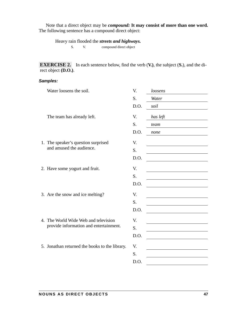Note that a direct object may be *compound:* **It may consist of more than one word.** The following sentence has a compound direct object:

Heavy rain flooded the *streets and highways.*

S. V. compound direct object

**EXERCISE 2.** In each sentence below, find the verb (**V.)**, the subject (**S.**), and the direct object **(D.O.)**.

|  | Water loosens the soil.                                         | V.   | loosens  |
|--|-----------------------------------------------------------------|------|----------|
|  |                                                                 | S.   | Water    |
|  |                                                                 | D.O. | soil     |
|  | The team has already left.                                      | V.   | has left |
|  |                                                                 | S.   | team     |
|  |                                                                 | D.O. | none     |
|  | 1. The speaker's question surprised<br>and amused the audience. | V.   |          |
|  |                                                                 | S.   |          |
|  |                                                                 | D.O. |          |
|  | 2. Have some yogurt and fruit.                                  | V.   |          |
|  |                                                                 | S.   |          |
|  |                                                                 | D.O. |          |
|  | 3. Are the snow and ice melting?                                | V.   |          |
|  |                                                                 | S.   |          |
|  |                                                                 | D.O. |          |
|  | 4. The World Wide Web and television                            | V.   |          |
|  | provide information and entertainment.                          | S.   |          |
|  |                                                                 | D.O. |          |
|  | 5. Jonathan returned the books to the library.                  | V.   |          |
|  |                                                                 | S.   |          |
|  |                                                                 | D.O. |          |
|  |                                                                 |      |          |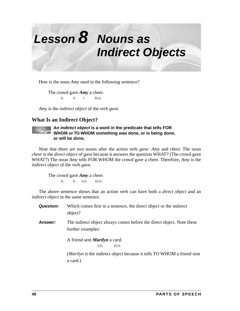# **Lesson 8 Nouns as Indirect Objects**

How is the noun *Amy* used in the following sentence?

The crowd gave *Amy* a cheer. S. V. ? D.O.

*Amy* is the *indirect object* of the verb *gave.*

# **What Is an Indirect Object?**

#### **An indirect object is a word in the predicate that tells FOR WHOM or TO WHOM something was done, or is being done, or will be done.**

Note that there are two nouns after the action verb *gave: Amy* and *cheer.* The noun *cheer* is the *direct object* of *gave* because it answers the question WHAT? (The crowd gave WHAT?) The noun *Amy* tells FOR WHOM the crowd gave a cheer. Therefore, *Amy* is the *indirect object* of the verb *gave.*

The crowd gave *Amy* a *cheer.* S. V. I.O. D.O.

The above sentence shows that an action verb can have both a *direct object* and an *indirect object* in the same sentence.

- **Question:** Which comes first in a sentence, the direct object or the indirect object?
- **Answer:** The indirect object always comes before the direct object. Note these further examples:

A friend sent *Marilyn* a *card.*

I.O. D.O.

(*Marilyn* is the indirect object because it tells TO WHOM a friend sent a card.)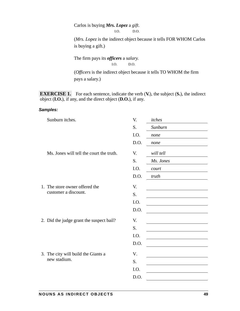Carlos is buying *Mrs. Lopez* a *gift*.

I.O. D.O.

(*Mrs. Lopez* is the indirect object because it tells FOR WHOM Carlos is buying a gift.)

The firm pays its *officers* a *salary.* I.O. D.O.

(*Officers* is the indirect object because it tells TO WHOM the firm pays a salary.)

**EXERCISE 1.** For each sentence, indicate the verb  $(V)$ , the subject  $(S)$ , the indirect object (**I.O.**), if any, and the direct object (**D.O.**), if any.

|  | Sunburn itches.                          | V.   | itches    |
|--|------------------------------------------|------|-----------|
|  |                                          | S.   | Sunburn   |
|  |                                          | I.O. | none      |
|  |                                          | D.O. | none      |
|  | Ms. Jones will tell the court the truth. | V.   | will tell |
|  |                                          | S.   | Ms. Jones |
|  |                                          | I.O. | court     |
|  |                                          | D.O. | truth     |
|  | 1. The store owner offered the           | V.   |           |
|  | customer a discount.                     | S.   |           |
|  |                                          | I.O. |           |
|  |                                          | D.O. |           |
|  | 2. Did the judge grant the suspect bail? | V.   |           |
|  |                                          | S.   |           |
|  |                                          | I.O. |           |
|  |                                          | D.O. |           |
|  | 3. The city will build the Giants a      | V.   |           |
|  | new stadium.                             | S.   |           |
|  |                                          | I.O. |           |
|  |                                          | D.O. |           |
|  |                                          |      |           |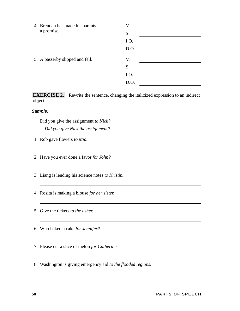| 4. Brendan has made his parents | V.   |
|---------------------------------|------|
| a promise.                      | S.   |
|                                 | I.O. |
|                                 | D.O. |
| 5. A passerby slipped and fell. | V.   |
|                                 | S.   |
|                                 | I.O. |
|                                 | D.O. |

**EXERCISE 2.** Rewrite the sentence, changing the italicized expression to an indirect object.

#### **Sample:**

Did you give the assignment *to Nick? Did you give Nick the assignment?*

- 1. Rob gave flowers *to Mia.*
- 2. Have you ever done a favor *for John?*
- 3. Liang is lending his science notes *to Kristin.*
- 4. Rosita is making a blouse *for her sister.*
- 5. Give the tickets *to the usher.*
- 6. Who baked a cake *for Jennifer?*
- 7. Please cut a slice of melon *for Catherine.*
- 8. Washington is giving emergency aid *to the flooded regions.*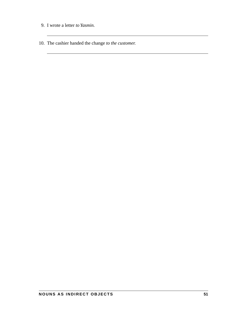- 9. I wrote a letter *to Yasmin.*
- 10. The cashier handed the change *to the customer.*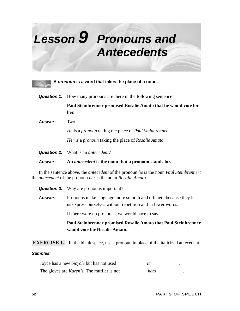# **Lesson 9 Pronouns and Antecedents**

|                                                                           | A pronoun is a word that takes the place of a noun.                                                                                                                                         |  |
|---------------------------------------------------------------------------|---------------------------------------------------------------------------------------------------------------------------------------------------------------------------------------------|--|
| <b>Question 1:</b> How many pronouns are there in the following sentence? |                                                                                                                                                                                             |  |
|                                                                           | Paul Steinbrenner promised Rosalie Amato that he would vote for<br>her.                                                                                                                     |  |
| <b>Answer:</b>                                                            | Two.                                                                                                                                                                                        |  |
|                                                                           | He is a pronoun taking the place of Paul Steinbrenner.                                                                                                                                      |  |
|                                                                           | Her is a pronoun taking the place of Rosalie Amato.                                                                                                                                         |  |
|                                                                           | <b>Question 2:</b> What is an <i>antecedent?</i>                                                                                                                                            |  |
| <b>Answer:</b>                                                            | An antecedent is the noun that a pronoun stands for.                                                                                                                                        |  |
|                                                                           | In the sentence above, the <i>antecedent</i> of the pronoun he is the noun <i>Paul Steinbrenner</i> ;<br>the <i>antecedent</i> of the pronoun <i>her</i> is the noun <i>Rosalie Amato</i> . |  |
|                                                                           | <b>Question 3:</b> Why are pronouns important?                                                                                                                                              |  |
| <b>Answer:</b>                                                            | Pronouns make language more smooth and efficient because they let<br>us express ourselves without repetition and in fewer words.                                                            |  |
|                                                                           | If there were no pronouns, we would have to say:                                                                                                                                            |  |
|                                                                           | <b>Paul Steinbrenner promised Rosalie Amato that Paul Steinbrenner</b><br>would vote for Rosalie Amato.                                                                                     |  |

**EXERCISE 1.** In the blank space, use a pronoun in place of the italicized antecedent.

| Joyce has a new <i>bicycle</i> but has not used    |      |  |
|----------------------------------------------------|------|--|
| The gloves are <i>Karen's</i> . The muffler is not | hers |  |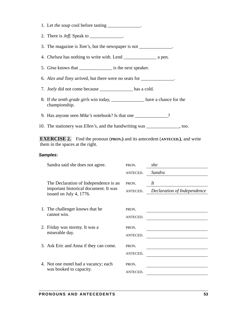1. Let *the soup* cool before tasting \_\_\_\_\_\_\_\_\_\_\_\_\_. 2. There is *Jeff.* Speak to \_\_\_\_\_\_\_\_\_\_\_\_. 3. The magazine is *Tom's*, but the newspaper is not \_\_\_\_\_\_\_\_\_\_\_\_\_. 4. *Chelsea* has nothing to write with. Lend \_\_\_\_\_\_\_\_\_\_\_\_\_\_ a pen. 5. *Gina* knows that \_\_\_\_\_\_\_\_\_\_\_\_\_\_ is the next speaker. 6. *Alex and Tony* arrived, but there were no seats for \_\_\_\_\_\_\_\_\_\_\_\_\_\_. 7. *Joely* did not come because has a cold. 8. If *the tenth grade girls* win today, \_\_\_\_\_\_\_\_\_\_\_\_\_\_ have a chance for the championship. 9. Has anyone seen *Mike's* notebook? Is that one \_\_\_\_\_\_\_\_\_\_\_\_\_\_? 10. The stationery was *Ellen's,* and the handwriting was \_\_\_\_\_\_\_\_\_\_\_\_\_\_, too.

**EXERCISE 2.** Find the pronoun (**PRON.)** and its antecedent (**ANTECED.)**, and write them in the spaces at the right.

| Sandra said she does not agree.                                                                           | PRON.             | she                               |
|-----------------------------------------------------------------------------------------------------------|-------------------|-----------------------------------|
|                                                                                                           | ANTECED.          | Sandra                            |
| The Declaration of Independence is an<br>important historical document. It was<br>issued on July 4, 1776. | PRON.<br>ANTECED. | It<br>Declaration of Independence |
| 1. The challenger knows that he<br>cannot win.                                                            | PRON.<br>ANTECED. |                                   |
| 2. Friday was stormy. It was a<br>miserable day.                                                          | PRON.<br>ANTECED. |                                   |
| 3. Ask Eric and Anna if they can come.                                                                    | PRON.<br>ANTECED. |                                   |
| 4. Not one motel had a vacancy; each<br>was booked to capacity.                                           | PRON.<br>ANTECED. |                                   |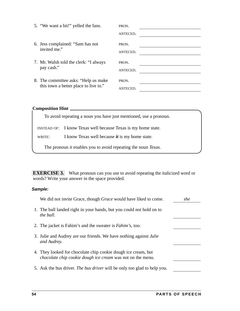| 5. "We want a hit!" yelled the fans.                 | PRON.             |  |
|------------------------------------------------------|-------------------|--|
|                                                      | ANTECED.          |  |
| 6. Jess complained: "Sam has not                     | PRON.             |  |
| invited me."                                         | ANTECED.          |  |
| 7. Mr. Walsh told the clerk: "I always<br>pay cash." | PRON.<br>ANTECED. |  |
| 8. The committee asks: "Help us make"                | PRON.             |  |
| this town a better place to live in."                | ANTECED.          |  |

#### **Composition Hint**

To avoid repeating a noun you have just mentioned, use a pronoun.

INSTEAD OF: I know Texas well because Texas is my home state.

WRITE: I know Texas well because *it* is my home state.

The pronoun *it* enables you to avoid repeating the noun *Texas.*

**EXERCISE 3.** What pronoun can you use to avoid repeating the italicized word or words? Write your answer in the space provided.

| We did not invite Grace, though Grace would have liked to come.                                                                    | she |
|------------------------------------------------------------------------------------------------------------------------------------|-----|
| 1. The ball landed right in your hands, but you could not hold on to<br>the ball.                                                  |     |
| 2. The jacket is Fahim's and the sweater is <i>Fahim's</i> , too.                                                                  |     |
| 3. Julie and Audrey are our friends. We have nothing against <i>Julie</i><br>and Audrey.                                           |     |
| 4. They looked for chocolate chip cookie dough ice cream, but<br><i>chocolate chip cookie dough ice cream</i> was not on the menu. |     |
| 5. Ask the bus driver. The bus driver will be only too glad to help you.                                                           |     |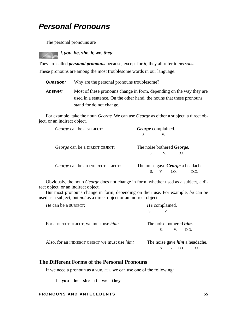# **Personal Pronouns**

The personal pronouns are



**I, you, he, she, it, we, they.**

They are called *personal pronouns* because, except for *it,* they all refer to *persons.* These pronouns are among the most troublesome words in our language.

**Question:** Why are the personal pronouns troublesome?

**Answer:** Most of these pronouns change in form, depending on the way they are used in a sentence. On the other hand, the nouns that these pronouns stand for do not change.

For example, take the noun *George.* We can use *George* as either a subject, a direct object, or an indirect object.

| George can be a SUBJECT:          | <b>George</b> complained.<br>$S_{\cdot}$<br>V.          |
|-----------------------------------|---------------------------------------------------------|
| George can be a DIRECT OBJECT:    | The noise bothered <i>George</i> .<br>$S.$ V.<br>D.O.   |
| George can be an INDIRECT OBJECT: | The noise gave <b>George</b> a headache.<br>LO.<br>D.O. |

Obviously, the noun *George* does not change in form, whether used as a subject, a direct object, or an indirect object.

But most pronouns change in form, depending on their use. For example, *he* can be used as a subject, but *not* as a direct object or an indirect object.

| He can be a SUBJECT:                          | He complained.<br>$S.$ V.             |  |  |  |  |  |
|-----------------------------------------------|---------------------------------------|--|--|--|--|--|
| For a DIRECT OBJECT, we must use him:         | The noise bothered <i>him</i> .       |  |  |  |  |  |
|                                               | $S.$ V.<br>D.O.                       |  |  |  |  |  |
| Also, for an INDIRECT OBJECT we must use him: | The noise gave <i>him</i> a headache. |  |  |  |  |  |
|                                               | $S = V = I O$ D.O.                    |  |  |  |  |  |

# **The Different Forms of the Personal Pronouns**

If we need a pronoun as a SUBJECT, we can use one of the following:

**I you he she it we they**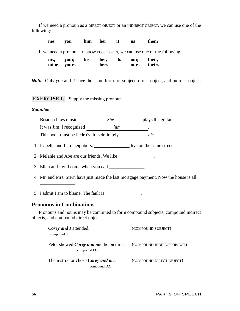If we need a pronoun as a DIRECT OBJECT or an INDIRECT OBJECT, we can use one of the following:

| me | vou | him | her | ıt | us | them |
|----|-----|-----|-----|----|----|------|
|----|-----|-----|-----|----|----|------|

If we need a pronoun TO SHOW POSSESSION, we can use one of the following:

| my,  | vour, | his | her, | its | our. | their, |
|------|-------|-----|------|-----|------|--------|
| mine | vours |     | hers |     | ours | theirs |

**Note:** Only *you* and *it* have the same form for subject, direct object, and indirect object.

### **EXERCISE 1.** Supply the missing pronoun.

#### **Samples:**

Brianna likes music. She same plays the guitar. It was Jim. I recognized This book must be Pedro's. It is definitely . 1. Isabella and I are neighbors. \_\_\_\_\_\_\_\_\_\_\_\_\_\_\_\_\_\_\_ live on the same street. 2. Melanie and Abe are our friends. We like \_\_\_\_\_\_\_\_\_\_\_\_\_\_. *his him*

3. Ellen and I will come when you call \_\_\_\_\_\_\_\_\_\_\_\_\_\_\_.

4. Mr. and Mrs. Stern have just made the last mortgage payment. Now the house is all

5. I admit I am to blame. The fault is \_\_\_\_\_\_\_\_\_\_\_\_\_\_\_.

# **Pronouns in Combinations**

\_\_\_\_\_\_\_\_\_\_\_\_\_\_\_.

Pronouns and nouns may be combined to form compound subjects, compound indirect objects, and compound direct objects.

| <b>Corey and I</b> attended.<br>compound S.                     | (COMPOUND SUBJECT)         |
|-----------------------------------------------------------------|----------------------------|
| Peter showed <i>Corey and me</i> the pictures.<br>compound I.O. | (COMPOUND INDIRECT OBJECT) |
| The instructor chose <i>Corey and me</i> .<br>compound D.O.     | (COMPOUND DIRECT OBJECT)   |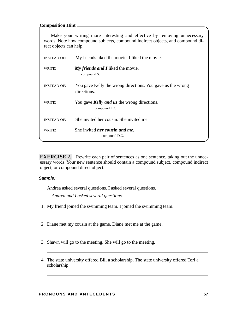#### **Composition Hint**

Make your writing more interesting and effective by removing unnecessary words. Note how compound subjects, compound indirect objects, and compound direct objects can help.

| <b>INSTEAD OF:</b> | My friends liked the movie. I liked the movie.                            |
|--------------------|---------------------------------------------------------------------------|
| WRITE:             | <b>My friends and I</b> liked the movie.<br>compound S.                   |
| <b>INSTEAD OF:</b> | You gave Kelly the wrong directions. You gave us the wrong<br>directions. |
| WRITE:             | You gave <b>Kelly and us</b> the wrong directions.<br>compound I.O.       |
| <b>INSTEAD OF:</b> | She invited her cousin. She invited me.                                   |
| WRITE:             | She invited <i>her cousin and me</i> .<br>compound D.O.                   |

**EXERCISE 2.** Rewrite each pair of sentences as one sentence, taking out the unnecessary words. Your new sentence should contain a compound subject, compound indirect object, or compound direct object.

#### **Sample:**

Andrea asked several questions. I asked several questions.

*Andrea and I asked several questions.*

- 1. My friend joined the swimming team. I joined the swimming team.
- 2. Diane met my cousin at the game. Diane met me at the game.
- 3. Shawn will go to the meeting. She will go to the meeting.
- 4. The state university offered Bill a scholarship. The state university offered Tori a scholarship.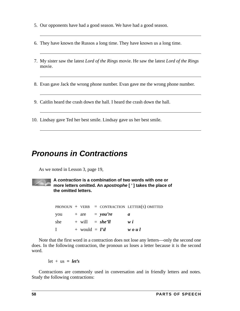- 5. Our opponents have had a good season. We have had a good season.
- 6. They have known the Russos a long time. They have known us a long time.
- 7. My sister saw the latest *Lord of the Rings* movie. He saw the latest *Lord of the Rings* movie.
- 8. Evan gave Jack the wrong phone number. Evan gave me the wrong phone number.
- 9. Caitlin heard the crash down the hall. I heard the crash down the hall.
- 10. Lindsay gave Ted her best smile. Lindsay gave us her best smile.

# **Pronouns in Contractions**

As we noted in Lesson 3, page 19,



**A contraction is a combination of two words with one or more letters omitted. An apostrophe [ ' ] takes the place of the omitted letters.**

 $PRONOUN$  + VERB = CONTRACTION LETTER(S) OMITTED you + are =  $\gamma \omega' r e$  *a*  $she$  + will =  $she'll$  w i  $I + \text{would} = I'd \qquad \text{w} \text{ o } u l$ 

Note that the first word in a contraction does not lose any letters—only the second one does. In the following contraction, the pronoun *us* loses a letter because it is the second word.

let + us **=** *let's*

Contractions are commonly used in conversation and in friendly letters and notes. Study the following contractions: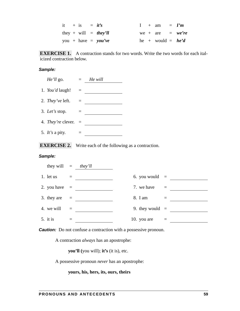|  | it + is = $\dot{u}$ 's |                                       |  | $I + am = I'm$      |  |
|--|------------------------|---------------------------------------|--|---------------------|--|
|  |                        | they + will = <b>they'll</b>          |  | we + are = $we're$  |  |
|  |                        | you + have = $\mathit{you\text{'ve}}$ |  | he + would = $he'd$ |  |

**EXERCISE 1.** A contraction stands for two words. Write the two words for each italicized contraction below.

#### **Sample:**

| $He'll$ go.               |          | He will |
|---------------------------|----------|---------|
| 1. You'd laugh!           |          |         |
| 2. <i>They've</i> left.   |          |         |
| 3. Let's stop.            | $\equiv$ |         |
| 4. <i>They're</i> clever. | $\equiv$ |         |
| 5. $It's a pity.$         |          |         |

# **EXERCISE 2.** Write each of the following as a contraction.

#### **Sample:**

| they will $=$ they'll |          |                   |          |  |
|-----------------------|----------|-------------------|----------|--|
| 1. let us             |          | 6. you would $=$  |          |  |
| 2. you have           | $\equiv$ | 7. we have        | $\equiv$ |  |
| 3. they are           | $=$      | 8. I am           |          |  |
| 4. we will            | $\equiv$ | 9. they would $=$ |          |  |
| $5.$ it is            |          | 10. you are       |          |  |

**Caution:** Do not confuse a contraction with a possessive pronoun.

A contraction *always* has an apostrophe:

**you'll (**you will); **it's** (it is), etc.

A possessive pronoun *never* has an apostrophe:

**yours, his, hers, its, ours, theirs**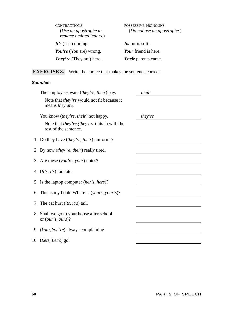| <b>CONTRACTIONS</b><br>(Use an apostrophe to<br>replace omitted letters.) | <b>POSSESSIVE PRONOUNS</b><br>(Do not use an apostrophe.) |  |  |  |
|---------------------------------------------------------------------------|-----------------------------------------------------------|--|--|--|
| $\mathbf{I}t$ 's (It is) raining.                                         | Its fur is soft.                                          |  |  |  |
| You're (You are) wrong.                                                   | Your friend is here.                                      |  |  |  |
| <b>They're</b> (They are) here.                                           | <b>Their</b> parents came.                                |  |  |  |

**EXERCISE 3.** Write the choice that makes the sentence correct.

| The employees want (they're, their) pay.                                      | their   |
|-------------------------------------------------------------------------------|---------|
| Note that <i>they're</i> would not fit because it<br>means they are.          |         |
| You know <i>(they're, their)</i> not happy.                                   | they're |
| Note that <i>they're (they are)</i> fits in with the<br>rest of the sentence. |         |
| 1. Do they have <i>(they're, their)</i> uniforms?                             |         |
| 2. By now <i>(they're, their)</i> really tired.                               |         |
| 3. Are these (you're, your) notes?                                            |         |
| 4. $(It's, Its)$ too late.                                                    |         |
| 5. Is the laptop computer (her's, hers)?                                      |         |
| 6. This is my book. Where is $(yours, your's)$ ?                              |         |
| 7. The cat hurt <i>(its, it's)</i> tail.                                      |         |
| 8. Shall we go to your house after school<br>or $(our's, ours)?$              |         |
| 9. (Your, You're) always complaining.                                         |         |
| 10. $(Let s, Let's)$ go!                                                      |         |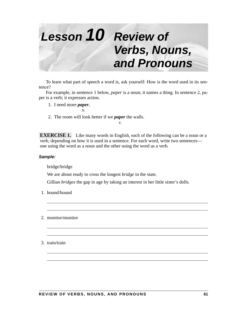# **Lesson 10 Review of Verbs, Nouns, and Pronouns**

To learn what part of speech a word is, ask yourself: How is the word used in its sentence?

For example, in sentence 1 below, *paper* is a noun; it names a thing. In sentence 2, paper is a verb; it expresses action.

1. I need more *paper***.**

$$
\qquad \qquad N.
$$

2. The room will look better if we *paper* the walls.

**EXERCISE 1.** Like many words in English, each of the following can be a noun or a verb, depending on how it is used in a sentence. For each word, write two sentences one using the word as a noun and the other using the word as a verb.

V.

#### **Sample:**

bridge/bridge

We are about ready to cross the longest *bridge* in the state.

Gillian *bridges* the gap in age by taking an interest in her little sister's dolls.

1. hound/hound

2. monitor/monitor

3. train/train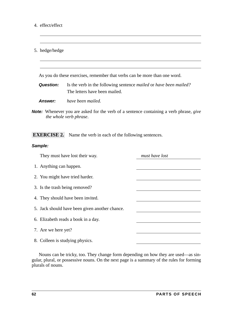#### 4. effect/effect

#### 5. hedge/hedge

As you do these exercises, remember that verbs can be more than one word.

**Question:** Is the verb in the following sentence *mailed* or *have been mailed?* The letters have been mailed.

**Answer:** *have been mailed.*

**Note:** Whenever you are asked for the verb of a sentence containing a verb phrase, *give the whole verb phrase*.

**EXERCISE 2.** Name the verb in each of the following sentences.

#### **Sample:**

| They must have lost their way.                 | must have lost |
|------------------------------------------------|----------------|
| 1. Anything can happen.                        |                |
| 2. You might have tried harder.                |                |
| 3. Is the trash being removed?                 |                |
| 4. They should have been invited.              |                |
| 5. Jack should have been given another chance. |                |
| 6. Elizabeth reads a book in a day.            |                |
| 7. Are we here yet?                            |                |
| 8. Colleen is studying physics.                |                |

Nouns can be tricky, too. They change form depending on how they are used—as singular, plural, or possessive nouns. On the next page is a summary of the rules for forming plurals of nouns.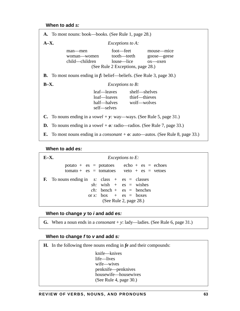#### **When to add S:**

| A. To most nouns: book—books. (See Rule 1, page 28.)                                                              |                                                                             |                                                               |                                      |  |  |  |  |
|-------------------------------------------------------------------------------------------------------------------|-----------------------------------------------------------------------------|---------------------------------------------------------------|--------------------------------------|--|--|--|--|
| $A-X.$<br><i>Exceptions to A:</i>                                                                                 |                                                                             |                                                               |                                      |  |  |  |  |
|                                                                                                                   | man—men<br>woman—women<br>child—children louse—lice                         | foot—feet<br>tooth—teeth<br>(See Rule 2 Exceptions, page 28.) | mouse—mice<br>goose-geese<br>ox-oxen |  |  |  |  |
|                                                                                                                   | <b>B.</b> To most nouns ending in f: belief—beliefs. (See Rule 3, page 30.) |                                                               |                                      |  |  |  |  |
| $B-X.$                                                                                                            |                                                                             | <i>Exceptions to B:</i>                                       |                                      |  |  |  |  |
| leaf—leaves shelf—shelves<br>loaf—loaves thief—thieves<br>half—halves wolf—wolves<br>self—selves                  |                                                                             |                                                               |                                      |  |  |  |  |
| <b>C.</b> To nouns ending in a <i>vowel</i> + y: way—ways. (See Rule 5, page 31.)                                 |                                                                             |                                                               |                                      |  |  |  |  |
| <b>D.</b> To nouns ending in a <i>vowel</i> + $\boldsymbol{\theta}$ : radio—radios. (See Rule 7, page 33.)        |                                                                             |                                                               |                                      |  |  |  |  |
| <b>E.</b> To most nouns ending in a <i>consonant</i> + $\boldsymbol{\theta}$ : auto—autos. (See Rule 8, page 33.) |                                                                             |                                                               |                                      |  |  |  |  |

### **When to add es:**

| $E-X.$ |                                                                         |                                                                                                  | <i>Exceptions to E:</i> |  |                      |
|--------|-------------------------------------------------------------------------|--------------------------------------------------------------------------------------------------|-------------------------|--|----------------------|
|        | $potato + es = potatoes$<br>$tomato + es = tomatoes$ veto + es = vetoes |                                                                                                  |                         |  | $echo + es = echoes$ |
|        | <b>F.</b> To nouns ending in $s$ : class + es = classes                 | <i>sh</i> : wish + es = wishes<br><i>ch</i> : bench + $es =$ benches<br>or x: box $+$ es = boxes | (See Rule 2, page 28.)  |  |                      |

### **When to change y to i and add es:**

**G.** When a noun ends in a *consonant* + *y*: lady—ladies. (See Rule 6, page 31.)

# **When to change f to v and add s:**

**H.** In the following three nouns ending in *fe* and their compounds:

knife—knives life—lives wife—wives penknife—penknives housewife—housewives (See Rule 4, page 30.)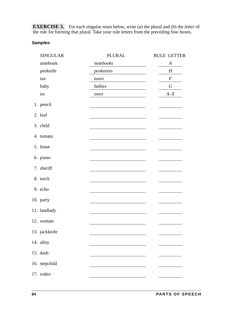**EXERCISE 3.** For each singular noun below, write (*a*) the plural and (*b*) the *letter* of the rule for forming that plural. Take your rule letters from the preceding four boxes.

| <b>SINGULAR</b> | <b>PLURAL</b> | <b>RULE LETTER</b> |
|-----------------|---------------|--------------------|
| notebook        | notebooks     | $\boldsymbol{A}$   |
| penknife        | penknives     | H                  |
| tax             | taxes         | $\boldsymbol{F}$   |
| baby            | <b>babies</b> | $\boldsymbol{G}$   |
| $\mathbf{OX}$   | oxen          | $A - X$            |
| 1. pencil       |               |                    |
| 2. leaf         |               |                    |
| 3. child        |               |                    |
| 4. tomato       |               |                    |
| 5. louse        |               |                    |
| 6. piano        |               |                    |
| 7. sheriff      |               |                    |
| 8. torch        |               |                    |
| 9. echo         |               |                    |
| 10. party       |               |                    |
| 11. landlady    |               |                    |
| 12. woman       |               |                    |
| 13. jackknife   |               |                    |
| 14. alloy       |               |                    |
| 15. dash        |               |                    |
| 16. stepchild   |               |                    |
| 17. rodeo       |               |                    |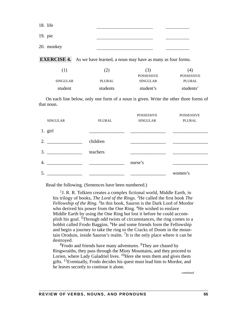| 18. life |            |  |
|----------|------------|--|
| 19. pie  |            |  |
|          | 20. monkey |  |

**EXERCISE 4.** As we have learned, a noun may have as many as four forms.

|          | 2)       | (3)               | (4)               |
|----------|----------|-------------------|-------------------|
|          |          | <b>POSSESSIVE</b> | <b>POSSESSIVE</b> |
| SINGULAR | PLURAL   | <b>SINGULAR</b>   | PLURAL            |
| student  | students | student's         | students'         |

On each line below, only one form of a noun is given. Write the other three forms of that noun.

|    | <b>SINGULAR</b>                                  | <b>PLURAL</b> | <b>POSSESSIVE</b><br>SINGULAR | <b>POSSESSIVE</b><br>PLURAL |
|----|--------------------------------------------------|---------------|-------------------------------|-----------------------------|
|    | 1. girl                                          |               |                               |                             |
| 2. | the control of the control of                    | children      |                               |                             |
| 3. | <u> 1989 - John Stein, Amerikaansk politiker</u> | teachers      |                               |                             |
|    | 4.                                               |               | nurse's                       |                             |
| 5. |                                                  |               |                               | women's                     |

Read the following. (Sentences have been numbered.)

<sup>1</sup>J. R. R. Tolkien creates a complex fictional world, Middle Earth, in his trilogy of books, *The Lord of the Rings.* 2He called the first book *The Fellowship of the Ring.* 3In this book, Sauron is the Dark Lord of Mordor who derived his power from the One Ring. <sup>4</sup>He wished to enslave Middle Earth by using the One Ring but lost it before he could accomplish his goal. 5Through odd twists of circumstances, the ring comes to a hobbit called Frodo Baggins. <sup>6</sup>He and some friends form the Fellowship and begin a journey to take the ring to the Cracks of Doom in the mountain Oroduin, inside Sauron's realm.  ${}^{7}$ It is the only place where it can be destroyed.

<sup>8</sup>Frodo and friends have many adventures. <sup>9</sup>They are chased by Ringwraiths, they pass through the Misty Mountains, and they proceed to Lorien, where Lady Galadriel lives. <sup>10</sup>Here she tests them and gives them gifts. 11Eventually, Frodo decides his quest must lead him to Mordor, and he leaves secretly to continue it alone.

*continued*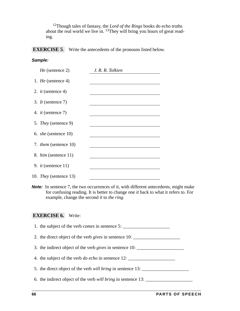12Though tales of fantasy, the *Lord of the Rings* books do echo truths about the real world we live in. 13They will bring you hours of great reading.

# **EXERCISE 5**. Write the antecedents of the pronouns listed below.

# **Sample:**



**Note:** In sentence 7, the two occurrences of *it*, with different antecedents, might make for confusing reading. It is better to change one *it* back to what it refers to. For example, change the second *it* to *the ring.*

# **EXERCISE 6.** Write:

- 1. the subject of the verb *comes* in sentence 5: \_\_\_\_\_\_\_\_\_\_\_\_\_\_\_\_\_\_\_\_
- 2. the direct object of the verb *gives* in sentence 10: \_\_\_\_\_\_\_\_\_\_\_\_\_\_\_\_\_\_\_\_
- 3. the indirect object of the verb *gives* in sentence 10: \_\_\_\_\_\_\_\_\_\_\_\_\_\_\_\_\_\_\_\_
- 4. the subject of the verb *do echo* in sentence 12: \_\_\_\_\_\_\_\_\_\_\_\_\_\_\_\_\_\_\_\_
- 5. the direct object of the verb *will bring* in sentence 13: \_\_\_\_\_\_\_\_\_\_\_\_\_\_\_\_\_\_\_\_
- 6. the indirect object of the verb *will bring* in sentence 13: \_\_\_\_\_\_\_\_\_\_\_\_\_\_\_\_\_\_\_\_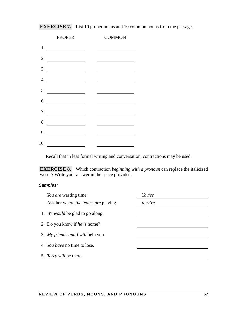|     | <b>PROPER</b>                           | <b>COMMON</b>                                                              |
|-----|-----------------------------------------|----------------------------------------------------------------------------|
|     | $\frac{1}{1}$                           |                                                                            |
|     | 2. $\qquad \qquad$                      |                                                                            |
| 3.  | <u> 1989 - Johann Barbara, martin a</u> |                                                                            |
|     |                                         |                                                                            |
|     | 5.                                      | the control of the control of the control of the control of the control of |
|     | 6.                                      |                                                                            |
|     | 7.                                      |                                                                            |
| 8.  |                                         |                                                                            |
| 9.  |                                         |                                                                            |
| 10. |                                         |                                                                            |

**EXERCISE 7.** List 10 proper nouns and 10 common nouns from the passage.

Recall that in less formal writing and conversation, contractions may be used.

**EXERCISE 8.** Which contraction *beginning with a pronoun* can replace the italicized words? Write your answer in the space provided.

| You are wasting time.                       | You're  |
|---------------------------------------------|---------|
| Ask her where <i>the teams are</i> playing. | they're |
| 1. We would be glad to go along.            |         |
| 2. Do you know if <i>he is</i> home?        |         |
| 3. My friends and I will help you.          |         |
| 4. You have no time to lose.                |         |
| 5. Terry will be there.                     |         |
|                                             |         |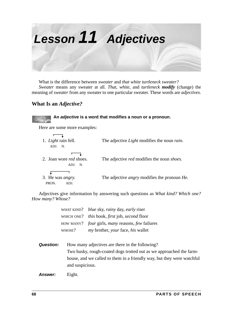# **Lesson 11 Adjectives**

What is the difference between *sweater* and *that white turtleneck sweater? Sweater* means any sweater at all. *That, white,* and *turtleneck modify* (change) the meaning of *sweater* from any sweater to one particular sweater. These words are *adjectives*.

# **What Is an** *Adjective?*

# **An adjective is a word that modifies a noun or a pronoun.**

Here are some more examples:

| 1. <i>Light</i> rain fell.<br>ADJ. N.     | The adjective <i>Light</i> modifies the noun <i>rain</i> .  |
|-------------------------------------------|-------------------------------------------------------------|
| 2. Joan wore <i>red</i> shoes.<br>ADJ. N. | The adjective <i>red</i> modifies the noun <i>shoes</i> .   |
| 3. He was <i>angry</i> .<br>PRON.<br>ADJ. | The adjective <i>angry</i> modifies the pronoun <i>He</i> . |

Adjectives give information by answering such questions as *What kind? Which one? How many? Whose?*

|        | WHAT KIND? blue sky, rainy day, early riser            |
|--------|--------------------------------------------------------|
|        | WHICH ONE? this book, first job, second floor          |
|        | HOW MANY? four girls, many reasons, few failures       |
| WHOSE? | <i>my</i> brother, <i>your</i> face, <i>his</i> wallet |

**Question:** How many adjectives are there in the following? Two husky, rough-coated dogs trotted out as we approached the farmhouse, and we called to them in a friendly way, but they were watchful and suspicious.

**Answer:** Eight.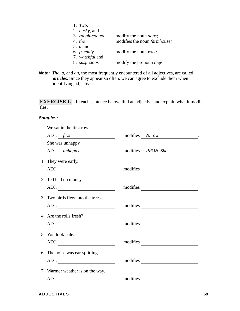| 1. Two.                |                                      |
|------------------------|--------------------------------------|
| 2. husky, and          |                                      |
| 3. rough-coated        | modify the noun <i>dogs</i> ;        |
| 4. the                 | modifies the noun <i>farmhouse</i> ; |
| 5. $a$ and             |                                      |
| 6. friendly            | modify the noun <i>way</i> ;         |
| 7. <i>watchful</i> and |                                      |
| 8. suspicious          | modify the pronoun <i>they</i> .     |

**Note:** *The*, *a,* and *an,* the most frequently encountered of all adjectives, are called *articles***.** Since they appear so often, we can agree to exclude them when identifying adjectives.

**EXERCISE 1.** In each sentence below, find an adjective and explain what it modifies.

| We sat in the first row.                                                                                                                   |                                                          |  |
|--------------------------------------------------------------------------------------------------------------------------------------------|----------------------------------------------------------|--|
| ADJ. <i>first</i><br><u> 1989 - Jan Barbara Barat III, marka Barbara Barbara Barbara Barbara Barbara Barbara Barbara Barbara Barbara B</u> | modifies N. row                                          |  |
| She was unhappy.                                                                                                                           |                                                          |  |
| ADJ. unhappy                                                                                                                               | modifies <i>PRON</i> . She                               |  |
| 1. They were early.                                                                                                                        |                                                          |  |
| $\mathsf{ADI}$ .                                                                                                                           | modifies                                                 |  |
| 2. Ted had no money.                                                                                                                       |                                                          |  |
| ADJ.                                                                                                                                       | modifies                                                 |  |
| 3. Two birds flew into the trees.                                                                                                          |                                                          |  |
| ADJ.<br><u> 1989 - Johann Barbara, martxa eta politikar</u>                                                                                | modifies $\qquad \qquad$                                 |  |
| 4. Are the rolls fresh?                                                                                                                    |                                                          |  |
| ADJ.                                                                                                                                       | modifies                                                 |  |
| 5. You look pale.                                                                                                                          |                                                          |  |
| ADJ.                                                                                                                                       | modifies                                                 |  |
| 6. The noise was ear-splitting.                                                                                                            |                                                          |  |
| ADJ.<br><u> 1980 - Johann Barbara, martxa amerikan per</u>                                                                                 | modifies<br><u> 1989 - Andrea Station Andrew Maria (</u> |  |
| 7. Warmer weather is on the way.                                                                                                           |                                                          |  |
| ADJ.                                                                                                                                       | modifies                                                 |  |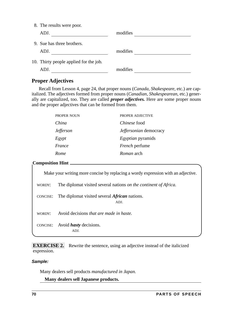| 8. The results were poor.              |          |
|----------------------------------------|----------|
| ADJ.                                   | modifies |
| 9. Sue has three brothers.<br>ADJ.     | modifies |
| 10. Thirty people applied for the job. |          |
| ADJ.                                   | modifies |

# **Proper Adjectives**

Recall from Lesson 4, page 24, that proper nouns (*Canada, Shakespeare,* etc.) are capitalized. The adjectives formed from proper nouns (*Canadian, Shakespearean,* etc.) generally are capitalized, too. They are called *proper adjectives.* Here are some proper nouns and the proper adjectives that can be formed from them.

| PROPER ADJECTIVE         |
|--------------------------|
| <i>Chinese</i> food      |
| Jeffersonian democracy   |
| <i>Egyptian</i> pyramids |
| <i>French</i> perfume    |
| <i>Roman</i> arch        |
|                          |

# **Composition Hint**

Make your writing more concise by replacing a wordy expression with an adjective. WORDY: The diplomat visited several nations *on the continent of Africa.* CONCISE: The diplomat visited several *African* nations. ADJ. WORDY: Avoid decisions *that are made in haste.* CONCISE: Avoid *hasty* decisions. ADJ.

**EXERCISE 2.** Rewrite the sentence, using an adjective instead of the italicized expression.

### **Sample:**

Many dealers sell products *manufactured in Japan.*

**Many dealers sell Japanese products.**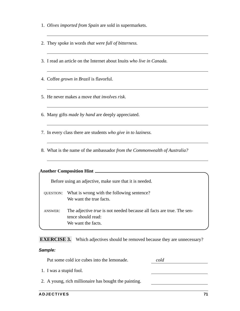- 1. *Olives imported from Spain* are sold in supermarkets.
- 2. They spoke in words *that were full of bitterness.*
- 3. I read an article on the Internet about Inuits *who live in Canada.*
- 4. Coffee *grown in Brazil* is flavorful.
- 5. He never makes a move *that involves risk*.
- 6. Many gifts *made by hand* are deeply appreciated.
- 7. In every class there are students *who give in to laziness.*
- 8. What is the name of the ambassador *from the Commonwealth of Australia?*

# **Another Composition Hint**

Before using an adjective, make sure that it is needed.

- QUESTION: What is wrong with the following sentence? We want the true facts.
- ANSWER: The adjective *true* is not needed because all facts are true. The sentence should read: We want the facts.

**EXERCISE 3.** Which adjectives should be removed because they are unnecessary?

*cold*

### **Sample:**

Put some cold ice cubes into the lemonade.

- 1. I was a stupid fool.
- 2. A young, rich millionaire has bought the painting.

**ADJECTIVES 71**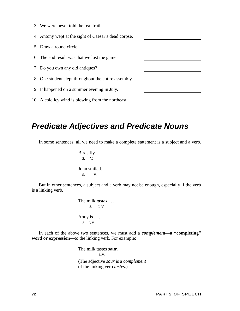| 3. We were never told the real truth.                |  |
|------------------------------------------------------|--|
| 4. Antony wept at the sight of Caesar's dead corpse. |  |
| 5. Draw a round circle.                              |  |
| 6. The end result was that we lost the game.         |  |
| 7. Do you own any old antiques?                      |  |
| 8. One student slept throughout the entire assembly. |  |
| 9. It happened on a summer evening in July.          |  |
| 10. A cold icy wind is blowing from the northeast.   |  |

# **Predicate Adjectives and Predicate Nouns**

In some sentences, all we need to make a complete statement is a subject and a verb.

Birds fly. S. V. John smiled.

S. V.

But in other sentences, a subject and a verb may not be enough, especially if the verb is a linking verb.

> The milk *tastes* . . . S. L.V. Andy *is* . . . S. L.V.

In each of the above two sentences, we must add a *complement—***a "completing" word or expression**—to the linking verb. For example:

> The milk tastes *sour.* L.V. (The adjective *sour* is a *complement* of the linking verb *tastes*.)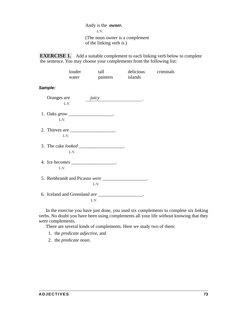Andy is the *owner.* L.V. (The noun *owner* is a *complement* of the linking verb *is*.)

**EXERCISE 1.** Add a suitable complement to each linking verb below to complete the sentence. You may choose your complements from the following list:

|                     |      | louder tall<br>water painters islands                      | delicious                                                                                                            | criminals |
|---------------------|------|------------------------------------------------------------|----------------------------------------------------------------------------------------------------------------------|-----------|
| Sample:             |      |                                                            |                                                                                                                      |           |
| Oranges are<br>L.V. |      | juicy                                                      | <u> 1990 - Jan Stein Stein Stein Stein Stein Stein Stein Stein Stein Stein Stein Stein Stein Stein Stein Stein S</u> |           |
| L.V.                |      | 1. Oaks grow $\frac{1}{\sqrt{1-\frac{1}{2}}}\cdot$         |                                                                                                                      |           |
| L.V.                |      | 2. Thieves are ______________________.                     |                                                                                                                      |           |
|                     | L.V. | 3. The cake <i>looked</i> ______________________.          |                                                                                                                      |           |
| L.V.                |      | 4. Ice becomes _____________________.                      |                                                                                                                      |           |
|                     |      | 5. Rembrandt and Picasso were ___________________.<br>L.V. |                                                                                                                      |           |
|                     |      | 6. Iceland and Greenland are _________________.<br>L.V.    |                                                                                                                      |           |

In the exercise you have just done, you used six complements to complete six linking verbs. No doubt you have been using complements all your life without knowing that they were complements.

There are several kinds of complements. Here we study two of them:

1. the *predicate adjective,* and

2. the *predicate noun*.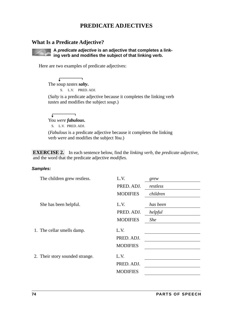# **PREDICATE ADJECTIVES**

# **What Is a Predicate Adjective?**



**A predicate adjective is an adjective that completes a linking verb and modifies the subject of that linking verb.**

Here are two examples of predicate adjectives:

 $\sqrt{ }$ The soup *tastes salty***.**

S. L.V. PRED. ADJ.

(*Salty* is a predicate adjective because it completes the linking verb *tastes* and modifies the subject *soup*.)

 $\sqrt{ }$ You *were fabulous***.**

S. L.V. PRED. ADJ.

(*Fabulous* is a predicate adjective because it completes the linking verb *were* and modifies the subject *You*.)

**EXERCISE 2.** In each sentence below, find the *linking verb,* the *predicate adjective,* and the word that the predicate adjective *modifies*.

| The children grew restless.     | L.V.            | grew       |
|---------------------------------|-----------------|------------|
|                                 | PRED. ADJ.      | restless   |
|                                 | <b>MODIFIES</b> | children   |
| She has been helpful.           | L.V.            | has been   |
|                                 | PRED. ADJ.      | helpful    |
|                                 | <b>MODIFIES</b> | <b>She</b> |
| 1. The cellar smells damp.      | L.V.            |            |
|                                 | PRED. ADJ.      |            |
|                                 | <b>MODIFIES</b> |            |
| 2. Their story sounded strange. | L.V.            |            |
|                                 | PRED. ADJ.      |            |
|                                 | <b>MODIFIES</b> |            |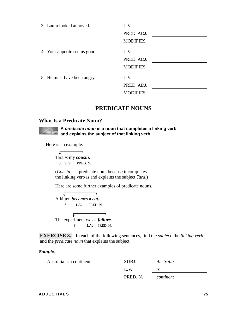| 3. Laura looked annoyed.     | L.V.            |  |
|------------------------------|-----------------|--|
|                              | PRED. ADJ.      |  |
|                              | <b>MODIFIES</b> |  |
| 4. Your appetite seems good. | L.V.            |  |
|                              | PRED. ADJ.      |  |
|                              | <b>MODIFIES</b> |  |
| 5. He must have been angry.  | L.V.            |  |
|                              | PRED. ADJ.      |  |
|                              | <b>MODIFIES</b> |  |
|                              |                 |  |

# **PREDICATE NOUNS**

# **What Is a Predicate Noun?**



**A predicate noun is a noun that completes a linking verb and explains the subject of that linking verb.**

Here is an example:

 $\sqrt{ }$ Tara *is* my *cousin***.** S. L.V. PRED. N.

(*Cousin* is a predicate noun because it completes the linking verb *is* and explains the subject *Tara*.)

Here are some further examples of predicate nouns.

 $\sqrt{2\pi}$ A kitten *becomes* a *cat.* S. L.V. PRED. N.

 $\sqrt{2\pi}$ The experiment *was* a *failure.* S. L.V. PRED. N.

**EXERCISE 3.** In each of the following sentences, find the *subject,* the *linking verb,* and the *predicate noun* that explains the subject.

| Australia is a continent. | SUBJ.    | Australia |
|---------------------------|----------|-----------|
|                           |          | lS        |
|                           | PRED. N. | continent |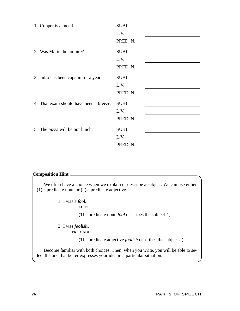| 1. Copper is a metal.                   | SUBJ.    |  |
|-----------------------------------------|----------|--|
|                                         | L.V.     |  |
|                                         | PRED. N. |  |
| 2. Was Marie the umpire?                | SUBJ.    |  |
|                                         | L.V.     |  |
|                                         | PRED. N. |  |
| 3. Julio has been captain for a year.   | SUBJ.    |  |
|                                         | L.V.     |  |
|                                         | PRED. N. |  |
| 4. That exam should have been a breeze. | SUBJ.    |  |
|                                         | L.V.     |  |
|                                         | PRED. N. |  |
| 5. The pizza will be our lunch.         | SUBJ.    |  |
|                                         | L.V.     |  |
|                                         | PRED. N. |  |
|                                         |          |  |

# **Composition Hint**

We often have a choice when we explain or describe a subject: We can use either (1) a predicate noun or (2) a predicate adjective.

1. I was a *fool***.**

PRED. N.

(The predicate noun *fool* describes the subject *I.*)

2. I was *foolish***.** PRED. ADJ.

(The predicate adjective *foolish* describes the subject *I.*)

Become familiar with both choices. Then, when you write, you will be able to select the one that better expresses your idea in a particular situation.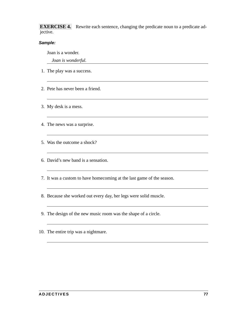**EXERCISE 4.** Rewrite each sentence, changing the predicate noun to a predicate adjective.

<u> 1989 - Johann Stoff, deutscher Stoffen und der Stoffen und der Stoffen und der Stoffen und der Stoffen und der</u>

# **Sample:**

Joan is a wonder.

*Joan is wonderful.*

- 1. The play was a success.
- 2. Pete has never been a friend.
- 3. My desk is a mess.
- 4. The news was a surprise.
- 5. Was the outcome a shock?
- 6. David's new band is a sensation.
- 7. It was a custom to have homecoming at the last game of the season.
- 8. Because she worked out every day, her legs were solid muscle.
- 9. The design of the new music room was the shape of a circle.
- 10. The entire trip was a nightmare.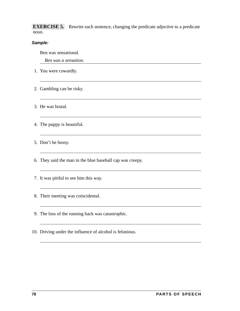**EXERCISE 5.** Rewrite each sentence, changing the predicate adjective to a predicate noun.

<u> 1980 - Johann Stein, marwolaethau a bhann an t-Amhain Aonaichte ann an t-Amhain Aonaichte ann an t-Amhain Aon</u>

# **Sample:**

Ben was sensational.

*Ben was a sensation.*

- 1. You were cowardly.
- 2. Gambling can be risky.
- 3. He was brutal.
- 4. The puppy is beautiful.

5. Don't be bossy.

6. They said the man in the blue baseball cap was creepy.

- 7. It was pitiful to see him this way.
- 8. Their meeting was coincidental.
- 9. The loss of the running back was catastrophic.
- 10. Driving under the influence of alcohol is felonious.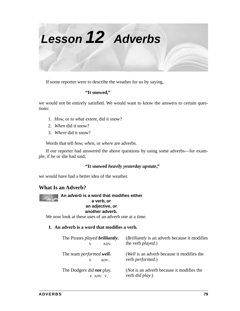# **Lesson 12 Adverbs**

If some reporter were to describe the weather for us by saying,

# **"It snowed,"**

we would not be entirely satisfied. We would want to know the answers to certain questions:

- 1. *How,* or *to what extent,* did it snow?
- 2. *When* did it snow?
- 3. *Where* did it snow?

Words that tell *how, when,* or *where* are adverbs.

If our reporter had answered the above questions by using some adverbs—for example, if he or she had said,

# **"It snowed** *heavily yesterday upstate***,"**

we would have had a better idea of the weather.

# **What Is an Adverb?**



**An adverb is a word that modifies either a verb, or an adjective, or another adverb.**

We now look at these uses of an adverb one at a time.

# **I. An adverb is a word that modifies a verb.**

| The Pirates <i>played <b>brilliantly</b></i> .<br>V.<br>ADV. | ( <i>Brilliantly</i> is an adverb because it modifies<br>the verb <i>played</i> .) |  |
|--------------------------------------------------------------|------------------------------------------------------------------------------------|--|
| The team <i>performed</i> well.<br>V.<br>ADV.                | ( <i>Well</i> is an adverb because it modifies the<br>verb <i>performed</i> .)     |  |
| The Dodgers <i>did <b>not</b></i> play.<br>V. ADV. V.        | ( <i>Not</i> is an adverb because it modifies the<br>verb <i>did play</i> .)       |  |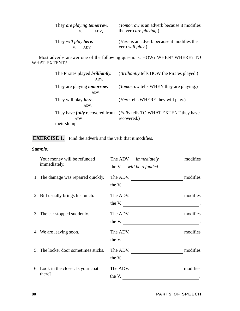| They are playing <b>tomorrow</b> .<br><b>ADV</b><br>V. | ( <i>Tomorrow</i> is an adverb because it modifies<br>the verb <i>are playing</i> .) |  |
|--------------------------------------------------------|--------------------------------------------------------------------------------------|--|
| They <i>will play <b>here</b></i> .<br>ADV.<br>V.      | ( <i>Here</i> is an adverb because it modifies the<br>verb <i>will play</i> .)       |  |

Most adverbs answer one of the following questions: HOW? WHEN? WHERE? TO WHAT EXTENT?

| The Pirates played <i>brilliantly</i> .<br>ADV. | <i>(Brilliantly tells HOW the Pirates played.)</i>                                                 |
|-------------------------------------------------|----------------------------------------------------------------------------------------------------|
| They are playing <i>tomorrow</i> .<br>ADV.      | ( <i>Tomorrow</i> tells WHEN they are playing.)                                                    |
| They will play <i>here</i> .<br>ADV.            | ( <i>Here</i> tells WHERE they will play.)                                                         |
| ADV.<br>their slump.                            | They have <i>fully</i> recovered from ( <i>Fully</i> tells TO WHAT EXTENT they have<br>recovered.) |

**EXERCISE 1.** Find the adverb and the verb that it modifies.

| Your money will be refunded<br>immediately.   | The ADV. <i>immediately</i><br>the V. will be refunded                                                                                      | modifies |
|-----------------------------------------------|---------------------------------------------------------------------------------------------------------------------------------------------|----------|
| 1. The damage was repaired quickly.           | The ADV.<br>the V.                                                                                                                          | modifies |
| 2. Bill usually brings his lunch.             | The ADV.<br>the V.                                                                                                                          | modifies |
| 3. The car stopped suddenly.                  | The ADV.<br>the V.                                                                                                                          | modifies |
| 4. We are leaving soon.                       | The ADV.<br>the V.<br><u> 1989 - Johann Barn, mars ann an t-Amhain Aonaich an t-Aonaich an t-Aonaich an t-Aonaich an t-Aonaich an t-Aon</u> | modifies |
| 5. The locker door sometimes sticks.          | The ADV.<br>the V.                                                                                                                          | modifies |
| 6. Look in the closet. Is your coat<br>there? | The ADV.<br>the V.                                                                                                                          | modifies |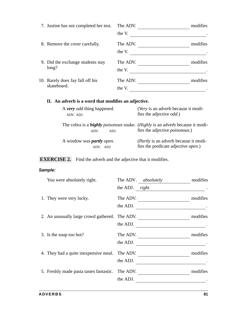| 7. Justine has not completed her test. | The ADV. | modifies |
|----------------------------------------|----------|----------|
|                                        | the V.   |          |
| 8. Remove the cover carefully.         | The ADV. | modifies |
|                                        | the V.   |          |
| 9. Did the exchange students stay      | The ADV. | modifies |
| long?                                  | the V.   |          |
| 10. Rarely does Jay fall off his       | The ADV. | modifies |
| skateboard.                            | the V.   |          |

# **II. An adverb is a word that modifies an adjective.**

| A very odd thing happened.<br>ADV. ADJ.                                                                     | ( <i>Very</i> is an adverb because it modi-<br>fies the adjective <i>odd</i> .)              |
|-------------------------------------------------------------------------------------------------------------|----------------------------------------------------------------------------------------------|
| The cobra is a <i>highly poisonous</i> snake. ( <i>Highly</i> is an adverb because it modi-<br>ADJ.<br>ADV. | fies the adjective <i>poisonous</i> .)                                                       |
| A window was <i>partly open</i> .<br>ADV ADI                                                                | ( <i>Partly</i> is an adverb because it modi-<br>fies the predicate adjective <i>open</i> .) |

**EXERCISE 2.** Find the adverb and the adjective that it modifies.

| The ADV. <i>absolutely</i>                       | modifies |
|--------------------------------------------------|----------|
| the ADJ. $right$                                 |          |
| The ADV.                                         | modifies |
| the ADJ.                                         |          |
| 2. An unusually large crowd gathered. The ADV.   | modifies |
| the ADJ.                                         |          |
| The ADV.                                         | modifies |
| the ADJ.                                         |          |
| 4. They had a quite inexpensive meal. The ADV.   | modifies |
| the ADJ.                                         |          |
| 5. Freshly made pasta tastes fantastic. The ADV. | modifies |
| the ADJ.                                         |          |
|                                                  |          |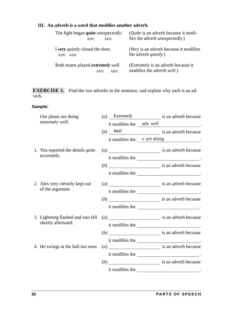# **III. An adverb is a word that modifies another adverb.**

| The fight began <i>quite unexpectedly</i> .<br>ADV.<br>ADV. | <i>(Quite</i> is an adverb because it modi-<br>fies the adverb <i>unexpectedly</i> .) |
|-------------------------------------------------------------|---------------------------------------------------------------------------------------|
| I very quietly closed the door.<br>ADV. ADV.                | ( <i>Very</i> is an adverb because it modifies<br>the adverb <i>quietly</i> .)        |
| Both teams played <i>extremely well</i> .<br>ADV.<br>ADV.   | ( <i>Extremely</i> is an adverb because it<br>modifies the adverb <i>well</i> .)      |

**EXERCISE 3.** Find the two adverbs in the sentence, and explain why each is an adverb.

|  | Our plants are doing                                     |                 | (a) <i>Extremely</i> is an adverb because                                                                                                                                                                                                                                                                                                                                                                                                                                                      |
|--|----------------------------------------------------------|-----------------|------------------------------------------------------------------------------------------------------------------------------------------------------------------------------------------------------------------------------------------------------------------------------------------------------------------------------------------------------------------------------------------------------------------------------------------------------------------------------------------------|
|  | extremely well.                                          |                 | it modifies the $\frac{adv. well}{\qquad}$ .                                                                                                                                                                                                                                                                                                                                                                                                                                                   |
|  |                                                          |                 | $(b)$ <u>Well</u> is an adverb because                                                                                                                                                                                                                                                                                                                                                                                                                                                         |
|  |                                                          |                 | it modifies the $\frac{v \cdot \textit{are } \textit{ doing}}{v \cdot \textit{or} \cdot \textit{or} \cdot \textit{or} \cdot \textit{or} \cdot \textit{or} \cdot \textit{or} \cdot \textit{or} \cdot \textit{or} \cdot \textit{or} \cdot \textit{or} \cdot \textit{or} \cdot \textit{or} \cdot \textit{or} \cdot \textit{or} \cdot \textit{or} \cdot \textit{or} \cdot \textit{or} \cdot \textit{or} \cdot \textit{or} \cdot \textit{or} \cdot \textit{or} \cdot \textit{or} \cdot \textit{or}$ |
|  | 1. You reported the details quite                        |                 |                                                                                                                                                                                                                                                                                                                                                                                                                                                                                                |
|  | accurately.                                              |                 |                                                                                                                                                                                                                                                                                                                                                                                                                                                                                                |
|  |                                                          |                 | $(b)$ is an adverb because                                                                                                                                                                                                                                                                                                                                                                                                                                                                     |
|  |                                                          |                 |                                                                                                                                                                                                                                                                                                                                                                                                                                                                                                |
|  | 2. Alex very cleverly kept out<br>of the argument.       |                 | (a) is an adverb because                                                                                                                                                                                                                                                                                                                                                                                                                                                                       |
|  |                                                          |                 |                                                                                                                                                                                                                                                                                                                                                                                                                                                                                                |
|  |                                                          |                 | $(b)$ is an adverb because                                                                                                                                                                                                                                                                                                                                                                                                                                                                     |
|  |                                                          |                 |                                                                                                                                                                                                                                                                                                                                                                                                                                                                                                |
|  | 3. Lightning flashed and rain fell<br>shortly afterward. |                 |                                                                                                                                                                                                                                                                                                                                                                                                                                                                                                |
|  |                                                          |                 | it modifies the service of the service of the service of the service of the service of the service of the service of the service of the service of the service of the service of the service of the service of the service of                                                                                                                                                                                                                                                                  |
|  |                                                          |                 | $(b)$ is an adverb because                                                                                                                                                                                                                                                                                                                                                                                                                                                                     |
|  |                                                          |                 | it modifies the                                                                                                                                                                                                                                                                                                                                                                                                                                                                                |
|  | 4. He swings at the ball too soon.                       |                 |                                                                                                                                                                                                                                                                                                                                                                                                                                                                                                |
|  |                                                          |                 | it modifies the service of the service of the service of the service of the service of the service of the service of the service of the service of the service of the service of the service of the service of the service of                                                                                                                                                                                                                                                                  |
|  |                                                          |                 | $(b)$ is an adverb because                                                                                                                                                                                                                                                                                                                                                                                                                                                                     |
|  |                                                          | it modifies the |                                                                                                                                                                                                                                                                                                                                                                                                                                                                                                |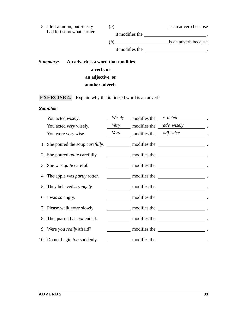| 5. I left at noon, but Sherry<br>had left somewhat earlier. | a)<br>it modifies the | is an adverb because |
|-------------------------------------------------------------|-----------------------|----------------------|
|                                                             | l h                   | is an adverb because |
|                                                             | it modifies the       |                      |

*Summary:* **An adverb is a word that modifies a verb, or an adjective, or another adverb.**

**EXERCISE 4.** Explain why the italicized word is an adverb.

| You acted wisely.                         | Wisely | modifies the | <i>v.</i> acted                                                                                                                                                                                                                |
|-------------------------------------------|--------|--------------|--------------------------------------------------------------------------------------------------------------------------------------------------------------------------------------------------------------------------------|
| You acted <i>very</i> wisely.             | Very   | modifies the | adv. wisely                                                                                                                                                                                                                    |
| You were <i>very</i> wise.                | Very   | modifies the | adj. wise                                                                                                                                                                                                                      |
| 1. She poured the soup <i>carefully</i> . |        | modifies the |                                                                                                                                                                                                                                |
| 2. She poured <i>quite</i> carefully.     |        |              | $\frac{1}{\sqrt{1-\frac{1}{2}}}\mod{1-\frac{1}{2}}$ modifies the                                                                                                                                                               |
| 3. She was <i>quite</i> careful.          |        |              |                                                                                                                                                                                                                                |
| 4. The apple was <i>partly</i> rotten.    |        |              | modifies the subsequently and the set of the set of the set of the set of the set of the set of the set of the set of the set of the set of the set of the set of the set of the set of the set of the set of the set of the s |
| 5. They behaved <i>strangely</i> .        |        |              | modifies the subsequently and the set of the set of the set of the set of the set of the set of the set of the set of the set of the set of the set of the set of the set of the set of the set of the set of the set of the s |
| 6. I was so angry.                        |        |              |                                                                                                                                                                                                                                |
| 7. Please walk <i>more</i> slowly.        |        |              | $\frac{1}{2}$ modifies the $\frac{1}{2}$ .                                                                                                                                                                                     |
| 8. The quarrel has <i>not</i> ended.      |        |              | $\frac{1}{\sqrt{1-\frac{1}{2}}}\text{ modifies the }$                                                                                                                                                                          |
| 9. Were you <i>really</i> afraid?         |        |              | modifies the same services of the same services of the same services of the same services of the same services of the same services of the same services of the same services of the same services of the same services of the |
| 10. Do not begin <i>too</i> suddenly.     |        | modifies the |                                                                                                                                                                                                                                |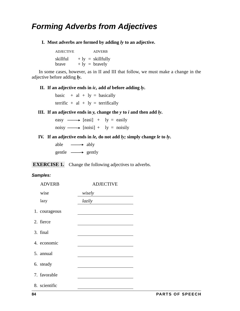# **Forming Adverbs from Adjectives**

## **I. Most adverbs are formed by adding** *ly* **to an adjective.**

ADJECTIVE ADVERB  $skillful$  + ly = skillfully brave  $+ ly = b$ ravely

In some cases, however, as in II and III that follow, we must make a change in the adjective before adding *ly***.**

### **II. If an adjective ends in** *ic,* **add** *al* **before adding** *ly***.**

basic  $+$  al  $+$  ly  $=$  basically terrific + al + ly = terrifically

# **III. If an adjective ends in** *y,* **change the** *y* **to** *i* **and then add** *ly***.**

easy  $\longrightarrow$  [easi] + ly = easily  $noisy \longrightarrow [nois] + ly = noisily$ 

**IV. If an adjective ends in** *le,* **do not add** *ly;* **simply change** *le* **to** *ly***.**

able  $\longrightarrow$  ably gentle  $\longrightarrow$  gently

# **EXERCISE 1.** Change the following adjectives to adverbs.

| <b>ADVERB</b> | <b>ADJECTIVE</b> |
|---------------|------------------|
| wise          | wisely           |
| lazy          | lazily           |
| 1. courageous |                  |
| 2. fierce     |                  |
| 3. final      |                  |
| 4. economic   |                  |
| 5. annual     |                  |
| 6. steady     |                  |
| 7. favorable  |                  |
| 8. scientific |                  |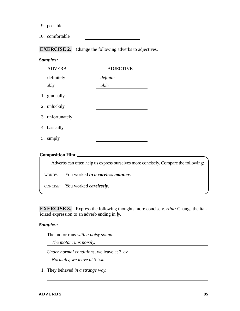| 9. | possible |  |
|----|----------|--|
|    |          |  |
|    |          |  |

10. comfortable

**EXERCISE 2.** Change the following adverbs to adjectives.

# **Samples:**

| <b>ADVERB</b>    | <b>ADJECTIVE</b> |
|------------------|------------------|
| definitely       | definite         |
| ably             | able             |
| 1. gradually     |                  |
| 2. unluckily     |                  |
| 3. unfortunately |                  |
| 4. basically     |                  |
| 5. simply        |                  |
|                  |                  |

# **Composition Hint**

Adverbs can often help us express ourselves more concisely. Compare the following:

WORDY: You worked *in a careless manner***.**

CONCISE: You worked *carelessly***.**

**EXERCISE 3.** Express the following thoughts more concisely. *Hint:* Change the italicized expression to an adverb ending in *ly***.**

# **Samples:**

The motor runs *with a noisy sound.*

*The motor runs noisily.*

*Under normal conditions*, we leave at 3 P.M.

*Normally, we leave at 3 P.M.*

1. They behaved *in a strange way.*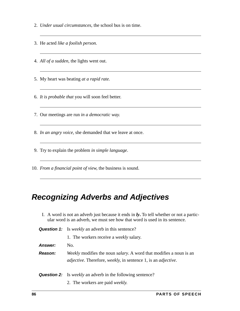- 2. *Under usual circumstances,* the school bus is on time.
- 3. He acted *like a foolish person.*
- 4. *All of a sudden,* the lights went out.
- 5. My heart was beating *at a rapid rate.*
- 6. *It is probable that* you will soon feel better.
- 7. Our meetings are run *in a democratic way.*
- 8. *In an angry voice,* she demanded that we leave at once.
- 9. Try to explain the problem *in simple language*.
- 10. *From a financial point of view,* the business is sound.

# **Recognizing Adverbs and Adjectives**

I. A word is not an adverb just because it ends in *ly***.** To tell whether or not a particular word is an adverb, we must see how that word is used in its sentence. **Question 1:** Is *weekly* an adverb in this sentence? 1. The workers receive a *weekly* salary. Answer: No. **Reason:** *Weekly* modifies the noun *salary*. A word that modifies a noun is an *adjective*. Therefore, *weekly,* in sentence 1, is an *adjective*. **Question 2:** Is *weekly* an adverb in the following sentence? 2. The workers are paid *weekly.*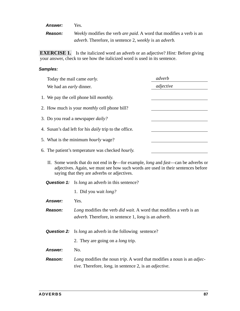**Answer:** Yes.

**Reason:** *Weekly* modifies the verb *are paid*. A word that modifies a verb is an *adverb*. Therefore, in sentence 2, *weekly* is an *adverb.*

**EXERCISE 1.** Is the italicized word an adverb or an adjective? *Hint:* Before giving your answer, check to see how the italicized word is used in its sentence.

| Today the mail came <i>early</i> .                                                                                                                                                                                      | adverb    |
|-------------------------------------------------------------------------------------------------------------------------------------------------------------------------------------------------------------------------|-----------|
| We had an <i>early</i> dinner.                                                                                                                                                                                          | adjective |
| 1. We pay the cell phone bill <i>monthly</i> .                                                                                                                                                                          |           |
| 2. How much is your <i>monthly</i> cell phone bill?                                                                                                                                                                     |           |
| 3. Do you read a newspaper <i>daily?</i>                                                                                                                                                                                |           |
| 4. Susan's dad left for his <i>daily</i> trip to the office.                                                                                                                                                            |           |
| 5. What is the minimum <i>hourly</i> wage?                                                                                                                                                                              |           |
| 6. The patient's temperature was checked <i>hourly</i> .                                                                                                                                                                |           |
| II. Some words that do not end in $ly$ —for example, long and fast—can be adverbs or<br>adjectives. Again, we must see how such words are used in their sentences before<br>saying that they are adverbs or adjectives. |           |
| <b>Question 1:</b> Is <i>long</i> an adverb in this sentence?                                                                                                                                                           |           |

- 1. Did you wait *long?*
- **Answer:** Yes.
- **Reason:** *Long* modifies the verb *did wait*. A word that modifies a verb is an *adverb.* Therefore, in sentence 1, *long* is an *adverb*.
- **Question 2:** Is *long* an adverb in the following sentence?
	- 2. They are going on a *long* trip.
- Answer: No.
- **Reason:** *Long* modifies the noun *trip*. A word that modifies a noun is an *adjective.* Therefore, *long,* in sentence 2, is an *adjective*.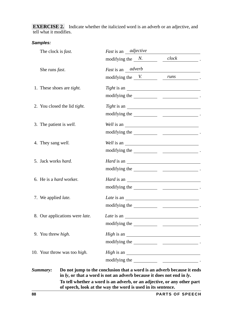**EXERCISE 2.** Indicate whether the italicized word is an adverb or an adjective, and tell what it modifies.

# **Samples:**

| The clock is <i>fast</i> .             | <i>Fast</i> is an <i>__adjective</i><br>the control of the control of the control of the control of                                                                                                                            |
|----------------------------------------|--------------------------------------------------------------------------------------------------------------------------------------------------------------------------------------------------------------------------------|
|                                        | modifying the $\frac{N}{N}$ $\frac{clock}{\qquad}$ .                                                                                                                                                                           |
| She runs fast.                         | <i>Fast</i> is an <i>adverb</i><br><u> 1989 - Johann Barn, fransk politik (d. 1989)</u>                                                                                                                                        |
|                                        | modifying the $\frac{V}{V}$ mus $\frac{runs}{V}$ .                                                                                                                                                                             |
| 1. These shoes are <i>tight</i> .      |                                                                                                                                                                                                                                |
|                                        |                                                                                                                                                                                                                                |
| 2. You closed the lid <i>tight</i> .   |                                                                                                                                                                                                                                |
|                                        |                                                                                                                                                                                                                                |
| 3. The patient is <i>well</i> .        | Well is an $\frac{1}{\sqrt{1-\frac{1}{2}}}\left\{ \frac{1}{\sqrt{1-\frac{1}{2}}}\right\}$                                                                                                                                      |
|                                        |                                                                                                                                                                                                                                |
| 4. They sang <i>well</i> .             |                                                                                                                                                                                                                                |
|                                        |                                                                                                                                                                                                                                |
| 5. Jack works hard.                    |                                                                                                                                                                                                                                |
|                                        |                                                                                                                                                                                                                                |
| 6. He is a <i>hard</i> worker.         |                                                                                                                                                                                                                                |
|                                        |                                                                                                                                                                                                                                |
| 7. We applied <i>late</i> .            |                                                                                                                                                                                                                                |
|                                        |                                                                                                                                                                                                                                |
| 8. Our applications were <i>late</i> . |                                                                                                                                                                                                                                |
|                                        | modifying the<br><u> 1980 - Andrea Albert III, poet e presentant a la provincia de la provincia de la provincia de la provincia de l</u>                                                                                       |
| 9. You threw <i>high</i> .             | $High$ is an $\_\_\_\_\_\_\_\_\_\_\_\_\$                                                                                                                                                                                       |
|                                        |                                                                                                                                                                                                                                |
| 10. Your throw was too high.           |                                                                                                                                                                                                                                |
|                                        |                                                                                                                                                                                                                                |
| Summary:                               | Do not jump to the conclusion that a word is an adverb because it ends<br>in $ly$ , or that a word is not an adverb because it does not end in $ly$ .<br>To tell whether a word is an adverb or an adjective or any other part |

**To tell whether a word is an adverb, or an adjective, or any other part of speech, look at the way the word is used in its sentence.**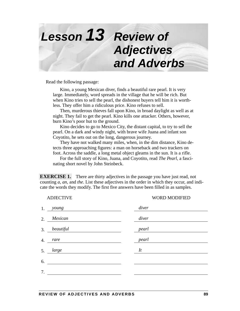# **Lesson 13 Review of Adjectives and Adverbs**

Read the following passage:

Kino, a young Mexican diver, finds a beautiful rare pearl. It is very large. Immediately, word spreads in the village that he will be rich. But when Kino tries to sell the pearl, the dishonest buyers tell him it is worthless. They offer him a ridiculous price. Kino refuses to sell.

Then, murderous thieves fall upon Kino, in broad daylight as well as at night. They fail to get the pearl. Kino kills one attacker. Others, however, burn Kino's poor hut to the ground.

Kino decides to go to Mexico City, the distant capital, to try to sell the pearl. On a dark and windy night, with brave wife Juana and infant son Coyotito, he sets out on the long, dangerous journey.

They have not walked many miles, when, in the dim distance, Kino detects three approaching figures: a man on horseback and two trackers on foot. Across the saddle, a long metal object gleams in the sun. It is a rifle.

For the full story of Kino, Juana, and Coyotito, read *The Pearl*, a fascinating short novel by John Steinbeck.

**EXERCISE 1.** There are thirty adjectives in the passage you have just read, not counting *a, an,* and *the*. List these adjectives in the order in which they occur, and indicate the words they modify. The first five answers have been filled in as samples.

|    | <b>ADJECTIVE</b> | <b>WORD MODIFIED</b> |
|----|------------------|----------------------|
|    | 1. young         | diver                |
| 2. | Mexican          | diver                |
| 3. | beautiful        | pearl                |
| 4. | rare             | pearl                |
| 5. | large            | $I_t$                |
| 6. |                  |                      |
| 7. |                  |                      |
|    |                  |                      |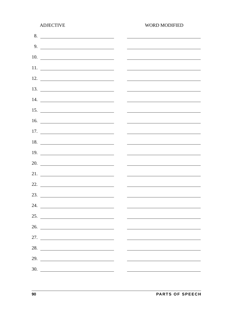ADJECTIVE WORD MODIFIED

| 8.  | <u> 1989 - Johann Barn, fransk politik fotograf (d. 1989)</u>                                                                                                                                                                        |                                                                                           |
|-----|--------------------------------------------------------------------------------------------------------------------------------------------------------------------------------------------------------------------------------------|-------------------------------------------------------------------------------------------|
| 9.  | <u> 1989 - Johann Stein, fransk politik (d. 1989)</u>                                                                                                                                                                                |                                                                                           |
| 10. | <u> 2008 - Andrea Albert III, am bhaile an t-Iomraidh an t-Iomraidh an t-Iomraidh ann an t-Iomraidh ann an t-Iomraidh ann an t-Iomraidh ann an t-Iomraidh ann an t-Iomraidh ann an t-Iomraidh ann an t-Iomraidh ann an t-Iomraid</u> |                                                                                           |
| 11. | <u> 1980 - Johann Barn, fransk politik (d. 1980)</u>                                                                                                                                                                                 | the control of the control of the control of the control of the control of the control of |
|     |                                                                                                                                                                                                                                      |                                                                                           |
| 13. |                                                                                                                                                                                                                                      |                                                                                           |
|     |                                                                                                                                                                                                                                      |                                                                                           |
| 14. | <u> Alexandria de la contrada de la contrada de la contrada de la contrada de la contrada de la contrada de la c</u>                                                                                                                 |                                                                                           |
|     |                                                                                                                                                                                                                                      |                                                                                           |
| 16. | <u> 1980 - Johann Stone, fransk politik (d. 1980)</u>                                                                                                                                                                                |                                                                                           |
| 17. |                                                                                                                                                                                                                                      |                                                                                           |
| 18. | <u> Alexandria de la contrada de la contrada de la contrada de la contrada de la contrada de la contrada de la c</u>                                                                                                                 |                                                                                           |
| 19. | <u> 1989 - Johann Stein, fransk politik (d. 1989)</u>                                                                                                                                                                                | the control of the control of the control of the control of the control of the control of |
| 20. | <u> 1989 - Johann Barnett, fransk politik (</u>                                                                                                                                                                                      | the control of the control of the control of the control of the control of                |
| 21. | <u> Alexandria de la contrada de la contrada de la contrada de la contrada de la contrada de la contrada de la c</u>                                                                                                                 |                                                                                           |
| 22. | <u> Alexandria (Carlo Carlo Carlo Carlo Carlo Carlo Carlo Carlo Carlo Carlo Carlo Carlo Carlo Carlo Carlo Carlo Ca</u>                                                                                                               |                                                                                           |
| 23. | <u> 1989 - Johann Stein, fransk politik (d. 1989)</u>                                                                                                                                                                                |                                                                                           |
| 24. | <u> 1980 - Andrea Station Barbara, amerikan personal (h. 1980).</u>                                                                                                                                                                  |                                                                                           |
| 25. |                                                                                                                                                                                                                                      |                                                                                           |
| 26. |                                                                                                                                                                                                                                      |                                                                                           |
| 27. |                                                                                                                                                                                                                                      |                                                                                           |
|     |                                                                                                                                                                                                                                      |                                                                                           |
| 28. | <u> 1989 - Johann Barnett, fransk politiker (d. 1989)</u>                                                                                                                                                                            |                                                                                           |
| 29. |                                                                                                                                                                                                                                      |                                                                                           |
| 30. |                                                                                                                                                                                                                                      |                                                                                           |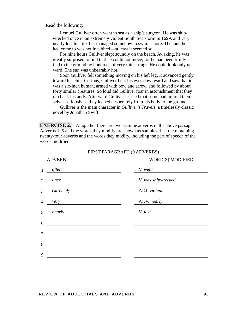Read the following:

Lemuel Gulliver often went to sea as a ship's surgeon. He was shipwrecked once in an extremely violent South Sea storm in 1699, and very nearly lost his life, but managed somehow to swim ashore. The land he had come to was not inhabited—at least it seemed so.

For nine hours Gulliver slept soundly on the beach. Awaking, he was greatly surprised to find that he could not move, for he had been firmly tied to the ground by hundreds of very thin strings. He could look only upward. The sun was unbearably hot.

Soon Gulliver felt something moving on his left leg. It advanced gently toward his chin. Curious, Gulliver bent his eyes downward and saw that it was a six-inch human, armed with bow and arrow, and followed by about forty similar creatures. So loud did Gulliver roar in astonishment that they ran back instantly. Afterward Gulliver learned that some had injured themselves seriously as they leaped desperately from his body to the ground.

Gulliver is the main character in *Gulliver's Travels*, a timelessly classic novel by Jonathan Swift.

**EXERCISE 2.** Altogether there are twenty-nine adverbs in the above passage. Adverbs 1–5 and the words they modify are shown as samples. List the remaining twenty-four adverbs and the words they modify, including the part of speech of the words modified.

|    | $\cdots$         | $\sim$ 0.00 $\mu$ m $\mu$ |
|----|------------------|---------------------------|
|    | $1.$ often       | V. went                   |
| 2. | once             | V. was shipwrecked        |
|    | 3. extremely     | ADJ. violent              |
| 4. | very             | ADV. nearly               |
|    | 5. <i>nearly</i> | V. lost                   |
| 6. |                  |                           |
| 7. |                  |                           |
| 8. |                  |                           |
| 9. |                  |                           |
|    |                  |                           |

### FIRST PARAGRAPH (9 ADVERBS)

ADVERB WORD(S) MODIFIED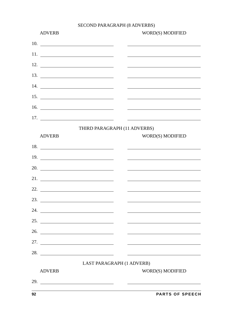# SECOND PARAGRAPH (8 ADVERBS)

| <b>ADVERB</b>                                                                                                                                                                                                                               | <b>WORD(S) MODIFIED</b>                                                                                               |
|---------------------------------------------------------------------------------------------------------------------------------------------------------------------------------------------------------------------------------------------|-----------------------------------------------------------------------------------------------------------------------|
| $10.$ $\qquad \qquad$                                                                                                                                                                                                                       |                                                                                                                       |
|                                                                                                                                                                                                                                             | <u> 1989 - Johann Barn, amerikansk politiker (d. 1989)</u>                                                            |
|                                                                                                                                                                                                                                             |                                                                                                                       |
|                                                                                                                                                                                                                                             |                                                                                                                       |
|                                                                                                                                                                                                                                             |                                                                                                                       |
|                                                                                                                                                                                                                                             | <u> 1980 - Johann Stein, marwolaethau a bhann an t-Amhair an t-Amhair an t-Amhair an t-Amhair an t-Amhair an t-A</u>  |
|                                                                                                                                                                                                                                             |                                                                                                                       |
|                                                                                                                                                                                                                                             |                                                                                                                       |
|                                                                                                                                                                                                                                             | THIRD PARAGRAPH (11 ADVERBS)                                                                                          |
| <b>ADVERB</b>                                                                                                                                                                                                                               | WORD(S) MODIFIED                                                                                                      |
|                                                                                                                                                                                                                                             | <u> 1989 - Johann Harry Harry Harry Harry Harry Harry Harry Harry Harry Harry Harry Harry Harry Harry Harry Harry</u> |
|                                                                                                                                                                                                                                             |                                                                                                                       |
|                                                                                                                                                                                                                                             | <u> 1989 - Johann Stein, marwolaethau a bhann an t-Amhain an t-Amhain an t-Amhain an t-Amhain an t-Amhain an t-A</u>  |
|                                                                                                                                                                                                                                             | <u> 1989 - Andrea Stadt Britain, amerikansk politik (* 1958)</u>                                                      |
|                                                                                                                                                                                                                                             | <u> 1989 - Johann Stein, marwolaethau a bhann an t-Amhain an t-Amhain an t-Amhain an t-Amhain an t-Amhain an t-A</u>  |
| 23.<br><u>and the state of the state of the state of the state of the state of the state of the state of the state of the state of the state of the state of the state of the state of the state of the state of the state of the state</u> |                                                                                                                       |
| 24.<br><u> 2000 - Andrea Andrew Maria (h. 18</u>                                                                                                                                                                                            |                                                                                                                       |
| 25.<br><u> 1989 - Johann Barnett, fransk politiker (d. 1989)</u>                                                                                                                                                                            |                                                                                                                       |
| 26.<br><u> 1980 - Johann Stone, mars et al. (</u>                                                                                                                                                                                           | <u> 1989 - Johann Barbara, martxa eta batarra (h. 1989).</u>                                                          |
| 27.<br><u> 1989 - Johann Stone, mars et al. (</u>                                                                                                                                                                                           |                                                                                                                       |
| 28.<br><u> Alexandria de la contrada de la contrada de la contrada de la contrada de la contrada de la contrada de la c</u>                                                                                                                 | <u> 1989 - Andrea Stadt Britain, amerikansk politik (d. 1989)</u>                                                     |
|                                                                                                                                                                                                                                             | LAST PARAGRAPH (1 ADVERB)                                                                                             |
|                                                                                                                                                                                                                                             |                                                                                                                       |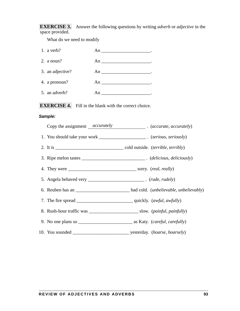**EXERCISE 3.** Answer the following questions by writing *adverb* or *adjective* in the space provided.

What do we need to modify

| 1. a verb?                                                                       |  |                                                                                   |
|----------------------------------------------------------------------------------|--|-----------------------------------------------------------------------------------|
| 2. a noun?                                                                       |  |                                                                                   |
| 3. an adjective?                                                                 |  |                                                                                   |
| 4. a pronoun?                                                                    |  |                                                                                   |
| 5. an adverb?                                                                    |  |                                                                                   |
| <b>EXERCISE 4.</b> Fill in the blank with the correct choice.                    |  |                                                                                   |
| Sample:                                                                          |  |                                                                                   |
| Copy the assignment <u>accurately</u> (accurate, accurately)                     |  |                                                                                   |
| 1. You should take your work _________________________. (serious, seriously)     |  |                                                                                   |
|                                                                                  |  |                                                                                   |
| 3. Ripe melon tastes _________________________________. (delicious, deliciously) |  |                                                                                   |
|                                                                                  |  |                                                                                   |
| 5. Angela behaved very _________________________________. (rude, rudely)         |  |                                                                                   |
|                                                                                  |  | 6. Reuben has an __________________________bad cold. (unbelievable, unbelievably) |
|                                                                                  |  |                                                                                   |
|                                                                                  |  |                                                                                   |
|                                                                                  |  |                                                                                   |
|                                                                                  |  |                                                                                   |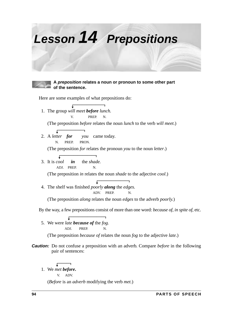# **Lesson 14 Prepositions**



# **A preposition relates a noun or pronoun to some other part of the sentence.**

Here are some examples of what prepositions do:

 $\sqrt{ }$ 1. The group *will meet before lunch.* V. PREP. N.

(The preposition *before* relates the noun *lunch* to the verb *will meet*.)

$$
\overbrace{\hspace{4.5cm}}
$$

2. A *letter for you* came today. N. PREP. PRON.

(The preposition *for* relates the pronoun *you* to the noun *letter*.)

 $\sqrt{ }$ 3. It is *cool in* the *shade.* ADJ. PREP. N.

(The preposition *in* relates the noun *shade* to the adjective *cool*.)

 $\sqrt{ }$ 4. The shelf was finished *poorly along* the *edges.* ADV. PREP. N.

(The preposition *along* relates the noun *edges* to the adverb *poorly.*)

By the way, a few prepositions consist of more than one word: *because of*, *in spite of*, etc.

 $\sqrt{ }$ 5. We were *late because of* the *fog.* ADJ. PREP. N.

(The preposition *because of* relates the noun *fog* to the adjective *late*.)

**Caution:** Do not confuse a preposition with an adverb. Compare *before* in the following pair of sentences:

 $\sqrt{ }$ 1. We *met before***.**

V. ADV.

(*Before* is an *adverb* modifying the verb *met.*)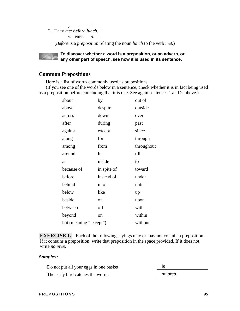$\sqrt{ }$ 2. They *met before lunch*.

V. PREP. N.

(*Before* is a *preposition* relating the noun *lunch* to the verb *met.*)

**To discover whether a word is a preposition, or an adverb, or any other part of speech, see how it is used in its sentence.**

# **Common Prepositions**

Here is a list of words commonly used as prepositions.

(If you see one of the words below in a sentence, check whether it is in fact being used as a preposition before concluding that it is one. See again sentences 1 and 2, above.)

| about                  | by          | out of     |
|------------------------|-------------|------------|
| above                  | despite     | outside    |
| across                 | down        | over       |
| after                  | during      | past       |
| against                | except      | since      |
| along                  | for         | through    |
| among                  | from        | throughout |
| around                 | in          | till       |
| at                     | inside      | to         |
| because of             | in spite of | toward     |
| before                 | instead of  | under      |
| behind                 | into        | until      |
| below                  | like        | up         |
| beside                 | οf          | upon       |
| between                | off         | with       |
| beyond                 | on          | within     |
| but (meaning "except") |             | without    |

**EXERCISE 1.** Each of the following sayings may or may not contain a preposition. If it contains a preposition, write that preposition in the space provided. If it does not, write *no prep.*

| Do not put all your eggs in one basket. | ın       |
|-----------------------------------------|----------|
| The early bird catches the worm.        | no prep. |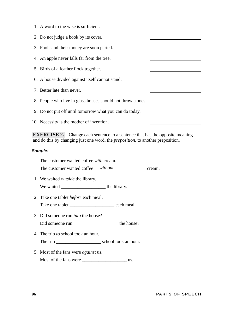| 1. A word to the wise is sufficient.                        |  |
|-------------------------------------------------------------|--|
| 2. Do not judge a book by its cover.                        |  |
| 3. Fools and their money are soon parted.                   |  |
| 4. An apple never falls far from the tree.                  |  |
| 5. Birds of a feather flock together.                       |  |
| 6. A house divided against itself cannot stand.             |  |
| 7. Better late than never.                                  |  |
| 8. People who live in glass houses should not throw stones. |  |
| 9. Do not put off until tomorrow what you can do today.     |  |
| 10. Necessity is the mother of invention.                   |  |

**EXERCISE 2.** Change each sentence to a sentence that has the opposite meaning and do this by changing just one word, the *preposition*, to another preposition.

# **Sample:**

The customer wanted coffee *with* cream.

The customer wanted coffee *without* cream.

- 1. We waited *outside* the library. We waited \_\_\_\_\_\_\_\_\_\_\_\_\_\_\_\_\_\_\_ the library.
- 2. Take one tablet *before* each meal. Take one tablet \_\_\_\_\_\_\_\_\_\_\_\_\_\_\_\_\_\_\_\_\_\_\_\_ each meal.
- 3. Did someone run *into* the house? Did someone run \_\_\_\_\_\_\_\_\_\_\_\_\_\_\_\_\_\_\_ the house?
- 4. The trip *to* school took an hour. The trip \_\_\_\_\_\_\_\_\_\_\_\_\_\_\_\_\_\_\_ school took an hour.
- 5. Most of the fans were *against* us. Most of the fans were \_\_\_\_\_\_\_\_\_\_\_\_\_\_\_\_\_\_\_ us.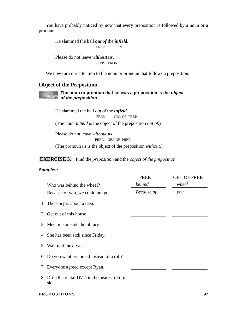You have probably noticed by now that every preposition is followed by a noun or a pronoun.

He slammed the ball *out of* the *infield***.** PREP. N.

Please do not leave *without us***.** PREP. PRON.

We now turn our attention to the noun or pronoun that follows a preposition.

# **Object of the Preposition**

**The noun or pronoun that follows a preposition is the object of the preposition.**

He slammed the ball *out of* the *infield***.** PREP. OBJ. OF PREP. (The noun *infield* is the object of the preposition *out of*.) Please do not leave *without us***.** PREP. OBJ. OF PREP.

(The pronoun *us* is the object of the preposition *without*.)

**EXERCISE 3.** Find the *preposition* and the *object of the preposition*.

|                                                       | PREP.             | <b>OBJ. OF PREP.</b> |
|-------------------------------------------------------|-------------------|----------------------|
| Who was behind the wheel?                             | behind            | wheel                |
| Because of you, we could not go.                      | <b>Because</b> of | $\mathcal{V}$        |
| 1. The story is about a teen.                         |                   |                      |
| 2. Get out of this house!                             |                   |                      |
| 3. Meet me outside the library.                       |                   |                      |
| 4. She has been sick since Friday.                    |                   |                      |
| 5. Wait until next week.                              |                   |                      |
| 6. Do you want rye bread instead of a roll?           |                   |                      |
| 7. Everyone agreed except Ryan.                       |                   |                      |
| 8. Drop the rental DVD in the nearest return<br>slot. |                   |                      |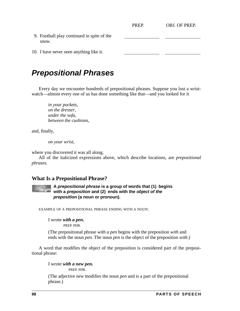|                                            | PREP. | OBJ. OF PREP. |
|--------------------------------------------|-------|---------------|
| 9. Football play continued in spite of the |       |               |
| snow.                                      |       |               |
| 10. I have never seen anything like it.    |       |               |

# **Prepositional Phrases**

Every day we encounter hundreds of prepositional phrases. Suppose you lost a wristwatch—almost every one of us has done something like that—and you looked for it

*in your pockets*, *on the dresser*, *under the sofa*, *between the cushions*,

and, finally,

*on your wrist,*

where you discovered it was all along.

All of the italicized expressions above, which describe locations, are *prepositional phrases.*

# **What Is a Prepositional Phrase?**

# **A prepositional phrase is a group of words that (1) begins with a preposition and (2) ends with the object of the preposition (a noun or pronoun).**

EXAMPLE OF A PREPOSITIONAL PHRASE ENDING WITH A NOUN:

I wrote *with a pen***.**

PREP. PHR.

(The prepositional phrase *with a pen* begins with the preposition *with* and ends with the noun *pen*. The noun *pen* is the object of the preposition *with*.)

A word that modifies the object of the preposition is considered part of the prepositional phrase:

I wrote *with a new pen.* PREP. PHR.

(The adjective *new* modifies the noun *pen* and is a part of the prepositional phrase.)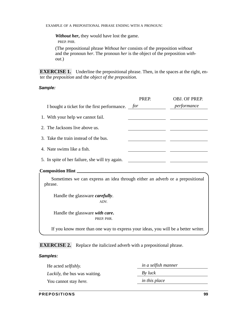*Without her***,** they would have lost the game. PREP. PHR.

(The prepositional phrase *Without her* consists of the preposition *without* and the pronoun *her*. The pronoun *her* is the object of the preposition *without*.)

**EXERCISE 1.** Underline the prepositional phrase. Then, in the spaces at the right, enter the *preposition* and the *object of the preposition.*

# **Sample:**

|                                                                                         | PREP. | OBJ. OF PREP. |
|-----------------------------------------------------------------------------------------|-------|---------------|
| I bought a ticket for the first performance. for                                        |       | performance   |
| 1. With your help we cannot fail.                                                       |       |               |
| 2. The Jacksons live above us.                                                          |       |               |
| 3. Take the train instead of the bus.                                                   |       |               |
| 4. Nate swims like a fish.                                                              |       |               |
| 5. In spite of her failure, she will try again.                                         |       |               |
|                                                                                         |       |               |
| Sometimes we can express an idea through either an adverb or a prepositional<br>phrase. |       |               |
| Handle the glassware <i>carefully</i> .                                                 |       |               |
| ADV.                                                                                    |       |               |
| Handle the glassware with care.                                                         |       |               |
| PREP. PHR.                                                                              |       |               |
| If you know more than one way to express your ideas, you will be a better writer.       |       |               |

**EXERCISE 2.** Replace the italicized adverb with a prepositional phrase.

| He acted <i>selfishly</i> .           | <i>in a selfish manner</i> |
|---------------------------------------|----------------------------|
| <i>Luckily</i> , the bus was waiting. | By luck                    |
| You cannot stay <i>here</i> .         | <i>in this place</i>       |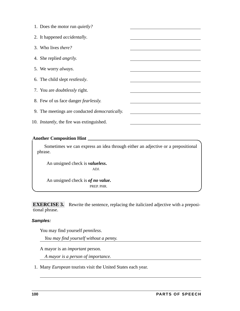| 1. Does the motor run <i>quietly?</i>                 |  |
|-------------------------------------------------------|--|
| 2. It happened <i>accidentally</i> .                  |  |
| 3. Who lives <i>there?</i>                            |  |
| 4. She replied <i>angrily</i> .                       |  |
| 5. We worry <i>always</i> .                           |  |
| 6. The child slept <i>restlessly</i> .                |  |
| 7. You are <i>doubtlessly</i> right.                  |  |
| 8. Few of us face danger <i>fearlessly</i> .          |  |
| 9. The meetings are conducted <i>democratically</i> . |  |
| 10. <i>Instantly</i> , the fire was extinguished.     |  |

# **Another Composition Hint**

Sometimes we can express an idea through either an adjective or a prepositional phrase.

An unsigned check is *valueless***.** ADJ.

An unsigned check is *of no value***.** PREP. PHR.

**EXERCISE 3.** Rewrite the sentence, replacing the italicized adjective with a prepositional phrase.

# **Samples:**

You may find yourself *penniless*.

*You may find yourself without a penny.*

A mayor is an *important* person.

*A mayor is a person of importance.*

1. Many *European* tourists visit the United States each year.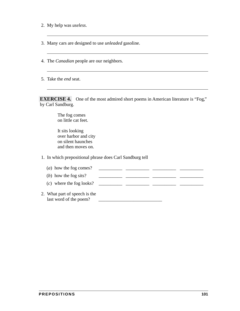- 2. My help was *useless*.
- 3. Many cars are designed to use *unleaded* gasoline.
- 4. The *Canadian* people are our neighbors.
- 5. Take the *end* seat.

**EXERCISE 4.** One of the most admired short poems in American literature is "Fog," by Carl Sandburg.

> The fog comes on little cat feet.

It sits looking over harbor and city on silent haunches and then moves on.

1. In which prepositional phrase does Carl Sandburg tell

| (a) how the fog comes?                                  |  |  |
|---------------------------------------------------------|--|--|
| (b) how the fog sits?                                   |  |  |
| $(c)$ where the fog looks?                              |  |  |
| 2. What part of speech is the<br>last word of the poem? |  |  |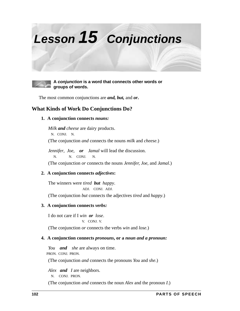# **Lesson 15 Conjunctions**



**A conjunction is a word that connects other words or groups of words.**

The most common conjunctions are *and, but,* and *or***.**

# **What Kinds of Work Do Conjunctions Do?**

# **1. A conjunction connects** *nouns:*

*Milk and cheese* are dairy products. N. CONJ. N. (The conjunction *and* connects the nouns *milk* and *cheese*.)

*Jennifer*, *Joe*, *or Jamal* will lead the discussion. N. N. CONJ. N.

(The conjunction *or* connects the nouns *Jennifer, Joe,* and *Jamal*.)

# **2. A conjunction connects** *adjectives***:**

The winners were *tired but happy*. ADJ. CONJ. ADJ.

(The conjunction *but* connects the adjectives *tired* and *happy*.)

# **3. A conjunction connects** *verbs:*

I do not care if I *win or lose*. V. CONJ. V.

(The conjunction *or* connects the verbs *win* and *lose*.)

# **4. A conjunction connects** *pronouns***, or a** *noun and a pronoun:*

*You and she* are always on time. PRON. CONJ. PRON. (The conjunction *and* connects the pronouns *You* and *she*.)

*Alex and I* are neighbors.

N. CONJ. PRON.

(The conjunction *and* connects the noun *Alex* and the pronoun *I*.)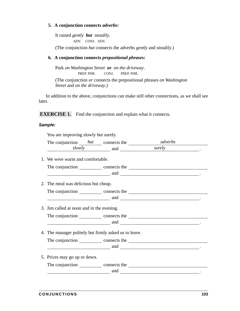### **5. A conjunction connects** *adverbs:*

It rained *gently but steadily*. ADV. CONJ. ADV.

(The conjunction *but* connects the adverbs *gently* and *steadily*.)

#### **6. A conjunction connects** *prepositional phrases:*

Park *on Washington Street or on the driveway*. PREP. PHR. CONJ. PREP. PHR.

(The conjunction *or* connects the prepositional phrases *on Washington Street* and *on the driveway*.)

In addition to the above, conjunctions can make still other connections, as we shall see later.

**EXERCISE 1.** Find the conjunction and explain what it connects.

#### **Sample:**

You are improving slowly but surely.

| The conjunction | but | connects the | adverbs |  |
|-----------------|-----|--------------|---------|--|
| slowly          |     | and          | surely  |  |

1. We were warm and comfortable.

The conjunction connects the connects the connects the connects the connects the connects the connects the connects of  $\sim$ and <u>and</u>

2. The meal was delicious but cheap.

The conjunction connects the connects the connects the connects the connects the connects the connects of  $\sim$ and <u>and</u> .

3. Jim called at noon and in the evening.

The conjunction connects the connects of connects of connects the connects of connects of connects of connects of connects of connects of connects of connects of connects of connects of connects of connects of connects of and .

4. The manager politely but firmly asked us to leave.

The conjunction connects the

and <u>and</u> **and** <u>and</u> **.** 

5. Prices may go up or down.

The conjunction connects the and  $\overline{\phantom{a}}$  and  $\overline{\phantom{a}}$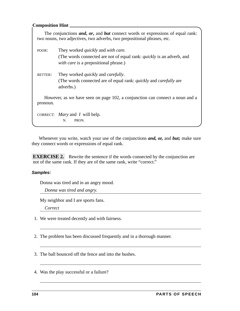#### **Composition Hint**

| The conjunctions <i>and, or,</i> and <i>but</i> connect words or expressions of equal rank:<br>two nouns, two adjectives, two adverbs, two prepositional phrases, etc. |                                                                                                                                                                            |  |
|------------------------------------------------------------------------------------------------------------------------------------------------------------------------|----------------------------------------------------------------------------------------------------------------------------------------------------------------------------|--|
| POOR:                                                                                                                                                                  | They worked <i>quickly</i> and <i>with care</i> .<br>(The words connected are not of equal rank: <i>quickly</i> is an adverb, and<br>with care is a prepositional phrase.) |  |
| <b>BETTER:</b>                                                                                                                                                         | They worked <i>quickly</i> and <i>carefully</i> .<br>(The words connected are of equal rank: <i>quickly</i> and <i>carefully</i> are<br>adverbs.)                          |  |
| However, as we have seen on page 102, a conjunction can connect a noun and a<br>pronoun.                                                                               |                                                                                                                                                                            |  |
|                                                                                                                                                                        | CORRECT: <i>Mary</i> and <i>I</i> will help.<br>N.<br>PRON.                                                                                                                |  |

Whenever you write, watch your use of the conjunctions *and, or,* and *but;* make sure they connect words or expressions of equal rank.

**EXERCISE 2.** Rewrite the sentence if the words connected by the conjunction are not of the same rank. If they are of the same rank, write "correct."

#### **Samples:**

Donna was tired and in an angry mood.

*Donna was tired and angry.*

My neighbor and I are sports fans.

*Correct*

1. We were treated decently and with fairness.

2. The problem has been discussed frequently and in a thorough manner.

3. The ball bounced off the fence and into the bushes.

4. Was the play successful or a failure?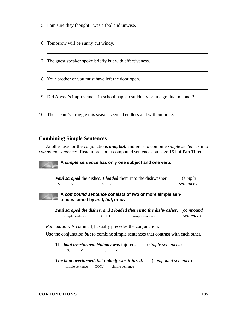- 5. I am sure they thought I was a fool and unwise.
- 6. Tomorrow will be sunny but windy.
- 7. The guest speaker spoke briefly but with effectiveness.
- 8. Your brother or you must have left the door open.
- 9. Did Alyssa's improvement in school happen suddenly or in a gradual manner?
- 10. Their team's struggle this season seemed endless and without hope.

# **Combining Simple Sentences**

Another use for the conjunctions *and***,** *but***,** and *or* is to combine *simple sentences* into *compound sentences*. Read more about compound sentences on page 151 of Part Three.

**A simple sentence has only one subject and one verb.**

*Paul scraped* the dishes. *I loaded* them into the dishwasher. (*simple*  S. V. S. V. *sentences*)



**A compound sentence consists of two or more simple sentences joined by and, but, or or.**

*Paul scraped the dishes*, *and I loaded them into the dishwasher***.** (*compound*  simple sentence CONJ. Simple sentence *sentence* **sentence sentence** 

*Punctuation:* A comma [,] usually precedes the conjunction.

Use the conjunction *but* to combine simple sentences that contrast with each other.

The *boat overturned***.** *Nobody was* injured**.** (*simple sentences*) S. V. S. V.

*The boat overturned***,** *but nobody was injured.* (*compound sentence*) simple sentence CONJ. simple sentence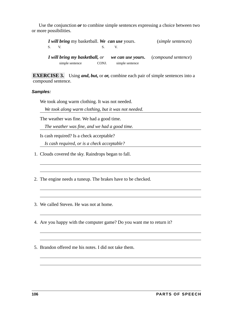Use the conjunction *or* to combine simple sentences expressing a choice between two or more possibilities.

*I will bring* my basketball. *We can use* yours. (*simple sentences*) S. V. S. V. *I will bring my basketball, or we can use yours***.** (*compound sentence*) simple sentence CONJ. simple sentence

**EXERCISE 3.** Using *and***,** *but***,** or *or,* combine each pair of simple sentences into a compound sentence.

# **Samples:**

We took along warm clothing. It was not needed.

*We took along warm clothing, but it was not needed.*

The weather was fine. We had a good time.

*The weather was fine, and we had a good time.*

Is cash required? Is a check acceptable?

*Is cash required, or is a check acceptable?*

- 1. Clouds covered the sky. Raindrops began to fall.
- 2. The engine needs a tuneup. The brakes have to be checked.

3. We called Steven. He was not at home.

4. Are you happy with the computer game? Do you want me to return it?

5. Brandon offered me his notes. I did not take them.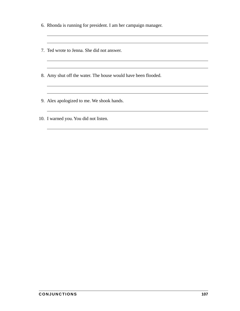- 6. Rhonda is running for president. I am her campaign manager.
- 7. Ted wrote to Jenna. She did not answer.
- 8. Amy shut off the water. The house would have been flooded.

<u> 1989 - Johann Stoff, fransk politik (f. 1989)</u>

<u> 1989 - Johann Stoff, amerikansk politiker (d. 1989)</u>

<u> 1989 - Johann Stoff, amerikansk politiker (d. 1989)</u>

<u> 1989 - Andrea Stadt Britain, amerikansk politik (d. 1989)</u>

- 9. Alex apologized to me. We shook hands.
- 10. I warned you. You did not listen.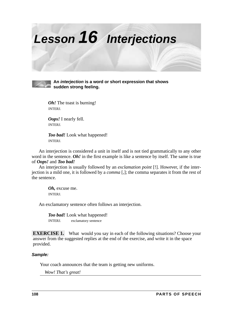# **Lesson 16 Interjections**



**An interjection is a word or short expression that shows sudden strong feeling.**

*Oh!* The toast is burning! INTERJ.

*Oops!* I nearly fell. INTERJ.

*Too bad!* Look what happened! INTERJ.

An interjection is considered a unit in itself and is not tied grammatically to any other word in the sentence. *Oh!* in the first example is like a sentence by itself. The same is true of *Oops!* and *Too bad!*

An interjection is usually followed by an *exclamation point* [!]. However, if the interjection is a mild one, it is followed by a *comma* [,]; the comma separates it from the rest of the sentence.

*Oh,* excuse me. INTERJ.

An exclamatory sentence often follows an interjection.

*Too bad!* Look what happened! INTERJ. exclamatory sentence

**EXERCISE 1.** What would you say in each of the following situations? Choose your answer from the suggested replies at the end of the exercise, and write it in the space provided.

#### **Sample:**

Your coach announces that the team is getting new uniforms.

*Wow! That's great!*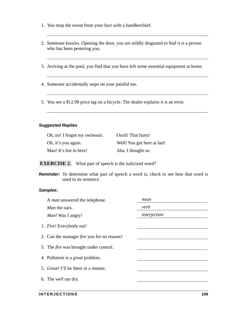- 1. You mop the sweat from your face with a handkerchief.
- 2. Someone knocks. Opening the door, you are mildly disgusted to find it is a person who has been pestering you.
- 3. Arriving at the pool, you find that you have left some essential equipment at home.
- 4. Someone accidentally steps on your painful toe.
- 5. You see a \$12.99 price tag on a bicycle. The dealer explains it is an error.

#### **Suggested Replies**

| Oh, no! I forgot my swimsuit. | Ouch! That hurts!           |
|-------------------------------|-----------------------------|
| Oh, it's you again.           | Well! You got here at last! |
| Man! It's hot in here!        | Aha, I thought so.          |

# **EXERCISE 2.** What part of speech is the italicized word?

**Reminder:** To determine what part of speech a word is, check to see how that word is used in its sentence.

### **Samples:**

| A <i>man</i> answered the telephone.              | noun         |
|---------------------------------------------------|--------------|
| Man the oars.                                     | verb         |
| <i>Man!</i> Was I angry!                          | interjection |
| 1. Fire! Everybody out!                           |              |
| 2. Can the manager <i>fire</i> you for no reason? |              |
| 3. The <i>fire</i> was brought under control.     |              |
| 4. Pollution is a <i>great</i> problem.           |              |
| 5. Great! I'll be there in a minute.              |              |
| 6. The <i>well</i> ran dry.                       |              |
|                                                   |              |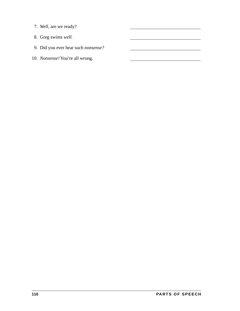- 7. *Well*, are we ready?
- 8. Greg swims *well.*
- 9. Did you ever hear such *nonsense?*
- 10. *Nonsense!* You're all wrong.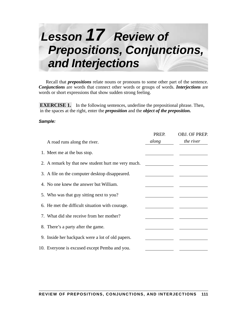# **Lesson 17 Review of Prepositions, Conjunctions, and Interjections**

Recall that *prepositions* relate nouns or pronouns to some other part of the sentence. *Conjunctions* are words that connect other words or groups of words. *Interjections* are words or short expressions that show sudden strong feeling.

**EXERCISE 1.** In the following sentences, underline the prepositional phrase. Then, in the spaces at the right, enter the *preposition* and the *object of the preposition.*

#### **Sample:**

|                                                    | PREP. | OBJ. OF PREP.                                       |
|----------------------------------------------------|-------|-----------------------------------------------------|
| A road runs along the river.                       | along | the river                                           |
| 1. Meet me at the bus stop.                        |       |                                                     |
| 2. A remark by that new student hurt me very much. |       | <u> 1980 - Jan James James Barbara, president e</u> |
| 3. A file on the computer desktop disappeared.     |       |                                                     |
| 4. No one knew the answer but William.             |       |                                                     |
| 5. Who was that guy sitting next to you?           |       |                                                     |
| 6. He met the difficult situation with courage.    |       |                                                     |
| 7. What did she receive from her mother?           |       |                                                     |
| 8. There's a party after the game.                 |       |                                                     |
| 9. Inside her backpack were a lot of old papers.   |       |                                                     |
| 10. Everyone is excused except Pemba and you.      |       |                                                     |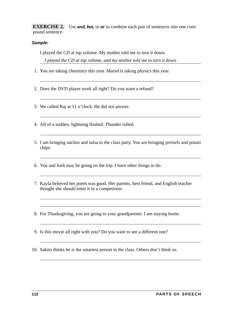**EXERCISE 2.** Use *and, but,* or *or* to combine each pair of sentences into one compound sentence.

#### **Sample:**

I played the CD at top volume. My mother told me to turn it down.

*I played the CD at top volume, and my mother told me to turn it down.*

- 1. You are taking chemistry this year. Mariel is taking physics this year.
- 2. Does the DVD player work all right? Do you want a refund?
- 3. We called Raj at 11 o'clock. He did not answer.
- 4. All of a sudden, lightning flashed. Thunder rolled.
- 5. I am bringing nachos and salsa to the class party. You are bringing pretzels and potato chips.
- 6. You and Josh may be going on the trip. I have other things to do.
- 7. Kayla believed her poem was good. Her parents, best friend, and English teacher thought she should enter it in a competition.
- 8. For Thanksgiving, you are going to your grandparents. I am staying home.
- 9. Is this movie all right with you? Do you want to see a different one?
- 10. Sakito thinks he is the smartest person in the class. Others don't think so.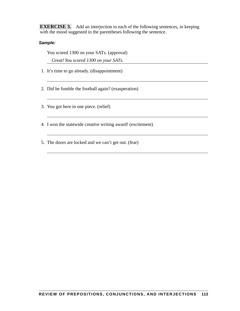**EXERCISE 3.** Add an interjection to each of the following sentences, in keeping with the mood suggested in the parentheses following the sentence.

#### **Sample:**

You scored 1300 on your SATs. (approval)

*Great! You scored 1300 on your SATs.*

- 1. It's time to go already. (disappointment)
- 2. Did he fumble the football again? (exasperation)

3. You got here in one piece. (relief)

- 4. I won the statewide creative writing award! (excitement)
- 5. The doors are locked and we can't get out. (fear)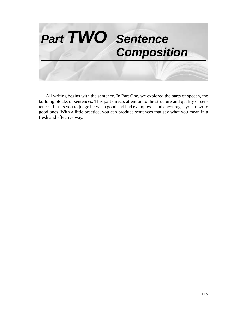

All writing begins with the sentence. In Part One, we explored the parts of speech, the building blocks of sentences. This part directs attention to the structure and quality of sentences. It asks you to judge between good and bad examples—and encourages you to write good ones. With a little practice, you can produce sentences that say what you mean in a fresh and effective way.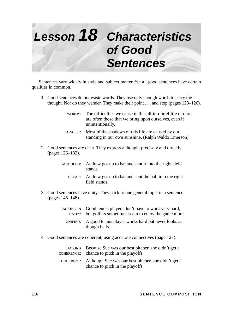# **Lesson 18 Characteristics of Good Sentences**

Sentences vary widely in style and subject matter. Yet all good sentences have certain qualities in common.

- 1. Good sentences do not waste words. They use only enough words to carry the thought. Nor do they wander. They make their point . . . and stop (pages 123–126).
	- WORDY: The difficulties we cause in this all-too-brief life of ours are often those that we bring upon ourselves, even if unintentionally.
	- CONCISE: Most of the shadows of this life are caused by our standing in our own sunshine. (Ralph Waldo Emerson)
- 2*.* Good sentences are clear. They express a thought precisely and directly (pages 126–132).
	- MUDDLED: Andrew got up to bat and sent it into the right-field stands.
		- CLEAR: Andrew got up to bat and sent the ball into the rightfield stands.
- 3*.* Good sentences have unity. They stick to one general topic in a sentence (pages 145–148).

| LACKING IN Good tennis players don't have to work very hard,<br>UNITY: but golfers sometimes seem to enjoy the game more. |
|---------------------------------------------------------------------------------------------------------------------------|
| UNIFIED: A good tennis player works hard but never looks as<br>though he is.                                              |

4*.* Good sentences are coherent, using accurate connectives (page 127).

| LACKING Because Sue was our best pitcher, she didn't get a<br>COHERENCE: chance to pitch in the playoffs. |
|-----------------------------------------------------------------------------------------------------------|
| COHERENT: Although Sue was our best pitcher, she didn't get a<br>chance to pitch in the playoffs.         |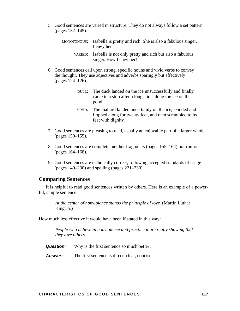- 5*.* Good sentences are varied in structure. They do not always follow a set pattern (pages 132–145).
	- MONOTONOUS: Isabella is pretty and rich. She is also a fabulous singer. I envy her. VARIED: Isabella is not only pretty and rich but also a fabulous singer. How I envy her!
- 6*.* Good sentences call upon strong, specific nouns and vivid verbs to convey the thought. They use adjectives and adverbs sparingly but effectively (pages 124–126).
	- DULL: The duck landed on the ice unsuccessfully and finally came to a stop after a long slide along the ice on the pond.
	- VIVID: The mallard landed uncertainly on the ice, skidded and flopped along for twenty feet, and then scrambled to its feet with dignity.
- 7*.* Good sentences are pleasing to read, usually an enjoyable part of a larger whole (pages 150–155).
- 8*.* Good sentences are complete, neither fragments (pages 155–164) nor run-ons (pages 164–168).
- 9*.* Good sentences are technically correct, following accepted standards of usage (pages 149–230) and spelling (pages 221–230).

# **Comparing Sentences**

It is helpful to read good sentences written by others. Here is an example of a powerful, simple sentence:

*At the center of nonviolence stands the principle of love.* (Martin Luther King, Jr.)

How much less effective it would have been if stated in this way:

*People who believe in nonviolence and practice it are really showing that they love others.*

**Question:** Why is the first sentence so much better?

**Answer:** The first sentence is direct, clear, concise.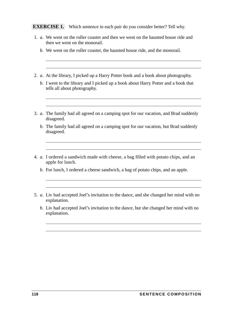# **EXERCISE 1.** Which sentence in each pair do you consider better? Tell why.

- 1. *a*. We went on the roller coaster and then we went on the haunted house ride and then we went on the monorail.
	- *b*. We went on the roller coaster, the haunted house ride, and the monorail.
- 2. *a*. At the library, I picked up a Harry Potter book and a book about photography.
	- *b*. I went to the library and I picked up a book about Harry Potter and a book that tells all about photography.
- 3. *a*. The family had all agreed on a camping spot for our vacation, and Brad suddenly disagreed.
	- *b*. The family had all agreed on a camping spot for our vacation, but Brad suddenly disagreed.

and the control of the control of the control of the control of the control of the control of the control of the

- 4. *a*. I ordered a sandwich made with cheese, a bag filled with potato chips, and an apple for lunch.
	- *b*. For lunch, I ordered a cheese sandwich, a bag of potato chips, and an apple.
- 5. *a*. Liv had accepted Joel's invitation to the dance, and she changed her mind with no explanation.
	- *b*. Liv had accepted Joel's invitation to the dance, but she changed her mind with no explanation.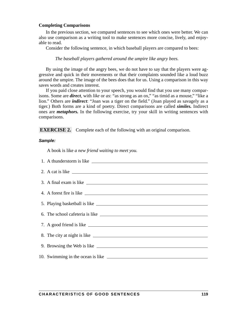#### **Completing Comparisons**

In the previous section, we compared sentences to see which ones were better. We can also use comparison as a writing tool to make sentences more concise, lively, and enjoyable to read.

Consider the following sentence, in which baseball players are compared to bees:

#### *The baseball players gathered around the umpire like angry bees.*

By using the image of the angry bees, we do not have to say that the players were aggressive and quick in their movements or that their complaints sounded like a loud buzz around the umpire. The image of the bees does that for us. Using a comparison in this way saves words and creates interest.

If you paid close attention to your speech, you would find that you use many comparisons. Some are *direct*, with *like* or *as*: "as strong as an ox," "as timid as a mouse," "like a lion." Others are *indirect*: "Joan was a tiger on the field." (Joan played as savagely as a tiger.) Both forms are a kind of poetry. Direct comparisons are called *similes.* Indirect ones are *metaphors.* In the following exercise, try your skill in writing sentences with comparisons.

**EXERCISE 2.** Complete each of the following with an original comparison.

#### **Sample:**

A book is like *a new friend waiting to meet you.*

| 2. A cat is like        |
|-------------------------|
| 3. A final exam is like |
|                         |
|                         |
|                         |
|                         |
|                         |
|                         |
|                         |
|                         |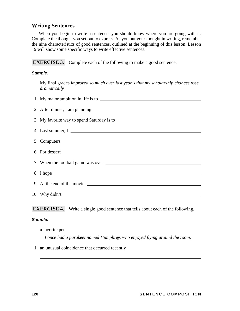# **Writing Sentences**

When you begin to write a sentence, you should know where you are going with it. Complete the thought you set out to express. As you put your thought in writing, remember the nine characteristics of good sentences, outlined at the beginning of this lesson. Lesson 19 will show some specific ways to write effective sentences.

**EXERCISE 3.** Complete each of the following to make a good sentence.

#### **Sample:**

My final grades *improved so much over last year's that my scholarship chances rose dramatically.*



**EXERCISE 4.** Write a single good sentence that tells about each of the following.

#### **Sample:**

#### a favorite pet

*I once had a parakeet named Humphrey, who enjoyed flying around the room.*

1. an unusual coincidence that occurred recently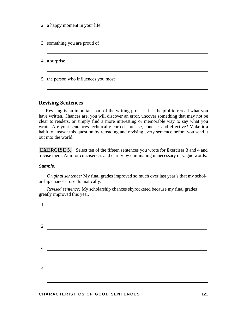- 2. a happy moment in your life
- 3. something you are proud of

4. a surprise

5. the person who influences you most

#### **Revising Sentences**

Revising is an important part of the writing process. It is helpful to reread what you have written. Chances are, you will discover an error, uncover something that may not be clear to readers, or simply find a more interesting or memorable way to say what you wrote. Are your sentences technically correct, precise, concise, and effective? Make it a habit to answer this question by rereading and revising every sentence before you send it out into the world.

**EXERCISE 5.** Select ten of the fifteen sentences you wrote for Exercises 3 and 4 and revise them. Aim for conciseness and clarity by eliminating unnecessary or vague words.

#### **Sample:**

*Original sentence:* My final grades improved so much over last year's that my scholarship chances rose dramatically.

*Revised sentence:* My scholarship chances skyrocketed because my final grades greatly improved this year.

| 1. |  |  |  |
|----|--|--|--|
|    |  |  |  |
| 2. |  |  |  |
|    |  |  |  |
| 3. |  |  |  |
|    |  |  |  |
| 4. |  |  |  |
|    |  |  |  |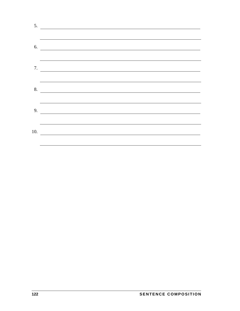| the control of the control of the control of the control of the control of the control of                             |
|-----------------------------------------------------------------------------------------------------------------------|
|                                                                                                                       |
|                                                                                                                       |
| <u> 1989 - Johann Harry Harry Harry Harry Harry Harry Harry Harry Harry Harry Harry Harry Harry Harry Harry Harry</u> |
|                                                                                                                       |
| <u> 1980 - Jan Barbara Barbara, maso a se</u>                                                                         |
|                                                                                                                       |
| 8.                                                                                                                    |
|                                                                                                                       |
|                                                                                                                       |
|                                                                                                                       |
|                                                                                                                       |
|                                                                                                                       |
|                                                                                                                       |
|                                                                                                                       |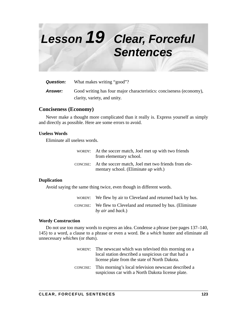# **Lesson 19 Clear, Forceful Sentences**

| <b>Question:</b>      | What makes writing "good"?                                                                          |
|-----------------------|-----------------------------------------------------------------------------------------------------|
| <i><b>Answer:</b></i> | Good writing has four major characteristics: conciseness (economy),<br>clarity, variety, and unity. |
|                       |                                                                                                     |

# **Conciseness (Economy)**

Never make a thought more complicated than it really is. Express yourself as simply and directly as possible. Here are some errors to avoid.

#### **Useless Words**

Eliminate all useless words.

| WORDY: At the soccer match, Joel met up with two friends<br>from elementary school.                  |  |
|------------------------------------------------------------------------------------------------------|--|
| CONCISE: At the soccer match, Joel met two friends from ele-<br>mentary school. (Eliminate up with.) |  |

#### **Duplication**

Avoid saying the same thing twice, even though in different words.

WORDY: We flew by air to Cleveland and returned back by bus. CONCISE: We flew to Cleveland and returned by bus. (Eliminate *by air* and *back*.)

#### **Wordy Construction**

Do not use too many words to express an idea. Condense a phrase (see pages 137–140, 145) to a word, a clause to a phrase or even a word. Be a *which* hunter and eliminate all unnecessary *which*es (or *that*s).

| WORDY: The newscast which was televised this morning on a                                                          |  |  |
|--------------------------------------------------------------------------------------------------------------------|--|--|
| local station described a suspicious car that had a                                                                |  |  |
| license plate from the state of North Dakota.                                                                      |  |  |
| CONCISE: This morning's local television newscast described a<br>suspicious car with a North Dakota license plate. |  |  |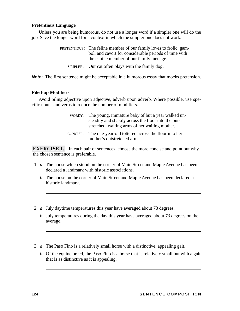#### **Pretentious Language**

Unless you are being humorous, do not use a longer word if a simpler one will do the job. Save the longer word for a context in which the simpler one does not work.

> PRETENTIOUS: The feline member of our family loves to frolic, gambol, and cavort for considerable periods of time with the canine member of our family menage. SIMPLER: Our cat often plays with the family dog.

**Note:** The first sentence might be acceptable in a humorous essay that mocks pretension.

#### **Piled-up Modifiers**

Avoid piling adjective upon adjective, adverb upon adverb. Where possible, use specific nouns and verbs to reduce the number of modifiers.

| WORDY: The young, immature baby of but a year walked un-                                    |
|---------------------------------------------------------------------------------------------|
| steadily and shakily across the floor into the out-                                         |
| stretched, waiting arms of her waiting mother.                                              |
| CONCISE: The one-year-old tottered across the floor into her<br>mother's outstretched arms. |

**EXERCISE 1.** In each pair of sentences, choose the more concise and point out why the chosen sentence is preferable.

- 1. *a*. The house which stood on the corner of Main Street and Maple Avenue has been declared a landmark with historic associations.
	- *b*. The house on the corner of Main Street and Maple Avenue has been declared a historic landmark.
- 2. *a*. July daytime temperatures this year have averaged about 73 degrees.
	- *b*. July temperatures during the day this year have averaged about 73 degrees on the average.
- 3. *a*. The Paso Fino is a relatively small horse with a distinctive, appealing gait.
	- *b*. Of the equine breed, the Paso Fino is a horse that is relatively small but with a gait that is as distinctive as it is appealing.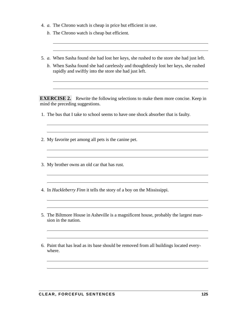- 4. *a*. The Chrono watch is cheap in price but efficient in use.
	- *b*. The Chrono watch is cheap but efficient.
- 5. *a*. When Sasha found she had lost her keys, she rushed to the store she had just left.
	- *b*. When Sasha found she had carelessly and thoughtlessly lost her keys, she rushed rapidly and swiftly into the store she had just left.

**EXERCISE 2.** Rewrite the following selections to make them more concise. Keep in mind the preceding suggestions.

- 1. The bus that I take to school seems to have one shock absorber that is faulty.
- 2. My favorite pet among all pets is the canine pet.
- 3. My brother owns an old car that has rust.
- 4. In *Huckleberry Finn* it tells the story of a boy on the Mississippi.
- 5. The Biltmore House in Asheville is a magnificent house, probably the largest mansion in the nation.

6. Paint that has lead as its base should be removed from all buildings located everywhere.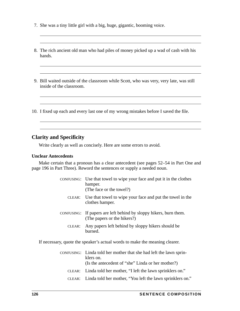- 7. She was a tiny little girl with a big, huge, gigantic, booming voice.
- 8. The rich ancient old man who had piles of money picked up a wad of cash with his hands.
- 9. Bill waited outside of the classroom while Scott, who was very, very late, was still inside of the classroom.
- 10. I fixed up each and every last one of my wrong mistakes before I saved the file.

# **Clarity and Specificity**

Write clearly as well as concisely. Here are some errors to avoid.

#### **Unclear Antecedents**

Make certain that a pronoun has a clear antecedent (see pages 52–54 in Part One and page 196 in Part Three). Reword the sentences or supply a needed noun.

|        | CONFUSING: Use that towel to wipe your face and put it in the clothes<br>hamper.<br>(The face or the towel?) |  |
|--------|--------------------------------------------------------------------------------------------------------------|--|
| CLEAR: | Use that towel to wipe your face and put the towel in the<br>clothes hamper.                                 |  |
|        | CONFUSING: If papers are left behind by sloppy hikers, burn them.<br>(The papers or the hikers?)             |  |
| CLEAR: | Any papers left behind by sloppy hikers should be<br>burned.                                                 |  |

If necessary, quote the speaker's actual words to make the meaning clearer.

| CONFUSING: Linda told her mother that she had left the lawn sprin-<br>klers on.<br>(Is the antecedent of "she" Linda or her mother?) |  |
|--------------------------------------------------------------------------------------------------------------------------------------|--|
| CLEAR: Linda told her mother, "I left the lawn sprinklers on."                                                                       |  |
| CLEAR: Linda told her mother, "You left the lawn sprinklers on."                                                                     |  |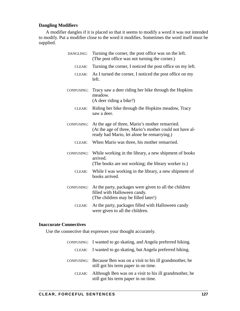# **Dangling Modifiers**

A modifier dangles if it is placed so that it seems to modify a word it was not intended to modify. Put a modifier close to the word it modifies. Sometimes the word itself must be supplied.

| DANGLING:         | Turning the corner, the post office was on the left.<br>(The post office was not turning the corner.)                                                   |  |
|-------------------|---------------------------------------------------------------------------------------------------------------------------------------------------------|--|
| CLEAR:            | Turning the corner, I noticed the post office on my left.                                                                                               |  |
| CLEAR:            | As I turned the corner, I noticed the post office on my<br>left.                                                                                        |  |
| <b>CONFUSING:</b> | Tracy saw a deer riding her bike through the Hopkins<br>meadow.<br>(A deer riding a bike?)                                                              |  |
| CLEAR:            | Riding her bike through the Hopkins meadow, Tracy<br>saw a deer.                                                                                        |  |
| <b>CONFUSING:</b> | At the age of three, Mario's mother remarried.<br>(At the age of three, Mario's mother could not have al-<br>ready had Mario, let alone be remarrying.) |  |
| CLEAR:            | When Mario was three, his mother remarried.                                                                                                             |  |
| <b>CONFUSING:</b> | While working in the library, a new shipment of books<br>arrived.<br>(The books are not working; the library worker is.)                                |  |
| CLEAR:            | While I was working in the library, a new shipment of<br>books arrived.                                                                                 |  |
| <b>CONFUSING:</b> | At the party, packages were given to all the children<br>filled with Halloween candy.<br>(The children may be filled later!)                            |  |
| CLEAR:            | At the party, packages filled with Halloween candy<br>were given to all the children.                                                                   |  |

#### **Inaccurate Connectives**

Use the connective that expresses your thought accurately.

| CONFUSING: I wanted to go skating, and Angela preferred hiking.                                          |  |  |
|----------------------------------------------------------------------------------------------------------|--|--|
| CLEAR: I wanted to go skating, but Angela preferred hiking.                                              |  |  |
| CONFUSING: Because Ben was on a visit to his ill grandmother, he<br>still got his term paper in on time. |  |  |
| CLEAR: Although Ben was on a visit to his ill grandmother, he<br>still got his term paper in on time.    |  |  |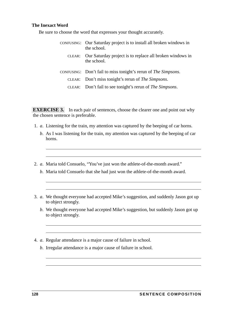#### **The Inexact Word**

Be sure to choose the word that expresses your thought accurately.

|                                                                                   | CONFUSING: Our Saturday project is to install all broken windows in<br>the school. |  |
|-----------------------------------------------------------------------------------|------------------------------------------------------------------------------------|--|
| Our Saturday project is to replace all broken windows in<br>CLEAR:<br>the school. |                                                                                    |  |
|                                                                                   | CONFUSING: Don't fail to miss tonight's rerun of The Simpsons.                     |  |
|                                                                                   | CLEAR: Don't miss tonight's rerun of The Simpsons.                                 |  |
|                                                                                   | CLEAR: Don't fail to see tonight's rerun of The Simpsons.                          |  |

**EXERCISE 3.** In each pair of sentences, choose the clearer one and point out why the chosen sentence is preferable.

- 1. *a*. Listening for the train, my attention was captured by the beeping of car horns.
	- *b*. As I was listening for the train, my attention was captured by the beeping of car horns.
- 2. *a*. Maria told Consuelo, "You've just won the athlete-of-the-month award."
	- *b*. Maria told Consuelo that she had just won the athlete-of-the-month award.
- 3. *a*. We thought everyone had accepted Mike's suggestion, and suddenly Jason got up to object strongly.
	- *b*. We thought everyone had accepted Mike's suggestion, but suddenly Jason got up to object strongly.
- 4. *a*. Regular attendance is a major cause of failure in school.
	- *b*. Irregular attendance is a major cause of failure in school.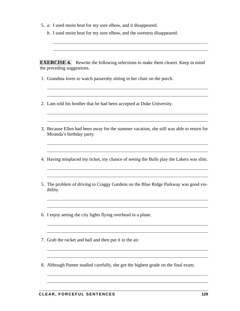|  |  |  |  | 5. <i>a</i> . I used moist heat for my sore elbow, and it disappeared. |  |
|--|--|--|--|------------------------------------------------------------------------|--|
|--|--|--|--|------------------------------------------------------------------------|--|

*b*. I used moist heat for my sore elbow, and the soreness disappeared.

**EXERCISE 4.** Rewrite the following selections to make them clearer. Keep in mind the preceding suggestions.

- 1. Grandma loves to watch passersby sitting in her chair on the porch.
- 2. Lam told his brother that he had been accepted at Duke University.
- 3. Because Ellen had been away for the summer vacation, she still was able to return for Miranda's birthday party.
- 4. Having misplaced my ticket, my chance of seeing the Bulls play the Lakers was slim.

<u> 1989 - Andrea Stadt Britain, amerikansk politiker (d. 1989)</u>

- 5. The problem of driving to Craggy Gardens on the Blue Ridge Parkway was good visibility.
- 6. I enjoy seeing the city lights flying overhead in a plane.
- 7. Grab the racket and ball and then put it in the air.
- 8. Although Pamee studied carefully, she got the highest grade on the final exam.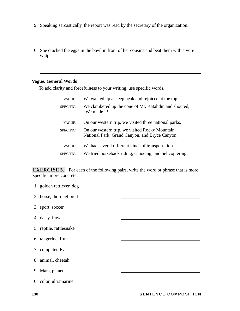- 9. Speaking sarcastically, the report was read by the secretary of the organization.
- 10. She cracked the eggs in the bowl in front of her cousins and beat them with a wire whip.

#### **Vague, General Words**

To add clarity and forcefulness to your writing, use specific words.

| VAGUE:           | We walked up a steep peak and rejoiced at the top.                                               |  |
|------------------|--------------------------------------------------------------------------------------------------|--|
| <b>SPECIFIC:</b> | We clambered up the cone of Mt. Katahdin and shouted,<br>"We made it!"                           |  |
| VAGUE:           | On our western trip, we visited three national parks.                                            |  |
| <b>SPECIFIC:</b> | On our western trip, we visited Rocky Mountain<br>National Park, Grand Canyon, and Bryce Canyon. |  |
| VAGUE:           | We had several different kinds of transportation.                                                |  |
| SPECIFIC:        | We tried horseback riding, canoeing, and helicoptering.                                          |  |

**EXERCISE 5.** For each of the following pairs, write the word or phrase that is more specific, more concrete.

| 1. golden retriever, dog |  |
|--------------------------|--|
| 2. horse, thoroughbred   |  |
| 3. sport, soccer         |  |
| 4. daisy, flower         |  |
| 5. reptile, rattlesnake  |  |
| 6. tangerine, fruit      |  |
| 7. computer, PC          |  |
| 8. animal, cheetah       |  |
| 9. Mars, planet          |  |
| 10. color, ultramarine   |  |
|                          |  |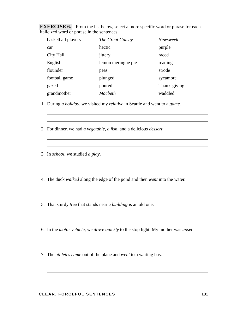| basketball players                                                                                       | The Great Gatsby   | Newsweek     |  |
|----------------------------------------------------------------------------------------------------------|--------------------|--------------|--|
| car                                                                                                      | hectic             | purple       |  |
| City Hall                                                                                                | jittery            | raced        |  |
| English                                                                                                  | lemon meringue pie | reading      |  |
| flounder                                                                                                 | peas               | strode       |  |
| football game                                                                                            | plunged            | sycamore     |  |
| gazed                                                                                                    | poured             | Thanksgiving |  |
| grandmother                                                                                              | Macbeth            | waddled      |  |
| 1. During a holiday, we visited my relative in Seattle and went to a game.                               |                    |              |  |
| 2. For dinner, we had <i>a vegetable</i> , <i>a fish</i> , and a delicious <i>dessert</i> .              |                    |              |  |
| 3. In school, we studied a play.                                                                         |                    |              |  |
| 4. The duck walked along the edge of the pond and then went into the water.                              |                    |              |  |
| 5. That sturdy <i>tree</i> that stands near <i>a building</i> is an old one.                             |                    |              |  |
| 6. In the <i>motor vehicle</i> , we <i>drove quickly</i> to the stop light. My mother was <i>upset</i> . |                    |              |  |
| 7. The <i>athletes came</i> out of the plane and <i>went</i> to a waiting bus.                           |                    |              |  |
|                                                                                                          |                    |              |  |

**EXERCISE 6.** From the list below, select a more specific word or phrase for each italicized word or phrase in the sentences.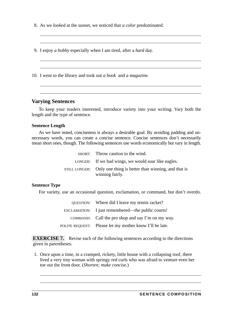8. As we *looked* at the sunset, we noticed that *a color* predominated.

9. I enjoy *a hobby* especially when I am tired, after a *hard* day.

10. I went to the library and took out *a book* and *a magazine.*

#### **Varying Sentences**

To keep your readers interested, introduce variety into your writing. Vary both the length and the type of sentence.

#### **Sentence Length**

As we have noted, conciseness is always a desirable goal. By avoiding padding and unnecessary words, you can create a concise sentence. Concise sentences don't necessarily mean short ones, though. The following sentences use words economically but vary in length.

| SHORT: Throw caution to the wind.                                                   |
|-------------------------------------------------------------------------------------|
| LONGER: If we had wings, we would soar like eagles.                                 |
| STILL LONGER: Only one thing is better than winning, and that is<br>winning fairly. |

#### **Sentence Type**

For variety, use an occasional question, exclamation, or command, but don't overdo.

| QUESTION: Where did I leave my tennis racket?           |
|---------------------------------------------------------|
| EXCLAMATION: I just remembered—the public courts!       |
| COMMAND: Call the pro shop and say I'm on my way.       |
| POLITE REQUEST: Please let my mother know I'll be late. |

**EXERCISE 7.** Revise each of the following sentences according to the directions given in parentheses.

1. Once upon a time, in a cramped, rickety, little house with a collapsing roof, there lived a very tiny woman with springy red curls who was afraid to venture even her toe out the front door. (*Shorten; make concise.*)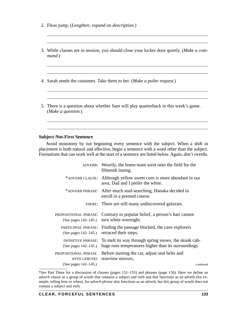- 2. Fleas jump. (*Lengthen; expand on description.*)
- 3. While classes are in session, you should close your locker door quietly. (*Make a command.*)
- 4. Sarah needs the costumes. Take them to her. (*Make a polite request.*)
- 5. There is a question about whether Sam will play quarterback in this week's game. (*Make a question.*)

#### **Subject-Not-First Sentence**

Avoid monotony by not beginning every sentence with the subject. When a shift in placement is both natural and effective, begin a sentence with a word other than the subject. Formations that can work well at the start of a sentence are listed below. Again, don't overdo.

|                                                   | ADVERB: Wearily, the home team went onto the field for the<br>fifteenth inning.                              |
|---------------------------------------------------|--------------------------------------------------------------------------------------------------------------|
|                                                   | *ADVERB CLAUSE: Although yellow sweet corn is more abundant in our<br>area, Dad and I prefer the white.      |
|                                                   | *ADVERB PHRASE: After much soul-searching, Hanaka decided to<br>enroll in a premed course.                   |
|                                                   | THERE: There are still many undiscovered galaxies.                                                           |
| PREPOSITIONAL PHRASE:<br>(See pages 142–145.)     | Contrary to popular belief, a person's hair cannot<br>turn white overnight.                                  |
| PARTICIPIAL PHRASE:<br>(See pages $142 - 145$ .)  | Finding the passage blocked, the cave explorers<br>retraced their steps.                                     |
| <b>INFINITIVE PHRASE:</b><br>(See pages 142–145.) | To melt its way through spring snows, the skunk cab-<br>bage runs temperatures higher than its surroundings. |
| PREPOSITIONAL PHRASE<br>WITH GERUND:              | Before starting the car, adjust seat belts and<br>rearview mirrors.                                          |
| (See pages 142–145.)                              | continued                                                                                                    |

<sup>\*</sup>See Part Three for a discussion of clauses (pages 151–155) and phrases (page 156). Here we define an *adverb clause* as a group of words that contains a subject and verb and that functions as an adverb (for example, telling how or when). An *adverb phrase* also functions as an adverb, but this group of words does *not* contain a subject and verb.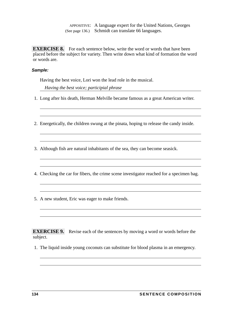APPOSITIVE: A language expert for the United Nations, Georges (See page 136.) Schmidt can translate 66 languages.

**EXERCISE 8.** For each sentence below, write the word or words that have been placed before the subject for variety. Then write down what kind of formation the word or words are.

#### **Sample:**

Having the best voice, Lori won the lead role in the musical.

*Having the best voice; participial phrase*

1. Long after his death, Herman Melville became famous as a great American writer.

2. Energetically, the children swung at the pinata, hoping to release the candy inside.

3. Although fish are natural inhabitants of the sea, they can become seasick.

- 4. Checking the car for fibers, the crime scene investigator reached for a specimen bag.
- 5. A new student, Eric was eager to make friends.

**EXERCISE 9.** Revise each of the sentences by moving a word or words before the subject.

1. The liquid inside young coconuts can substitute for blood plasma in an emergency.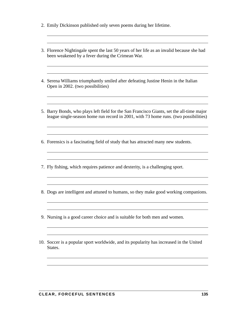- 2. Emily Dickinson published only seven poems during her lifetime.
- 3. Florence Nightingale spent the last 50 years of her life as an invalid because she had been weakened by a fever during the Crimean War.
- 4. Serena Williams triumphantly smiled after defeating Justine Henin in the Italian Open in 2002. (two possibilities)
- 5. Barry Bonds, who plays left field for the San Francisco Giants, set the all-time major league single-season home run record in 2001, with 73 home runs. (two possibilities)
- 6. Forensics is a fascinating field of study that has attracted many new students.
- 7. Fly fishing, which requires patience and dexterity, is a challenging sport.
- 8. Dogs are intelligent and attuned to humans, so they make good working companions.
- 9. Nursing is a good career choice and is suitable for both men and women.
- 10. Soccer is a popular sport worldwide, and its popularity has increased in the United States.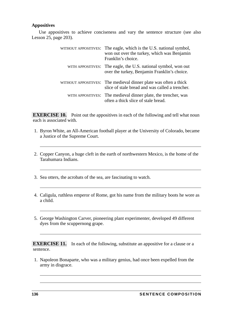#### **Appositives**

Use appositives to achieve conciseness and vary the sentence structure (see also Lesson 25, page 203).

| WITHOUT APPOSITIVES: The eagle, which is the U.S. national symbol,<br>won out over the turkey, which was Benjamin<br>Franklin's choice. |
|-----------------------------------------------------------------------------------------------------------------------------------------|
| WITH APPOSITIVES: The eagle, the U.S. national symbol, won out<br>over the turkey, Benjamin Franklin's choice.                          |
| WITHOUT APPOSITIVES: The medieval dinner plate was often a thick<br>slice of stale bread and was called a trencher.                     |
| WITH APPOSITIVES: The medieval dinner plate, the trencher, was<br>often a thick slice of stale bread.                                   |

**EXERCISE 10.** Point out the appositives in each of the following and tell what noun each is associated with.

- 1. Byron White, an All-American football player at the University of Colorado, became a Justice of the Supreme Court.
- 2. Copper Canyon, a huge cleft in the earth of northwestern Mexico, is the home of the Tarahumara Indians.
- 3. Sea otters, the acrobats of the sea, are fascinating to watch.
- 4. Caligula, ruthless emperor of Rome, got his name from the military boots he wore as a child.
- 5. George Washington Carver, pioneering plant experimenter, developed 49 different dyes from the scuppernong grape.

**EXERCISE 11.** In each of the following, substitute an appositive for a clause or a sentence.

1. Napoleon Bonaparte, who was a military genius, had once been expelled from the army in disgrace.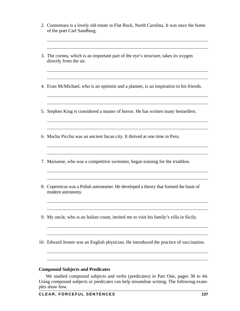- 2. Connemara is a lovely old estate in Flat Rock, North Carolina. It was once the home of the poet Carl Sandburg.
- 3. The cornea, which is an important part of the eye's structure, takes its oxygen directly from the air.
- 4. Evan McMichael, who is an optimist and a planner, is an inspiration to his friends.
- 5. Stephen King is considered a master of horror. He has written many bestsellers.
- 6. Machu Picchu was an ancient Incan city. It thrived at one time in Peru.
- 7. Marianne, who was a competitive swimmer, began training for the triathlon.
- 8. Copernicus was a Polish astronomer. He developed a theory that formed the basis of modern astronomy.
- 9. My uncle, who is an Italian count, invited me to visit his family's villa in Sicily.
- 10. Edward Jenner was an English physician. He introduced the practice of vaccination.

#### **Compound Subjects and Predicates**

We studied compound subjects and verbs (predicates) in Part One, pages 38 to 44. Using compound subjects or predicates can help streamline writing. The following examples show how.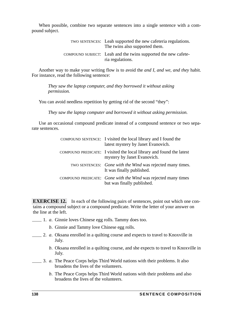When possible, combine two separate sentences into a single sentence with a compound subject.

| TWO SENTENCES: Leah supported the new cafeteria regulations.<br>The twins also supported them. |
|------------------------------------------------------------------------------------------------|
| COMPOUND SUBJECT: Leah and the twins supported the new cafete-<br>ria regulations.             |

Another way to make your writing flow is to avoid the *and I, and we, and they* habit. For instance, read the following sentence:

*They saw the laptop computer, and they borrowed it without asking permission.*

You can avoid needless repetition by getting rid of the second "they":

*They saw the laptop computer and borrowed it without asking permission.*

Use an occasional compound predicate instead of a compound sentence or two separate sentences.

| COMPOUND SENTENCE: I visited the local library and I found the<br>latest mystery by Janet Evanovich. |
|------------------------------------------------------------------------------------------------------|
| COMPOUND PREDICATE: I visited the local library and found the latest<br>mystery by Janet Evanovich.  |
| TWO SENTENCES: Gone with the Wind was rejected many times.<br>It was finally published.              |
| COMPOUND PREDICATE: Gone with the Wind was rejected many times<br>but was finally published.         |

**EXERCISE 12.** In each of the following pairs of sentences, point out which one contains a compound subject or a compound predicate. Write the letter of your answer on the line at the left.

- 1. *a*. Ginnie loves Chinese egg rolls. Tammy does too.
	- *b*. Ginnie and Tammy love Chinese egg rolls.
	- 2. *a*. Oksana enrolled in a quilting course and expects to travel to Knoxville in July.
		- *b*. Oksana enrolled in a quilting course, and she expects to travel to Knoxville in July.
- 3. *a*. The Peace Corps helps Third World nations with their problems. It also broadens the lives of the volunteers.
	- *b*. The Peace Corps helps Third World nations with their problems and also broadens the lives of the volunteers.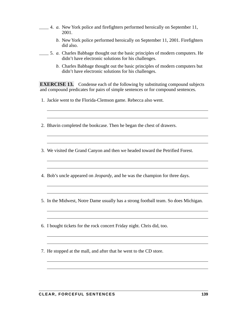- 4. *a*. New York police and firefighters performed heroically on September 11, 2001.
	- *b*. New York police performed heroically on September 11, 2001. Firefighters did also.
- 5. *a*. Charles Babbage thought out the basic principles of modern computers. He didn't have electronic solutions for his challenges.
	- *b*. Charles Babbage thought out the basic principles of modern computers but didn't have electronic solutions for his challenges.

**EXERCISE 13.** Condense each of the following by substituting compound subjects and compound predicates for pairs of simple sentences or for compound sentences.

- 1. Jackie went to the Florida-Clemson game. Rebecca also went.
- 2. Bhavin completed the bookcase. Then he began the chest of drawers.
- 3. We visited the Grand Canyon and then we headed toward the Petrified Forest.
- 4. Bob's uncle appeared on *Jeopardy*, and he was the champion for three days.
- 5. In the Midwest, Notre Dame usually has a strong football team. So does Michigan.
- 6. I bought tickets for the rock concert Friday night. Chris did, too.
- 7. He stopped at the mall, and after that he went to the CD store.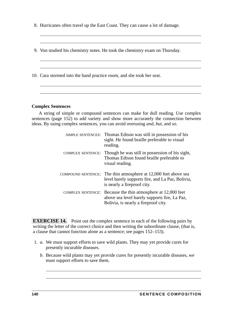- 8. Hurricanes often travel up the East Coast. They can cause a lot of damage.
- 9. Von studied his chemistry notes. He took the chemistry exam on Thursday.
- 10. Cara stormed into the band practice room, and she took her seat.

#### **Complex Sentences**

A string of simple or compound sentences can make for dull reading. Use complex sentences (page 152) to add variety and show more accurately the connection between ideas. By using complex sentences, you can avoid overusing *and*, *but*, and *so*.

| <b>SIMPLE SENTENCES:</b>  | Thomas Edison was still in possession of his<br>sight. He found braille preferable to visual<br>reading.                            |
|---------------------------|-------------------------------------------------------------------------------------------------------------------------------------|
| <b>COMPLEX SENTENCE:</b>  | Though he was still in possession of his sight,<br>Thomas Edison found braille preferable to<br>visual reading.                     |
| <b>COMPOUND SENTENCE:</b> | The thin atmosphere at 12,000 feet above sea<br>level barely supports fire, and La Paz, Bolivia,<br>is nearly a fireproof city.     |
| <b>COMPLEX SENTENCE:</b>  | Because the thin atmosphere at 12,000 feet<br>above sea level barely supports fire, La Paz,<br>Bolivia, is nearly a fireproof city. |

**EXERCISE 14.** Point out the complex sentence in each of the following pairs by writing the letter of the correct choice and then writing the subordinate clause, (that is, a clause that cannot function alone as a sentence; see pages 152–153).

- 1. *a*. We must support efforts to save wild plants. They may yet provide cures for presently incurable diseases.
	- *b*. Because wild plants may yet provide cures for presently incurable diseases, we must support efforts to save them.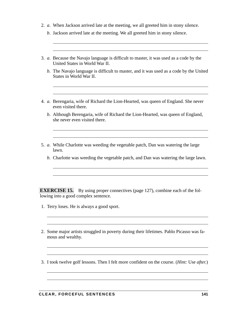- 2. *a*. When Jackson arrived late at the meeting, we all greeted him in stony silence.
	- *b*. Jackson arrived late at the meeting. We all greeted him in stony silence.
- 3. *a*. Because the Navajo language is difficult to master, it was used as a code by the United States in World War II.
	- *b*. The Navajo language is difficult to master, and it was used as a code by the United States in World War II.
- 4. *a*. Berengaria, wife of Richard the Lion-Hearted, was queen of England. She never even visited there.
	- *b*. Although Berengaria, wife of Richard the Lion-Hearted, was queen of England, she never even visited there.
- 5. *a*. While Charlotte was weeding the vegetable patch, Dan was watering the large lawn.
	- *b*. Charlotte was weeding the vegetable patch, and Dan was watering the large lawn.

**EXERCISE 15.** By using proper connectives (page 127), combine each of the following into a good complex sentence.

- 1. Terry loses. He is always a good sport.
- 2. Some major artists struggled in poverty during their lifetimes. Pablo Picasso was famous and wealthy.
- 3. I took twelve golf lessons. Then I felt more confident on the course. (*Hint:* Use *after.*)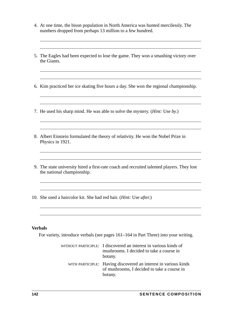- 4. At one time, the bison population in North America was hunted mercilessly. The numbers dropped from perhaps 13 million to a few hundred.
- 5. The Eagles had been expected to lose the game. They won a smashing victory over the Giants.
- 6. Kim practiced her ice skating five hours a day. She won the regional championship.
- 7. He used his sharp mind. He was able to solve the mystery. (*Hint:* Use *by.*)
- 8. Albert Einstein formulated the theory of relativity. He won the Nobel Prize in Physics in 1921.
- 9. The state university hired a first-rate coach and recruited talented players. They lost the national championship.

<u> 1989 - Johann Stoff, amerikansk politiker (d. 1989)</u>

10. She used a haircolor kit. She had red hair. (*Hint:* Use *after.*)

#### **Verbals**

For variety, introduce verbals (see pages 161–164 in Part Three) into your writing.

WITHOUT PARTICIPLE: I discovered an interest in various kinds of mushrooms. I decided to take a course in botany. WITH PARTICIPLE: Having discovered an interest in various kinds of mushrooms, I decided to take a course in botany.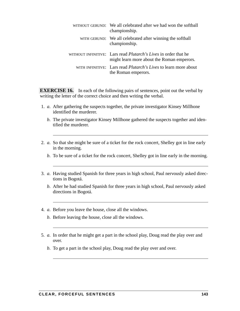| WITHOUT GERUND: We all celebrated after we had won the softball<br>championship.                                     |
|----------------------------------------------------------------------------------------------------------------------|
| WITH GERUND: We all celebrated after winning the softball<br>championship.                                           |
| WITHOUT INFINITIVE: Lars read <i>Plutarch's Lives</i> in order that he<br>might learn more about the Roman emperors. |
| WITH INFINITIVE: Lars read <i>Plutarch's Lives</i> to learn more about<br>the Roman emperors.                        |

**EXERCISE 16.** In each of the following pairs of sentences, point out the verbal by writing the letter of the correct choice and then writing the verbal.

- 1. *a*. After gathering the suspects together, the private investigator Kinsey Millhone identified the murderer.
	- *b*. The private investigator Kinsey Millhone gathered the suspects together and identified the murderer.
- 2. *a*. So that she might be sure of a ticket for the rock concert, Shelley got in line early in the morning.
	- *b*. To be sure of a ticket for the rock concert, Shelley got in line early in the morning.
- 3. *a*. Having studied Spanish for three years in high school, Paul nervously asked directions in Bogotá.
	- *b*. After he had studied Spanish for three years in high school, Paul nervously asked directions in Bogotá.
- 4. *a*. Before you leave the house, close all the windows.
	- *b*. Before leaving the house, close all the windows.
- 5. *a*. In order that he might get a part in the school play, Doug read the play over and over.
	- *b*. To get a part in the school play, Doug read the play over and over.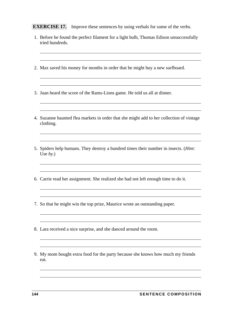# **EXERCISE 17.** Improve these sentences by using verbals for some of the verbs.

1. Before he found the perfect filament for a light bulb, Thomas Edison unsuccessfully tried hundreds.

the control of the control of the control of the control of the control of the control of the control of the control of the control of the control of the control of the control of the control of the control of the control

- 2. Max saved his money for months in order that he might buy a new surfboard.
- 3. Juan heard the score of the Rams-Lions game. He told us all at dinner.
- 4. Suzanne haunted flea markets in order that she might add to her collection of vintage clothing.
- 5. Spiders help humans. They destroy a hundred times their number in insects. (*Hint:* Use *by.*)
- 6. Carrie read her assignment. She realized she had not left enough time to do it.
- 7. So that he might win the top prize, Maurice wrote an outstanding paper.
- 8. Lara received a nice surprise, and she danced around the room.
- 9. My mom bought extra food for the party because she knows how much my friends eat.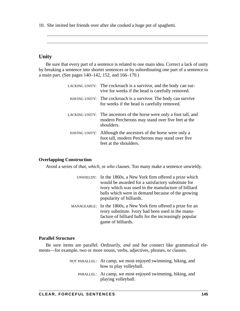10. She invited her friends over after she cooked a huge pot of spaghetti.

# **Unity**

Be sure that every part of a sentence is related to one main idea. Correct a lack of unity by breaking a sentence into shorter sentences or by subordinating one part of a sentence to a main part. (See pages 140–142, 152, and 166–170.)

|                | LACKING UNITY: The cockroach is a survivor, and the body can sur-<br>vive for weeks if the head is carefully removed.         |
|----------------|-------------------------------------------------------------------------------------------------------------------------------|
|                | HAVING UNITY: The cockroach is a survivor. The body can survive<br>for weeks if the head is carefully removed.                |
| LACKING UNITY: | The ancestors of the horse were only a foot tall, and<br>modern Percherons may stand over five feet at the<br>shoulders.      |
| HAVING UNITY:  | Although the ancestors of the horse were only a<br>foot tall, modern Percherons may stand over five<br>feet at the shoulders. |

#### **Overlapping Construction**

Avoid a series of *that*, *which*, or *who* clauses. Too many make a sentence unwieldy.

| UNWIELDY: In the 1860s, a New York firm offered a prize which<br>would be awarded for a satisfactory substitute for<br>ivory which was used in the manufacture of billiard<br>balls which were in demand because of the growing<br>popularity of billiards. |
|-------------------------------------------------------------------------------------------------------------------------------------------------------------------------------------------------------------------------------------------------------------|
| MANAGEABLE: In the 1860s, a New York firm offered a prize for an<br>ivory substitute. Ivory had been used in the manu-<br>facture of billiard balls for the increasingly popular<br>game of billiards.                                                      |

#### **Parallel Structure**

Be sure items are parallel. Ordinarily, *and* and *but* connect like grammatical elements—for example, two or more nouns, verbs, adjectives, phrases, or clauses.

| NOT PARALLEL: At camp, we most enjoyed swimming, hiking, and<br>how to play volleyball. |
|-----------------------------------------------------------------------------------------|
| PARALLEL: At camp, we most enjoyed swimming, hiking, and<br>playing volleyball.         |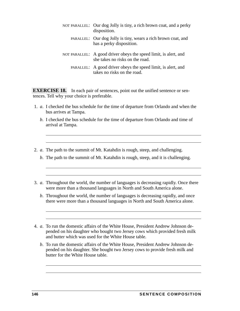| NOT PARALLEL: Our dog Jolly is tiny, a rich brown coat, and a perky<br>disposition.                 |
|-----------------------------------------------------------------------------------------------------|
| PARALLEL: Our dog Jolly is tiny, wears a rich brown coat, and<br>has a perky disposition.           |
| NOT PARALLEL: A good driver obeys the speed limit, is alert, and<br>she takes no risks on the road. |
| PARALLEL: A good driver obeys the speed limit, is alert, and<br>takes no risks on the road.         |

**EXERCISE 18.** In each pair of sentences, point out the unified sentence or sentences. Tell why your choice is preferable.

- 1. *a*. I checked the bus schedule for the time of departure from Orlando and when the bus arrives at Tampa.
	- *b*. I checked the bus schedule for the time of departure from Orlando and time of arrival at Tampa.
- 2. *a*. The path to the summit of Mt. Katahdin is rough, steep, and challenging.
	- *b*. The path to the summit of Mt. Katahdin is rough, steep, and it is challenging.
- 3. *a*. Throughout the world, the number of languages is decreasing rapidly. Once there were more than a thousand languages in North and South America alone.
	- *b*. Throughout the world, the number of languages is decreasing rapidly, and once there were more than a thousand languages in North and South America alone.
- 4. *a*. To run the domestic affairs of the White House, President Andrew Johnson depended on his daughter who bought two Jersey cows which provided fresh milk and butter which was used for the White House table.
	- *b*. To run the domestic affairs of the White House, President Andrew Johnson depended on his daughter. She bought two Jersey cows to provide fresh milk and butter for the White House table.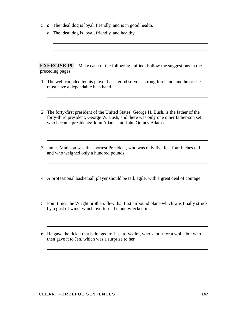- 5. *a*. The ideal dog is loyal, friendly, and is in good health.
	- *b*. The ideal dog is loyal, friendly, and healthy.

**EXERCISE 19.** Make each of the following unified. Follow the suggestions in the preceding pages.

- 1. The well-rounded tennis player has a good serve, a strong forehand, and he or she must have a dependable backhand.
- 2. The forty-first president of the United States, George H. Bush, is the father of the forty-third president, George W. Bush, and there was only one other father-son set who became presidents: John Adams and John Quincy Adams.
- 3. James Madison was the shortest President, who was only five feet four inches tall and who weighed only a hundred pounds.
- 4. A professional basketball player should be tall, agile, with a great deal of courage.
- 5. Four times the Wright brothers flew that first airbound plane which was finally struck by a gust of wind, which overturned it and wrecked it.
- 6. He gave the ticket that belonged to Lisa to Vadim, who kept it for a while but who then gave it to Jen, which was a surprise to her.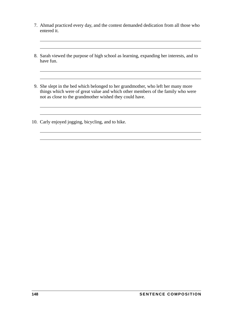- 7. Ahmad practiced every day, and the contest demanded dedication from all those who entered it.
- 8. Sarah viewed the purpose of high school as learning, expanding her interests, and to have fun.

- 9. She slept in the bed which belonged to her grandmother, who left her many more things which were of great value and which other members of the family who were not as close to the grandmother wished they could have.
- 10. Carly enjoyed jogging, bicycling, and to hike.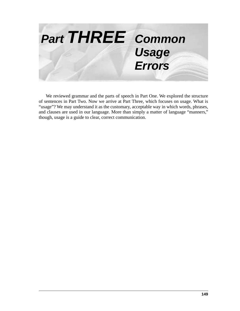

We reviewed grammar and the parts of speech in Part One. We explored the structure of sentences in Part Two. Now we arrive at Part Three, which focuses on usage. What is "usage"? We may understand it as the customary, acceptable way in which words, phrases, and clauses are used in our language. More than simply a matter of language "manners," though, usage is a guide to clear, correct communication.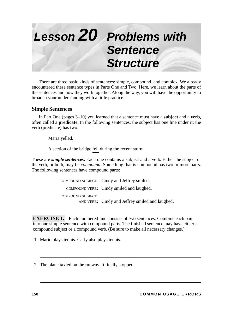# **Lesson 20 Problems with Sentence Structure**

There are three basic kinds of sentences: simple, compound, and complex. We already encountered these sentence types in Parts One and Two. Here, we learn about the parts of the sentences and how they work together. Along the way, you will have the opportunity to broaden your understanding with a little practice.

# **Simple Sentences**

In Part One (pages 3–10) you learned that a sentence must have a **subject** and a **verb,** often called a **predicate.** In the following sentences, the subject has one line under it; the verb (predicate) has two.

Maria yelled.

A section of the bridge fell during the recent storm.

These are *simple sentences***.** Each one contains a subject and a verb. Either the subject or the verb, or both, may be *compound.* Something that is compound has two or more parts. The following sentences have compound parts:

> COMPOUND SUBJECT: Cindy and Jeffrey smiled. COMPOUND VERB: Cindy smiled and laughed. COMPOUND SUBJECT AND VERB: Cindy and Jeffrey smiled and laughed.

**EXERCISE 1.** Each numbered line consists of two sentences. Combine each pair into one simple sentence with compound parts. The finished sentence may have either a compound subject or a compound verb. (Be sure to make all necessary changes.)

1. Mario plays tennis. Carly also plays tennis.

2. The plane taxied on the runway. It finally stopped.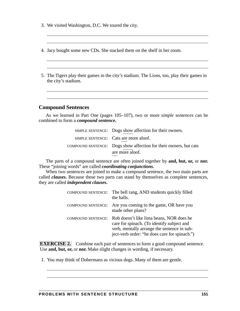- 3. We visited Washington, D.C. We toured the city.
- 4. Jacy bought some new CDs. She stacked them on the shelf in her room.
- 5. The Tigers play their games in the city's stadium. The Lions, too, play their games in the city's stadium.

### **Compound Sentences**

As we learned in Part One (pages 105–107), two or more *simple sentences* can be combined to form a *compound sentence***.**

| SIMPLE SENTENCE: Dogs show affection for their owners.            |
|-------------------------------------------------------------------|
| SIMPLE SENTENCE: Cats are more aloof.                             |
| COMPOUND SENTENCE: Dogs show affection for their owners, but cats |
| are more aloof.                                                   |

The parts of a compound sentence are often joined together by **and, but, or,** or **nor.** These "joining words" are called *coordinating conjunctions***.**

When two sentences are joined to make a compound sentence, the two main parts are called *clauses***.** Because these two parts can stand by themselves as complete sentences, they are called *independent clauses***.**

| <b>COMPOUND SENTENCE:</b> | The bell rang, AND students quickly filled<br>the halls.                                                                                                                               |
|---------------------------|----------------------------------------------------------------------------------------------------------------------------------------------------------------------------------------|
| <b>COMPOUND SENTENCE:</b> | Are you coming to the game, OR have you<br>made other plans?                                                                                                                           |
| <b>COMPOUND SENTENCE:</b> | Rob doesn't like lima beans, NOR does he<br>care for spinach. (To identify subject and<br>verb, mentally arrange the sentence in sub-<br>ject-verb order: "he does care for spinach.") |

**EXERCISE 2.** Combine each pair of sentences to form a good compound sentence. Use **and, but, or,** or **nor.** Make slight changes in wording, if necessary.

1. You may think of Dobermans as vicious dogs. Many of them are gentle.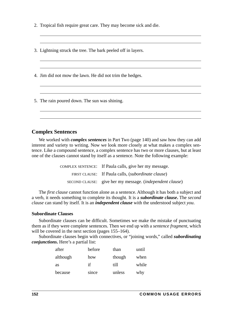|  | 2. Tropical fish require great care. They may become sick and die. |  |  |  |
|--|--------------------------------------------------------------------|--|--|--|
|  |                                                                    |  |  |  |

3. Lightning struck the tree. The bark peeled off in layers.

4. Jim did not mow the lawn. He did not trim the hedges.

5. The rain poured down. The sun was shining.

# **Complex Sentences**

We worked with *complex sentences* in Part Two (page 140) and saw how they can add interest and variety to writing. Now we look more closely at what makes a complex sentence. Like a compound sentence, a complex sentence has two or more clauses, but at least one of the clauses cannot stand by itself as a sentence. Note the following example:

| COMPLEX SENTENCE: If Paula calls, give her my message.          |
|-----------------------------------------------------------------|
| FIRST CLAUSE: If Paula calls, <i>(subordinate clause)</i>       |
| SECOND CLAUSE: give her my message. <i>(independent clause)</i> |

The *first clause* cannot function alone as a sentence. Although it has both a subject and a verb, it needs something to complete its thought. It is a *subordinate clause***.** The *second clause* can stand by itself. It is an *independent clause* with the understood subject *you*.

#### **Subordinate Clauses**

Subordinate clauses can be difficult. Sometimes we make the mistake of punctuating them as if they were complete sentences. Then we end up with a *sentence fragment,* which will be covered in the next section (pages 155–164).

Subordinate clauses begin with connectives, or "joining words," called *subordinating conjunctions***.** Here's a partial list:

| after    | before | than   | until |
|----------|--------|--------|-------|
| although | how    | though | when  |
| as       | if     | till   | while |
| because  | since  | unless | why   |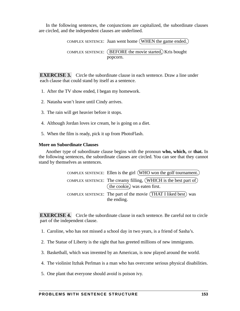In the following sentences, the conjunctions are capitalized, the subordinate clauses are circled, and the independent clauses are underlined.

> COMPLEX SENTENCE: Juan went home (WHEN the game ended.) COMPLEX SENTENCE: (BEFORE the movie started,) Kris bought popcorn.

**EXERCISE 3.** Circle the subordinate clause in each sentence. Draw a line under each clause that could stand by itself as a sentence.

- 1. After the TV show ended, I began my homework.
- 2. Natasha won't leave until Cindy arrives.
- 3. The rain will get heavier before it stops.
- 4. Although Jordan loves ice cream, he is going on a diet.
- 5. When the film is ready, pick it up from PhotoFlash.

#### **More on Subordinate Clauses**

Another type of subordinate clause begins with the pronoun **who, which,** or **that.** In the following sentences, the subordinate clauses are circled. You can see that they cannot stand by themselves as sentences.

| COMPLEX SENTENCE: Ellen is the girl (WHO won the golf tournament.)                                           |
|--------------------------------------------------------------------------------------------------------------|
| COMPLEX SENTENCE: The creamy filling, $(WHICH \nvert is the best part of)$<br>(the cookie,) was eaten first. |
| COMPLEX SENTENCE: The part of the movie (THAT I liked best) was<br>the ending.                               |

**EXERCISE 4.** Circle the subordinate clause in each sentence. Be careful not to circle part of the independent clause.

- 1. Caroline, who has not missed a school day in two years, is a friend of Sasha's.
- 2. The Statue of Liberty is the sight that has greeted millions of new immigrants.
- 3. Basketball, which was invented by an American, is now played around the world.
- 4. The violinist Itzhak Perlman is a man who has overcome serious physical disabilities.
- 5. One plant that everyone should avoid is poison ivy.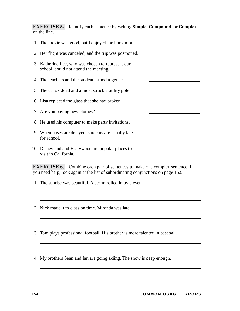**EXERCISE 5.** Identify each sentence by writing **Simple, Compound,** or **Complex** on the line.

| 1. The movie was good, but I enjoyed the book more.                                        |  |
|--------------------------------------------------------------------------------------------|--|
| 2. Her flight was canceled, and the trip was postponed.                                    |  |
| 3. Katherine Lee, who was chosen to represent our<br>school, could not attend the meeting. |  |
| 4. The teachers and the students stood together.                                           |  |
| 5. The car skidded and almost struck a utility pole.                                       |  |
| 6. Lisa replaced the glass that she had broken.                                            |  |
| 7. Are you buying new clothes?                                                             |  |
| 8. He used his computer to make party invitations.                                         |  |
| 9. When buses are delayed, students are usually late<br>for school.                        |  |
| 10. Disneyland and Hollywood are popular places to<br>visit in California.                 |  |
|                                                                                            |  |

**EXERCISE 6.** Combine each pair of sentences to make one complex sentence. If you need help, look again at the list of subordinating conjunctions on page 152.

<u> 1989 - Johann Stoff, deutscher Stoffen und der Stoffen und der Stoffen und der Stoffen und der Stoffen und der</u>

the control of the control of the control of the control of the control of the control of the control of the control of the control of the control of the control of the control of the control of the control of the control

<u> 1989 - Johann Stoff, deutscher Stoff, der Stoff, der Stoff, der Stoff, der Stoff, der Stoff, der Stoff, der S</u>

- 1. The sunrise was beautiful. A storm rolled in by eleven.
- 2. Nick made it to class on time. Miranda was late.
- 3. Tom plays professional football. His brother is more talented in baseball.

<u> 1989 - Johann Stoff, Amerikaansk politiker († 1908)</u>

4. My brothers Sean and Ian are going skiing. The snow is deep enough.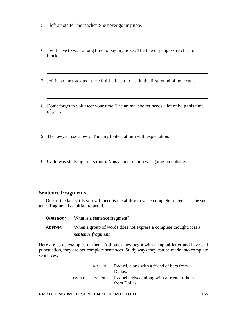- 5. I left a note for the teacher. She never got my note.
- 6. I will have to wait a long time to buy my ticket. The line of people stretches for blocks.
- 7. Jeff is on the track team. He finished next to last in the first round of pole vault.
- 8. Don't forget to volunteer your time. The animal shelter needs a lot of help this time of year.
- 9. The lawyer rose slowly. The jury looked at him with expectation.
- 10. Carlo was studying in his room. Noisy construction was going on outside.

# **Sentence Fragments**

One of the key skills you will need is the ability to write complete sentences. The sentence fragment is a pitfall to avoid.

**Question:** What is a sentence fragment? **Answer:** When a group of words does not express a complete thought, it is a *sentence fragment.*

Here are some examples of them. Although they begin with a capital letter and have end punctuation, they are not complete sentences. Study ways they can be made into complete sentences.

> NO VERB: Raquel, along with a friend of hers from Dallas. COMPLETE SENTENCE: Raquel arrived, along with a friend of hers from Dallas.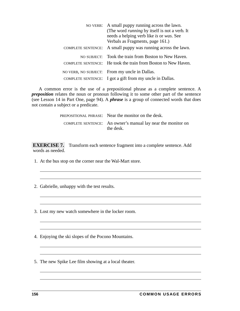| NO VERB: A small puppy running across the lawn.<br>(The word <i>running</i> by itself is not a verb. It<br>needs a helping verb like is or was. See<br>Verbals as Fragments, page 161.) |
|-----------------------------------------------------------------------------------------------------------------------------------------------------------------------------------------|
| COMPLETE SENTENCE: A small puppy was running across the lawn.                                                                                                                           |
| NO SUBJECT: Took the train from Boston to New Haven.<br>COMPLETE SENTENCE: He took the train from Boston to New Haven.                                                                  |
| NO VERB, NO SUBJECT: From my uncle in Dallas.<br>COMPLETE SENTENCE: I got a gift from my uncle in Dallas.                                                                               |

A common error is the use of a prepositional phrase as a complete sentence. A *preposition* relates the noun or pronoun following it to some other part of the sentence (see Lesson 14 in Part One, page 94). A *phrase* is a group of connected words that does not contain a subject or a predicate.

> PREPOSITIONAL PHRASE: Near the monitor on the desk. COMPLETE SENTENCE: An owner's manual lay near the monitor on the desk.

**EXERCISE 7.** Transform each sentence fragment into a complete sentence. Add words as needed.

- 1. At the bus stop on the corner near the Wal-Mart store.
- 2. Gabrielle, unhappy with the test results.
- 3. Lost my new watch somewhere in the locker room.
- 4. Enjoying the ski slopes of the Pocono Mountains.
- 5. The new Spike Lee film showing at a local theater.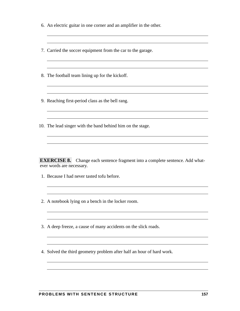- 6. An electric guitar in one corner and an amplifier in the other.
- 7. Carried the soccer equipment from the car to the garage.
- 8. The football team lining up for the kickoff.
- 9. Reaching first-period class as the bell rang.
- 10. The lead singer with the band behind him on the stage.

**EXERCISE 8.** Change each sentence fragment into a complete sentence. Add whatever words are necessary.

the control of the control of the control of the control of the control of the control of

and the control of the control of the control of the control of the control of the control of the control of the

- 1. Because I had never tasted tofu before.
- 2. A notebook lying on a bench in the locker room.
- 3. A deep freeze, a cause of many accidents on the slick roads.
- 4. Solved the third geometry problem after half an hour of hard work.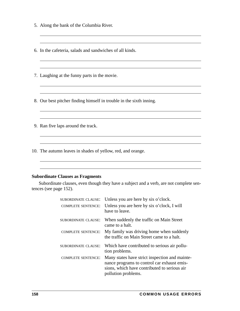- 5. Along the bank of the Columbia River.
- 6. In the cafeteria, salads and sandwiches of all kinds.
- 7. Laughing at the funny parts in the movie.

8. Our best pitcher finding himself in trouble in the sixth inning.

- 9. Ran five laps around the track.
- 10. The autumn leaves in shades of yellow, red, and orange.

#### **Subordinate Clauses as Fragments**

Subordinate clauses, even though they have a subject and a verb, are not complete sentences (see page 152).

<u> 1989 - Johann Stoff, deutscher Stoff, der Stoff, der Stoff, der Stoff, der Stoff, der Stoff, der Stoff, der S</u>

<u> 1989 - Johann Stoff, amerikansk politiker (d. 1989)</u>

| <b>SUBORDINATE CLAUSE:</b><br><b>COMPLETE SENTENCE:</b> | Unless you are here by six o'clock.<br>Unless you are here by six o'clock, I will<br>have to leave.                                                                  |
|---------------------------------------------------------|----------------------------------------------------------------------------------------------------------------------------------------------------------------------|
| <b>SUBORDINATE CLAUSE:</b>                              | When suddenly the traffic on Main Street<br>came to a halt.                                                                                                          |
| <b>COMPLETE SENTENCE:</b>                               | My family was driving home when suddenly<br>the traffic on Main Street came to a halt.                                                                               |
| <b>SUBORDINATE CLAUSE:</b>                              | Which have contributed to serious air pollu-<br>tion problems.                                                                                                       |
| <b>COMPLETE SENTENCE:</b>                               | Many states have strict inspection and mainte-<br>nance programs to control car exhaust emis-<br>sions, which have contributed to serious air<br>pollution problems. |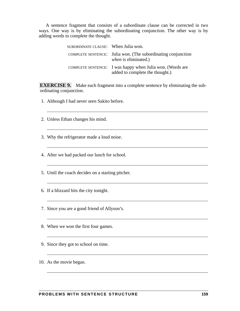A sentence fragment that consists of a subordinate clause can be corrected in two ways. One way is by eliminating the subordinating conjunction. The other way is by adding words to complete the thought.

| SUBORDINATE CLAUSE: When Julia won. |                                                                                              |
|-------------------------------------|----------------------------------------------------------------------------------------------|
|                                     | COMPLETE SENTENCE: Julia won. (The subordinating conjunction<br><i>when</i> is eliminated.)  |
|                                     | COMPLETE SENTENCE: I was happy when Julia won. (Words are<br>added to complete the thought.) |

**EXERCISE 9.** Make each fragment into a complete sentence by eliminating the subordinating conjunction.

<u> 1989 - Johann Barn, fransk politik (f. 1989)</u>

- 1. Although I had never seen Sakito before.
- 2. Unless Ethan changes his mind.
- 3. Why the refrigerator made a loud noise.
- 4. After we had packed our lunch for school.
- 5. Until the coach decides on a starting pitcher.
- 6. If a blizzard hits the city tonight.
- 7. Since you are a good friend of Allyson's.
- 8. When we won the first four games.
- 9. Since they got to school on time.
- 10. As the movie began.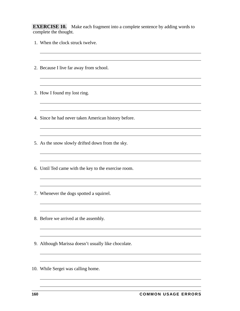**EXERCISE 10.** Make each fragment into a complete sentence by adding words to complete the thought.

<u> 1980 - Johann Barn, fransk politik (f. 1980)</u>

<u> 1980 - Johann Barbara, martxa alemaniar amerikan basar da a</u>

<u> 1989 - Johann Stoff, deutscher Stoffen und der Stoffen und der Stoffen und der Stoffen und der Stoffen und der</u>

<u> 1989 - Johann Stoff, deutscher Stoff, der Stoff, der Stoff, der Stoff, der Stoff, der Stoff, der Stoff, der S</u>

1. When the clock struck twelve.

2. Because I live far away from school.

3. How I found my lost ring.

4. Since he had never taken American history before.

5. As the snow slowly drifted down from the sky.

6. Until Ted came with the key to the exercise room.

7. Whenever the dogs spotted a squirrel.

8. Before we arrived at the assembly.

9. Although Marissa doesn't usually like chocolate.

10. While Sergei was calling home.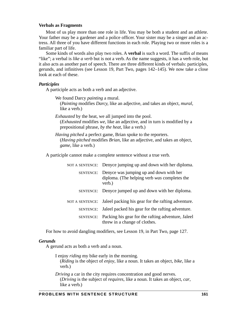#### **Verbals as Fragments**

Most of us play more than one role in life. You may be both a student and an athlete. Your father may be a gardener and a police officer. Your sister may be a singer and an actress. All three of you have different functions in each role. Playing two or more roles is a familiar part of life.

Some kinds of words also play two roles. A **verbal** is such a word. The suffix *al* means "like"; a verbal is *like a verb* but is not a verb. As the name suggests, it has a verb role, but it also acts as another part of speech. There are three different kinds of verbals: participles, gerunds, and infinitives (see Lesson 19, Part Two, pages 142–145). We now take a close look at each of these.

#### *Participles*

A participle acts as both a verb and an adjective.

We found Darcy *painting* a mural. (*Painting* modifies *Darcy,* like an adjective, and takes an object, *mural,* like a verb.)

*Exhausted* by the heat, we all jumped into the pool. (*Exhausted* modifies *we,* like an adjective, and in turn is modified by a prepositional phrase, *by the heat,* like a verb.)

*Having pitched* a perfect game, Brian spoke to the reporters. (*Having pitched* modifies *Brian,* like an adjective, and takes an object, *game,* like a verb.)

A participle cannot make a complete sentence without a true verb.

|                  | NOT A SENTENCE: Denyce jumping up and down with her diploma.                                                |
|------------------|-------------------------------------------------------------------------------------------------------------|
|                  | SENTENCE: Denyce was jumping up and down with her<br>diploma. (The helping verb was completes the<br>verb.) |
| <b>SENTENCE:</b> | Denyce jumped up and down with her diploma.                                                                 |
| NOT A SENTENCE:  | Jaleel packing his gear for the rafting adventure.                                                          |
| <b>SENTENCE:</b> | Jaleel packed his gear for the rafting adventure.                                                           |
| <b>SENTENCE:</b> | Packing his gear for the rafting adventure, Jaleel<br>threw in a change of clothes.                         |

For how to avoid dangling modifiers, see Lesson 19, in Part Two, page 127.

#### *Gerunds*

A gerund acts as both a verb and a noun.

I enjoy *riding* my bike early in the morning. (*Riding* is the object of *enjoy*, like a noun. It takes an object, *bike*, like a verb.)

*Driving* a car in the city requires concentration and good nerves. (*Driving* is the subject of *requires*, like a noun. It takes an object, *car*, like a verb.)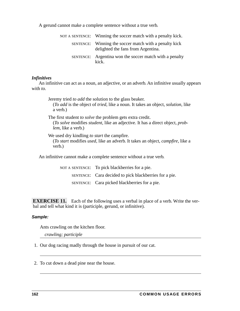A gerund cannot make a complete sentence without a true verb.

| NOT A SENTENCE: Winning the soccer match with a penalty kick.                                |
|----------------------------------------------------------------------------------------------|
| SENTENCE: Winning the soccer match with a penalty kick<br>delighted the fans from Argentina. |
| SENTENCE: Argentina won the soccer match with a penalty<br>kick.                             |

#### *Infinitives*

An infinitive can act as a noun, an adjective, or an adverb. An infinitive usually appears with *to.*

Jeremy tried *to add* the solution to the glass beaker. (*To add* is the object of *tried*, like a noun. It takes an object, *solution*, like a verb.)

The first student *to solve* the problem gets extra credit. (*To solve* modifies *student*, like an adjective. It has a direct object, *problem*, like a verb.)

We used dry kindling *to start* the campfire. (*To start* modifies *used*, like an adverb. It takes an object, *campfire*, like a verb.)

An infinitive cannot make a complete sentence without a true verb.

| NOT A SENTENCE: To pick blackberries for a pie.        |
|--------------------------------------------------------|
| SENTENCE: Cara decided to pick blackberries for a pie. |
| SENTENCE: Cara picked blackberries for a pie.          |

**EXERCISE 11.** Each of the following uses a verbal in place of a verb. Write the verbal and tell what kind it is (participle, gerund, or infinitive).

#### **Sample:**

Ants crawling on the kitchen floor.

*crawling; participle*

1. Our dog racing madly through the house in pursuit of our cat.

2. To cut down a dead pine near the house.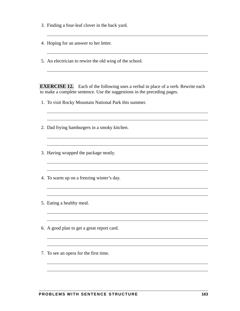- 3. Finding a four-leaf clover in the back yard.
- 4. Hoping for an answer to her letter.
- 5. An electrician to rewire the old wing of the school.

the control of the control of the control of the control of the control of the control of

**EXERCISE 12.** Each of the following uses a verbal in place of a verb. Rewrite each to make a complete sentence. Use the suggestions in the preceding pages.

<u> 1989 - Johann Stoff, deutscher Stoff, der Stoff, der Stoff, der Stoff, der Stoff, der Stoff, der Stoff, der S</u>

- 1. To visit Rocky Mountain National Park this summer.
- 2. Dad frying hamburgers in a smoky kitchen.
- 3. Having wrapped the package neatly.
- 4. To warm up on a freezing winter's day.
- 5. Eating a healthy meal.
- 6. A good plan to get a great report card.
- 7. To see an opera for the first time.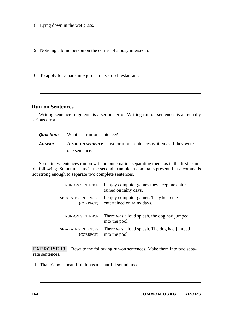8. Lying down in the wet grass.

9. Noticing a blind person on the corner of a busy intersection.

10. To apply for a part-time job in a fast-food restaurant.

# **Run-on Sentences**

Writing sentence fragments is a serious error. Writing run-on sentences is an equally serious error.

<u> 1989 - Johann Barbara, martxa alemaniar amerikan basar da da a shekara 1989 - Andrea Santa Albania a shekara</u>

| <b>Question:</b> What is a run-on sentence?                                       |
|-----------------------------------------------------------------------------------|
| <b>Answer:</b> A run-on sentence is two or more sentences written as if they were |
| one sentence.                                                                     |

Sometimes sentences run on with no punctuation separating them, as in the first example following. Sometimes, as in the second example, a comma is present, but a comma is not strong enough to separate two complete sentences.

| <b>RUN-ON SENTENCE:</b> | I enjoy computer games they keep me enter-<br>tained on rainy days. |
|-------------------------|---------------------------------------------------------------------|
| SEPARATE SENTENCES:     | I enjoy computer games. They keep me                                |
| (CORRECT)               | entertained on rainy days.                                          |
| <b>RUN-ON SENTENCE:</b> | There was a loud splash, the dog had jumped<br>into the pool.       |
| SEPARATE SENTENCES:     | There was a loud splash. The dog had jumped                         |
| (CORRECT)               | into the pool.                                                      |

**EXERCISE 13.** Rewrite the following run-on sentences. Make them into two separate sentences.

1. That piano is beautiful, it has a beautiful sound, too.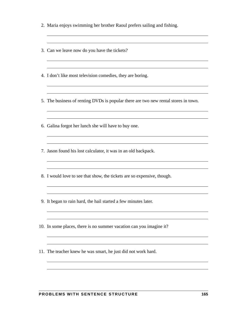- 2. Maria enjoys swimming her brother Raoul prefers sailing and fishing.
- 3. Can we leave now do you have the tickets?
- 4. I don't like most television comedies, they are boring.
- 5. The business of renting DVDs is popular there are two new rental stores in town.

<u> 1980 - Johann Barbara, martxa alemaniar arg</u>

- 6. Galina forgot her lunch she will have to buy one.
- 7. Jason found his lost calculator, it was in an old backpack.
- 8. I would love to see that show, the tickets are so expensive, though.
- 9. It began to rain hard, the hail started a few minutes later.
- 10. In some places, there is no summer vacation can you imagine it?
- 11. The teacher knew he was smart, he just did not work hard.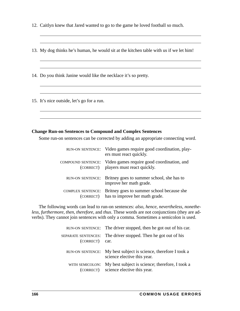- 12. Caitlyn knew that Jared wanted to go to the game he loved football so much.
- 13. My dog thinks he's human, he would sit at the kitchen table with us if we let him!
- 14. Do you think Janine would like the necklace it's so pretty.
- 15. It's nice outside, let's go for a run.

#### **Change Run-on Sentences to Compound and Complex Sentences**

Some run-on sentences can be corrected by adding an appropriate connecting word.

|                                       | RUN-ON SENTENCE: Video games require good coordination, play-<br>ers must react quickly. |
|---------------------------------------|------------------------------------------------------------------------------------------|
| COMPOUND SENTENCE:                    | Video games require good coordination, and<br>(CORRECT) players must react quickly.      |
| <b>RUN-ON SENTENCE:</b>               | Britney goes to summer school, she has to<br>improve her math grade.                     |
| <b>COMPLEX SENTENCE:</b><br>(CORRECT) | Britney goes to summer school because she<br>has to improve her math grade.              |

the control of the control of the control of the control of the control of the control of

The following words can lead to run-on sentences: *also, hence, nevertheless, nonetheless, furthermore, then, therefore,* and *thus*. These words are not conjunctions (they are adverbs). They cannot join sentences with only a comma. Sometimes a semicolon is used.

|                         | RUN-ON SENTENCE: The driver stopped, then he got out of his car.              |
|-------------------------|-------------------------------------------------------------------------------|
| SEPARATE SENTENCES:     | The driver stopped. Then he got out of his                                    |
| (CORRECT)               | car.                                                                          |
| <b>RUN-ON SENTENCE:</b> | My best subject is science, therefore I took a<br>science elective this year. |
| WITH SEMICOLON:         | My best subject is science; therefore, I took a                               |
| (CORRECT)               | science elective this year.                                                   |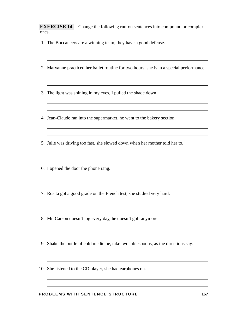**EXERCISE 14.** Change the following run-on sentences into compound or complex ones.

1. The Buccaneers are a winning team, they have a good defense.

2. Maryanne practiced her ballet routine for two hours, she is in a special performance.

<u> 1989 - Johann Stoff, deutscher Stoff, der Stoff, der Stoff, der Stoff, der Stoff, der Stoff, der Stoff, der S</u>

- 3. The light was shining in my eyes, I pulled the shade down.
- 4. Jean-Claude ran into the supermarket, he went to the bakery section.
- 5. Julie was driving too fast, she slowed down when her mother told her to.
- 6. I opened the door the phone rang.
- 7. Rosita got a good grade on the French test, she studied very hard.
- 8. Mr. Carson doesn't jog every day, he doesn't golf anymore.
- 9. Shake the bottle of cold medicine, take two tablespoons, as the directions say.
- 10. She listened to the CD player, she had earphones on.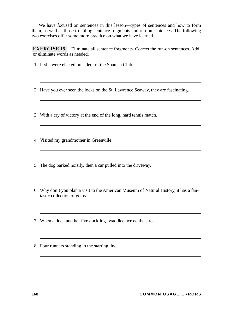We have focused on sentences in this lesson—types of sentences and how to form them, as well as those troubling sentence fragments and run-on sentences. The following two exercises offer some more practice on what we have learned.

**EXERCISE 15.** Eliminate all sentence fragments. Correct the run-on sentences. Add or eliminate words as needed.

- 1. If she were elected president of the Spanish Club.
- 2. Have you ever seen the locks on the St. Lawrence Seaway, they are fascinating.
- 3. With a cry of victory at the end of the long, hard tennis match.
- 4. Visited my grandmother in Greenville.
- 5. The dog barked noisily, then a car pulled into the driveway.
- 6. Why don't you plan a visit to the American Museum of Natural History, it has a fantastic collection of gems.

<u> 1989 - Johann Stoff, amerikansk politiker (d. 1989)</u>

- 7. When a duck and her five ducklings waddled across the street.
- 8. Four runners standing in the starting line.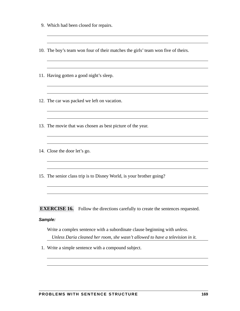- 9. Which had been closed for repairs.
- 10. The boy's team won four of their matches the girls' team won five of theirs.
- 11. Having gotten a good night's sleep.
- 12. The car was packed we left on vacation.
- 13. The movie that was chosen as best picture of the year.
- 14. Close the door let's go.
- 15. The senior class trip is to Disney World, is your brother going?

**EXERCISE 16.** Follow the directions carefully to create the sentences requested.

#### **Sample:**

Write a complex sentence with a subordinate clause beginning with *unless*.

*Unless Daria cleaned her room, she wasn't allowed to have a television in it.*

1. Write a simple sentence with a compound subject.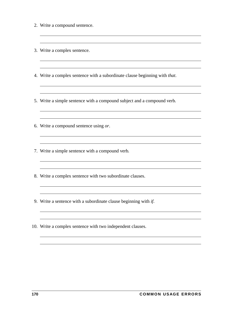- 2. Write a compound sentence.
- 3. Write a complex sentence.
- 4. Write a complex sentence with a subordinate clause beginning with *that*.

<u> 1989 - Johann Stoff, amerikansk politiker (d. 1989)</u>

5. Write a simple sentence with a compound subject and a compound verb.

<u> 1989 - Johann Stein, mars an deus Amerikaansk kommunister (\* 1958)</u>

- 6. Write a compound sentence using *or*.
- 7. Write a simple sentence with a compound verb.
- 8. Write a complex sentence with two subordinate clauses.
- 9. Write a sentence with a subordinate clause beginning with *if*.
- 10. Write a complex sentence with two independent clauses.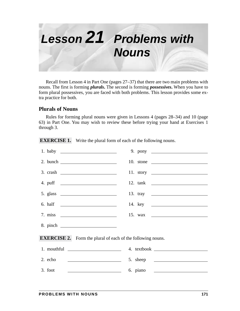# **Lesson 21 Problems with Nouns**

Recall from Lesson 4 in Part One (pages 27–37) that there are two main problems with nouns. The first is forming *plurals***.** The second is forming *possessives***.** When you have to form plural possessives, you are faced with both problems. This lesson provides some extra practice for both.

## **Plurals of Nouns**

Rules for forming plural nouns were given in Lessons 4 (pages 28–34) and 10 (page 63) in Part One. You may wish to review these before trying your hand at Exercises 1 through 3.

**EXERCISE 1.** Write the plural form of each of the following nouns.

| 2. bunch $\frac{1}{\sqrt{1-\frac{1}{2}}\sqrt{1-\frac{1}{2}}\sqrt{1-\frac{1}{2}}\sqrt{1-\frac{1}{2}}\sqrt{1-\frac{1}{2}}\sqrt{1-\frac{1}{2}}\sqrt{1-\frac{1}{2}}\sqrt{1-\frac{1}{2}}\sqrt{1-\frac{1}{2}}\sqrt{1-\frac{1}{2}}\sqrt{1-\frac{1}{2}}\sqrt{1-\frac{1}{2}}\sqrt{1-\frac{1}{2}}\sqrt{1-\frac{1}{2}}\sqrt{1-\frac{1}{2}}\sqrt{1-\frac{1}{2}}\sqrt{1-\frac{1}{2}}\sqrt{1-\frac{1}{2}}\sqrt{1-\frac{1$ |                           |  |  |  |  |  |
|-------------------------------------------------------------------------------------------------------------------------------------------------------------------------------------------------------------------------------------------------------------------------------------------------------------------------------------------------------------------------------------------------------------|---------------------------|--|--|--|--|--|
|                                                                                                                                                                                                                                                                                                                                                                                                             | 11. story $\qquad \qquad$ |  |  |  |  |  |
|                                                                                                                                                                                                                                                                                                                                                                                                             |                           |  |  |  |  |  |
|                                                                                                                                                                                                                                                                                                                                                                                                             |                           |  |  |  |  |  |
|                                                                                                                                                                                                                                                                                                                                                                                                             | 14. key                   |  |  |  |  |  |
| 7. miss $\overline{\qquad \qquad }$                                                                                                                                                                                                                                                                                                                                                                         | 15. wax $\qquad$          |  |  |  |  |  |
|                                                                                                                                                                                                                                                                                                                                                                                                             |                           |  |  |  |  |  |
| <b>EXERCISE 2.</b> Form the plural of each of the following nouns.                                                                                                                                                                                                                                                                                                                                          |                           |  |  |  |  |  |
| 1. mouthful $\qquad \qquad$                                                                                                                                                                                                                                                                                                                                                                                 |                           |  |  |  |  |  |
| 2. echo<br><u> Alexandria (m. 1858)</u>                                                                                                                                                                                                                                                                                                                                                                     | 5. sheep                  |  |  |  |  |  |
| 3. foot<br><u> Listen van die Stad van die Stad van die Stad van die Stad van die Stad van die Stad van die Stad van die Stad v</u>                                                                                                                                                                                                                                                                         | 6. piano                  |  |  |  |  |  |
|                                                                                                                                                                                                                                                                                                                                                                                                             |                           |  |  |  |  |  |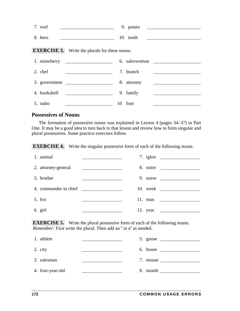| 7. roof      | the control of the control of the control of the control of the control of | 9. potato   | <u> 1980 - Andrea Maria Barbara, poeta esp</u>                                                                        |
|--------------|----------------------------------------------------------------------------|-------------|-----------------------------------------------------------------------------------------------------------------------|
| 8. hero      | <u>and the contract of the contract of the contract of</u>                 | 10. tooth   | <u> 1989 - Andrea State Barbara, política e a contrar a la contrar de la contrar de la contrar de la contrar de l</u> |
|              | <b>EXERCISE 3.</b> Write the plurals for these nouns.                      |             |                                                                                                                       |
|              |                                                                            |             | 6. saleswoman                                                                                                         |
| 2. chef      | <u> 1980 - Andrea Andrew Maria (h. 19</u>                                  | 7. branch   |                                                                                                                       |
|              | 3. government $\overline{\phantom{a} \phantom{a}}$                         | 8. attorney | <u> Constantino de la constantino de la constantino de la constantino de la constantino de la constantino de la c</u> |
| 4. bookshelf | <u> 1980 - Johann Barbara, martin a</u>                                    | 9. family   | <u> 1990 - Johann John Stein, markin samti samti samti samti samti samti samti samti samti samti samti samti sa</u>   |
| 5. radio     | <u> 1999 - Johann Barbara, martin a</u>                                    | 10 foot     |                                                                                                                       |

# **Possessives of Nouns**

The formation of possessive nouns was explained in Lesson 4 (pages 34–37) in Part One. It may be a good idea to turn back to that lesson and review how to form singular and plural possessives. Some practice exercises follow.

**EXERCISE 4.** Write the singular possessive form of each of the following nouns.

| 1. animal             |                                                     |                                                                                                                                                                                                                                                                                                                                                                                                             |
|-----------------------|-----------------------------------------------------|-------------------------------------------------------------------------------------------------------------------------------------------------------------------------------------------------------------------------------------------------------------------------------------------------------------------------------------------------------------------------------------------------------------|
| 2. attorney-general   | <u> 1989 - Andrea State Barbara, amerikan per</u>   |                                                                                                                                                                                                                                                                                                                                                                                                             |
| 3. brother            | <u> 1989 - Jan Sterlinger, fransk politiker (</u>   | 9. nurse $\frac{1}{\sqrt{1-\frac{1}{2}}\sqrt{1-\frac{1}{2}}\sqrt{1-\frac{1}{2}}\sqrt{1-\frac{1}{2}}\sqrt{1-\frac{1}{2}}\sqrt{1-\frac{1}{2}}\sqrt{1-\frac{1}{2}}\sqrt{1-\frac{1}{2}}\sqrt{1-\frac{1}{2}}\sqrt{1-\frac{1}{2}}\sqrt{1-\frac{1}{2}}\sqrt{1-\frac{1}{2}}\sqrt{1-\frac{1}{2}}\sqrt{1-\frac{1}{2}}\sqrt{1-\frac{1}{2}}\sqrt{1-\frac{1}{2}}\sqrt{1-\frac{1}{2}}\sqrt{1-\frac{1}{2}}\sqrt{1-\frac{1$ |
| 4. commander in chief |                                                     |                                                                                                                                                                                                                                                                                                                                                                                                             |
| $5.$ fox              | <u> 1989 - Andrea Station Barbara, amerikan per</u> | 11. man $\qquad \qquad$                                                                                                                                                                                                                                                                                                                                                                                     |
| 6. girl               |                                                     |                                                                                                                                                                                                                                                                                                                                                                                                             |

**EXERCISE 5.** Write the plural possessive form of each of the following nouns. *Remember:* First write the plural. Then add an **'** or *s***'** as needed.

| 1. athlete       |  | 5. goose $\_\_$        |
|------------------|--|------------------------|
| 2. city          |  |                        |
| 3. salesman      |  | 7. mouse $\frac{ }{ }$ |
| 4. four-year-old |  | 8. month               |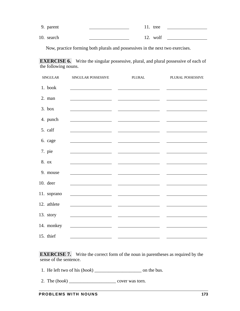| 9. parent  | tree<br>11. |  |
|------------|-------------|--|
| 10. search | 12. wolf    |  |

Now, practice forming both plurals and possessives in the next two exercises.

**EXERCISE 6.** Write the singular possessive, plural, and plural possessive of each of the following nouns.

| <b>SINGULAR</b> | SINGULAR POSSESSIVE                                    | <b>PLURAL</b>                                                                               | PLURAL POSSESSIVE |
|-----------------|--------------------------------------------------------|---------------------------------------------------------------------------------------------|-------------------|
| 1. book         | <u> 1990 - Johann Barbara, martin a</u>                |                                                                                             |                   |
| 2. man          |                                                        |                                                                                             |                   |
| $3.$ box        |                                                        | <u> 1989 - Johann Harry Harry Barn, mars and deutscher Schwarzer († 1908)</u>               |                   |
| 4. punch        | <u> 1989 - Johann Barbara, martxa al</u>               |                                                                                             |                   |
| 5. calf         | the control of the control of the control of the       | the control of the control of the control of the control of                                 |                   |
| 6. cage         | <u> 1989 - Johann Barbara, martxa eta politikar</u>    |                                                                                             |                   |
| 7. pie          | <u> 1990 - Johann Barn, mars ann an t-San A</u>        |                                                                                             |                   |
| 8. ox           |                                                        | <u> 1989 - Johann Harry Harry Barn, mars and deutscher Amerikaanse kommunister († 1908)</u> |                   |
| 9. mouse        |                                                        |                                                                                             |                   |
| 10. deer        |                                                        | <u> 1989 - Johann Barbara, martxa eta politikaria (h. 1989).</u>                            |                   |
| 11. soprano     |                                                        |                                                                                             |                   |
|                 |                                                        |                                                                                             |                   |
| 12. athlete     | <u> 1980 - Jan Barbara Barbara, política establece</u> |                                                                                             |                   |
| 13. story       |                                                        |                                                                                             |                   |
| 14. monkey      | <u> 1980 - Johann Barbara, martxa a</u>                |                                                                                             |                   |
| 15. thief       |                                                        |                                                                                             |                   |

**EXERCISE 7.** Write the correct form of the noun in parentheses as required by the sense of the sentence.

1. He left two of his (*book*) \_\_\_\_\_\_\_\_\_\_\_\_\_\_\_\_\_\_\_\_ on the bus.

2. The  $(book)$  <u>cover</u> was torn.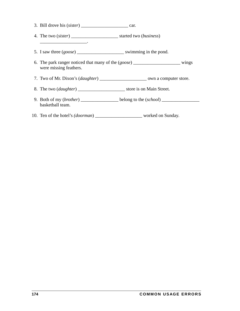| 5. I saw three ( <i>goose</i> ) ____________________________ swimming in the pond.                                      |  |
|-------------------------------------------------------------------------------------------------------------------------|--|
| 6. The park ranger noticed that many of the ( <i>goose</i> ) __________________________ wings<br>were missing feathers. |  |
| 7. Two of Mr. Dixon's (daughter) _________________________ own a computer store.                                        |  |
|                                                                                                                         |  |
| basketball team.                                                                                                        |  |
| 10. Ten of the hotel's ( <i>doorman</i> ) ________________________ worked on Sunday.                                    |  |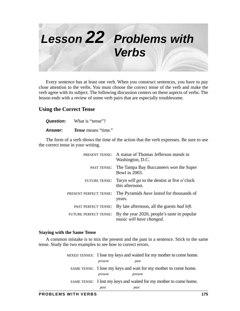# **Lesson 22 Problems with Verbs**

Every sentence has at least one verb. When you construct sentences, you have to pay close attention to the verbs. You must choose the correct tense of the verb and make the verb agree with its subject. The following discussion centers on these aspects of verbs. The lesson ends with a review of some verb pairs that are especially troublesome.

# **Using the Correct Tense**

**Question:** What is "tense"?

**Answer:** *Tense* means "time."

The form of a verb shows the time of the action that the verb expresses. Be sure to use the correct tense in your writing.

| <b>PRESENT TENSE:</b>        | A statue of Thomas Jefferson stands in<br>Washington, D.C.              |
|------------------------------|-------------------------------------------------------------------------|
| <b>PAST TENSE:</b>           | The Tampa Bay Buccaneers won the Super<br>Bowl in 2003.                 |
| <b>FUTURE TENSE:</b>         | Taryn will go to the dentist at five o'clock<br>this afternoon.         |
| PRESENT PERFECT TENSE:       | The Pyramids <i>have lasted</i> for thousands of<br>years.              |
| <b>PAST PERFECT TENSE:</b>   | By late afternoon, all the guests <i>had left</i> .                     |
| <b>FUTURE PERFECT TENSE:</b> | By the year 2020, people's taste in popular<br>music will have changed. |

#### **Staying with the Same Tense**

A common mistake is to mix the present and the past in a sentence. Stick to the same tense. Study the two examples to see how to correct errors.

|         | MIXED TENSES: I lose my keys and waited for my mother to come home.        |
|---------|----------------------------------------------------------------------------|
| present | past                                                                       |
| present | SAME TENSE: I lose my keys and wait for my mother to come home.<br>present |
|         |                                                                            |
|         | SAME TENSE: I lost my keys and waited for my mother to come home.          |
| past    | past                                                                       |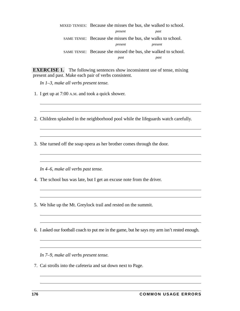MIXED TENSES: Because she misses the bus, she walked to school. *present past* SAME TENSE: Because she misses the bus, she walks to school. *present present* SAME TENSE: Because she missed the bus, she walked to school. *past past*

**EXERCISE 1.** The following sentences show inconsistent use of tense, mixing present and past. Make each pair of verbs consistent.

*In 1–3, make all verbs present tense.*

1. I get up at 7:00 A.M. and took a quick shower.

2. Children splashed in the neighborhood pool while the lifeguards watch carefully.

3. She turned off the soap opera as her brother comes through the door.

*In 4–6, make all verbs past tense.*

4. The school bus was late, but I get an excuse note from the driver.

5. We hike up the Mt. Greylock trail and rested on the summit.

6. I asked our football coach to put me in the game, but he says my arm isn't rested enough.

*In 7–9, make all verbs present tense.*

7. Cai strolls into the cafeteria and sat down next to Page.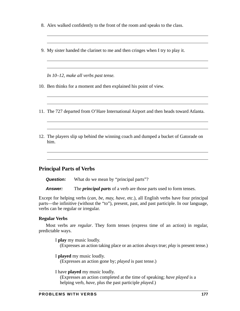- 8. Alex walked confidently to the front of the room and speaks to the class.
- 9. My sister handed the clarinet to me and then cringes when I try to play it.

*In 10–12, make all verbs past tense.*

- 10. Ben thinks for a moment and then explained his point of view.
- 11. The 727 departed from O'Hare International Airport and then heads toward Atlanta.
- 12. The players slip up behind the winning coach and dumped a bucket of Gatorade on him.

# **Principal Parts of Verbs**

**Question:** What do we mean by "principal parts"?

**Answer:** The *principal parts* of a verb are those parts used to form tenses.

Except for helping verbs (*can, be, may, have,* etc.), all English verbs have four principal parts—the infinitive (without the "to"), present, past, and past participle. In our language, verbs can be regular or irregular.

#### **Regular Verbs**

Most verbs are *regular*. They form tenses (express time of an action) in regular, predictable ways.

I **play** my music loudly. (Expresses an action taking place or an action always true; *play* is present tense.)

I **played** my music loudly. (Expresses an action gone by; *played* is past tense.)

I have **played** my music loudly.

(Expresses an action completed at the time of speaking; *have played* is a helping verb, *have*, plus the past participle *played*.)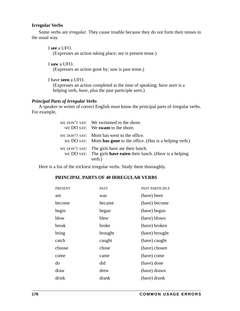#### **Irregular Verbs**

Some verbs are *irregular*. They cause trouble because they do not form their tenses in the usual way.

I **see** a UFO.

(Expresses an action taking place; *see* is present tense.)

I **saw** a UFO.

(Expresses an action gone by; *saw* is past tense.)

I have **seen** a UFO.

(Expresses an action completed at the time of speaking; *have seen* is a helping verb, *have*, plus the past participle *seen*.)

#### *Principal Parts of Irregular Verbs*

A speaker or writer of correct English must know the principal parts of irregular verbs. For example,

| WE DON'T SAY: We swimmed to the shore.                                                                                                    |
|-------------------------------------------------------------------------------------------------------------------------------------------|
| WE DO SAY: We swam to the shore.                                                                                                          |
| WE DON'T SAY: Mom has went to the office.<br>WE DO SAY: Mom has gone to the office. ( <i>Has</i> is a helping verb.)                      |
| WE DON'T SAY: The girls have ate their lunch.<br>WE DO SAY: The girls <b>have eaten</b> their lunch. ( <i>Have</i> is a helping<br>verb.) |

Here is a list of the trickiest irregular verbs. Study them thoroughly.

#### **PRINCIPAL PARTS OF 40 IRREGULAR VERBS**

| PRESENT | <b>PAST</b> | <b>PAST PARTICIPLE</b> |
|---------|-------------|------------------------|
| am      | was         | (have) been            |
| become  | became      | (have) become          |
| begin   | began       | (have) begun           |
| blow    | blew        | (have) blown           |
| break   | broke       | (have) broken          |
| bring   | brought     | (have) brought         |
| catch   | caught      | (have) caught          |
| choose  | chose       | (have) chosen          |
| come    | came        | (have) come            |
| do      | did         | (have) done            |
| draw    | drew        | (have) drawn           |
| drink   | drank       | (have) drunk           |
|         |             |                        |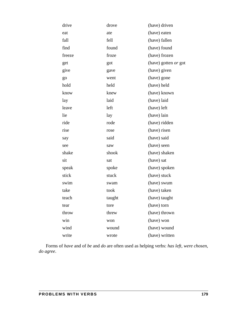| drive  | drove  | (have) driven               |
|--------|--------|-----------------------------|
| eat    | ate    | (have) eaten                |
| fall   | fell   | (have) fallen               |
| find   | found  | (have) found                |
| freeze | froze  | (have) frozen               |
| get    | got    | (have) gotten <i>or</i> got |
| give   | gave   | (have) given                |
| go     | went   | (have) gone                 |
| hold   | held   | (have) held                 |
| know   | knew   | (have) known                |
| lay    | laid   | (have) laid                 |
| leave  | left   | (have) left                 |
| lie    | lay    | (have) lain                 |
| ride   | rode   | (have) ridden               |
| rise   | rose   | (have) risen                |
| say    | said   | (have) said                 |
| see    | saw    | (have) seen                 |
| shake  | shook  | (have) shaken               |
| sit    | sat    | (have) sat                  |
| speak  | spoke  | (have) spoken               |
| stick  | stuck  | (have) stuck                |
| swim   | swam   | (have) swum                 |
| take   | took   | (have) taken                |
| teach  | taught | (have) taught               |
| tear   | tore   | (have) torn                 |
| throw  | threw  | (have) thrown               |
| win    | won    | (have) won                  |
| wind   | wound  | (have) wound                |
| write  | wrote  | (have) written              |

Forms of *have* and of *be* and *do* are often used as helping verbs: *has left*, *were chosen*, *do agree*.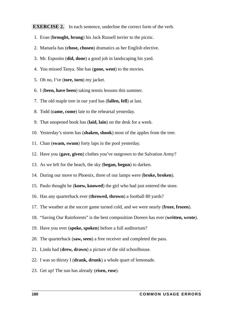**EXERCISE 2.** In each sentence, underline the correct form of the verb.

- 1. Evan (**brought, brung**) his Jack Russell terrier to the picnic.
- 2. Manuela has (**chose, chosen**) dramatics as her English elective.
- 3. Mr. Esposito (**did, done**) a good job in landscaping his yard.
- 4. You missed Tanya. She has (**gone, went**) to the movies.
- 5. Oh no, I've (**tore, torn**) my jacket.
- 6. I (**been, have been**) taking tennis lessons this summer.
- 7. The old maple tree in our yard has (**fallen, fell**) at last.
- 8. Todd (**came, come**) late to the rehearsal yesterday.
- 9. That unopened book has (**laid, lain**) on the desk for a week.
- 10. Yesterday's storm has (**shaken, shook**) most of the apples from the tree.
- 11. Chan (**swam, swum**) forty laps in the pool yesterday.
- 12. Have you (**gave, given**) clothes you've outgrown to the Salvation Army?
- 13. As we left for the beach, the sky (**began, begun**) to darken.
- 14. During our move to Phoenix, three of our lamps were (**broke, broken**).
- 15. Paolo thought he (**knew, knowed**) the girl who had just entered the store.
- 16. Has any quarterback ever (**throwed, thrown**) a football 80 yards?
- 17. The weather at the soccer game turned cold, and we were nearly (**froze, frozen**).
- 18. "Saving Our Rainforests" is the best composition Doreen has ever (**written, wrote**).
- 19. Have you ever (**spoke, spoken**) before a full auditorium?
- 20. The quarterback (**saw, seen**) a free receiver and completed the pass.
- 21. Linda had (**drew, drawn**) a picture of the old schoolhouse.
- 22. I was so thirsty I (**drank, drunk**) a whole quart of lemonade.
- 23. Get up! The sun has already (**risen, rose**).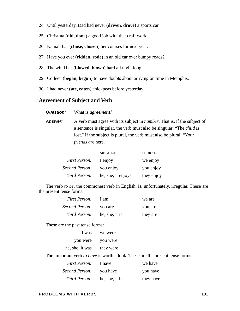- 24. Until yesterday, Dad had never (**driven, drove**) a sports car.
- 25. Christina (**did, done**) a good job with that craft work.
- 26. Kamali has (**chose, chosen**) her courses for next year.
- 27. Have you ever (**ridden, rode**) in an old car over bumpy roads?
- 28. The wind has (**blowed, blown**) hard all night long.
- 29. Colleen (**began, begun**) to have doubts about arriving on time in Memphis.
- 30. I had never (**ate, eaten**) chickpeas before yesterday.

# **Agreement of Subject and Verb**

| <b>Question:</b> | What is <i>agreement?</i> |  |
|------------------|---------------------------|--|
|------------------|---------------------------|--|

**Answer:** A verb must agree with its subject in *number*. That is, if the subject of a sentence is singular, the verb must also be singular: "The *child is* lost." If the subject is plural, the verb must also be plural: "Your *friends are* here."

|                      | <b>SINGULAR</b>    | PLURAL     |
|----------------------|--------------------|------------|
| <b>First Person:</b> | I enjoy            | we enjoy   |
| Second Person:       | you enjoy          | you enjoy  |
| Third Person:        | he, she, it enjoys | they enjoy |

The verb *to be*, the commonest verb in English, is, unfortunately, irregular. These are the present tense forms:

| <i>First Person:</i> | 1 am           | we are   |
|----------------------|----------------|----------|
| Second Person:       | you are        | you are  |
| <i>Third Person:</i> | he, she, it is | they are |

These are the past tense forms:

| 1 was           | we were   |
|-----------------|-----------|
| you were        | you were  |
| he, she, it was | they were |

The important verb *to have* is worth a look. These are the present tense forms:

| First Person:        | I have          | we have   |
|----------------------|-----------------|-----------|
| Second Person:       | you have        | you have  |
| <i>Third Person:</i> | he, she, it has | they have |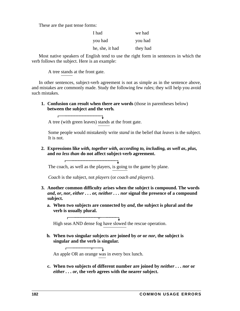These are the past tense forms:

| I had           | we had   |
|-----------------|----------|
| you had         | you had  |
| he, she, it had | they had |

Most native speakers of English tend to use the right form in sentences in which the verb follows the subject. Here is an example:

A tree stands at the front gate.

In other sentences, subject-verb agreement is not as simple as in the sentence above, and mistakes are commonly made. Study the following few rules; they will help you avoid such mistakes.

**1. Confusion can result when there are words** (those in parentheses below) **between the subject and the verb.**

 $\overline{\phantom{a}}$ A tree (with green leaves) stands at the front gate.

Some people would mistakenly write *stand* in the belief that *leaves* is the subject. It is not.

**2. Expressions like** *with, together with, according to, including, as well as***,** *plus,* **and** *no less than* **do not affect subject-verb agreement.**

**x** The coach, as well as the players, is going to the game by plane.

*Coach* is the subject, not *players* (or *coach and players*).

- **3. Another common difficulty arises when the subject is compound. The words** *and***,** *or***,** *nor***,** *either . . . or, neither . . . nor* **signal the presence of a compound subject.**
	- **a. When two subjects are connected by** *and***, the subject is plural and the verb is usually plural.**

High seas AND dense fog have slowed the rescue operation.

**b. When two singular subjects are joined by** *or* **or** *nor***, the subject is singular and the verb is singular.**

 $\overline{a}$ An apple OR an orange was in every box lunch.

**x** 

**c. When two subjects of different number are joined by** *neither . . . nor* **or** *either . . . or***, the verb agrees with the nearer subject.**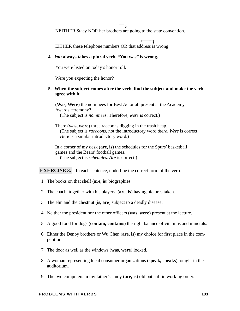$\overline{\phantom{a}}$ NEITHER Stacy NOR her brothers are going to the state convention.

 $\overline{\phantom{a}}$ EITHER these telephone numbers OR that address is wrong.

#### **4.** *You* **always takes a plural verb. "You was" is wrong.**

You were listed on today's honor roll.

Were you expecting the honor?

#### **5. When the subject comes after the verb, find the subject and make the verb agree with it.**

(**Was, Were**) the nominees for Best Actor all present at the Academy Awards ceremony? (The subject is *nominees*. Therefore, *were* is correct.)

There (**was, were**) three raccoons digging in the trash heap. (The subject is *raccoons*, not the introductory word *there*. *Were* is correct. *Here* is a similar introductory word.)

In a corner of my desk (**are, is**) the schedules for the Spurs' basketball games and the Bears' football games. (The subject is *schedules*. *Are* is correct.)

**EXERCISE 3.** In each sentence, underline the correct form of the verb.

- 1. The books on that shelf (**are, is**) biographies.
- 2. The coach, together with his players, (**are, is**) having pictures taken.
- 3. The elm and the chestnut (**is, are**) subject to a deadly disease.
- 4. Neither the president nor the other officers (**was, were**) present at the lecture.
- 5. A good food for dogs (**contain, contains**) the right balance of vitamins and minerals.
- 6. Either the Denby brothers or Wu Chen (**are, is**) my choice for first place in the competition.
- 7. The door as well as the windows (**was, were**) locked.
- 8. A woman representing local consumer organizations (**speak, speaks**) tonight in the auditorium.
- 9. The two computers in my father's study (**are, is**) old but still in working order.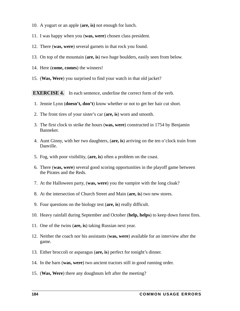- 10. A yogurt or an apple (**are, is)** not enough for lunch.
- 11. I was happy when you (**was, were**) chosen class president.
- 12. There (**was, were**) several garnets in that rock you found.
- 13. On top of the mountain (**are, is**) two huge boulders, easily seen from below.
- 14. Here (**come, comes**) the winners!
- 15. (**Was, Were**) you surprised to find your watch in that old jacket?

**EXERCISE 4.** In each sentence, underline the correct form of the verb.

- 1. Jennie Lynn (**doesn't, don't**) know whether or not to get her hair cut short.
- 2. The front tires of your sister's car (**are, is**) worn and smooth.
- 3. The first clock to strike the hours (**was, were**) constructed in 1754 by Benjamin Banneker.
- 4. Aunt Ginny, with her two daughters, (**are, is**) arriving on the ten o'clock train from Danville.
- 5. Fog, with poor visibility, (**are, is**) often a problem on the coast.
- 6. There (**was, were**) several good scoring opportunities in the playoff game between the Pirates and the Reds.
- 7. At the Halloween party, (**was, were**) you the vampire with the long cloak?
- 8. At the intersection of Church Street and Main (**are, is**) two new stores.
- 9. Four questions on the biology test (**are, is**) really difficult.
- 10. Heavy rainfall during September and October (**help, helps**) to keep down forest fires.
- 11. One of the twins (**are, is**) taking Russian next year.
- 12. Neither the coach nor his assistants (**was, were**) available for an interview after the game.
- 13. Either broccoli or asparagus (**are, is**) perfect for tonight's dinner.
- 14. In the barn (**was, were**) two ancient tractors still in good running order.
- 15. (**Was, Were**) there any doughnuts left after the meeting?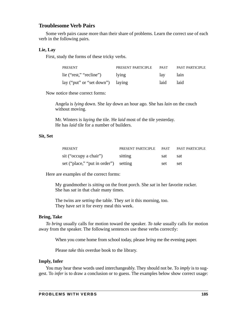# **Troublesome Verb Pairs**

Some verb pairs cause more than their share of problems. Learn the correct use of each verb in the following pairs.

### **Lie, Lay**

First, study the forms of these tricky verbs.

| <b>PRESENT</b>                   | PRESENT PARTICIPLE | PAST | PAST PARTICIPLE |
|----------------------------------|--------------------|------|-----------------|
| lie ("rest," "recline") lying    |                    | lav  | lain            |
| lay ("put" or "set down") laying |                    | laid | laid            |

Now notice these correct forms:

Angela is *lying* down. She *lay* down an hour ago. She has *lain* on the couch without moving.

Mr. Winters is *laying* the tile. He *laid* most of the tile yesterday. He has *laid* tile for a number of builders.

# **Sit, Set**

| PRESENT                               | PRESENT PARTICIPLE PAST PAST PARTICIPLE |     |     |
|---------------------------------------|-----------------------------------------|-----|-----|
| sit ("occupy a chair")                | sitting                                 | sat | sat |
| set ("place," "put in order") setting |                                         | set | set |

Here are examples of the correct forms:

My grandmother is *sitting* on the front porch. She *sat* in her favorite rocker. She has *sat* in that chair many times.

The twins are *setting* the table. They *set* it this morning, too. They have *set* it for every meal this week.

#### **Bring, Take**

*To bring* usually calls for motion toward the speaker. *To take* usually calls for motion away from the speaker. The following sentences use these verbs correctly:

When you come home from school today, please *bring* me the evening paper.

Please *take* this overdue book to the library.

#### **Imply, Infer**

You may hear these words used interchangeably. They should not be. To *imply* is to suggest. To *infer* is to draw a conclusion or to guess. The examples below show correct usage: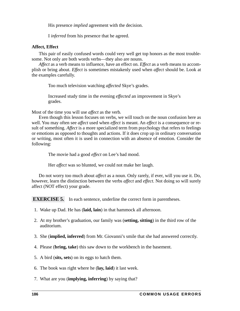His presence *implied* agreement with the decision.

I *inferred* from his presence that he agreed.

### **Affect, Effect**

This pair of easily confused words could very well get top honors as the most troublesome. Not only are both words verbs—they also are nouns.

*Affect* as a verb means to influence, have an effect on. *Effect* as a verb means to accomplish or bring about. *Effect* is sometimes mistakenly used when *affect* should be. Look at the examples carefully.

Too much television watching *affected* Skye's grades.

Increased study time in the evening *effected* an improvement in Skye's grades.

Most of the time you will use *affect* as the verb.

Even though this lesson focuses on verbs, we will touch on the noun confusion here as well. You may often see *affect* used when *effect* is meant. An *effect* is a consequence or result of something. *Affect* is a more specialized term from psychology that refers to feelings or emotions as opposed to thoughts and actions. If it does crop up in ordinary conversation or writing, most often it is used in connection with an absence of emotion. Consider the following:

The movie had a good *effect* on Lee's bad mood.

Her *affect* was so blunted, we could not make her laugh.

Do not worry too much about *affect* as a noun. Only rarely, if ever, will you use it. Do, however, learn the distinction between the verbs *affect* and *effect*. Not doing so will surely affect (NOT effect) your grade.

**EXERCISE 5.** In each sentence, underline the correct form in parentheses.

- 1. Wake up Dad. He has (**laid, lain**) in that hammock all afternoon.
- 2. At my brother's graduation, our family was (**setting, sitting**) in the third row of the auditorium.
- 3. She (**implied, inferred**) from Mr. Giovanni's smile that she had answered correctly.
- 4. Please (**bring, take**) this saw down to the workbench in the basement.
- 5. A bird (**sits, sets**) on its eggs to hatch them.
- 6. The book was right where he (**lay, laid**) it last week.
- 7. What are you (**implying, inferring**) by saying that?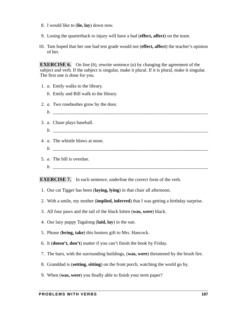- 8. I would like to (**lie, lay**) down now.
- 9. Losing the quarterback to injury will have a bad (**effect, affect**) on the team.
- 10. Tam hoped that her one bad test grade would not (**effect, affect**) the teacher's opinion of her.

**EXERCISE 6.** On line (*b*), rewrite sentence (*a*) by changing the agreement of the subject and verb. If the subject is singular, make it plural. If it is plural, make it singular. The first one is done for you.

- 1. *a*. Emily walks to the library.
	- *b*. Emily and Bill walk to the library.
- 2. *a*. Two rosebushes grow by the door.
	- *b*.
- 3. *a*. Chase plays baseball.
	- $b$ .
- 4. *a*. The whistle blows at noon.
	- *b*.
- 5. *a*. The bill is overdue.
	- *b*.

**EXERCISE 7.** In each sentence, underline the correct form of the verb.

- 1. Our cat Tigger has been (**laying, lying**) in that chair all afternoon.
- 2. With a smile, my mother (**implied, inferred**) that I was getting a birthday surprise.
- 3. All four paws and the tail of the black kitten (**was, were**) black.
- 4. Our lazy puppy Tagalong (**laid, lay**) in the sun.
- 5. Please (**bring, take**) this hostess gift to Mrs. Hancock.
- 6. It (**doesn't, don't**) matter if you can't finish the book by Friday.
- 7. The barn, with the surrounding buildings, (**was, were**) threatened by the brush fire.
- 8. Granddad is (**setting, sitting**) on the front porch, watching the world go by.
- 9. When (**was, were**) you finally able to finish your term paper?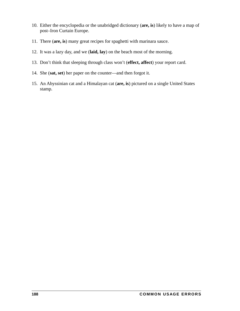- 10. Either the encyclopedia or the unabridged dictionary (**are, is**) likely to have a map of post–Iron Curtain Europe.
- 11. There (**are, is**) many great recipes for spaghetti with marinara sauce.
- 12. It was a lazy day, and we (**laid, lay**) on the beach most of the morning.
- 13. Don't think that sleeping through class won't (**effect, affect**) your report card.
- 14. She (**sat, set**) her paper on the counter—and then forgot it.
- 15. An Abyssinian cat and a Himalayan cat (**are, is**) pictured on a single United States stamp.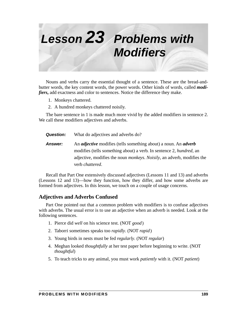# **Lesson 23 Problems with Modifiers**

Nouns and verbs carry the essential thought of a sentence. These are the bread-andbutter words, the key content words, the power words. Other kinds of words, called *modifiers***,** add exactness and color to sentences. Notice the difference they make.

- 1. Monkeys chattered.
- 2. A hundred monkeys chattered noisily.

The bare sentence in 1 is made much more vivid by the added modifiers in sentence 2. We call these modifiers adjectives and adverbs.

- **Question:** What do adjectives and adverbs do?
- **Answer:** An *adjective* modifies (tells something about) a noun. An *adverb* modifies (tells something about) a verb. In sentence 2, *hundred*, an adjective, modifies the noun *monkeys*. *Noisily*, an adverb, modifies the verb *chattered*.

Recall that Part One extensively discussed adjectives (Lessons 11 and 13) and adverbs (Lessons 12 and 13)—how they function, how they differ, and how some adverbs are formed from adjectives. In this lesson, we touch on a couple of usage concerns.

# **Adjectives and Adverbs Confused**

Part One pointed out that a common problem with modifiers is to confuse adjectives with adverbs. The usual error is to use an adjective when an adverb is needed. Look at the following sentences.

- 1. Pierce did *well* on his science test. (NOT *good*)
- 2. Taborri sometimes speaks too *rapidly*. (NOT *rapid*)
- 3. Young birds in nests must be fed *regularly*. (NOT *regular*)
- 4. Meghan looked *thoughtfully* at her test paper before beginning to write. (NOT *thoughtful*)
- 5. To teach tricks to any animal, you must work *patiently* with it. (NOT *patient*)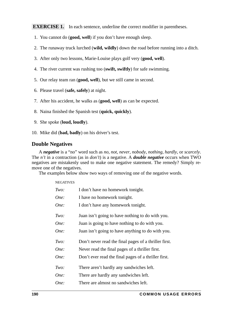**EXERCISE 1.** In each sentence, underline the correct modifier in parentheses.

- 1. You cannot do (**good, well**) if you don't have enough sleep.
- 2. The runaway truck lurched (**wild, wildly**) down the road before running into a ditch.
- 3. After only two lessons, Marie-Louise plays golf very (**good, well**).
- 4. The river current was rushing too (**swift, swiftly**) for safe swimming.
- 5. Our relay team ran (**good, well**), but we still came in second.
- 6. Please travel (**safe, safely**) at night.
- 7. After his accident, he walks as (**good, well**) as can be expected.
- 8. Naina finished the Spanish test (**quick, quickly**).
- 9. She spoke (**loud, loudly**).
- 10. Mike did (**bad, badly**) on his driver's test.

# **Double Negatives**

A *negative* is a "no" word such as *no*, *not*, *never*, *nobody*, *nothing*, *hardly*, or *scarcely*. The *n't* in a contraction (as in *don't*) is a negative. A *double negative* occurs when TWO negatives are mistakenly used to make one negative statement. The remedy? Simply remove one of the negatives.

The examples below show two ways of removing one of the negative words.

| <b>NEGATIVES</b> |                                                       |
|------------------|-------------------------------------------------------|
| Two:             | I don't have no homework tonight.                     |
| One:             | I have no homework tonight.                           |
| One:             | I don't have any homework tonight.                    |
| Two:             | Juan isn't going to have nothing to do with you.      |
| One:             | Juan is going to have nothing to do with you.         |
| One:             | Juan isn't going to have anything to do with you.     |
| Two:             | Don't never read the final pages of a thriller first. |
| One:             | Never read the final pages of a thriller first.       |
| One:             | Don't ever read the final pages of a thriller first.  |
| Two:             | There aren't hardly any sandwiches left.              |
| One:             | There are hardly any sandwiches left.                 |
| One:             | There are almost no sandwiches left.                  |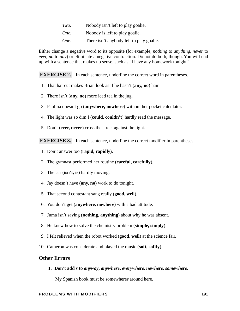*Two:* Nobody isn't left to play goalie. *One:* Nobody is left to play goalie. *One:* There isn't anybody left to play goalie.

Either change a negative word to its opposite (for example, *nothing* to *anything, never* to *ever, no* to *any*) or eliminate a negative contraction. Do not do both, though. You will end up with a sentence that makes no sense, such as "I have any homework tonight."

**EXERCISE 2.** In each sentence, underline the correct word in parentheses.

- 1. That haircut makes Brian look as if he hasn't (**any, no**) hair.
- 2. There isn't (**any, no**) more iced tea in the jug.
- 3. Paulina doesn't go (**anywhere, nowhere**) without her pocket calculator.
- 4. The light was so dim I (**could, couldn't**) hardly read the message.
- 5. Don't (**ever, never**) cross the street against the light.

**EXERCISE 3.** In each sentence, underline the correct modifier in parentheses.

- 1. Don't answer too (**rapid, rapidly**).
- 2. The gymnast performed her routine (**careful, carefully**).
- 3. The car (**isn't, is**) hardly moving.
- 4. Jay doesn't have (**any, no**) work to do tonight.
- 5. That second contestant sang really (**good, well**).
- 6. You don't get (**anywhere, nowhere**) with a bad attitude.
- 7. Juma isn't saying (**nothing, anything**) about why he was absent.
- 8. He knew how to solve the chemistry problem (**simple, simply**).
- 9. I felt relieved when the robot worked (**good, well**) at the science fair.
- 10. Cameron was considerate and played the music (**soft, softly**).

# **Other Errors**

# **1. Don't add** *s* **to** *anyway***,** *anywhere***,** *everywhere***,** *nowhere***,** *somewhere.*

My Spanish book must be somewheres around here.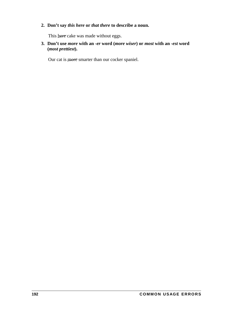# **2. Don't say** *this here* **or** *that there* **to describe a noun.**

This here cake was made without eggs.

# **3. Don't use** *more* **with an -***er* **word (***more wiser***) or** *most* **with an -***est* **word (***most prettiest***).**

Our cat is more smarter than our cocker spaniel.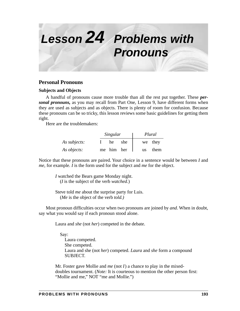# **Lesson 24 Problems with Pronouns**

# **Personal Pronouns**

# **Subjects and Objects**

A handful of pronouns cause more trouble than all the rest put together. These *personal pronouns,* as you may recall from Part One, Lesson 9, have different forms when they are used as subjects and as objects. There is plenty of room for confusion. Because these pronouns can be so tricky, this lesson reviews some basic guidelines for getting them right.

Here are the troublemakers:

|              | Singular   |     | Plural    |         |
|--------------|------------|-----|-----------|---------|
| As subjects: | he         | she |           | we they |
| As objects:  | me him her |     | <b>US</b> | them    |

Notice that these pronouns are paired. Your choice in a sentence would be between *I* and *me*, for example. *I* is the form used for the subject and *me* for the object.

*I* watched the Bears game Monday night. (*I* is the subject of the verb *watched.*)

Steve told *me* about the surprise party for Luis. (*Me* is the object of the verb *told.)*

Most pronoun difficulties occur when two pronouns are joined by *and.* When in doubt, say what you would say if each pronoun stood alone.

Laura and *she* (not *her*) competed in the debate.

Say: Laura competed. She competed. Laura and she (not *her*) competed. *Laura* and *she* form a compound **SUBJECT.** 

Mr. Foster gave Mollie and *me* (not *I*) a chance to play in the mixeddoubles tournament. (*Note:* It is courteous to mention the other person first: "Mollie and me," NOT "me and Mollie.")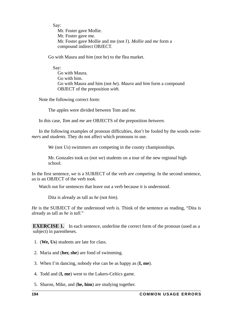Say:

Mr. Foster gave Mollie. Mr. Foster gave me. Mr. Foster gave Mollie and me (not *I*). *Mollie* and *me* form a compound indirect OBJECT.

Go with Maura and *him* (not *he*) to the flea market.

Say: Go with Maura. Go with him. Go with Maura and him (not *he*). *Maura* and *him* form a compound OBJECT of the preposition *with.*

Note the following correct form:

The apples were divided between Tom and *me.*

In this case, *Tom* and *me* are OBJECTS of the preposition *between.*

In the following examples of pronoun difficulties, don't be fooled by the words *swimmers* and *students.* They do not affect which pronouns to use.

*We* (not *Us*) swimmers are competing in the county championships.

Mr. Gonzales took *us* (not *we*) students on a tour of the new regional high school.

In the first sentence, *we* is a SUBJECT of the verb *are competing.* In the second sentence, *us* is an OBJECT of the verb *took.*

Watch out for sentences that leave out a verb because it is understood.

Dita is already as tall as *he* (not *him*).

*He* is the SUBJECT of the understood verb *is.* Think of the sentence as reading, "Dita is already as tall as *he is tall.*"

**EXERCISE 1.** In each sentence, underline the correct form of the pronoun (used as a subject) in parentheses.

- 1. (**We, Us**) students are late for class.
- 2. Maria and (**her, she**) are fond of swimming.
- 3. When I'm dancing, nobody else can be as happy as (**I, me**).
- 4. Todd and (**I, me**) went to the Lakers-Celtics game.
- 5. Sharon, Mike, and (**he, him**) are studying together.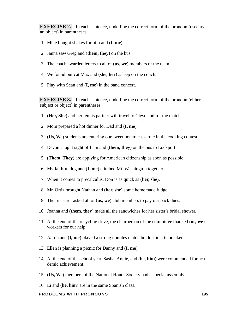**EXERCISE 2.** In each sentence, underline the correct form of the pronoun (used as an object) in parentheses.

- 1. Mike bought shakes for him and (**I, me**).
- 2. Janna saw Greg and (**them, they**) on the bus.
- 3. The coach awarded letters to all of (**us, we**) members of the team.
- 4. We found our cat Max and (**she, her**) asleep on the couch.
- 5. Play with Sean and (**I, me**) in the band concert.

**EXERCISE 3.** In each sentence, underline the correct form of the pronoun (either subject or object) in parentheses.

- 1. (**Her, She**) and her tennis partner will travel to Cleveland for the match.
- 2. Mom prepared a hot dinner for Dad and (**I, me**).
- 3. (**Us, We**) students are entering our sweet potato casserole in the cooking contest.
- 4. Devon caught sight of Lam and (**them, they**) on the bus to Lockport.
- 5. (**Them, They**) are applying for American citizenship as soon as possible.
- 6. My faithful dog and (**I, me**) climbed Mt. Washington together.
- 7. When it comes to precalculus, Don is as quick as (**her, she**).
- 8. Mr. Ortiz brought Nathan and (**her, she**) some homemade fudge.
- 9. The treasurer asked all of (**us, we**) club members to pay our back dues.
- 10. Joanna and (**them, they**) made all the sandwiches for her sister's bridal shower.
- 11. At the end of the recycling drive, the chairperson of the committee thanked (**us, we**) workers for our help.
- 12. Aaron and (**I, me**) played a strong doubles match but lost in a tiebreaker.
- 13. Ellen is planning a picnic for Danny and (**I, me**).
- 14. At the end of the school year, Sasha, Annie, and (**he, him**) were commended for academic achievement.
- 15. (**Us, We**) members of the National Honor Society had a special assembly.
- 16. Li and (**he, him**) are in the same Spanish class.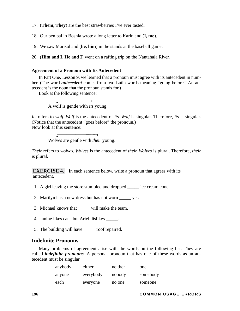- 17. (**Them, They**) are the best strawberries I've ever tasted.
- 18. Our pen pal in Bosnia wrote a long letter to Karin and (**I, me**).
- 19. We saw Marisol and (**he, him**) in the stands at the baseball game.
- 20. (**Him and I, He and I**) went on a rafting trip on the Nantahala River.

#### **Agreement of a Pronoun with Its Antecedent**

In Part One, Lesson 9, we learned that a pronoun must agree with its antecedent in number. (The word *antecedent* comes from two Latin words meaning "going before." An antecedent is the noun that the pronoun stands for.)

Look at the following sentence:

 $\sqrt{ }$ A wolf is gentle with *its* young.

*Its* refers to *wolf. Wolf* is the antecedent of *its. Wolf* is singular. Therefore, *its* is singular. (Notice that the antecedent "goes before" the pronoun.) Now look at this sentence:

 $\sqrt{ }$ Wolves are gentle with *their* young.

*Their* refers to *wolves. Wolves* is the antecedent of *their. Wolves* is plural. Therefore, *their* is plural.

**EXERCISE 4.** In each sentence below, write a pronoun that agrees with its antecedent.

- 1. A girl leaving the store stumbled and dropped \_\_\_\_\_ ice cream cone.
- 2. Marilyn has a new dress but has not worn \_\_\_\_\_ yet.
- 3. Michael knows that \_\_\_\_\_ will make the team.
- 4. Janine likes cats, but Ariel dislikes \_\_\_\_\_.
- 5. The building will have \_\_\_\_\_ roof repaired.

# **Indefinite Pronouns**

Many problems of agreement arise with the words on the following list. They are called *indefinite pronouns.* A personal pronoun that has one of these words as an antecedent must be singular.

| anybody | either    | neither | one      |
|---------|-----------|---------|----------|
| anyone  | everybody | nobody  | somebody |
| each    | everyone  | no one  | someone  |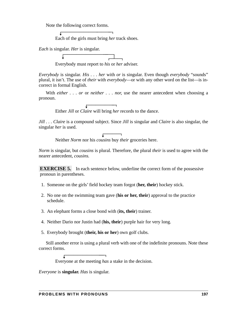Note the following correct forms.

 $\sqrt{ }$ Each of the girls must bring *her* track shoes.

*Each* is singular. *Her* is singular.

 $\sqrt{ }$  $\overline{\phantom{a}}$ Everybody must report to *his* or *her* adviser.

hiiiiiiiiiij

*Everybody* is singular. *His . . . her* with *or* is singular. Even though *everybody* "sounds" plural, it isn't. The use of *their* with *everybody*—or with any other word on the list—is incorrect in formal English.

With *either . . . or* or *neither . . . nor,* use the nearer antecedent when choosing a pronoun.

 $\sqrt{ }$ Either *Jill* or *Claire* will bring *her* records to the dance.

*Jill . . . Claire* is a compound subject. Since *Jill* is singular and *Claire* is also singular, the singular *her* is used.

Neither *Norm* nor his *cousins* buy *their* groceries here.

 $\sqrt{ }$ 

*Norm* is singular, but *cousins* is plural. Therefore, the plural *their* is used to agree with the nearer antecedent, *cousins.*

**EXERCISE 5.** In each sentence below, underline the correct form of the possessive pronoun in parentheses.

1. Someone on the girls' field hockey team forgot (**her, their**) hockey stick.

- 2. No one on the swimming team gave (**his or her, their**) approval to the practice schedule.
- 3. An elephant forms a close bond with (**its, their**) trainer.
- 4. Neither Dario nor Justin had (**his, their**) purple hair for very long.
- 5. Everybody brought (**their, his or her**) own golf clubs.

Still another error is using a plural verb with one of the indefinite pronouns. Note these correct forms.

 $\sqrt{ }$ Everyone at the meeting *has* a stake in the decision.

*Everyone* is **singular.** *Has* is singular.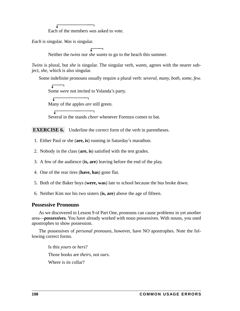$\sqrt{ }$ Each of the members *was* asked to vote.

*Each* is singular. *Was* is singular.

 $\sqrt{ }$ Neither the *twins* nor *she wants* to go to the beach this summer.

*Twins* is plural, but *she* is singular. The singular verb, *wants*, agrees with the nearer subject, *she*, which is also singular.

Some indefinite pronouns usually require a plural verb: *several, many, both, some, few.*

 $\sqrt{ }$ Some *were* not invited to Yolanda's party.

 $\sqrt{ }$ Many of the apples *are* still green.

 $\sqrt{ }$ Several in the stands *cheer* whenever Forenzo comes to bat.

**EXERCISE 6.** Underline the correct form of the verb in parentheses.

- 1. Either Paul or she (**are, is**) running in Saturday's marathon.
- 2. Nobody in the class (**are, is**) satisfied with the test grades.
- 3. A few of the audience (**is, are**) leaving before the end of the play.
- 4. One of the rear tires (**have, has**) gone flat.
- 5. Both of the Baker boys (**were, was**) late to school because the bus broke down.
- 6. Neither Kim nor his two sisters (**is, are**) above the age of fifteen.

# **Possessive Pronouns**

As we discovered in Lesson 9 of Part One, pronouns can cause problems in yet another area—*possessives.* You have already worked with noun possessives. With nouns, you used apostrophes to show possession.

The possessives of *personal pronouns,* however, have NO apostrophes. Note the following correct forms.

Is this *yours* or *hers*? Those books are *theirs*, not *ours.* Where is *its* collar?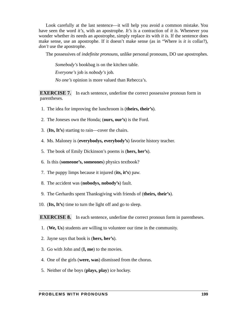Look carefully at the last sentence—it will help you avoid a common mistake. You have seen the word *it's*, with an apostrophe. *It's* is a contraction of *it is.* Whenever you wonder whether *its* needs an apostrophe, simply replace *its* with *it is.* If the sentence does make sense, use an apostrophe. If it doesn't make sense (as in "Where is *it is* collar?), *don't* use the apostrophe.

The possessives of *indefinite pronouns,* unlike personal pronouns, DO use apostrophes.

*Somebody's* bookbag is on the kitchen table.

*Everyone's* job is *nobody's* job.

*No one's* opinion is more valued than Rebecca's.

**EXERCISE 7.** In each sentence, underline the correct possessive pronoun form in parentheses.

- 1. The idea for improving the lunchroom is (**theirs, their's**).
- 2. The Joneses own the Honda; (**ours, our's**) is the Ford.
- 3. (**Its, It's**) starting to rain—cover the chairs.
- 4. Ms. Maloney is (**everybodys, everybody's**) favorite history teacher.
- 5. The book of Emily Dickinson's poems is (**hers, her's**).
- 6. Is this (**someone's, someones**) physics textbook?
- 7. The puppy limps because it injured (**its, it's**) paw.
- 8. The accident was (**nobodys, nobody's**) fault.
- 9. The Gerhardts spent Thanksgiving with friends of (**theirs, their's**).
- 10. (**Its, It's**) time to turn the light off and go to sleep.

**EXERCISE 8.** In each sentence, underline the correct pronoun form in parentheses.

- 1. (**We, Us**) students are willing to volunteer our time in the community.
- 2. Jayne says that book is (**hers, her's**).
- 3. Go with John and (**I, me**) to the movies.
- 4. One of the girls (**were, was**) dismissed from the chorus.
- 5. Neither of the boys (**plays, play**) ice hockey.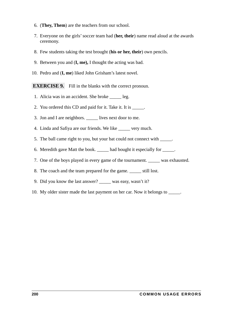- 6. (**They, Them**) are the teachers from our school.
- 7. Everyone on the girls' soccer team had (**her, their**) name read aloud at the awards ceremony.
- 8. Few students taking the test brought (**his or her, their**) own pencils.
- 9. Between you and (**I, me),** I thought the acting was bad.
- 10. Pedro and (**I, me**) liked John Grisham's latest novel.

**EXERCISE 9.** Fill in the blanks with the correct pronoun.

- 1. Alicia was in an accident. She broke \_\_\_\_\_ leg.
- 2. You ordered this CD and paid for it. Take it. It is \_\_\_\_\_.
- 3. Jon and I are neighbors. \_\_\_\_\_ lives next door to me.
- 4. Linda and Safiya are our friends. We like \_\_\_\_\_ very much.
- 5. The ball came right to you, but your bat could not connect with \_\_\_\_\_.
- 6. Meredith gave Matt the book. \_\_\_\_\_ had bought it especially for \_\_\_\_\_.
- 7. One of the boys played in every game of the tournament. \_\_\_\_\_ was exhausted.
- 8. The coach and the team prepared for the game. \_\_\_\_\_ still lost.
- 9. Did you know the last answer? \_\_\_\_\_ was easy, wasn't it?
- 10. My older sister made the last payment on her car. Now it belongs to \_\_\_\_\_.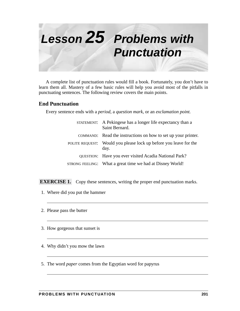# **Lesson 25 Problems with Punctuation**

A complete list of punctuation rules would fill a book. Fortunately, you don't have to learn them all. Mastery of a few basic rules will help you avoid most of the pitfalls in punctuating sentences. The following review covers the main points.

# **End Punctuation**

Every sentence ends with a *period*, a *question mark*, or an *exclamation point.*

|                 | STATEMENT: A Pekingese has a longer life expectancy than a<br>Saint Bernard. |
|-----------------|------------------------------------------------------------------------------|
|                 | COMMAND: Read the instructions on how to set up your printer.                |
|                 | POLITE REQUEST: Would you please lock up before you leave for the<br>day.    |
|                 | QUESTION: Have you ever visited Acadia National Park?                        |
| STRONG FEELING: | What a great time we had at Disney World!                                    |

**EXERCISE 1.** Copy these sentences, writing the proper end punctuation marks.

- 1. Where did you put the hammer
- 2. Please pass the butter
- 3. How gorgeous that sunset is
- 4. Why didn't you mow the lawn
- 5. The word *paper* comes from the Egyptian word for papyrus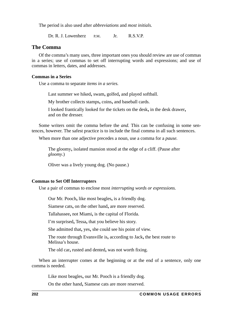The period is also used after *abbreviations* and *most initials.*

Dr. R. J. Lowenherz P.M. Jr. R.S.V.P.

# **The Comma**

Of the comma's many uses, three important ones you should review are use of commas in a series; use of commas to set off interrupting words and expressions; and use of commas in letters, dates, and addresses.

### **Commas in a Series**

Use a comma to separate *items in a series.*

Last summer we hiked**,** swam**,** golfed**,** and played softball.

My brother collects stamps**,** coins**,** and baseball cards.

I looked frantically looked for the tickets on the desk**,** in the desk drawer**,** and on the dresser.

Some writers omit the comma before the *and.* This can be confusing in some sentences, however. The safest practice is to include the final comma in all such sentences.

When more than one adjective precedes a noun, use a comma for a *pause.*

The gloomy**,** isolated mansion stood at the edge of a cliff. (Pause after *gloomy*.)

Oliver was a lively young dog. (No pause.)

#### **Commas to Set Off Interrupters**

Use a pair of commas to enclose most *interrupting words or expressions.*

Our Mr. Pooch**,** like most beagles**,** is a friendly dog.

Siamese cats**,** on the other hand**,** are more reserved.

Tallahassee**,** not Miami**,** is the capital of Florida.

I'm surprised**,** Tessa**,** that you believe his story.

She admitted that**,** yes**,** she could see his point of view.

The route through Evansville is**,** according to Jack**,** the best route to Melissa's house.

The old car**,** rusted and dented**,** was not worth fixing.

When an interrupter comes at the beginning or at the end of a sentence, only one comma is needed.

Like most beagles**,** our Mr. Pooch is a friendly dog.

On the other hand**,** Siamese cats are more reserved.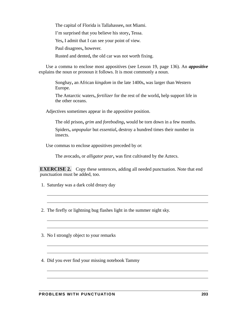The capital of Florida is Tallahassee**,** not Miami.

I'm surprised that you believe his story**,** Tessa.

Yes**,** I admit that I can see your point of view.

Paul disagrees**,** however.

Rusted and dented**,** the old car was not worth fixing.

Use a comma to enclose most appositives (see Lesson 19, page 136). An *appositive* explains the noun or pronoun it follows. It is most commonly a noun.

Songhay**,** an African *kingdom* in the late 1400s**,** was larger than Western Europe.

The Antarctic waters**,** *fertilizer* for the rest of the world**,** help support life in the other oceans.

Adjectives sometimes appear in the appositive position.

The old prison**,** *grim* and *foreboding***,** would be torn down in a few months. Spiders**,** *unpopular* but *essential***,** destroy a hundred times their number in insects.

Use commas to enclose appositives preceded by *or.*

The avocado**,** or *alligator pear***,** was first cultivated by the Aztecs.

**EXERCISE 2.** Copy these sentences, adding all needed punctuation. Note that end punctuation must be added, too.

1. Saturday was a dark cold dreary day

2. The firefly or lightning bug flashes light in the summer night sky.

- 3. No I strongly object to your remarks
- 4. Did you ever find your missing notebook Tammy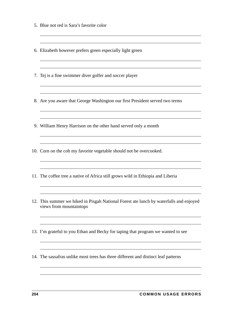- 5. Blue not red is Sara's favorite color
- 6. Elizabeth however prefers green especially light green
- 7. Tej is a fine swimmer diver golfer and soccer player
- 8. Are you aware that George Washington our first President served two terms

<u> 1980 - Johann Barbara, martxa alemaniar argumento este alemaniar alemaniar alemaniar alemaniar alemaniar al</u>

the control of the control of the control of the control of the control of the control of the control of the control of the control of the control of the control of the control of the control of the control of the control

<u> 1989 - Johann Stoff, amerikansk politiker (d. 1989)</u>

- 9. William Henry Harrison on the other hand served only a month
- 10. Corn on the cob my favorite vegetable should not be overcooked.
- 11. The coffee tree a native of Africa still grows wild in Ethiopia and Liberia
- 12. This summer we hiked in Pisgah National Forest ate lunch by waterfalls and enjoyed views from mountaintops
- 13. I'm grateful to you Ethan and Becky for taping that program we wanted to see
- 14. The sassafras unlike most trees has three different and distinct leaf patterns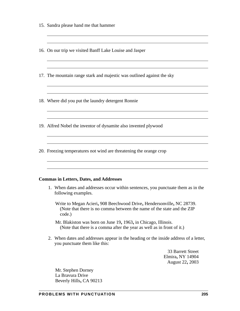- 15. Sandra please hand me that hammer
- 16. On our trip we visited Banff Lake Louise and Jasper
- 17. The mountain range stark and majestic was outlined against the sky
- 18. Where did you put the laundry detergent Ronnie
- 19. Alfred Nobel the inventor of dynamite also invented plywood
- 20. Freezing temperatures not wind are threatening the orange crop

#### **Commas in Letters, Dates, and Addresses**

1. When dates and addresses occur within sentences, you punctuate them as in the following examples.

Write to Megan Acieri**,** 908 Beechwood Drive**,** Hendersonville**,** NC 28739. (Note that there is no comma between the name of the state and the ZIP code.)

Mr. Blakiston was born on June 19**,** 1963**,** in Chicago, Illinois. (Note that there is a comma after the year as well as in front of it.)

2. When dates and addresses appear in the heading or the inside address of a letter, you punctuate them like this:

> 33 Barrett Street Elmira**,** NY 14904 August 22**,** 2003

Mr. Stephen Dorney La Bravura Drive Beverly Hills**,** CA 90213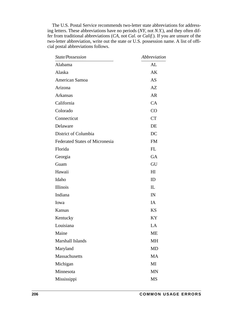The U.S. Postal Service recommends two-letter state abbreviations for addressing letters. These abbreviations have no periods (*NY*, not *N.Y.*), and they often differ from traditional abbreviations (*CA*, not *Cal.* or *Calif.*). If you are unsure of the two-letter abbreviation, write out the state or U.S. possession name. A list of official postal abbreviations follows.

| State/Possession                      | Abbreviation   |
|---------------------------------------|----------------|
| Alabama                               | AL             |
| Alaska                                | AK             |
| American Samoa                        | AS             |
| Arizona                               | AZ             |
| Arkansas                              | <b>AR</b>      |
| California                            | CA             |
| Colorado                              | CO             |
| Connecticut                           | <b>CT</b>      |
| Delaware                              | DE             |
| District of Columbia                  | DC             |
| <b>Federated States of Micronesia</b> | <b>FM</b>      |
| Florida                               | FL             |
| Georgia                               | <b>GA</b>      |
| Guam                                  | GU             |
| Hawaii                                | H <sub>I</sub> |
| Idaho                                 | ID             |
| <b>Illinois</b>                       | IL             |
| Indiana                               | IN             |
| Iowa                                  | IA             |
| Kansas                                | <b>KS</b>      |
| Kentucky                              | KY             |
| Louisiana                             | LA             |
| Maine                                 | <b>ME</b>      |
| Marshall Islands                      | <b>MH</b>      |
| Maryland                              | MD             |
| Massachusetts                         | <b>MA</b>      |
| Michigan                              | MI             |
| Minnesota                             | <b>MN</b>      |
| Mississippi                           | <b>MS</b>      |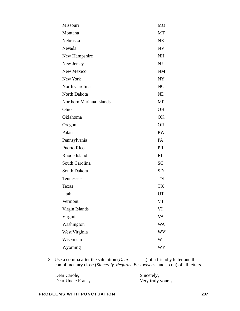| Missouri                 | M <sub>O</sub> |
|--------------------------|----------------|
| Montana                  | MT             |
| Nebraska                 | <b>NE</b>      |
| Nevada                   | <b>NV</b>      |
| New Hampshire            | <b>NH</b>      |
| New Jersey               | NJ             |
| New Mexico               | <b>NM</b>      |
| New York                 | <b>NY</b>      |
| North Carolina           | NC             |
| North Dakota             | <b>ND</b>      |
| Northern Mariana Islands | <b>MP</b>      |
| Ohio                     | <b>OH</b>      |
| Oklahoma                 | OK             |
| Oregon                   | <b>OR</b>      |
| Palau                    | PW             |
| Pennsylvania             | PA             |
| Puerto Rico              | <b>PR</b>      |
| Rhode Island             | RI             |
| South Carolina           | <b>SC</b>      |
| South Dakota             | <b>SD</b>      |
| Tennessee                | TN             |
| Texas                    | <b>TX</b>      |
| Utah                     | UT             |
| Vermont                  | <b>VT</b>      |
| Virgin Islands           | VI             |
| Virginia                 | VA             |
| Washington               | <b>WA</b>      |
| West Virginia            | WV             |
| Wisconsin                | WI             |
| Wyoming                  | WY             |

3. Use a comma after the salutation (*Dear* <sub>,</sub>) of a friendly letter and the complimentary close (*Sincerely, Regards, Best wishes,* and so on) of all letters.

| Dear Carole,      | Sincerely,        |
|-------------------|-------------------|
| Dear Uncle Frank, | Very truly yours, |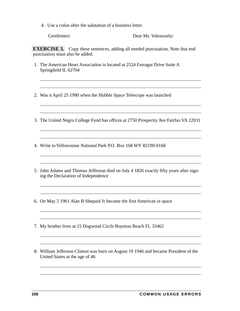4. Use a colon after the salutation of a business letter.

Gentlemen**:** Dear Ms. Valenzuela**:**

**EXERCISE 3.** Copy these sentences, adding all needed punctuation. Note that end punctuation must also be added.

- 1. The American Heart Association is located at 2524 Farragut Drive Suite A Springfield IL 62704
- 2. Was it April 25 1990 when the Hubble Space Telescope was launched
- 3. The United Negro College Fund has offices at 2750 Prosperity Ave Fairfax VA 22031
- 4. Write to Yellowstone National Park P.O. Box 168 WY 82190-0168
- 5. John Adams and Thomas Jefferson died on July 4 1826 exactly fifty years after signing the Declaration of Independence

<u> 1989 - Johann Stoff, deutscher Stoff, der Stoff, der Stoff, der Stoff, der Stoff, der Stoff, der Stoff, der S</u>

<u> 1989 - Johann Stoff, deutscher Stoff, der Stoff, der Stoff, der Stoff, der Stoff, der Stoff, der Stoff, der S</u>

- 6. On May 5 1961 Alan B Shepard Jr became the first American in space
- 7. My brother lives at 15 Dogwood Circle Boynton Beach FL 33462
- 8. William Jefferson Clinton was born on August 19 1946 and became President of the United States at the age of 46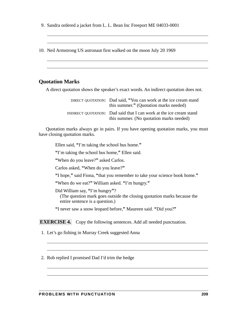9. Sandra ordered a jacket from L. L. Bean Inc Freeport ME 04033-0001

10. Neil Armstrong US astronaut first walked on the moon July 20 1969

#### **Quotation Marks**

A direct quotation shows the speaker's exact words. An indirect quotation does not.

| DIRECT QUOTATION: Dad said, "You can work at the ice cream stand<br>this summer." (Quotation marks needed)      |
|-----------------------------------------------------------------------------------------------------------------|
| INDIRECT QUOTATION: Dad said that I can work at the ice cream stand<br>this summer. (No quotation marks needed) |

Quotation marks always go in pairs. If you have opening quotation marks, you must have closing quotation marks.

Ellen said, **"**I'm taking the school bus home.**"**

**"**I'm taking the school bus home,**"** Ellen said.

**"**When do you leave?**"** asked Carlos.

Carlos asked, **"**When do you leave?**"**

**"**I hope,**"** said Fiona, **"**that you remember to take your science book home.**"**

**"**When do we eat?**"** William asked. **"**I'm hungry.**"**

Did William say, **"**I'm hungry**"**?

(The question mark goes outside the closing quotation marks because the entire sentence is a question.)

**"**I never saw a snow leopard before,**"** Maureen said. **"**Did you?**"**

**EXERCISE 4.** Copy the following sentences. Add all needed punctuation.

1. Let's go fishing in Murray Creek suggested Anna

2. Rob replied I promised Dad I'd trim the hedge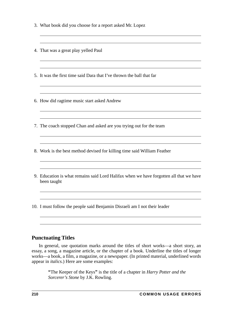3. What book did you choose for a report asked Mr. Lopez

4. That was a great play yelled Paul

- 5. It was the first time said Dara that I've thrown the ball that far
- 6. How did ragtime music start asked Andrew
- 7. The coach stopped Chan and asked are you trying out for the team
- 8. Work is the best method devised for killing time said William Feather
- 9. Education is what remains said Lord Halifax when we have forgotten all that we have been taught

<u> 1980 - Andrea Stadt Britain, amerikan bestean ingilang pada sebagai pada sebagai pada sebagai pada sebagai p</u>

the control of the control of the control of the control of the control of the control of

<u> 1989 - Johann Stoff, amerikansk politiker (\* 1908)</u>

10. I must follow the people said Benjamin Disraeli am I not their leader

#### **Punctuating Titles**

In general, use quotation marks around the titles of short works—a short story, an essay, a song, a magazine article, or the chapter of a book. Underline the titles of longer works—a book, a film, a magazine, or a newspaper. (In printed material, underlined words appear in *italics.*) Here are some examples:

**"**The Keeper of the Keys**"** is the title of a chapter in *Harry Potter and the Sorcerer's Stone* by J.K. Rowling.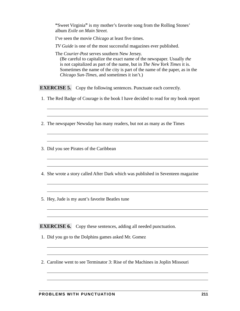**"**Sweet Virginia**"** is my mother's favorite song from the Rolling Stones' album *Exile on Main Street.*

I've seen the movie *Chicago* at least five times.

*TV Guide* is one of the most successful magazines ever published.

The *Courier-Post* serves southern New Jersey.

(Be careful to capitalize the exact name of the newspaper. Usually *the*  is not capitalized as part of the name, but in *The New York Times* it is. Sometimes the name of the city is part of the name of the paper, as in the *Chicago Sun-Times,* and sometimes it isn't.)

**EXERCISE 5.** Copy the following sentences. Punctuate each correctly.

- 1. The Red Badge of Courage is the book I have decided to read for my book report
- 2. The newspaper Newsday has many readers, but not as many as the Times
- 3. Did you see Pirates of the Caribbean
- 4. She wrote a story called After Dark which was published in Seventeen magazine
- 5. Hey, Jude is my aunt's favorite Beatles tune

**EXERCISE 6.** Copy these sentences, adding all needed punctuation.

- 1. Did you go to the Dolphins games asked Mr. Gomez
- 2. Caroline went to see Terminator 3: Rise of the Machines in Joplin Missouri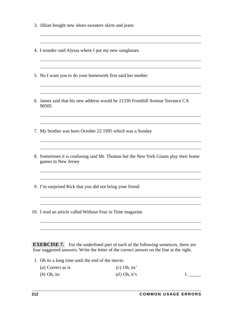- 3. Jillian bought new shoes sweaters skirts and jeans
- 4. I wonder said Alyssa where I put my new sunglasses
- 5. No I want you to do your homework first said her mother
- 6. James said that his new address would be 21330 Fronthill Avenue Torrance CA 90505

the control of the control of the control of the control of the control of the control of the control of the control of the control of the control of the control of the control of the control of the control of the control

<u> 1989 - Johann Stoff, amerikansk politiker (d. 1989)</u>

<u> 1989 - Johann Stoff, amerikansk politiker (d. 1989)</u>

- 7. My brother was born October 22 1995 which was a Sunday
- 8. Sometimes it is confusing said Mr. Thomas but the New York Giants play their home games in New Jersey
- 9. I'm surprised Rick that you did not bring your friend
- 10. I read an article called Without Fear in Time magazine

**EXERCISE 7.** For the underlined part of each of the following sentences, there are four suggested answers. Write the letter of the correct answer on the line at the right.

1. Oh its a long time until the end of the movie.

(*b*) Oh, its (*d*) Oh, it's 1.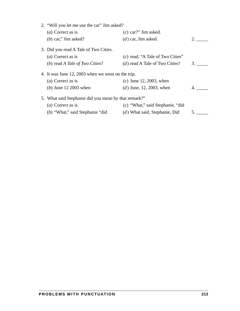| 2. "Will you let me use the car" Jim asked? |                                       |                                                                                                           |
|---------------------------------------------|---------------------------------------|-----------------------------------------------------------------------------------------------------------|
| $(a)$ Correct as is                         | $(c)$ car?" Jim asked.                |                                                                                                           |
| $(b)$ car," Jim asked?                      | $(d)$ car, Jim asked.                 |                                                                                                           |
|                                             |                                       |                                                                                                           |
| $(a)$ Correct as is                         | $(c)$ read, "A Tale of Two Cities"    |                                                                                                           |
| (b) read A Tale of Two Cities?              | $(d)$ read A Tale of Two Cities?      | 3.                                                                                                        |
|                                             |                                       |                                                                                                           |
| $(a)$ Correct as is                         | $(c)$ June 12, 2003, when             |                                                                                                           |
| (b) June 12 2003 when                       | $(d)$ June, 12, 2003, when            |                                                                                                           |
|                                             |                                       |                                                                                                           |
| $(a)$ Correct as is                         | $(c)$ "What," said Stephanie, "did"   |                                                                                                           |
| $(b)$ "What," said Stephanie "did"          | $(d)$ What said, Stephanie, Did       |                                                                                                           |
|                                             | 3. Did you read A Tale of Two Cities. | 4. It was June 12, 2003 when we went on the trip.<br>5. What said Stephanie did you mean by that remark?" |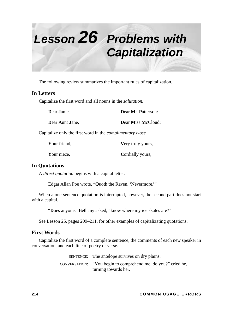### **Lesson 26 Problems with Capitalization**

The following review summarizes the important rules of capitalization.

#### **In Letters**

Capitalize the first word and all nouns in the *salutation.*

| Dear James,     | Dear Mr. Patterson: |
|-----------------|---------------------|
| Dear Aunt Jane, | Dear Miss McCloud:  |

Capitalize only the first word in the *complimentary close.*

| Your friend, | Very truly yours, |
|--------------|-------------------|
| Your niece,  | Cordially yours,  |

#### **In Quotations**

A *direct quotation* begins with a capital letter.

Edgar Allan Poe wrote, "**Q**uoth the Raven, 'Nevermore.'"

When a one-sentence quotation is interrupted, however, the second part does not start with a capital.

"Does anyone," Bethany asked, "know where my ice skates are?"

See Lesson 25, pages 209–211, for other examples of capitalizating quotations.

#### **First Words**

Capitalize the first word of a complete sentence, the comments of each new speaker in conversation, and each line of poetry or verse.

> SENTENCE: **T**he antelope survives on dry plains. CONVERSATION: "**Y**ou begin to comprehend me, do you?" cried he, turning towards her.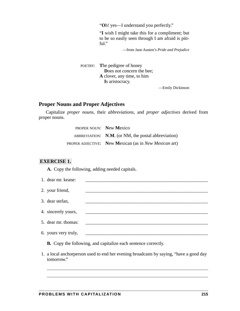"**O**h! yes—I understand you perfectly."

"**I** wish I might take this for a compliment; but to be so easily seen through I am afraid is pitiful."

—from Jane Austen's *Pride and Prejudice*

POETRY: **T**he pedigree of honey **D**oes not concern the bee; **A** clover, any time, to him **I**s aristocracy.

—Emily Dickinson

#### **Proper Nouns and Proper Adjectives**

Capitalize *proper nouns,* their *abbreviations,* and *proper adjectives* derived from proper nouns.

> PROPER NOUN: **N**ew **M**exico ABBREVIATION: **N**.**M**. (or NM, the postal abbreviation) PROPER ADJECTIVE: **N**ew **M**exican (as in *New Mexican* art)

#### **EXERCISE 1.**

**A.** Copy the following, adding needed capitals.

| 1. dear mr. keane:   |                                                    |
|----------------------|----------------------------------------------------|
|                      |                                                    |
| 2. your friend,      |                                                    |
|                      |                                                    |
| 3. dear stefan,      |                                                    |
|                      |                                                    |
| 4. sincerely yours,  |                                                    |
|                      |                                                    |
| 5. dear mr. thomas:  | <u> 1980 - John Stein, Amerikaansk politiker (</u> |
|                      |                                                    |
| 6. yours very truly, |                                                    |
|                      |                                                    |

**B.** Copy the following, and capitalize each sentence correctly.

1. a local anchorperson used to end her evening broadcasts by saying, "have a good day tomorrow."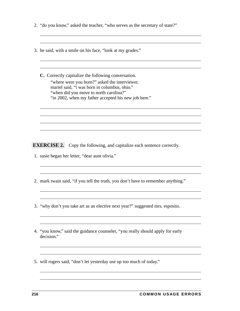2. "do you know," asked the teacher, "who serves as the secretary of state?"

<u> 1989 - Johann Stoff, deutscher Stoff, der Stoff, der Stoff, der Stoff, der Stoff, der Stoff, der Stoff, der S</u>

3. he said, with a smile on his face, "look at my grades."

**C.** Correctly capitalize the following conversation. "where were you born?" asked the interviewer. mariel said, "i was born in columbus, ohio." "when did you move to north carolina?" "in 2002, when my father accepted his new job here."

**EXERCISE 2.** Copy the following, and capitalize each sentence correctly.

1. susie began her letter, "dear aunt olivia."

2. mark twain said, "if you tell the truth, you don't have to remember anything."

3. "why don't you take art as an elective next year?" suggested mrs. esposito.

- 4. "you know," said the guidance counseler, "you really should apply for early decision."
- 5. will rogers said, "don't let yesterday use up too much of today."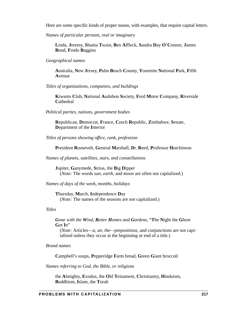Here are some specific kinds of proper nouns, with examples, that require capital letters.

*Names of particular persons, real or imaginary*

**L**inda, **J**eremy, **S**hania **T**wain, **B**en **A**ffleck, **S**andra **D**ay **O**'**C**onnor, **J**ames **B**ond, **F**rodo **B**aggins

*Geographical names*

**A**ustralia, **N**ew **J**ersey, **P**alm **B**each **C**ounty, **Y**osemite **N**ational **P**ark, **F**ifth **A**venue

*Titles of organizations, companies, and buildings*

**K**iwanis **C**lub, **N**ational **A**udubon **S**ociety, **F**ord **M**otor **C**ompany, **R**iverside **C**athedral

*Political parties, nations, government bodies*

**R**epublican, **D**emocrat, **F**rance, **C**zech **R**epublic, **Z**imbabwe, **S**enate, **D**epartment of the **I**nterior

*Titles of persons showing office, rank, profession*

**P**resident **R**oosevelt, **G**eneral **M**arshall, **D**r. **R**eed, **P**rofessor **H**utchinson

*Names of planets, satellites, stars, and constellations*

**J**upiter, **G**anymede, **S**irius, the **B**ig **D**ipper (*Note:* The words *sun, earth,* and *moon* are often not capitalized.)

*Names of days of the week, months, holidays*

**T**hursday, **M**arch, **I**ndependence **D**ay (*Note:* The names of the seasons are not capitalized.)

#### *Titles*

*Gone with the Wind, Better Homes and Gardens,* "**T**he **N**ight the **G**host **G**ot **I**n"

(*Note:* Articles—*a, an, the—*prepositions, and conjunctions are not capitalized unless they occur at the beginning or end of a title.)

*Brand names*

**C**ampbell's soups, **P**epperidge **F**arm bread, **G**reen **G**iant broccoli

*Names referring to God, the Bible, or religions*

the **A**lmighty, **E**xodus, the **O**ld **T**estament, **C**hristianity, **H**induism, **B**uddhism, **I**slam, the **T**orah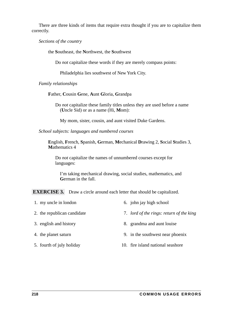There are three kinds of items that require extra thought if you are to capitalize them correctly.

*Sections of the country*

the **S**outheast, the **N**orthwest, the **S**outhwest

Do *not* capitalize these words if they are merely compass points:

Philadelphia lies southwest of New York City.

*Family relationships*

**F**ather, **C**ousin **G**ene, **A**unt **G**loria, **G**randpa

Do *not* capitalize these family titles unless they are used before a name (**U**ncle Sid) or as a name (Hi, **M**om):

My mom, sister, cousin, and aunt visited Duke Gardens.

*School subjects: languages and numbered courses*

**E**nglish, **F**rench, **S**panish, **G**erman, **M**echanical **D**rawing 2, **S**ocial **S**tudies 3, **M**athematics 4

Do *not* capitalize the names of unnumbered courses except for languages:

I'm taking mechanical drawing, social studies, mathematics, and **G**erman in the fall.

**EXERCISE 3.** Draw a circle around each letter that should be capitalized.

1. my uncle in london 6. john jay high school

- 2. the republican candidate 7. *lord of the rings: return of the king*
- 3. english and history 8. grandma and aunt louise
- 
- 4. the planet saturn 9. in the southwest near phoenix
- 
- 5. fourth of july holiday 10. fire island national seashore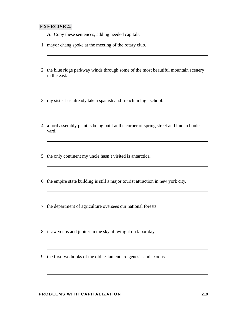#### **EXERCISE 4.**

**A.** Copy these sentences, adding needed capitals.

1. mayor chang spoke at the meeting of the rotary club. 2. the blue ridge parkway winds through some of the most beautiful mountain scenery in the east. 3. my sister has already taken spanish and french in high school. 4. a ford assembly plant is being built at the corner of spring street and linden boulevard. 5. the only continent my uncle hasn't visited is antarctica. 6. the empire state building is still a major tourist attraction in new york city. 7. the department of agriculture oversees our national forests. <u> 1989 - Johann Barn, amerikansk politiker (d. 1989)</u> 8. i saw venus and jupiter in the sky at twilight on labor day. 9. the first two books of the old testament are genesis and exodus.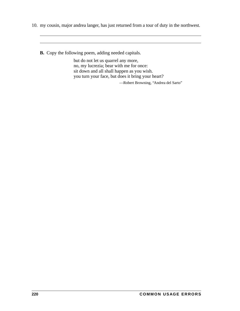- 10. my cousin, major andrea langer, has just returned from a tour of duty in the northwest.
	- **B.** Copy the following poem, adding needed capitals.

but do not let us quarrel any more, no, my lucrezia; bear with me for once: sit down and all shall happen as you wish. you turn your face, but does it bring your heart? —Robert Browning, "Andrea del Sarto"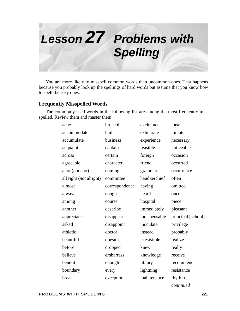# **Lesson 27 Problems with Spelling**

You are more likely to misspell common words than uncommon ones. That happens because you probably look up the spellings of hard words but assume that you know how to spell the easy ones.

#### **Frequently Misspelled Words**

The commonly used words in the following list are among the most frequently misspelled. Review them and master them.

| ache                     | broccoli       | excitement    | meant              |
|--------------------------|----------------|---------------|--------------------|
| accommodate              | built          | exhilarate    | minute             |
| accumulate               | business       | experience    | necessary          |
| acquaint                 | captain        | feasible      | noticeable         |
| across                   | certain        | foreign       | occasion           |
| agreeable                | character      | friend        | occurred           |
| a lot ( <i>not</i> alot) | coming         | grammar       | occurrence         |
| all right (not alright)  | committee      | handkerchief  | often              |
| almost                   | correspondence | having        | omitted            |
| always                   | cough          | heard         | once               |
| among                    | course         | hospital      | piece              |
| another                  | describe       | immediately   | pleasant           |
| appreciate               | disappear      | indispensable | principal [school] |
| asked                    | disappoint     | inoculate     | privilege          |
| athletic                 | doctor         | instead       | probably           |
| beautiful                | doesn't        | irresistible  | realize            |
| before                   | dropped        | knew          | really             |
| believe                  | embarrass      | knowledge     | receive            |
| benefit                  | enough         | library       | recommend          |
| boundary                 | every          | lightning     | resistance         |
| break                    | exception      | maintenance   | rhythm             |
|                          |                |               | continued          |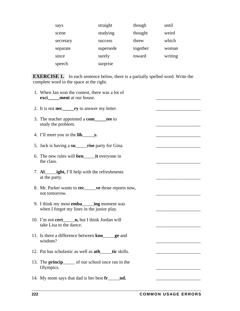| says      | straight  | though   | until   |
|-----------|-----------|----------|---------|
| scene     | studying  | thought  | weird   |
| secretary | success   | threw    | which   |
| separate  | supersede | together | woman   |
| since     | surely    | toward   | writing |
| speech    | surprise  |          |         |

**EXERCISE 1.** In each sentence below, there is a partially spelled word. Write the complete word in the space at the right.

| 1. When Jan won the contest, there was a lot of<br>exci ment at our house.                     |  |
|------------------------------------------------------------------------------------------------|--|
| 2. It is not <b>nec</b> <u>ry</u> to answer my letter.                                         |  |
| 3. The teacher appointed a <b>com____tee</b> to<br>study the problem.                          |  |
|                                                                                                |  |
| 5. Jack is having a su_____rise party for Gina.                                                |  |
| 6. The new rules will <b>ben_it</b> everyone in<br>the class.                                  |  |
| at the party.                                                                                  |  |
| 8. Mr. Parker wants to rec____ve those reports now,<br>not tomorrow.                           |  |
| 9. I think my most <b>emba____ing</b> moment was<br>when I forgot my lines in the junior play. |  |
| 10. I'm not cert______n, but I think Jordan will<br>take Lisa to the dance.                    |  |
| 11. Is there a difference between <b>kno</b> ge and<br>wisdom?                                 |  |
| 12. Pat has scholastic as well as <b>ath</b> tic skills.                                       |  |
| 13. The <b>princip</b> of our school once ran in the<br>Olympics.                              |  |
| 14. My mom says that dad is her best fr<br>nd.                                                 |  |
|                                                                                                |  |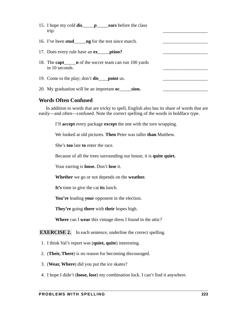| 15. I hope my cold <b>dis_____p_____ears</b> before the class<br>trip. |  |
|------------------------------------------------------------------------|--|
| 16. I've been stud <sub>ng</sub> for the test since march.             |  |
| 17. Does every rule have an ex_____ ption?                             |  |
| 18. The capt n of the soccer team can run 100 yards<br>in 10 seconds.  |  |
| 19. Come to the play; don't <b>dis___point</b> us.                     |  |
| 20. My graduation will be an important oc_<br>sion.                    |  |

#### **Words Often Confused**

In addition to words that are tricky to spell, English also has its share of words that are easily—and often—confused. Note the correct spelling of the words in boldface type.

I'll **accept** every package **except** the one with the torn wrapping.

We looked at old pictures. **Then** Peter was taller **than** Matthew.

She's **too** late **to** enter the race.

Because of all the trees surrounding our house, it is **quite quiet.**

Your earring is **loose.** Don't **lose** it.

**Whether** we go or not depends on the **weather.**

**It's** time to give the cat **its** lunch.

**You're** leading **your** opponent in the election.

**They're** going **there** with **their** hopes high.

**Where** can I **wear** this vintage dress I found in the attic?

**EXERCISE 2.** In each sentence, underline the correct spelling.

- 1. I think Val's report was (**quiet, quite**) interesting.
- 2. (**Their, There**) is no reason for becoming discouraged.
- 3. (**Wear, Where**) did you put the ice skates?
- 4. I hope I didn't (**loose, lose**) my combination lock. I can't find it anywhere.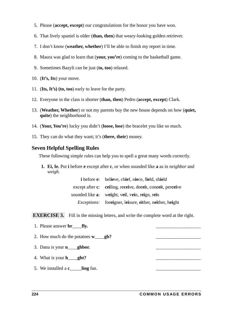- 5. Please (**accept, except**) our congratulations for the honor you have won.
- 6. That lively spaniel is older (**than, then**) that weary-looking golden retriever.
- 7. I don't know (**weather, whether**) I'll be able to finish my report in time.
- 8. Maura was glad to learn that (**your, you're**) coming to the basketball game.
- 9. Sometimes Bazyli can be just (**to, too**) relaxed.
- 10. (**It's, Its**) your move.
- 11. (**Its, It's) (to, too**) early to leave for the party.
- 12. Everyone in the class is shorter (**than, then**) Pedro (**accept, except**) Clark.
- 13. (**Weather, Whether**) or not my parents buy the new house depends on how (**quiet, quite**) the neighborhood is.
- 14. (**Your, You're**) lucky you didn't (**loose, lose**) the bracelet you like so much.
- 15. They can do what they want; it's (**there, their**) money.

#### **Seven Helpful Spelling Rules**

These following simple rules can help you to spell a great many words correctly.

**1. Ei, Ie.** Put **i** before **e** except after **c**, or when sounded like **a** as in *neighbor* and *weigh.*

> **i** before **e**: bel**ie**ve, ch**ie**f, n**ie**ce, f**ie**ld, sh**ie**ld except after **c**: **cei**ling, re**cei**ve, de**cei**t, con**cei**t, per**cei**ve sounded like **a**: w**ei**ght, v**ei**l, v**ei**n, r**ei**gn, r**ei**n *Exceptions:* for**ei**gner, l**ei**sure, **ei**ther, n**ei**ther, h**ei**ght

**EXERCISE 3.** Fill in the missing letters, and write the complete word at the right.

1. Please answer **br\_\_\_\_\_fly.** 2. How much do the potatoes **w\_\_\_\_\_\_\_gh?** 3. Dana is your **n** ghbor. 4. What is your **h** \_\_\_\_\_**ght?** 5. We installed a **c**\_\_\_\_\_**ling** fan.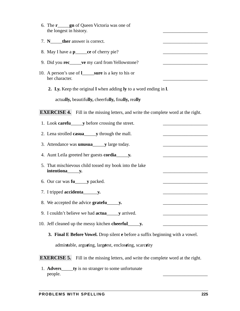| 6. The <b>r____gn</b> of Queen Victoria was one of<br>the longest in history.                |
|----------------------------------------------------------------------------------------------|
| 7. N <sub>_</sub> ther answer is correct.                                                    |
| 8. May I have a <b>p____ce</b> of cherry pie?                                                |
| 9. Did you rec_____ve my card from Yellowstone?                                              |
| 10. A person's use of <b>l_____sure</b> is a key to his or<br>her character.                 |
| 2. Ly. Keep the original I when adding Iy to a word ending in I.                             |
| actually, beautifully, cheerfully, finally, really                                           |
| <b>EXERCISE 4.</b> Fill in the missing letters, and write the complete word at the right.    |
|                                                                                              |
|                                                                                              |
| 3. Attendance was <b>unusua______ y</b> large today.                                         |
| 4. Aunt Leila greeted her guests <b>cordia</b> _______ <b>y</b> .                            |
| 5. That mischievous child tossed my book into the lake                                       |
| 6. Our car was fully packed.                                                                 |
|                                                                                              |
|                                                                                              |
| 9. I couldn't believe we had <b>actua_____ y</b> arrived.                                    |
|                                                                                              |
| 3. Final E Before Vowel. Drop silent e before a suffix beginning with a vowel.               |
| admireable, argueing, large est, encloseing, scarceity                                       |
| <b>EXERCISE 5.</b><br>Fill in the missing letters, and write the complete word at the right. |

1. **Advers\_\_\_\_\_\_ty** is no stranger to some unfortunate people. people. \_\_\_\_\_\_\_\_\_\_\_\_\_\_\_\_\_\_\_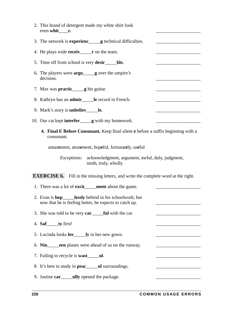- 2. This brand of detergent made my white shirt look even **whit** r.
- 3. The network is **experienc g** technical difficulties.
- 4. He plays wide **receiv\_\_\_\_\_\_r** on the team.
- 5. Time off from school is very **desir\_\_\_\_\_\_ble.**
- 6. The players were **argu**\_\_\_\_\_**g** over the umpire's decision.
- 7. Max was **practic\_\_\_\_\_g** his guitar.
- 8. Kathryn has an **admir le** record in French.
- 9. Mark's story is **unbeliev\_\_\_\_\_\_le.**
- 10. Our cat kept **interfer\_\_\_\_\_\_g** with my homework.
	- **4. Final E Before Consonant.** Keep final silent **e** before a suffix beginning with a consonant.

amaz**e**ment, aton**e**ment, hop**e**ful, fortunat**e**ly, us**e**ful

*Exceptions:* acknowledgment, argument, awful, duly, judgment, ninth, truly, wholly

**EXERCISE 6.** Fill in the missing letters, and write the complete word at the right.

- 1. There was a lot of **excit\_\_\_\_\_ment** about the game.
- 2. Evan is **hop**\_\_\_\_\_**lessly** behind in his schoolwork; but now that he is feeling better, he expects to catch up.
- 3. She was told to be very **car**\_\_\_\_\_**ful** with the car. \_\_\_\_\_\_\_\_\_\_\_\_\_\_\_\_\_\_\_
- 4. **Saf**\_\_\_\_\_**ty** first! \_\_\_\_\_\_\_\_\_\_\_\_\_\_\_\_\_\_\_
- 5. Lucinda looks **lov**\_\_\_\_\_**ly** in her new gown. \_\_\_\_\_\_\_\_\_\_\_\_\_\_\_\_\_\_\_
- 6. **Nin\_\_\_\_\_\_een** planes were ahead of us on the runway.
- 7. Failing to recycle is **wast\_\_\_\_\_ul**.
- 8. It's best to study in **peac ul** surroundings.
- 9. Justine **car ully** opened the package.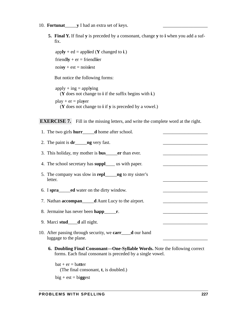- 10. **Fortunat**\_\_\_\_\_**y** I had an extra set of keys. \_\_\_\_\_\_\_\_\_\_\_\_\_\_\_\_\_\_\_
	- **5. Final Y.** If final **y** is preceded by a consonant, change **y** to **i** when you add a suffix.

apply + ed = applied (**Y** changed to **i**.)  $f$ *friendly* +  $er$  =  $f$ *riendlier*  $noisy + est = nois**i**est$ But notice the following forms:

 $apply + ing = applying$ (**Y** does not change to **i** if the suffix begins with **i**.) play + er = pla**y**er (**Y** does not change to **i** if **y** is preceded by a vowel.)

**EXERCISE 7.** Fill in the missing letters, and write the complete word at the right.

| 1. The two girls <b>hurr_____d</b> home after school.                                             |
|---------------------------------------------------------------------------------------------------|
| 2. The paint is $dr_{\_\_\_\_ng}$ very fast.                                                      |
| 3. This holiday, my mother is <b>bus_er</b> than ever.                                            |
| 4. The school secretary has <b>suppl____</b> us with paper.                                       |
| 5. The company was slow in repl_______ng to my sister's<br>letter.                                |
| 6. I spra______ed water on the dirty window.                                                      |
| 7. Nathan <b>accompan______d</b> Aunt Lucy to the airport.                                        |
|                                                                                                   |
| 9. Marci stud__d all night.                                                                       |
| 10. After passing through security, we <b>carr</b> ___ <b>d</b> our hand<br>luggage to the plane. |
| 6. Doubling Final Consonant-One-Syllable Words. Note the following correct                        |

forms. Each final consonant is preceded by a single vowel.

 $bat + er = batter$ (The final consonant, **t**, is doubled.)  $big + est = biggest$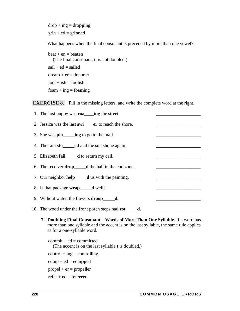$drop + ing = dropping$ grin + ed = gri**nn**ed

What happens when the final consonant is preceded by more than one vowel?

beat + en = bea**t**en (The final consonant, **t**, is not doubled.) sail + ed = sai**l**ed dream + er = drea**m**er fool + ish = foo**l**ish  $f \text{oam} + \text{ing} = f \text{oaming}$ 

**EXERCISE 8.** Fill in the missing letters, and write the complete word at the right.

| 1. The lost puppy was <b>roa</b> _____ <b>ing</b> the street.        |  |
|----------------------------------------------------------------------|--|
| 2. Jessica was the last <b>swi</b> er to reach the shore.            |  |
| 3. She was <b>pla_____ing</b> to go to the mall.                     |  |
| 4. The rain sto______ed and the sun shone again.                     |  |
| 5. Elizabeth fail________d to return my call.                        |  |
| 6. The receiver <b>drop</b> _____ <b>d</b> the ball in the end zone. |  |
| 7. Our neighbor <b>help______d</b> us with the painting.             |  |
| 8. Is that package <b>wrap</b> _____ <b>d</b> well?                  |  |
| 9. Without water, the flowers <b>droop</b> _____ <b>d.</b>           |  |
| 10. The wood under the front porch steps had rot_____d.              |  |
|                                                                      |  |

**7. Doubling Final Consonant—Words of More Than One Syllable.** If a word has more than one syllable and the accent is on the last syllable, the same rule applies as for a one-syllable word.

commit + ed = commi**tt**ed (The accent is on the last syllable **t** is doubled.)  $control + ing = controlling$ equip + ed = equi**pp**ed propel + er = prope**ll**er refer + ed = refe**rr**ed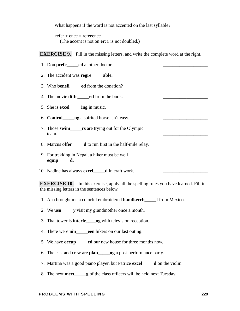What happens if the word is not accented on the last syllable?

refer + ence = refe**r**ence (The accent is not on **er**; **r** is not doubled.)

**EXERCISE 9.** Fill in the missing letters, and write the complete word at the right.

| 1. Don <b>prefe_____ed</b> another doctor.                     |  |
|----------------------------------------------------------------|--|
| 2. The accident was <b>regre_____able.</b>                     |  |
| 3. Who <b>benefi</b> ed from the donation?                     |  |
| 4. The movie <b>diffe______ed</b> from the book.               |  |
| 5. She is <b>excel______ing</b> in music.                      |  |
|                                                                |  |
| 7. Those swim rs are trying out for the Olympic<br>team.       |  |
|                                                                |  |
| 9. For trekking in Nepal, a hiker must be well<br>equip_____d. |  |
| 10. Nadine has always <b>excel_____d</b> in craft work.        |  |

**EXERCISE 10.** In this exercise, apply all the spelling rules you have learned. Fill in the missing letters in the sentences below.

- 1. Ana brought me a colorful embroidered **handkerch**\_\_\_\_\_**f** from Mexico.
- 2. We **usu**\_\_\_\_\_**y** visit my grandmother once a month.
- 3. That tower is **interfe**\_\_\_\_**ng** with television reception.
- 4. There were **nin**\_\_\_\_\_**een** hikers on our last outing.
- 5. We have **occup** ed our new house for three months now.
- 6. The cast and crew are **plan**\_\_\_\_\_**ng** a post-performance party.
- 7. Martina was a good piano player, but Patrice **excel**\_\_\_\_\_**d** on the violin.
- 8. The next **meet**\_\_\_\_\_**g** of the class officers will be held next Tuesday.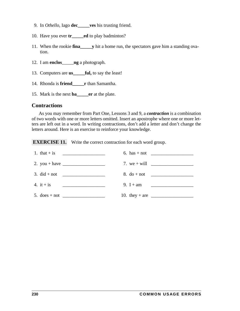- 9. In *Othello,* Iago **dec\_\_\_\_\_ves** his trusting friend.
- 10. Have you ever **tr\_\_\_\_\_ed** to play badminton?
- 11. When the rookie **fina\_\_\_\_\_y** hit a home run, the spectators gave him a standing ovation.
- 12. I am **enclos**\_\_\_\_\_**ng** a photograph.
- 13. Computers are **us\_\_\_\_\_ful,** to say the least!
- 14. Rhonda is **friend\_\_\_\_\_r** than Samantha.
- 15. Mark is the next **ba\_\_\_\_\_er** at the plate.

#### **Contractions**

As you may remember from Part One, Lessons 3 and 9, a *contraction* is a combination of two words with one or more letters omitted. Insert an apostrophe where one or more letters are left out in a word. In writing contractions, don't add a letter and don't change the letters around. Here is an exercise to reinforce your knowledge.

**EXERCISE 11.** Write the correct contraction for each word group.

| 1. that $+$ is<br><u> 1989 - Andrea Albert III, politik a postal de la provincia de la provincia de la provincia de la provincia de</u> |           | $6. \text{ has } + \text{not}$                                                                                                                                                                                                                                                                                                                                                                                        |
|-----------------------------------------------------------------------------------------------------------------------------------------|-----------|-----------------------------------------------------------------------------------------------------------------------------------------------------------------------------------------------------------------------------------------------------------------------------------------------------------------------------------------------------------------------------------------------------------------------|
|                                                                                                                                         |           | 7. we + will $\frac{1}{\sqrt{1-\frac{1}{\sqrt{1-\frac{1}{\sqrt{1-\frac{1}{\sqrt{1-\frac{1}{\sqrt{1-\frac{1}{\sqrt{1-\frac{1}{\sqrt{1-\frac{1}{\sqrt{1-\frac{1}{\sqrt{1-\frac{1}{\sqrt{1-\frac{1}{\sqrt{1-\frac{1}{\sqrt{1-\frac{1}{\sqrt{1-\frac{1}{\sqrt{1-\frac{1}{\sqrt{1-\frac{1}{\sqrt{1-\frac{1}{\sqrt{1-\frac{1}{\sqrt{1-\frac{1}{\sqrt{1-\frac{1}{\sqrt{1-\frac{1}{\sqrt{1-\frac{1}{\sqrt{1-\frac{1}{\sqrt{1$ |
| 3. $did + not$                                                                                                                          |           | 8. $do + not$                                                                                                                                                                                                                                                                                                                                                                                                         |
| 4. it + is                                                                                                                              | 9. I + am |                                                                                                                                                                                                                                                                                                                                                                                                                       |
|                                                                                                                                         |           |                                                                                                                                                                                                                                                                                                                                                                                                                       |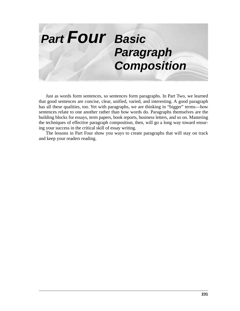### **Part FOUI' Basic Paragraph Composition**

Just as words form sentences, so sentences form paragraphs. In Part Two, we learned that good sentences are concise, clear, unified, varied, and interesting. A good paragraph has all these qualities, too. Yet with paragraphs, we are thinking in "bigger" terms—how sentences relate to one another rather than how words do. Paragraphs themselves are the building blocks for essays, term papers, book reports, business letters, and so on. Mastering the techniques of effective paragraph composition, then, will go a long way toward ensuring your success in the critical skill of essay writing.

The lessons in Part Four show you ways to create paragraphs that will stay on track and keep your readers reading.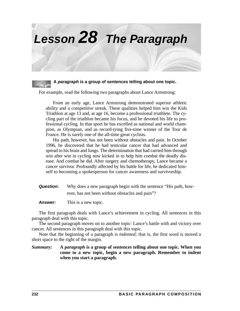# **Lesson 28 The Paragraph**

**A paragraph is a group of sentences telling about one topic.**

For example, read the following two paragraphs about Lance Armstrong:

From an early age, Lance Armstrong demonstrated superior athletic ability and a competitive streak. These qualities helped him win the Kids Triathlon at age 13 and, at age 16, become a professional triathlete. The cycling part of the triathlon became his focus, and he devoted his life to professional cycling. In that sport he has excelled as national and world champion, as Olympian, and as record-tying five-time winner of the Tour de France. He is surely one of the all-time great cyclists.

His path, however, has not been without obstacles and pain. In October 1996, he discovered that he had testicular cancer that had advanced and spread to his brain and lungs. The determination that had carried him through win after win in cycling now kicked in to help him combat the deadly disease. And combat he did. After surgery and chemotherapy, Lance became a cancer survivor. Profoundly affected by his battle for life, he dedicated himself to becoming a spokesperson for cancer awareness and survivorship.

**Question:** Why does a new paragraph begin with the sentence "His path, however, has not been without obstacles and pain"?

**Answer:** This is a new topic.

The first paragraph deals with Lance's achievement in cycling. All sentences in this paragraph deal with this topic.

The second paragraph moves on to another topic: Lance's battle with and victory over cancer. All sentences in this paragraph deal with this topic.

Note that the beginning of a paragraph is *indented;* that is, the first word is moved a short space to the right of the margin.

#### *Summary:* **A** *paragraph* **is a group of sentences telling about one topic. When you come to a new topic, begin a new paragraph. Remember to indent when you start a paragraph.**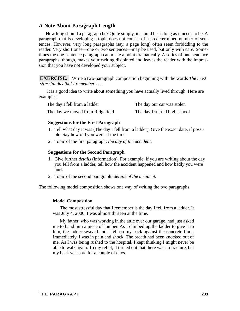#### **A Note About Paragraph Length**

How long should a paragraph be? Quite simply, it should be as long as it needs to be. A paragraph that is developing a topic does not consist of a predetermined number of sentences. However, very long paragraphs (say, a page long) often seem forbidding to the reader. Very short ones—one or two sentences—may be used, but only with care. Sometimes the one-sentence paragraph can make a point dramatically. A series of one-sentence paragraphs, though, makes your writing disjointed and leaves the reader with the impression that you have not developed your subject.

**EXERCISE.** Write a two-paragraph composition beginning with the words *The most stressful day that I remember . . .*

It is a good idea to write about something you have actually lived through. Here are examples:

| The day I fell from a ladder     | The day our car was stolen    |
|----------------------------------|-------------------------------|
| The day we moved from Ridgefield | The day I started high school |

#### **Suggestions for the First Paragraph**

- 1. Tell what day it was (The day I fell from a ladder). Give the exact date, if possible. Say how old you were at the time.
- 2. Topic of the first paragraph: *the day of the accident.*

#### **Suggestions for the Second Paragraph**

- 1. Give further *details* (information). For example, if you are writing about the day you fell from a ladder, tell how the accident happened and how badly you were hurt.
- 2. Topic of the second paragraph: *details of the accident.*

The following model composition shows one way of writing the two paragraphs.

#### **Model Composition**

The most stressful day that I remember is the day I fell from a ladder. It was July 4, 2000. I was almost thirteen at the time.

My father, who was working in the attic over our garage, had just asked me to hand him a piece of lumber. As I climbed up the ladder to give it to him, the ladder swayed and I fell on my back against the concrete floor. Immediately, I was in pain and shock. The breath had been knocked out of me. As I was being rushed to the hospital, I kept thinking I might never be able to walk again. To my relief, it turned out that there was no fracture, but my back was sore for a couple of days.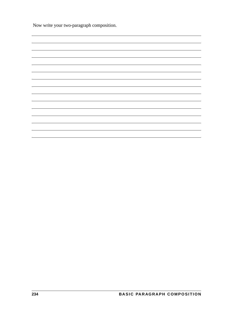| Now write your two-paragraph composition. |
|-------------------------------------------|
|-------------------------------------------|

| - |
|---|
|   |
|   |
|   |
|   |
|   |
|   |
|   |
|   |
|   |
|   |
|   |
|   |
|   |
|   |
| - |
|   |
|   |
|   |
|   |
|   |
|   |
|   |
|   |
|   |
|   |
|   |
|   |
|   |
|   |
|   |
|   |
|   |
|   |
|   |
|   |
|   |
|   |
|   |
|   |
|   |
|   |
|   |
|   |
|   |
|   |
|   |
|   |
|   |
|   |
|   |
|   |
|   |
|   |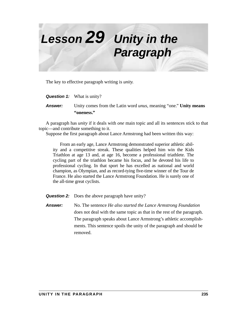# **Lesson 29 Unity in the Paragraph**

The key to effective paragraph writing is *unity.*

|         | <b>Question 1:</b> What is unity?                                                      |
|---------|----------------------------------------------------------------------------------------|
| Answer: | Unity comes from the Latin word <i>unus</i> , meaning "one." Unity means<br>"oneness." |

A paragraph has *unity* if it deals with *one* main topic and all its sentences stick to that topic—and contribute something to it.

Suppose the first paragraph about Lance Armstrong had been written this way:

From an early age, Lance Armstrong demonstrated superior athletic ability and a competitive streak. These qualities helped him win the Kids Triathlon at age 13 and, at age 16, become a professional triathlete. The cycling part of the triathlon became his focus, and he devoted his life to professional cycling. In that sport he has excelled as national and world champion, as Olympian, and as record-tying five-time winner of the Tour de France. He also started the Lance Armstrong Foundation. He is surely one of the all-time great cyclists.

**Question 2:** Does the above paragraph have unity?

**Answer:** No. The sentence *He also started the Lance Armstrong Foundation* does not deal with the same topic as that in the rest of the paragraph. The paragraph speaks about Lance Armstrong's athletic accomplishments. This sentence spoils the unity of the paragraph and should be removed.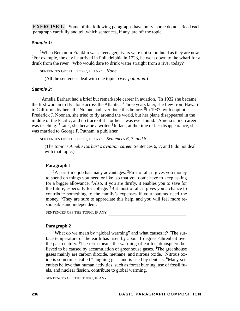**EXERCISE 1.** Some of the following paragraphs have unity; some do not. Read each paragraph carefully and tell which sentences, if any, are off the topic.

#### **Sample 1:**

<sup>1</sup>When Benjamin Franklin was a teenager, rivers were not so polluted as they are now. 2For example, the day he arrived in Philadelphia in 1723, he went down to the wharf for a drink from the river. <sup>3</sup>Who would dare to drink water straight from a river today?

SENTENCES OFF THE TOPIC, IF ANY: *None* 

(All the sentences deal with one topic: *river pollution.*)

#### **Sample 2:**

<sup>1</sup>Amelia Earhart had a brief but remarkable career in aviation. <sup>2</sup>In 1932 she became the first woman to fly alone across the Atlantic.  $3$ Three years later, she flew from Hawaii to California by herself. 4No one had ever done this before. 5In 1937, with copilot Frederick J. Noonan, she tried to fly around the world, but her plane disappeared in the middle of the Pacific, and no trace of it—or her—was ever found. <sup>6</sup>Amelia's first career was teaching. <sup>7</sup>Later, she became a writer. <sup>8</sup>In fact, at the time of her disappearance, she was married to George P. Putnam, a publisher.

SENTENCES OFF THE TOPIC, IF ANY: *Sentences 6, 7, and 8* 

(The topic is *Amelia Earhart's aviation career.* Sentences 6, 7, and 8 do not deal with that topic.)

#### **Paragraph 1**

<sup>1</sup>A part-time job has many advantages. <sup>2</sup>First of all, it gives you money to spend on things you need or like, so that you don't have to keep asking for a bigger allowance.  $3$ Also, if you are thrifty, it enables you to save for the future, especially for college. 4But most of all, it gives you a chance to contribute something to the family's expenses if your parents need the money. <sup>5</sup>They are sure to appreciate this help, and you will feel more responsible and independent.

SENTENCES OFF THE TOPIC, IF ANY:

#### **Paragraph 2**

<sup>1</sup>What do we mean by "global warming" and what causes it? <sup>2</sup>The surface temperature of the earth has risen by about 1 degree Fahrenheit over the past century. 3The term means the warming of earth's atmosphere believed to be caused by accumulation of greenhouse gases. 4The greenhouse gases mainly are carbon dioxide, methane, and nitrous oxide. <sup>5</sup>Nitrous oxide is sometimes called "laughing gas" and is used by dentists. <sup>6</sup>Many scientists believe that human activities, such as forest burning, use of fossil fuels, and nuclear fission, contribute to global warming.

```
SENTENCES OFF THE TOPIC, IF ANY:
```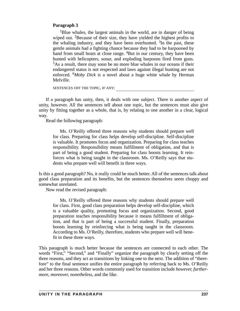#### **Paragraph 3**

<sup>1</sup>Blue whales, the largest animals in the world, are in danger of being wiped out. <sup>2</sup>Because of their size, they have yielded the highest profits to the whaling industry, and they have been overhunted.  $3\text{In}$  the past, these gentle animals had a fighting chance because they had to be harpooned by hand from small boats at close range. <sup>4</sup>But in our century, they have been hunted with helicopters, sonar, and exploding harpoons fired from guns. 5As a result, there may soon be no more blue whales in our oceans if their endangered status is not respected and laws against illegal hunting are not enforced. 6*Moby Dick* is a novel about a huge white whale by Herman Melville.

SENTENCES OFF THE TOPIC, IF ANY:

If a paragraph has unity, then, it deals with one subject. There is another aspect of unity, however. All the sentences tell about one topic, but the sentences must also give unity by fitting together as a whole, that is, by relating to one another in a clear, logical way.

Read the following paragraph:

Ms. O'Reilly offered three reasons why students should prepare well for class. Preparing for class helps develop self-discipline. Self-discipline is valuable. It promotes focus and organization. Preparing for class teaches responsibility. Responsibility means fulfillment of obligation, and that is part of being a good student. Preparing for class boosts learning. It reinforces what is being taught in the classroom. Ms. O'Reilly says that students who prepare well will benefit in three ways.

Is this a good paragraph? No, it really could be much better. All of the sentences talk about good class preparation and its benefits, but the sentences themselves seem choppy and somewhat unrelated.

Now read the revised paragraph:

Ms. O'Reilly offered three reasons why students should prepare well for class. First, good class preparation helps develop self-discipline, which is a valuable quality, promoting focus and organization. Second, good preparation teaches responsibility because it means fulfillment of obligation, and that is part of being a successful student. Finally, preparation boosts learning by reinforcing what is being taught in the classroom. According to Ms. O'Reilly, therefore, students who prepare well will benefit in these three ways.

This paragraph is much better because the sentences are connected to each other. The words "First," "Second," and "Finally" organize the paragraph by clearly setting off the three reasons, and they act as transitions by linking one to the next. The addition of "therefore" to the final sentence unifies the entire paragraph by referring back to Ms. O'Reilly and her three reasons. Other words commonly used for transition include *however, furthermore, moreover, nonetheless,* and the like.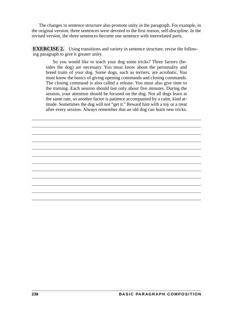The changes in sentence structure also promote unity in the paragraph. For example, in the original version, three sentences were devoted to the first reason, self-discipline. In the revised version, the three sentences become one sentence with interrelated parts.

**EXERCISE 2.** Using transitions and variety in sentence structure, revise the following paragraph to give it greater unity.

So you would like to teach your dog some tricks? Three factors (besides the dog) are necessary. You must know about the personality and breed traits of your dog. Some dogs, such as terriers, are acrobatic. You must know the basics of giving opening commands and closing commands. The closing command is also called a release. You must also give time to the training. Each session should last only about five minutes. During the session, your attention should be focused on the dog. Not all dogs learn at the same rate, so another factor is patience accompanied by a calm, kind attitude. Sometimes the dog will not "get it." Reward him with a toy or a treat after every session. Always remember that an old dog can learn new tricks.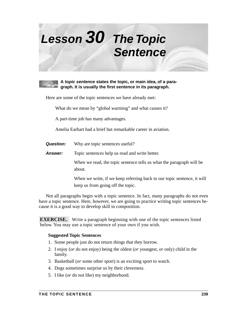### **Lesson 30 The Topic Sentence**



#### **A topic sentence states the topic, or main idea, of a paragraph. It is usually the first sentence in its paragraph.**

Here are some of the topic sentences we have already met:

What do we mean by "global warming" and what causes it?

A part-time job has many advantages.

Amelia Earhart had a brief but remarkable career in aviation.

| <b>Question:</b> | Why are topic sentences useful?                                                |
|------------------|--------------------------------------------------------------------------------|
| <b>Answer:</b>   | Topic sentences help us read and write better.                                 |
|                  | When we read, the topic sentence tells us what the paragraph will be<br>about. |
|                  | When we write, if we keep referring back to our topic sentence, it will        |
|                  | keep us from going off the topic.                                              |

Not all paragraphs begin with a topic sentence. In fact, many paragraphs do not even have a topic sentence. Here, however, we are going to practice writing topic sentences because it is a good way to develop skill in composition.

**EXERCISE.** Write a paragraph beginning with one of the topic sentences listed below. You may use a topic sentence of your own if you wish.

#### **Suggested Topic Sentences**

- 1. Some people just do not return things that they borrow.
- 2. I enjoy (*or* do not enjoy) being the oldest (*or* youngest, *or* only) child in the family.
- 3. Basketball (*or* some other sport) is an exciting sport to watch.
- 4. Dogs sometimes surprise us by their cleverness.
- 5. I like (*or* do not like) my neighborhood.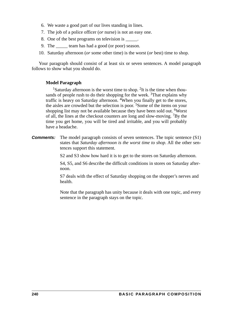- 6. We waste a good part of our lives standing in lines.
- 7. The job of a police officer (*or* nurse) is not an easy one.
- 8. One of the best programs on television is
- 9. The \_\_\_\_\_ team has had a good (or poor) season.
- 10. Saturday afternoon (*or* some other time) is the worst (*or* best) time to shop.

Your paragraph should consist of at least six or seven sentences. A model paragraph follows to show what you should do.

#### **Model Paragraph**

<sup>1</sup>Saturday afternoon is the worst time to shop. <sup>2</sup>It is the time when thousands of people rush to do their shopping for the week.  $3$ That explains why traffic is heavy on Saturday afternoon. 4When you finally get to the stores, the aisles are crowded but the selection is poor. <sup>5</sup>Some of the items on your shopping list may not be available because they have been sold out. <sup>6</sup>Worst of all, the lines at the checkout counters are long and slow-moving. 7By the time you get home, you will be tired and irritable, and you will probably have a headache.

**Comments:** The model paragraph consists of seven sentences. The topic sentence (S1) states that *Saturday afternoon is the worst time to shop*. All the other sentences support this statement.

S2 and S3 show how hard it is to get to the stores on Saturday afternoon.

S4, S5, and S6 describe the difficult conditions in stores on Saturday afternoon.

S7 deals with the effect of Saturday shopping on the shopper's nerves and health.

Note that the paragraph has unity because it deals with one topic, and every sentence in the paragraph stays on the topic.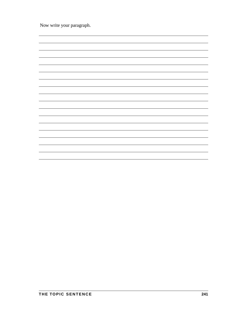Now write your paragraph.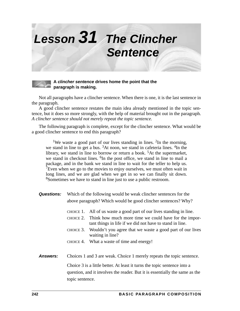## **Lesson 31 The Clincher Sentence**



#### **A clincher sentence drives home the point that the paragraph is making.**

Not all paragraphs have a clincher sentence. When there is one, it is the last sentence in the paragraph.

A good clincher sentence restates the main idea already mentioned in the topic sentence, but it does so more strongly, with the help of material brought out in the paragraph. *A clincher sentence should not merely repeat the topic sentence.*

The following paragraph is complete, except for the clincher sentence. What would be a good clincher sentence to end this paragraph?

<sup>1</sup>We waste a good part of our lives standing in lines. <sup>2</sup>In the morning, we stand in line to get a bus.  ${}^{3}$ At noon, we stand in cafeteria lines.  ${}^{4}$ In the library, we stand in line to borrow or return a book.  $5$ At the supermarket, we stand in checkout lines. <sup>6</sup>In the post office, we stand in line to mail a package, and in the bank we stand in line to wait for the teller to help us.  $7E$ ven when we go to the movies to enjoy ourselves, we must often wait in long lines, and we are glad when we get in so we can finally sit down. 8Sometimes we have to stand in line just to use a public restroom.

| <b>Questions:</b> |                                                                                                                                                         | Which of the following would be weak clincher sentences for the                                                   |
|-------------------|---------------------------------------------------------------------------------------------------------------------------------------------------------|-------------------------------------------------------------------------------------------------------------------|
|                   |                                                                                                                                                         | above paragraph? Which would be good clincher sentences? Why?                                                     |
|                   |                                                                                                                                                         | CHOICE 1. All of us waste a good part of our lives standing in line.                                              |
|                   | CHOICE 2.                                                                                                                                               | Think how much more time we could have for the impor-<br>tant things in life if we did not have to stand in line. |
|                   |                                                                                                                                                         | CHOICE 3. Wouldn't you agree that we waste a good part of our lives<br>waiting in line?                           |
|                   |                                                                                                                                                         | CHOICE 4. What a waste of time and energy!                                                                        |
| <b>Answers:</b>   |                                                                                                                                                         | Choices 1 and 3 are weak. Choice 1 merely repeats the topic sentence.                                             |
|                   | Choice 3 is a little better. At least it turns the topic sentence into a<br>question, and it involves the reader. But it is essentially the same as the |                                                                                                                   |

topic sentence.

**242** BASIC PARAGRAPH COMPOSITION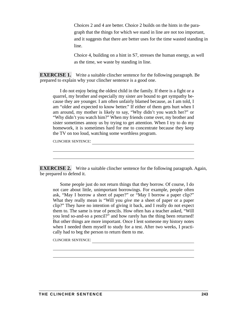Choices 2 and 4 are better. Choice 2 builds on the hints in the paragraph that the things for which we stand in line are not too important, and it suggests that there are better uses for the time wasted standing in line.

Choice 4, building on a hint in S7, stresses the human energy, as well as the time, we waste by standing in line.

**EXERCISE 1.** Write a suitable clincher sentence for the following paragraph. Be prepared to explain why your clincher sentence is a good one.

I do not enjoy being the oldest child in the family. If there is a fight or a quarrel, my brother and especially my sister are bound to get sympathy because they are younger. I am often unfairly blamed because, as I am told, I am "older and expected to know better." If either of them gets hurt when I am around, my mother is likely to say, "Why didn't you watch her?" or "Why didn't you watch him?" When my friends come over, my brother and sister sometimes annoy us by trying to get attention. When I try to do my homework, it is sometimes hard for me to concentrate because they keep the TV on too loud, watching some worthless program.

CLINCHER SENTENCE:

**EXERCISE 2.** Write a suitable clincher sentence for the following paragraph. Again, be prepared to defend it.

Some people just do not return things that they borrow. Of course, I do not care about little, unimportant borrowings. For example, people often ask, "May I borrow a sheet of paper?" or "May I borrow a paper clip?" What they really mean is "Will you *give* me a sheet of paper or a paper clip?" They have no intention of giving it back, and I really do not expect them to. The same is true of pencils. How often has a teacher asked, "Will you lend so-and-so a pencil?" and how rarely has the thing been returned! But other things are more important. Once I lent someone my history notes when I needed them myself to study for a test. After two weeks, I practically had to beg the person to return them to me.

CLINCHER SENTENCE: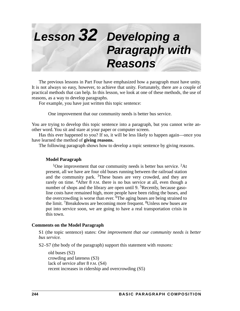### **Lesson 32 Developing a Paragraph with Reasons**

The previous lessons in Part Four have emphasized how a paragraph must have unity. It is not always so easy, however, to achieve that unity. Fortunately, there are a couple of practical methods that can help. In this lesson, we look at one of these methods, the use of reasons, as a way to develop paragraphs.

For example, you have just written this topic sentence:

One improvement that our community needs is better bus service.

You are trying to develop this topic sentence into a paragraph, but you cannot write another word. You sit and stare at your paper or computer screen.

Has this ever happened to you? If so, it will be less likely to happen again—once you have learned the method of **giving reasons.**

The following paragraph shows how to develop a topic sentence by giving reasons.

#### **Model Paragraph**

<sup>1</sup>One improvement that our community needs is better bus service.  ${}^{2}$ At present, all we have are four old buses running between the railroad station and the community park. <sup>3</sup>These buses are very crowded, and they are rarely on time. <sup>4</sup>After 8 P.M. there is no bus service at all, even though a number of shops and the library are open until 9.  ${}^{5}$ Recently, because gasoline costs have remained high, more people have been riding the buses, and the overcrowding is worse than ever. 6The aging buses are being strained to the limit. 7Breakdowns are becoming more frequent. 8Unless new buses are put into service soon, we are going to have a real transportation crisis in this town.

#### **Comments on the Model Paragraph**

S1 (the topic sentence) states: *One improvement that our community needs is better bus service.*

S2–S7 (the body of the paragraph) support this statement with *reasons:*

old buses (S2) crowding and lateness (S3) lack of service after 8 P.M. (S4) recent increases in ridership and overcrowding (S5)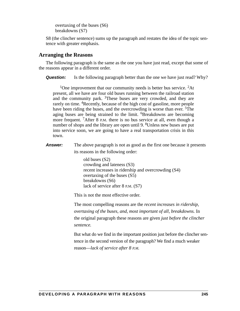overtaxing of the buses (S6) breakdowns (S7)

S8 (the clincher sentence) sums up the paragraph and restates the idea of the topic sentence with greater emphasis.

#### **Arranging the Reasons**

The following paragraph is the same as the one you have just read, except that some of the reasons appear in a different order.

**Question:** Is the following paragraph better than the one we have just read? Why?

<sup>1</sup>One improvement that our community needs is better bus service. <sup>2</sup>At present, all we have are four old buses running between the railroad station and the community park. <sup>3</sup>These buses are very crowded, and they are rarely on time. <sup>4</sup>Recently, because of the high cost of gasoline, more people have been riding the buses, and the overcrowding is worse than ever. <sup>5</sup>The aging buses are being strained to the limit. <sup>6</sup>Breakdowns are becoming more frequent. <sup>7</sup>After 8 P.M. there is no bus service at all, even though a number of shops and the library are open until 9. <sup>8</sup>Unless new buses are put into service soon, we are going to have a real transportation crisis in this town.

**Answer:** The above paragraph is not as good as the first one because it presents its reasons in the following order:

> old buses (S2) crowding and lateness (S3) recent increases in ridership and overcrowding (S4) overtaxing of the buses (S5) breakdowns (S6) lack of service after 8 P.M. (S7)

This is not the most effective order.

The most compelling reasons are the *recent increases in ridership, overtaxing of the buses, and, most important of all, breakdowns.* In the original paragraph these reasons are given *just before the clincher sentence.*

But what do we find in the important position just before the clincher sentence in the second version of the paragraph? We find a much weaker reason—*lack of service after 8 P.M.*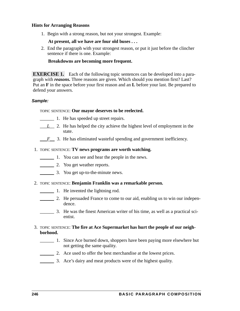#### **Hints for Arranging Reasons**

1. Begin with a strong reason, but not your strongest. Example:

#### **At present, all we have are four old buses . . .**

2. End the paragraph with your strongest reason, or put it just before the clincher sentence if there is one. Example:

#### **Breakdowns are becoming more frequent.**

**EXERCISE 1.** Each of the following topic sentences can be developed into a paragraph with *reasons.* Three reasons are given. Which should you mention first? Last? Put an **F** in the space before your first reason and an **L** before your last. Be prepared to defend your answers.

#### **Sample:**

#### TOPIC SENTENCE: **Our mayor deserves to be reelected.**

- **1.** He has speeded up street repairs.
- \_\_\_*L*\_\_ 2. He has helped the city achieve the highest level of employment in the state.
- \_\_\_*F*\_\_ 3. He has eliminated wasteful spending and government inefficiency.

#### 1. TOPIC SENTENCE: **TV news programs are worth watching.**

- \_\_\_\_\_\_ 1. You can see and hear the people in the news.
- 2. You get weather reports.
- **\_\_\_\_\_\_** 3. You get up-to-the-minute news.

#### 2. TOPIC SENTENCE: **Benjamin Franklin was a remarkable person.**

- 1. He invented the lightning rod.
- 2. He persuaded France to come to our aid, enabling us to win our independence.
- \_\_\_\_\_\_ 3. He was the finest American writer of his time, as well as a practical scientist.
- 3. TOPIC SENTENCE: **The fire at Ace Supermarket has hurt the people of our neighborhood.**
	- \_\_\_\_\_\_ 1. Since Ace burned down, shoppers have been paying more elsewhere but not getting the same quality.
	- 2. Ace used to offer the best merchandise at the lowest prices.
	- \_\_\_\_\_\_ 3. Ace's dairy and meat products were of the highest quality.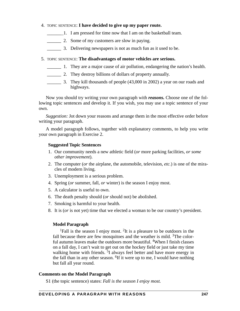#### 4. TOPIC SENTENCE: **I have decided to give up my paper route.**

- \_\_\_\_\_\_ 1. I am pressed for time now that I am on the basketball team.
- 2. Some of my customers are slow in paying.
- **EXECUTE:** 3. Delivering newspapers is not as much fun as it used to be.
- 5. TOPIC SENTENCE: **The disadvantages of motor vehicles are serious.**
	- \_\_\_\_\_\_ 1. They are a major cause of air pollution, endangering the nation's health.
	- 2. They destroy billions of dollars of property annually.
	- \_\_\_\_\_\_ 3. They kill thousands of people (43,000 in 2002) a year on our roads and highways.

Now you should try writing your own paragraph with *reasons.* Choose one of the following topic sentences and develop it. If you wish, you may use a topic sentence of your own.

*Suggestion:* Jot down your reasons and arrange them in the most effective order before writing your paragraph.

A model paragraph follows, together with explanatory comments, to help you write your own paragraph in Exercise 2.

#### **Suggested Topic Sentences**

- 1. Our community needs a new athletic field (*or* more parking facilities, *or some other improvement*).
- 2. The computer (*or* the airplane, the automobile, television, *etc.*) is one of the miracles of modern living.
- 3. Unemployment is a serious problem.
- 4. Spring (*or* summer, fall, *or* winter) is the season I enjoy most.
- 5. A calculator is useful to own.
- 6. The death penalty should (*or* should not) be abolished.
- 7. Smoking is harmful to your health.
- 8. It is (*or* is not yet) time that we elected a woman to be our country's president.

#### **Model Paragraph**

<sup>1</sup>Fall is the season I enjoy most. <sup>2</sup>It is a pleasure to be outdoors in the fall because there are few mosquitoes and the weather is mild.  ${}^{3}$ The colorful autumn leaves make the outdoors more beautiful. <sup>4</sup>When I finish classes on a fall day, I can't wait to get out on the hockey field or just take my time walking home with friends. <sup>5</sup>I always feel better and have more energy in the fall than in any other season.  $^{6}$ If it were up to me, I would have nothing but fall all year round.

#### **Comments on the Model Paragraph**

S1 (the topic sentence) states: *Fall is the season I enjoy most.*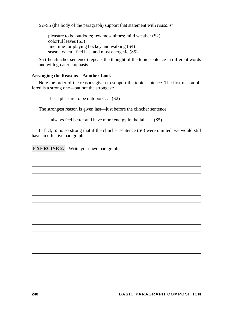S2–S5 (the body of the paragraph) support that statement with *reasons:*

pleasure to be outdoors; few mosquitoes; mild weather (S2) colorful leaves (S3) fine time for playing hockey and walking (S4) season when I feel best and most energetic (S5)

S6 (the clincher sentence) repeats the thought of the topic sentence in different words and with greater emphasis.

#### **Arranging the Reasons—Another Look**

Note the order of the reasons given to support the topic sentence. The first reason offered is a strong one—but not the strongest:

It is a pleasure to be outdoors  $\dots$  (S2)

The strongest reason is given last—just before the clincher sentence:

I always feel better and have more energy in the fall . . . (S5)

In fact, S5 is so strong that if the clincher sentence (S6) were omitted, we would still have an effective paragraph.

**EXERCISE 2.** Write your own paragraph.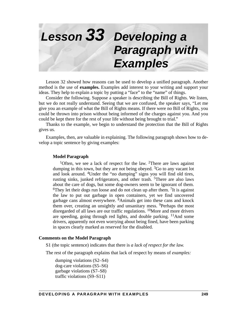# **Lesson 33 Developing a Paragraph with Examples**

Lesson 32 showed how reasons can be used to develop a unified paragraph. Another method is the use of **examples.** Examples add interest to your writing and support your ideas. They help to explain a topic by putting a "face" to the "name" of things.

Consider the following. Suppose a speaker is describing the Bill of Rights. We listen, but we do not really understand. Seeing that we are confused, the speaker says, "Let me give you an example of what the Bill of Rights means. If there were no Bill of Rights, you could be thrown into prison without being informed of the charges against you. And you could be kept there for the rest of your life without being brought to trial."

Thanks to the example, we begin to understand the protection that the Bill of Rights gives us.

Examples, then, are valuable in explaining. The following paragraph shows how to develop a topic sentence by giving examples:

#### **Model Paragraph**

<sup>1</sup>Often, we see a lack of respect for the law. <sup>2</sup>There are laws against dumping in this town, but they are not being obeyed. <sup>3</sup>Go to any vacant lot and look around. 4Under the "no dumping" signs you will find old tires, rusting sinks, junked refrigerators, and other trash. <sup>5</sup>There are also laws about the care of dogs, but some dog-owners seem to be ignorant of them. <sup>6</sup>They let their dogs run loose and do not clean up after them. <sup>7</sup>It is against the law to put out garbage in open containers, yet we find uncovered garbage cans almost everywhere. 8Animals get into these cans and knock them over, creating an unsightly and unsanitary mess. <sup>9</sup>Perhaps the most disregarded of all laws are our traffic regulations. <sup>10</sup>More and more drivers are speeding, going through red lights, and double parking.  $^{11}$ And some drivers, apparently not even worrying about being fined, have been parking in spaces clearly marked as reserved for the disabled.

#### **Comments on the Model Paragraph**

S1 (the topic sentence) indicates that there is *a lack of respect for the law.*

The rest of the paragraph explains that lack of respect by means of *examples:*

dumping violations (S2–S4) dog-care violations (S5–S6) garbage violations (S7–S8) traffic violations (S9–S11)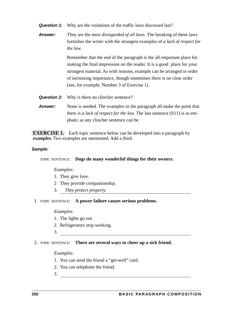- **Question 1:** Why are the violations of the traffic laws discussed last?
- **Answer:** They are the *most disregarded of all laws.* The breaking of these laws furnishes the writer with the strongest examples of *a lack of respect for the law.*

Remember that the end of the paragraph is the all-important place for making the final impression on the reader. It is a good place for your strongest material. As with reasons, example can be arranged in order of increasing importance, though sometimes there is no clear order (see, for example, Number 3 of Exercise 1).

- **Question 2:** Why is there no clincher sentence?
- **Answer:** None is needed. The examples in the paragraph all make the point that there is *a lack of respect for the law.* The last sentence (S11) is as emphatic as any clincher sentence can be.

**EXERCISE 1.** Each topic sentence below can be developed into a paragraph by *examples.* Two examples are mentioned. Add a third.

#### **Sample:**

TOPIC SENTENCE: **Dogs do many wonderful things for their owners.**

*Examples:*

- 1. They give love.
- 2 They provide companionship.
- 3. *They protect property.*
- 1. TOPIC SENTENCE: **A power failure causes serious problems.**

*Examples:*

- 1. The lights go out.
- 2. Refrigerators stop working.
- 3.

2. TOPIC SENTENCE: **There are several ways to cheer up a sick friend.**

#### *Examples:*

- 1. You can send the friend a "get-well" card.
- 2. You can telephone the friend.
- 3.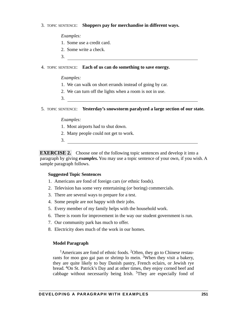#### 3. TOPIC SENTENCE: **Shoppers pay for merchandise in different ways.**

#### *Examples:*

- 1. Some use a credit card.
- 2. Some write a check.
- 3.

## 4. TOPIC SENTENCE: **Each of us can do something to save energy.**

#### *Examples:*

- 1. We can walk on short errands instead of going by car.
- 2. We can turn off the lights when a room is not in use.
- 3.
- 5. TOPIC SENTENCE: **Yesterday's snowstorm paralyzed a large section of our state.**

#### *Examples:*

- 1. Most airports had to shut down.
- 2. Many people could not get to work.
- 3.

**EXERCISE 2.** Choose one of the following topic sentences and develop it into a paragraph by giving *examples.* You may use a topic sentence of your own, if you wish. A sample paragraph follows.

#### **Suggested Topic Sentences**

- 1. Americans are fond of foreign cars (*or* ethnic foods).
- 2. Television has some very entertaining (*or* boring) commercials.
- 3. There are several ways to prepare for a test.
- 4. Some people are not happy with their jobs.
- 5. Every member of my family helps with the household work.
- 6. There is room for improvement in the way our student government is run.
- 7. Our community park has much to offer.
- 8. Electricity does much of the work in our homes.

#### **Model Paragraph**

<sup>1</sup>Americans are fond of ethnic foods. <sup>2</sup>Often, they go to Chinese restaurants for moo goo gai pan or shrimp lo mein. <sup>3</sup>When they visit a bakery, they are quite likely to buy Danish pastry, French eclairs, or Jewish rye bread. 4On St. Patrick's Day and at other times, they enjoy corned beef and cabbage without necessarily being Irish. <sup>5</sup>They are especially fond of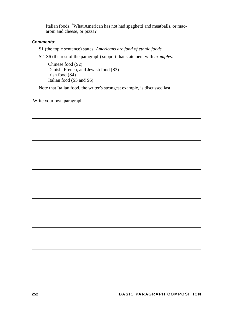Italian foods. 6What American has not had spaghetti and meatballs, or macaroni and cheese, or pizza?

#### **Comments:**

S1 (the topic sentence) states: *Americans are fond of ethnic foods.*

S2–S6 (the rest of the paragraph) support that statement with *examples:*

Chinese food (S2) Danish, French, and Jewish food (S3) Irish food (S4) Italian food (S5 and S6)

Note that Italian food, the writer's strongest example, is discussed last.

Write your own paragraph.

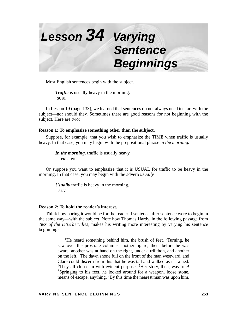

Most English sentences begin with the subject.

*Traffic* is usually heavy in the morning. SUBJ.

In Lesson 19 (page 133), we learned that sentences do not always need to start with the subject—nor should they. Sometimes there are good reasons for not beginning with the subject. Here are two:

#### **Reason 1: To emphasize something other than the subject.**

Suppose, for example, that you wish to emphasize the TIME when traffic is usually heavy. In that case, you may begin with the prepositional phrase *in the morning.*

*In the morning,* traffic is usually heavy. PREP. PHR.

Or suppose you want to emphasize that it is USUAL for traffic to be heavy in the morning. In that case, you may begin with the adverb *usually.*

*Usually* traffic is heavy in the morning. ADV.

#### **Reason 2: To hold the reader's interest.**

Think how boring it would be for the reader if sentence after sentence were to begin in the same way—with the subject. Note how Thomas Hardy, in the following passage from *Tess of the D'Urbervilles,* makes his writing more interesting by varying his sentence beginnings:

> <sup>1</sup>He heard something behind him, the brush of feet. <sup>2</sup>Turning, he saw over the prostrate columns another figure; then, before he was aware, another was at hand on the right, under a trilithon, and another on the left. <sup>3</sup>The dawn shone full on the front of the man westward, and Clare could discern from this that he was tall and walked as if trained. <sup>4</sup>They all closed in with evident purpose. <sup>5</sup>Her story, then, was true! <sup>6</sup>Springing to his feet, he looked around for a weapon, loose stone, means of escape, anything. <sup>7</sup>By this time the nearest man was upon him.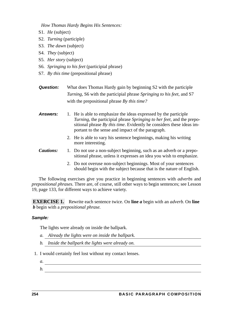*How Thomas Hardy Begins His Sentences:*

- S1. *He* (subject)
- S2. *Turning* (participle)
- S3. *The dawn* (subject)
- S4. *They* (subject)
- S5. *Her story* (subject)
- S6. *Springing to his feet* (participial phrase)
- S7. *By this time* (prepositional phrase)
- **Question:** What does Thomas Hardy gain by beginning S2 with the participle *Turning,* S6 with the participial phrase *Springing to his feet,* and S7 with the prepositional phrase *By this time?*
- **Answers:** 1. He is able to emphasize the ideas expressed by the participle *Turning,* the participial phrase *Springing to her feet,* and the prepositional phrase *By this time*. Evidently he considers these ideas important to the sense and impact of the paragraph.
	- 2. He is able to vary his sentence beginnings, making his writing more interesting.
- *Cautions:* 1. Do not use a non-subject beginning, such as an adverb or a prepositional phrase, unless it expresses an idea you wish to emphasize.
	- 2. Do not overuse non-subject beginnings. Most of your sentences should begin with the subject because that is the nature of English.

The following exercises give you practice in beginning sentences with *adverbs* and *prepositional phrases.* There are, of course, still other ways to begin sentences; see Lesson 19, page 133, for different ways to achieve variety.

**EXERCISE 1.** Rewrite each sentence twice. On **line** *a* begin with an *adverb.* On **line** *b* begin with a *prepositional phrase.*

#### **Sample:**

The lights were already on inside the ballpark.

- *a. Already the lights were on inside the ballpark.*
- *b. Inside the ballpark the lights were already on.*
- 1. I would certainly feel lost without my contact lenses.
	- *a.*
	- *b.*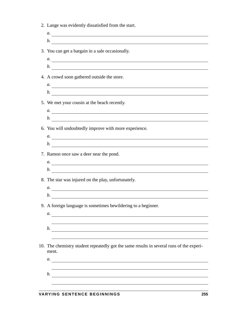| 2. Lange was evidently dissatisfied from the start.                                                                        |  |  |  |
|----------------------------------------------------------------------------------------------------------------------------|--|--|--|
| $\overline{a}$ .                                                                                                           |  |  |  |
| $\mathbf{b}$ .                                                                                                             |  |  |  |
| 3. You can get a bargain in a sale occasionally.                                                                           |  |  |  |
| $\overline{a}$ .                                                                                                           |  |  |  |
| $\frac{b}{c}$                                                                                                              |  |  |  |
| 4. A crowd soon gathered outside the store.                                                                                |  |  |  |
| $\overline{a}$ .                                                                                                           |  |  |  |
| $\mathbf{b}$ .                                                                                                             |  |  |  |
| 5. We met your cousin at the beach recently.                                                                               |  |  |  |
|                                                                                                                            |  |  |  |
| $\mathbf{b}$ .                                                                                                             |  |  |  |
| 6. You will undoubtedly improve with more experience.                                                                      |  |  |  |
| $\overline{a}$ .                                                                                                           |  |  |  |
| $\mathbf{b}$ .                                                                                                             |  |  |  |
| 7. Ramon once saw a deer near the pond.                                                                                    |  |  |  |
| $\overline{a}$ .                                                                                                           |  |  |  |
| b. $\qquad \qquad$                                                                                                         |  |  |  |
| 8. The star was injured on the play, unfortunately.                                                                        |  |  |  |
|                                                                                                                            |  |  |  |
| b.<br><u> 1989 - Johann Stein, fransk politik (d. 1989)</u>                                                                |  |  |  |
| 9. A foreign language is sometimes bewildering to a beginner.                                                              |  |  |  |
| a.                                                                                                                         |  |  |  |
|                                                                                                                            |  |  |  |
| b.<br><u> 1980 - John Stein, Amerikaansk politiker (* 1950)</u>                                                            |  |  |  |
|                                                                                                                            |  |  |  |
| 10. The chemistry student repeatedly got the same results in several runs of the experi-<br>ment.                          |  |  |  |
|                                                                                                                            |  |  |  |
| $\alpha$ .                                                                                                                 |  |  |  |
| b.<br><u> 2008 - Andrea Station Barbara, actor a component de la componentat de la componentat de la componentat de la</u> |  |  |  |
|                                                                                                                            |  |  |  |
|                                                                                                                            |  |  |  |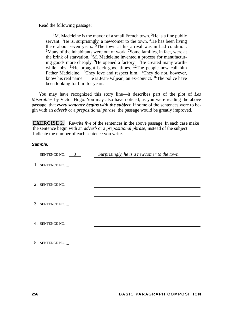Read the following passage:

<sup>1</sup>M. Madeleine is the mayor of a small French town. <sup>2</sup>He is a fine public servant. <sup>3</sup>He is, surprisingly, a newcomer to the town. <sup>4</sup>He has been living there about seven years. 5The town at his arrival was in bad condition.  $6$ Many of the inhabitants were out of work. <sup>7</sup>Some families, in fact, were at the brink of starvation. 8M. Madeleine invented a process for manufacturing goods more cheaply. <sup>9</sup>He opened a factory. <sup>10</sup>He created many worthwhile jobs. <sup>11</sup>He brought back good times. <sup>12</sup>The people now call him Father Madeleine. <sup>13</sup>They love and respect him. <sup>14</sup>They do not, however, know his real name. 15He is Jean-Valjean, an ex-convict. 16The police have been looking for him for years.

You may have recognized this story line—it describes part of the plot of *Les Miserables* by Victor Hugo. You may also have noticed, as you were reading the above passage, that *every sentence begins with the subject.* If some of the sentences were to begin with an *adverb* or a *prepositional phrase,* the passage would be greatly improved.

**EXERCISE 2.** Rewrite *five* of the sentences in the above passage. In each case make the sentence begin with an *adverb* or a *prepositional phrase,* instead of the subject. Indicate the number of each sentence you write.

#### **Sample:**

| SENTENCE NO. $\frac{3}{2}$ | Surprisingly, he is a newcomer to the town.                                                                           |
|----------------------------|-----------------------------------------------------------------------------------------------------------------------|
| 1. SENTENCE NO. $\_\_$     | <u> 1989 - Johann Stoff, deutscher Stoff, der Stoff, der Stoff, der Stoff, der Stoff, der Stoff, der Stoff, der S</u> |
| 2. SENTENCE NO. ______     | the contract of the contract of the contract of the contract of the contract of the contract of the contract of       |
| 3. SENTENCE NO. _____      |                                                                                                                       |
| 4. SENTENCE NO. _____      |                                                                                                                       |
| 5. SENTENCE NO. _____      |                                                                                                                       |
|                            |                                                                                                                       |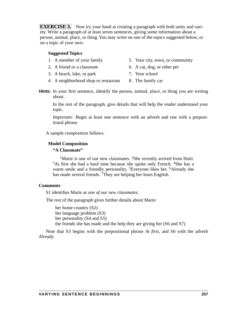**EXERCISE 3.** Now try your hand at creating a paragraph with both unity and variety. Write a paragraph of at least seven sentences, giving some information about a person, animal, place, or thing. You may write on one of the topics suggested below, or on a topic of your own.

#### **Suggested Topics**

- 
- 2. A friend or a classmate 6. A cat, dog, or other pet
- 3. A beach, lake, or park 7. Your school
- 1. A member of your family 5. Your city, town, or community
	-
	-
- 4. A neighborhood shop or restaurant 8. The family car
- **Hints:** In your first sentence, identify the person, animal, place, or thing you are writing about.

In the rest of the paragraph, give details that will help the reader understand your topic.

*Important:* Begin at least one sentence with an adverb and one with a prepositional phrase.

A sample composition follows.

#### **Model Composition**

#### **"A Classmate"**

<sup>1</sup>Marie is one of our new classmates. <sup>2</sup>She recently arrived from Haiti. <sup>3</sup>At first she had a hard time because she spoke only French. <sup>4</sup>She has a warm smile and a friendly personality. <sup>5</sup>Everyone likes her. <sup>6</sup>Already she has made several friends. <sup>7</sup>They are helping her learn English.

#### **Comments**

S1 identifies Marie as *one of our new classmates.*

The rest of the paragraph gives further details about Marie:

her home country (S2) her language problem (S3) her personality (S4 and S5) the friends she has made and the help they are giving her (S6 and S7)

Note that S3 begins with the prepositional phrase *At first,* and S6 with the adverb *Already.*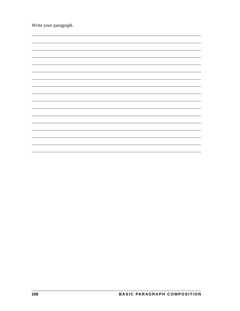| Write your paragraph. |  |  |  |  |  |
|-----------------------|--|--|--|--|--|
|                       |  |  |  |  |  |
|                       |  |  |  |  |  |
|                       |  |  |  |  |  |
|                       |  |  |  |  |  |
|                       |  |  |  |  |  |
|                       |  |  |  |  |  |
|                       |  |  |  |  |  |
|                       |  |  |  |  |  |
|                       |  |  |  |  |  |
|                       |  |  |  |  |  |
|                       |  |  |  |  |  |
|                       |  |  |  |  |  |
|                       |  |  |  |  |  |
|                       |  |  |  |  |  |
|                       |  |  |  |  |  |
|                       |  |  |  |  |  |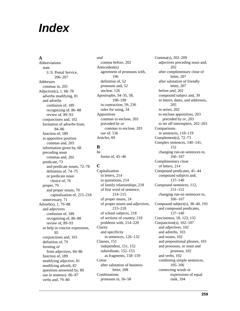## **Index**

#### **A**

Abbreviations state U.S. Postal Service, 206–207 Addresses commas in, 205 Adjective(s), 1, 68–78 adverbs modifying, 81 and adverbs confusion of, 189 recognizing of, 86–88 review of, 89–93 conjunctions and, 102 formation of adverbs from, 84–86 function of, 189 in appositive position commas and, 203 information given by, 68 preceding noun commas and, 202 predicate, 73 and predicate nouns, 72–78 definition of, 74–75 or predicate noun choice of, 76 proper, 70 and proper nouns, 70 capitalization of, 215–218 unnecessary, 71 Adverb(s), 1, 79–88 and adjectives confusion of, 189 recognizing of, 86–88 review of, 89–93 as help in concise expression, 85 conjunctions and, 103 definition of, 79 forming of from adjectives, 84–86 function of, 189 modifying adjective, 81 modifying adverb, 82 questions answered by, 80 use in sentence, 86–87 verbs and, 79–80

*and* comma before, 202 Antecedent(s) agreement of pronouns with, 196 definition of, 52 pronouns and, 52 unclear, 126 Apostrophe, 34–35, 58, 198–199 in contraction, 59, 230 rules for using, 34 Appositives commas to enclose, 203 preceded by *or* commas to enclose, 203 use of, 136 Articles, 69

#### **B**

*be* forms of, 45–46

## **C**

Capitalization in letters, 214 in quotations, 214 of family relationships, 218 of first word of sentence, 214–215 of proper nouns, 24 of proper nouns and adjectives, 215–218 of school subjects, 218 of sections of country, 218 problems with, 214–220 **Clarity** and specificity in sentences, 126–132 Clauses, 151 independent, 151, 152 subordinate, 152–153 as fragments, 158–159 Colon after salutation of business letter, 208 Combinations pronouns in, 56–58

Comma(s), 202–209 adjectives preceding noun and, 202 after complimentary close of letter, 207 after salutation of friendly letter, 207 before *and*, 202 compound subject and, 39 in letters, dates, and addresses, 205 in series, 202 to enclose appositives, 203 preceded by *or*, 203 to set off interrupters, 202–203 **Comparisons** in sentences, 118–119 Complement(s), 72–73 Complex sentences, 140–141, 152 changing run-on sentences to, 166–167 Complimentary close of letters, 214 Compound predicates, 41–44 compound subjects and, 137–140 Compound sentences, 112, 151–152 changing run-on sentences to, 166–167 Compound subject(s), 38–40, 193 and compound predicates, 137–140 Conciseness, 18, 123, 132 Conjunction(s), 102–107 and adjectives, 102 and adverbs, 103 and nouns, 102 and prepositional phrases, 103 and pronouns, or noun and pronoun, 102 and verbs, 102 combining simple sentences, 105–106 connecting words or expressions of equal rank, 104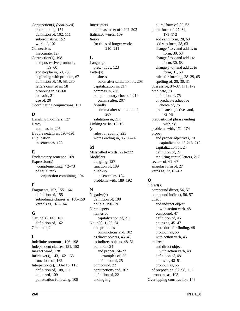Conjunction(s) *(continued)* coordinating, 151 definition of, 102, 111 subordinating, 152 work of, 102 **Connectives** inaccurate, 127 Contraction(s), 198 and possessive pronouns, 59–60 apostrophe in, 59, 230 beginning with pronoun, 67 definition of, 19, 58, 230 letters omitted in, 58 pronouns in, 58–60 to avoid, 21 use of, 20 Coordinating conjunctions, 151

#### **D**

Dangling modifiers, 127 **Dates** commas in, 205 Double negatives, 190–191 Duplication in sentences, 123

#### **E**

Exclamatory sentence, 109 Expression(s) "complementing," 72–73 of equal rank conjunction combining, 104

## **F**

Fragments, 152, 155–164 definition of, 155 subordinate clauses as, 158–159 verbals as, 161–164

#### **G**

Gerund(s), 143, 162 definition of, 162 Grammar, 2

## **I**

Indefinite pronouns, 196–198 Independent clauses, 151, 152 Inexact word, 128 Infinitive(s), 143, 162–163 functions of, 162 Interjection(s), 108–110, 113 definition of, 108, 111 italicized, 109 punctuation following, 108

**Interrupters** commas to set off, 202–203 Italicized words, 109 *Italics* for titles of longer works, 210–211

## **L**

Language pretentious, 123  $Letter(s)$ business colon after salutation of, 208 capitalization in, 214 commas in, 205 complimentary close of, 214 comma after, 207 friendly comma after salutation of, 207 salutation in, 214 Linking verbs, 13–15 *ly* rules for adding, 225 words ending in, 85, 86–87

## **M**

Misspelled words, 221–222 **Modifiers** dangling, 127 function of, 189 piled-up in sentences, 124 problems with, 189–192

## **N**

Negative(s) definition of, 190 double, 190–191 Newspapers names of capitalization of, 211 Noun(s), 1, 22–24 and pronouns conjunctions and, 102 as direct objects, 45–47 as indirect objects, 48–51 common, 24 and proper, 24–27 examples of, 25 definition of, 25 compound, 22 conjunctions and, 102 definition of, 22 ending in *f*

plural form of, 30, 63 plural form of, 27–34, 171–172 add *es* to form, 28, 63 add *s* to form, 28, 63 change *f* to *v* and add *es* to form, 30, 63 change *f* to *v* and add *s* to form, 30, 63 change *y* to *i* and add *es* to form, 31, 63 rules for forming, 28–29, 65 spelling of, 28, 30, 31 possessive, 34–37, 171, 172 predicate, 73 definition of, 75 or predicate adjective choice of, 76 predicate adjectives and, 72–78 prepositional phrase ending with, 98 problems with, 171–174 proper and proper adjectives, 70 capitalization of, 215–218 capitalization of, 24 definition of, 24 requiring capital letters, 217 review of, 61–67 singular form of, 27 verbs as, 22, 61–62

## **O**

Object(s) compound direct, 56, 57 compound indirect, 56, 57 direct and indirect object with action verb, 48 compound, 47 definition of, 45 nouns as, 45–47 procedure for finding, 46 pronoun as, 56 with action verb, 45 indirect and direct object with action verb, 48 definition of, 48 nouns as, 48–51 pronoun as, 56 of preposition, 97–98, 111 pronouns as, 193 Overlapping construction, 145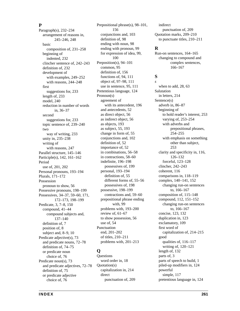#### **P**

Paragraph(s), 232–234 arrangement of reasons in, 245–246, 248 basic composition of, 231–258 beginning of indented, 232 clincher sentence of, 242–243 definition of, 232 development of with examples, 249–252 with reasons, 244–248 first suggestions for, 233 length of, 233 model, 240 reduction in number of words in, 36–37 second suggestions for, 233 topic sentence of, 239–240 two way of writing, 233 unity in, 235–238 writing of with reasons, 247 Parallel structure, 145–146 Participle(s), 142, 161–162 Period use of, 201, 202 Personal pronouns, 193–194 Plurals, 171–172 Possession pronoun to show, 56 Possessive pronouns, 198–199 Possessives, 34–37, 59–60, 171, 172–173, 198–199 Predicate, 3, 7–8, 150 compound, 41–44 compound subjects and, 137–140 definition of, 7 position of, 8 subject and, 8–9, 10 Predicate adjective(s), 73 and predicate nouns, 72–78 definition of, 74–75 or predicate noun choice of, 76 Predicate noun(s), 73 and predicate adjectives, 72–78 definition of, 75 or predicate adjective choice of, 76

Prepositional phrase(s), 98–101, 156 conjunctions and, 103 definition of, 98 ending with noun, 98 ending with pronoun, 99 for expression of idea, 99, 100 Preposition(s), 94-101 common, 95 definition of, 156 functions of, 94, 111 object of, 97–98, 111 use in sentence, 95, 111 Pretentious language, 124 Pronoun(s) agreement of with its antecedent, 196 and antecedents, 52 as direct object, 56 as indirect object, 56 as objects, 193 as subject, 55, 193 change in form of, 55 conjunctions and, 102 definition of, 52 importance of, 52 in combinations, 56–58 in contractions, 58–60 indefinite, 196–198 possessives of, 199 personal, 193–194 definition of, 55 different forms of, 55–56 possessives of, 198 possessive, 198–199 contractions and, 59–60 prepositional phrase ending with, 99 problems with, 193–200 review of, 61–67 to show possession, 56 use of, 54 Punctuation end, 201–202 of titles, 210–211 problems with, 201–213

## **Q**

**Ouestions** word order in, 18 Quotation(s) capitalization in, 214 direct punctuation of, 209

indirect punctuation of, 209 Quotation marks, 209–210 to punctuate titles, 210–211

## **R**

Run-on sentences, 164–165 changing to compound and complex sentences, 166–167

## **S**

*s* when to add, 28, 63 Salutation in letters, 214 Sentence(s) adverb in, 86–87 beginning of to hold reader's interest, 253 varying of, 253–254 with adverbs and prepositional phrases, 254–255 with emphasis on something other than subject, 253 clarity and specificity in, 116, 126–132 forceful, 123–128 clincher, 242–243 coherent, 116 comparisons in, 118–119 complex, 140–141, 152 changing run-on sentences to, 166–167 composition of, 115–148 compound, 112, 151–152 changing run-on sentences to, 166–167 concise, 123, 132 duplication in, 123 exclamatory, 109 first word of capitalization of, 214–215 good qualities of, 116–117 writing of, 120–121 length of, 132 parts of, 3 parts of speech to build, 1 piled-up modifiers in, 124 powerful simple, 117 pretentious language in, 124